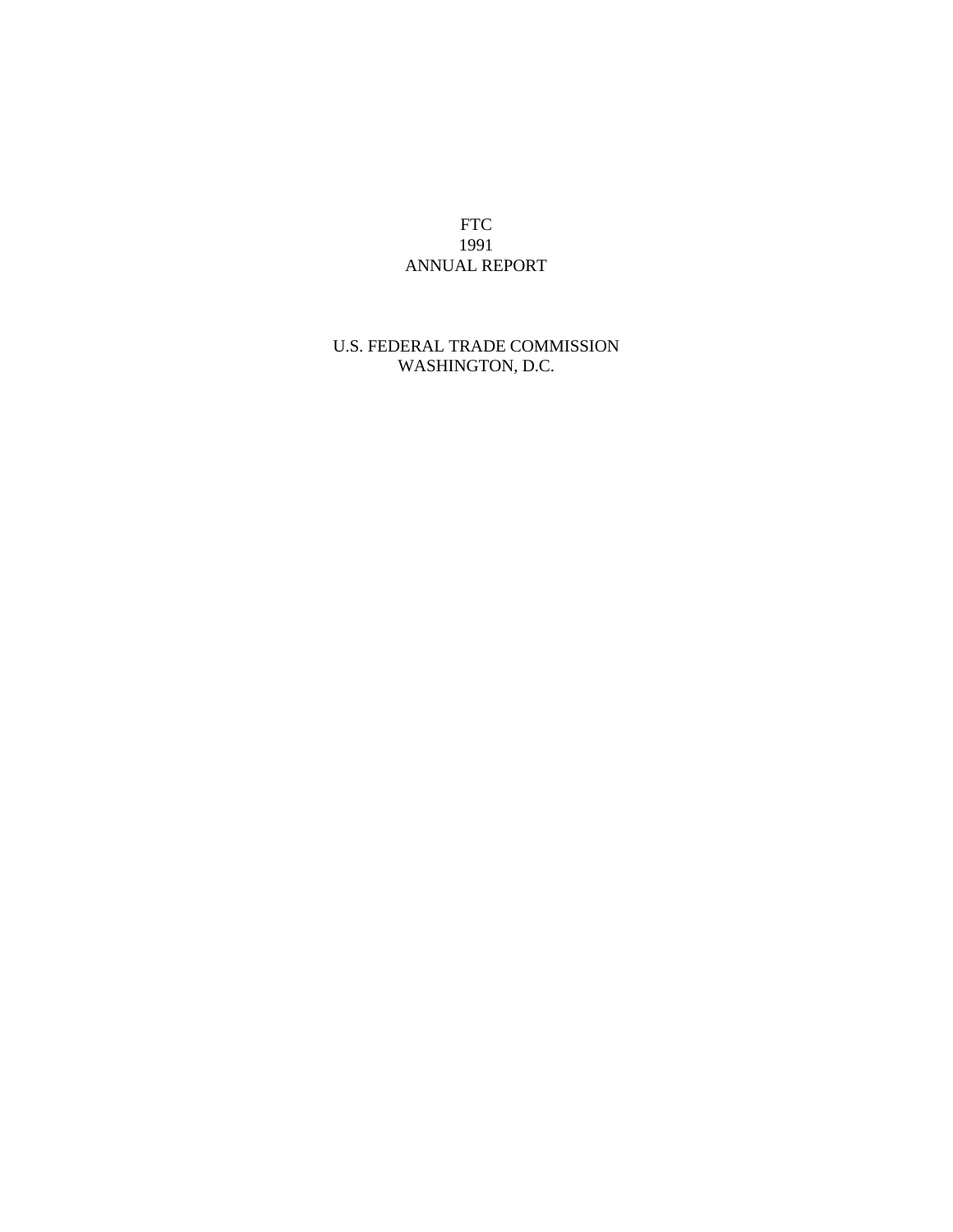FTC 1991 ANNUAL REPORT

# U.S. FEDERAL TRADE COMMISSION WASHINGTON, D.C.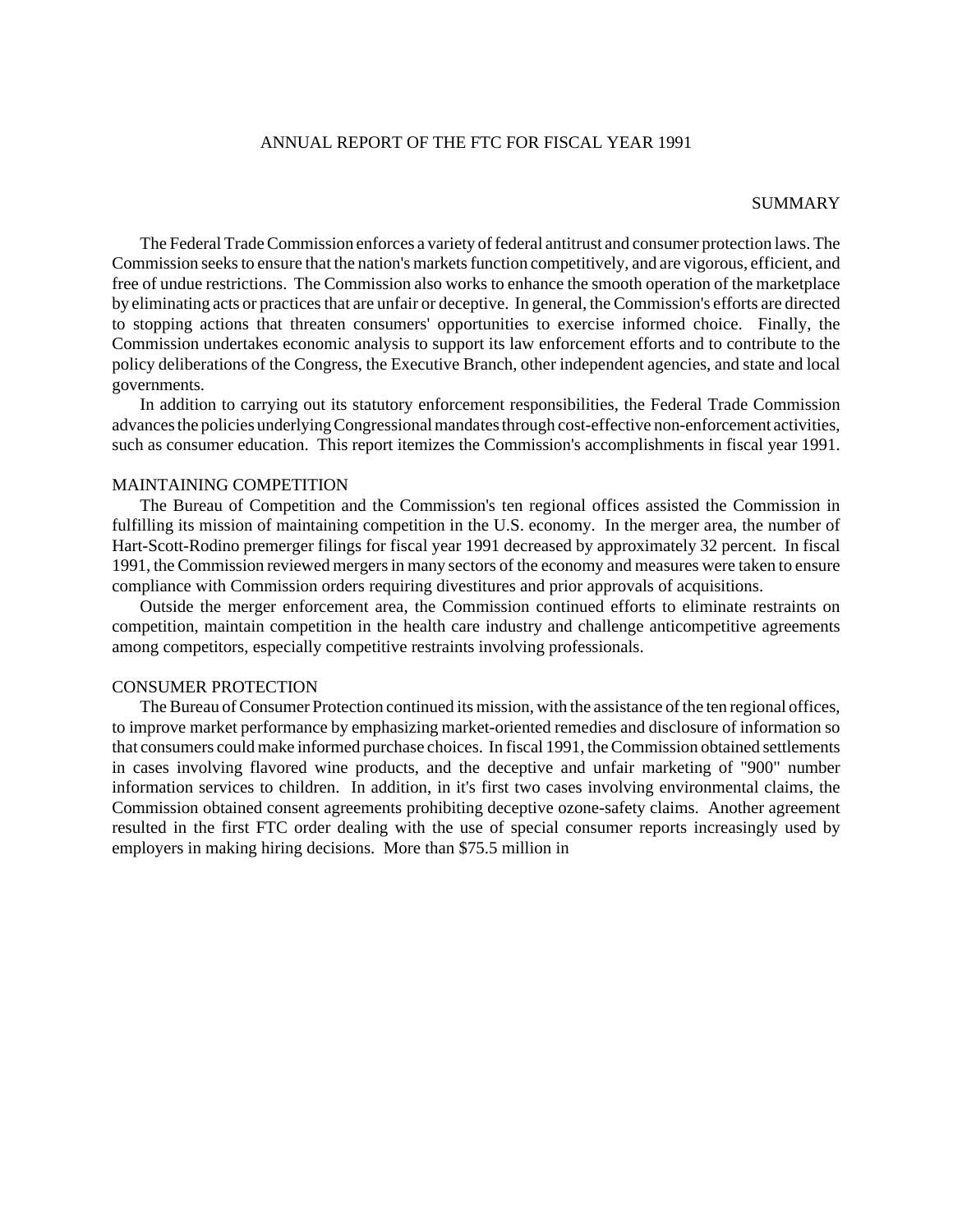### ANNUAL REPORT OF THE FTC FOR FISCAL YEAR 1991

#### SUMMARY

The Federal Trade Commission enforces a variety of federal antitrust and consumer protection laws. The Commission seeks to ensure that the nation's markets function competitively, and are vigorous, efficient, and free of undue restrictions. The Commission also works to enhance the smooth operation of the marketplace by eliminating acts or practicesthat are unfair or deceptive. In general, the Commission's efforts are directed to stopping actions that threaten consumers' opportunities to exercise informed choice. Finally, the Commission undertakes economic analysis to support its law enforcement efforts and to contribute to the policy deliberations of the Congress, the Executive Branch, other independent agencies, and state and local governments.

In addition to carrying out its statutory enforcement responsibilities, the Federal Trade Commission advances the policies underlying Congressional mandates through cost-effective non-enforcement activities, such as consumer education. This report itemizes the Commission's accomplishments in fiscal year 1991.

#### MAINTAINING COMPETITION

The Bureau of Competition and the Commission's ten regional offices assisted the Commission in fulfilling its mission of maintaining competition in the U.S. economy. In the merger area, the number of Hart-Scott-Rodino premerger filings for fiscal year 1991 decreased by approximately 32 percent. In fiscal 1991, the Commission reviewed mergersin many sectors of the economy and measures were taken to ensure compliance with Commission orders requiring divestitures and prior approvals of acquisitions.

Outside the merger enforcement area, the Commission continued efforts to eliminate restraints on competition, maintain competition in the health care industry and challenge anticompetitive agreements among competitors, especially competitive restraints involving professionals.

## CONSUMER PROTECTION

The Bureau of Consumer Protection continued its mission, with the assistance of the ten regional offices, to improve market performance by emphasizing market-oriented remedies and disclosure of information so that consumers could make informed purchase choices. In fiscal 1991, the Commission obtained settlements in cases involving flavored wine products, and the deceptive and unfair marketing of "900" number information services to children. In addition, in it's first two cases involving environmental claims, the Commission obtained consent agreements prohibiting deceptive ozone-safety claims. Another agreement resulted in the first FTC order dealing with the use of special consumer reports increasingly used by employers in making hiring decisions. More than \$75.5 million in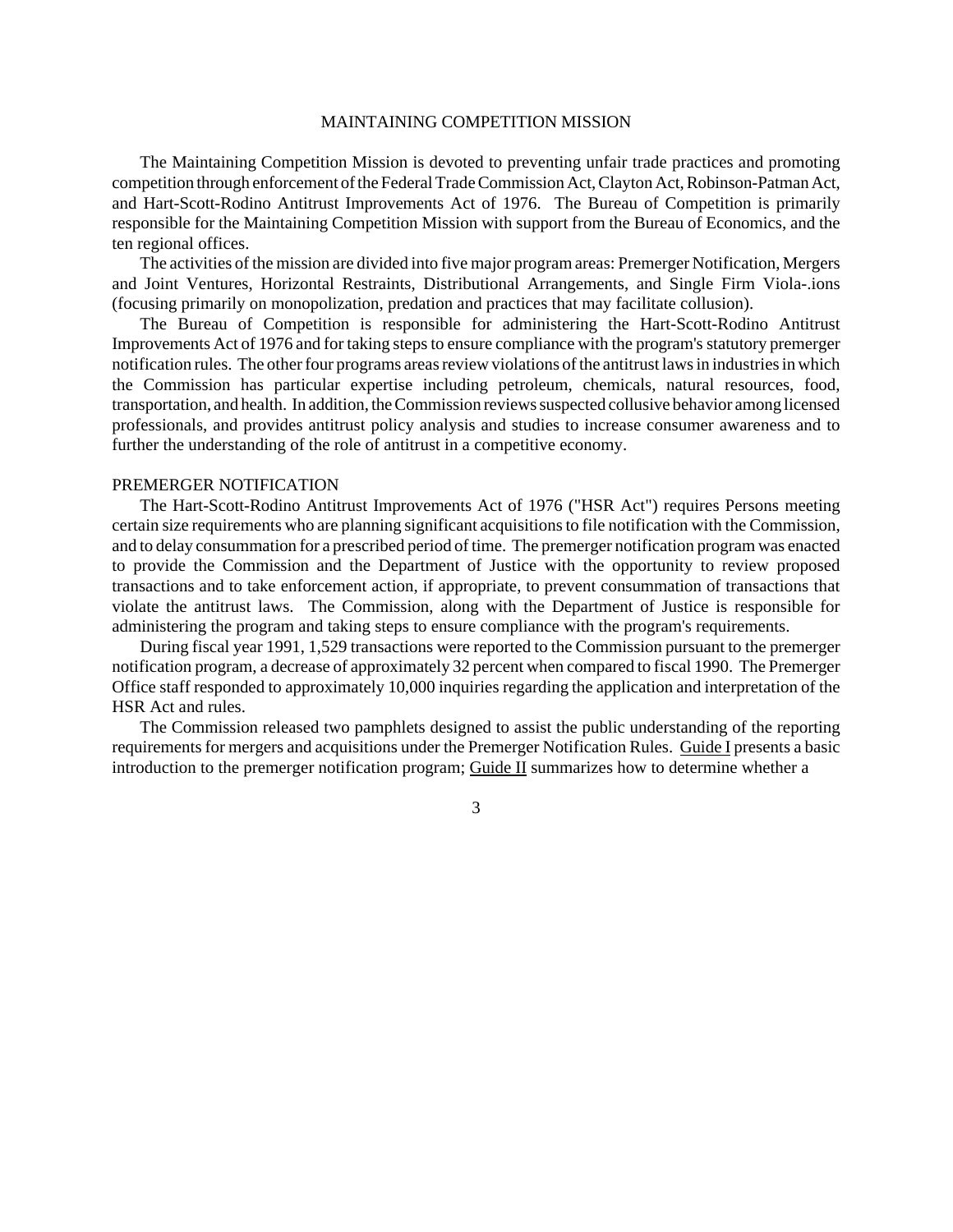#### MAINTAINING COMPETITION MISSION

The Maintaining Competition Mission is devoted to preventing unfair trade practices and promoting competition through enforcement of the Federal Trade Commission Act, Clayton Act, Robinson-Patman Act, and Hart-Scott-Rodino Antitrust Improvements Act of 1976. The Bureau of Competition is primarily responsible for the Maintaining Competition Mission with support from the Bureau of Economics, and the ten regional offices.

The activities of the mission are divided into five major programareas: Premerger Notification, Mergers and Joint Ventures, Horizontal Restraints, Distributional Arrangements, and Single Firm Viola-.ions (focusing primarily on monopolization, predation and practices that may facilitate collusion).

The Bureau of Competition is responsible for administering the Hart-Scott-Rodino Antitrust Improvements Act of 1976 and for taking steps to ensure compliance with the program's statutory premerger notification rules. The other four programs areas review violations of the antitrust laws in industries in which the Commission has particular expertise including petroleum, chemicals, natural resources, food, transportation, and health. In addition, the Commission reviews suspected collusive behavior among licensed professionals, and provides antitrust policy analysis and studies to increase consumer awareness and to further the understanding of the role of antitrust in a competitive economy.

#### PREMERGER NOTIFICATION

The Hart-Scott-Rodino Antitrust Improvements Act of 1976 ("HSR Act") requires Persons meeting certain size requirements who are planning significant acquisitionsto file notification with the Commission, and to delay consummation for a prescribed period of time. The premerger notification program was enacted to provide the Commission and the Department of Justice with the opportunity to review proposed transactions and to take enforcement action, if appropriate, to prevent consummation of transactions that violate the antitrust laws. The Commission, along with the Department of Justice is responsible for administering the program and taking steps to ensure compliance with the program's requirements.

During fiscal year 1991, 1,529 transactions were reported to the Commission pursuant to the premerger notification program, a decrease of approximately 32 percent when compared to fiscal 1990. The Premerger Office staff responded to approximately 10,000 inquiries regarding the application and interpretation of the HSR Act and rules.

The Commission released two pamphlets designed to assist the public understanding of the reporting requirements for mergers and acquisitions under the Premerger Notification Rules. Guide I presents a basic introduction to the premerger notification program; Guide II summarizes how to determine whether a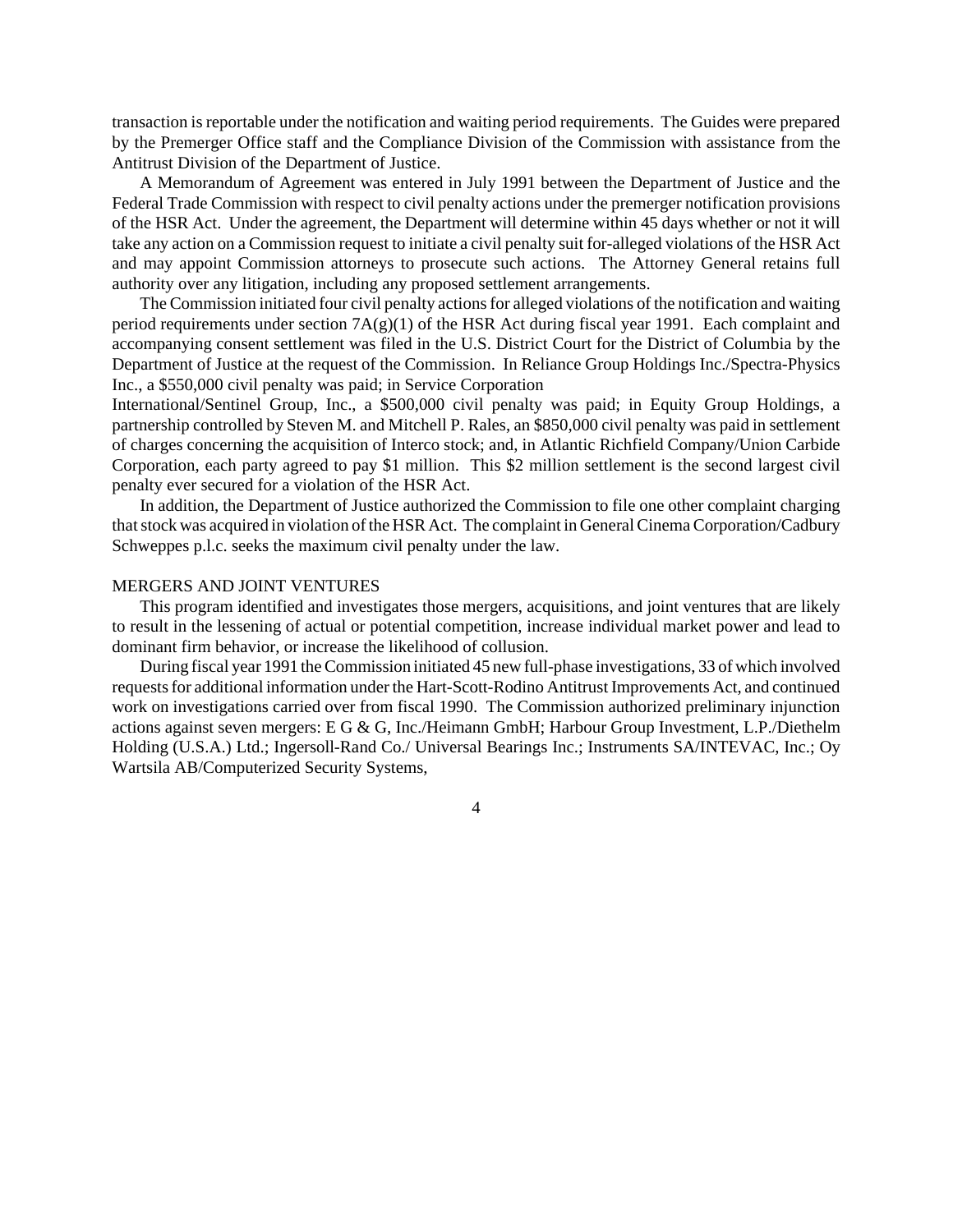transaction is reportable under the notification and waiting period requirements. The Guides were prepared by the Premerger Office staff and the Compliance Division of the Commission with assistance from the Antitrust Division of the Department of Justice.

A Memorandum of Agreement was entered in July 1991 between the Department of Justice and the Federal Trade Commission with respect to civil penalty actions under the premerger notification provisions of the HSR Act. Under the agreement, the Department will determine within 45 days whether or not it will take any action on a Commission request to initiate a civil penalty suit for-alleged violations of the HSR Act and may appoint Commission attorneys to prosecute such actions. The Attorney General retains full authority over any litigation, including any proposed settlement arrangements.

The Commission initiated four civil penalty actions for alleged violations of the notification and waiting period requirements under section 7A(g)(1) of the HSR Act during fiscal year 1991. Each complaint and accompanying consent settlement was filed in the U.S. District Court for the District of Columbia by the Department of Justice at the request of the Commission. In Reliance Group Holdings Inc./Spectra-Physics Inc., a \$550,000 civil penalty was paid; in Service Corporation

International/Sentinel Group, Inc., a \$500,000 civil penalty was paid; in Equity Group Holdings, a partnership controlled by Steven M. and Mitchell P. Rales, an \$850,000 civil penalty was paid in settlement of charges concerning the acquisition of Interco stock; and, in Atlantic Richfield Company/Union Carbide Corporation, each party agreed to pay \$1 million. This \$2 million settlement is the second largest civil penalty ever secured for a violation of the HSR Act.

In addition, the Department of Justice authorized the Commission to file one other complaint charging that stock was acquired in violation of the HSR Act. The complaint in General Cinema Corporation/Cadbury Schweppes p.l.c. seeks the maximum civil penalty under the law.

# MERGERS AND JOINT VENTURES

This program identified and investigates those mergers, acquisitions, and joint ventures that are likely to result in the lessening of actual or potential competition, increase individual market power and lead to dominant firm behavior, or increase the likelihood of collusion.

During fiscal year 1991 theCommission initiated 45 new full-phase investigations, 33 of which involved requests for additional information under the Hart-Scott-Rodino Antitrust Improvements Act, and continued work on investigations carried over from fiscal 1990. The Commission authorized preliminary injunction actions against seven mergers: E G & G, Inc./Heimann GmbH; Harbour Group Investment, L.P./Diethelm Holding (U.S.A.) Ltd.; Ingersoll-Rand Co./ Universal Bearings Inc.; Instruments SA/INTEVAC, Inc.; Oy Wartsila AB/Computerized Security Systems,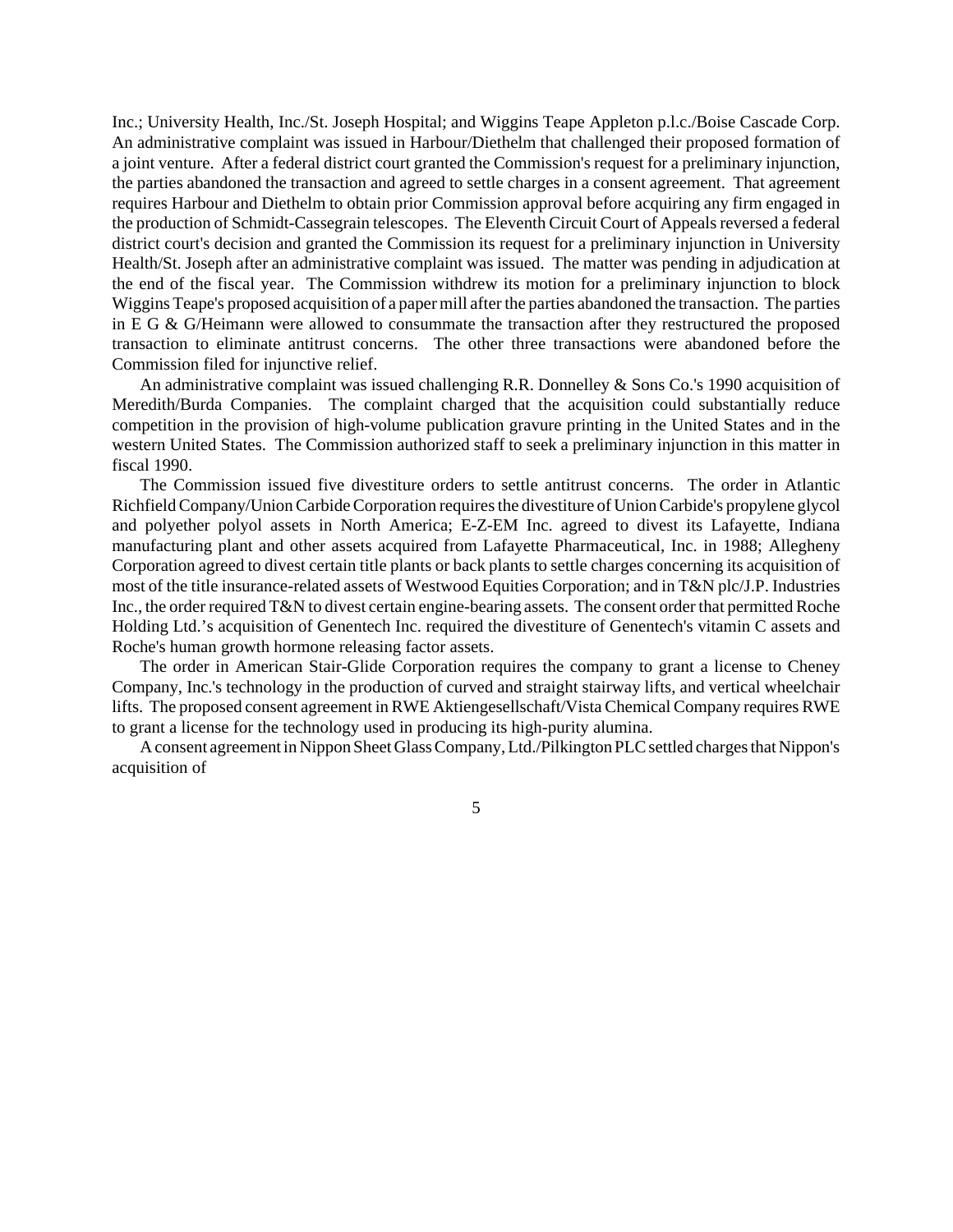Inc.; University Health, Inc./St. Joseph Hospital; and Wiggins Teape Appleton p.l.c./Boise Cascade Corp. An administrative complaint was issued in Harbour/Diethelm that challenged their proposed formation of a joint venture. After a federal district court granted the Commission's request for a preliminary injunction, the parties abandoned the transaction and agreed to settle charges in a consent agreement. That agreement requires Harbour and Diethelm to obtain prior Commission approval before acquiring any firm engaged in the production of Schmidt-Cassegrain telescopes. The Eleventh Circuit Court of Appeals reversed a federal district court's decision and granted the Commission its request for a preliminary injunction in University Health/St. Joseph after an administrative complaint was issued. The matter was pending in adjudication at the end of the fiscal year. The Commission withdrew its motion for a preliminary injunction to block Wiggins Teape's proposed acquisition of a paper mill after the parties abandoned the transaction. The parties in E G & G/Heimann were allowed to consummate the transaction after they restructured the proposed transaction to eliminate antitrust concerns. The other three transactions were abandoned before the Commission filed for injunctive relief.

An administrative complaint was issued challenging R.R. Donnelley & Sons Co.'s 1990 acquisition of Meredith/Burda Companies. The complaint charged that the acquisition could substantially reduce competition in the provision of high-volume publication gravure printing in the United States and in the western United States. The Commission authorized staff to seek a preliminary injunction in this matter in fiscal 1990.

The Commission issued five divestiture orders to settle antitrust concerns. The order in Atlantic Richfield Company/Union Carbide Corporation requires the divestiture of Union Carbide's propylene glycol and polyether polyol assets in North America; E-Z-EM Inc. agreed to divest its Lafayette, Indiana manufacturing plant and other assets acquired from Lafayette Pharmaceutical, Inc. in 1988; Allegheny Corporation agreed to divest certain title plants or back plants to settle charges concerning its acquisition of most of the title insurance-related assets of Westwood Equities Corporation; and in T&N plc/J.P. Industries Inc., the order required T&N to divest certain engine-bearing assets. The consent order that permitted Roche Holding Ltd.'s acquisition of Genentech Inc. required the divestiture of Genentech's vitamin C assets and Roche's human growth hormone releasing factor assets.

The order in American Stair-Glide Corporation requires the company to grant a license to Cheney Company, Inc.'s technology in the production of curved and straight stairway lifts, and vertical wheelchair lifts. The proposed consent agreement in RWE Aktiengesellschaft/Vista Chemical Company requires RWE to grant a license for the technology used in producing its high-purity alumina.

A consent agreement in Nippon Sheet Glass Company, Ltd./Pilkington PLC settled charges that Nippon's acquisition of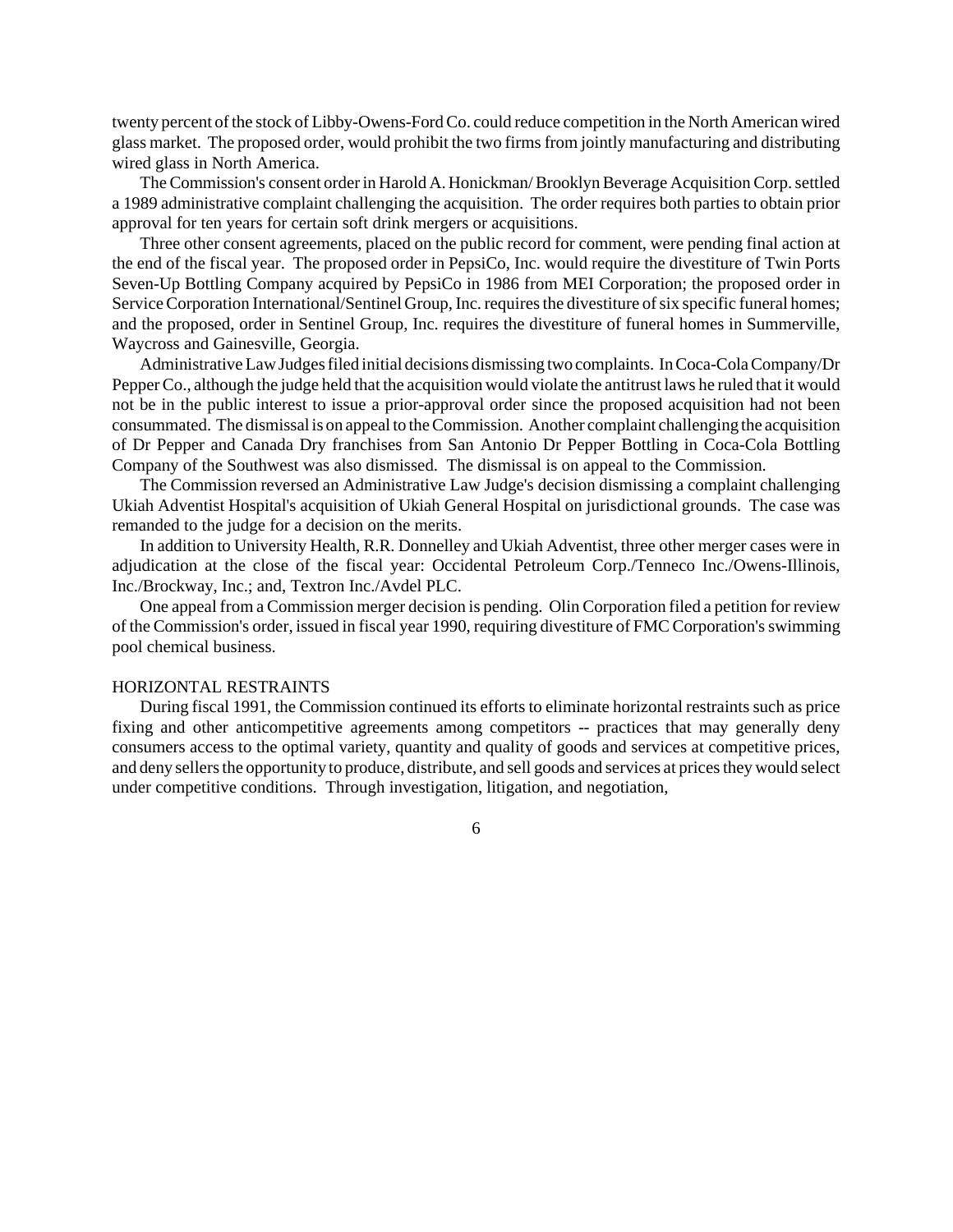twenty percent ofthe stock of Libby-Owens-FordCo. could reduce competition in the North American wired glass market. The proposed order, would prohibit the two firms from jointly manufacturing and distributing wired glass in North America.

The Commission's consent order in Harold A. Honickman/Brooklyn Beverage Acquisition Corp. settled a 1989 administrative complaint challenging the acquisition. The order requires both parties to obtain prior approval for ten years for certain soft drink mergers or acquisitions.

Three other consent agreements, placed on the public record for comment, were pending final action at the end of the fiscal year. The proposed order in PepsiCo, Inc. would require the divestiture of Twin Ports Seven-Up Bottling Company acquired by PepsiCo in 1986 from MEI Corporation; the proposed order in Service Corporation International/Sentinel Group, Inc. requires the divestiture of six specific funeral homes; and the proposed, order in Sentinel Group, Inc. requires the divestiture of funeral homes in Summerville, Waycross and Gainesville, Georgia.

AdministrativeLawJudgesfiled initial decisions dismissing two complaints. In Coca-Cola Company/Dr PepperCo., although the judge held that the acquisition would violate the antitrust laws he ruled that it would not be in the public interest to issue a prior-approval order since the proposed acquisition had not been consummated. The dismissal is on appeal to the Commission. Another complaint challenging the acquisition of Dr Pepper and Canada Dry franchises from San Antonio Dr Pepper Bottling in Coca-Cola Bottling Company of the Southwest was also dismissed. The dismissal is on appeal to the Commission.

The Commission reversed an Administrative Law Judge's decision dismissing a complaint challenging Ukiah Adventist Hospital's acquisition of Ukiah General Hospital on jurisdictional grounds. The case was remanded to the judge for a decision on the merits.

In addition to University Health, R.R. Donnelley and Ukiah Adventist, three other merger cases were in adjudication at the close of the fiscal year: Occidental Petroleum Corp./Tenneco Inc./Owens-Illinois, Inc./Brockway, Inc.; and, Textron Inc./Avdel PLC.

One appeal from a Commission merger decision is pending. Olin Corporation filed a petition for review of the Commission's order, issued in fiscal year 1990, requiring divestiture of FMCCorporation'sswimming pool chemical business.

## HORIZONTAL RESTRAINTS

During fiscal 1991, the Commission continued its efforts to eliminate horizontal restraints such as price fixing and other anticompetitive agreements among competitors -- practices that may generally deny consumers access to the optimal variety, quantity and quality of goods and services at competitive prices, and deny sellers the opportunity to produce, distribute, and sell goods and services at prices they would select under competitive conditions. Through investigation, litigation, and negotiation,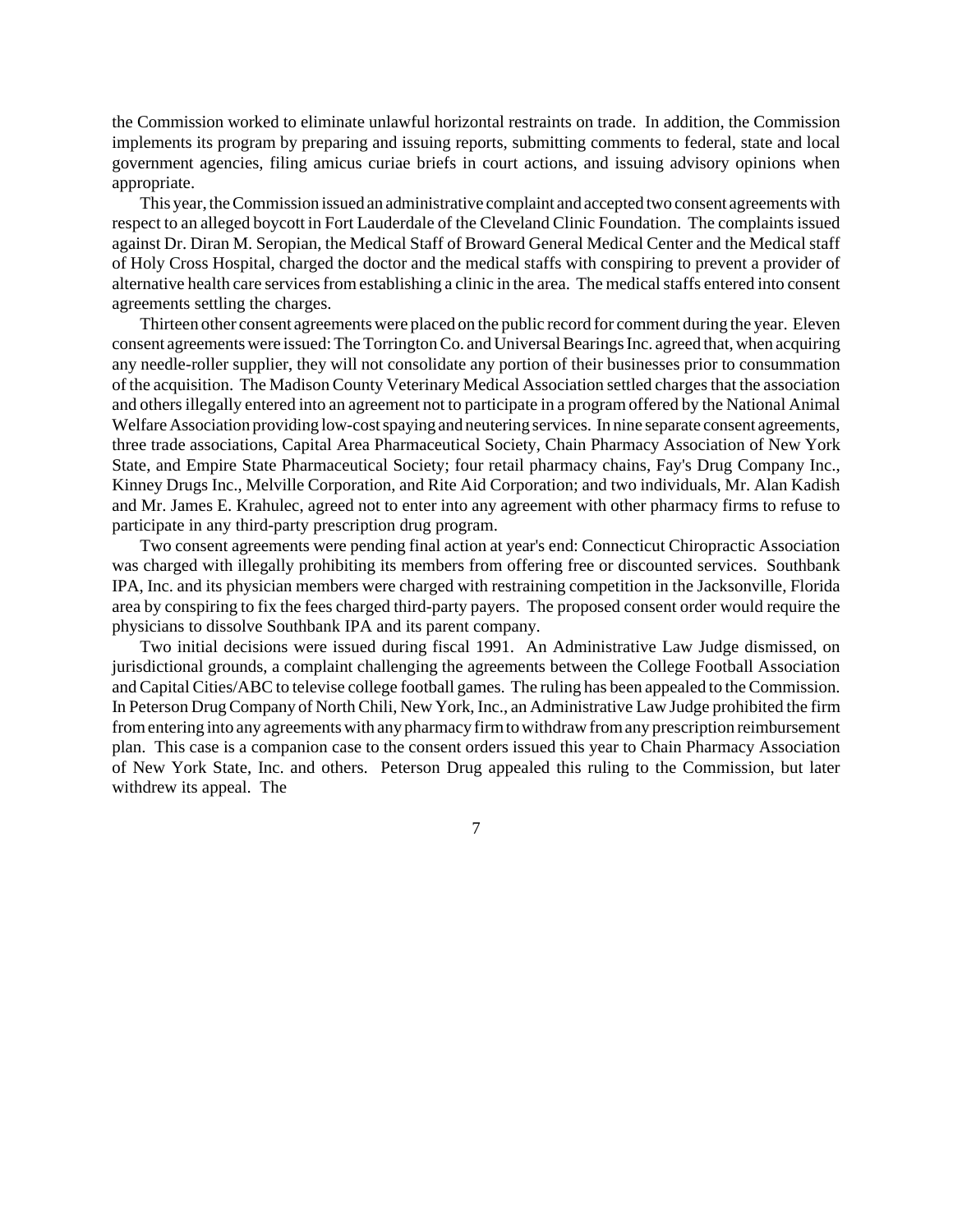the Commission worked to eliminate unlawful horizontal restraints on trade. In addition, the Commission implements its program by preparing and issuing reports, submitting comments to federal, state and local government agencies, filing amicus curiae briefs in court actions, and issuing advisory opinions when appropriate.

This year, the Commission issued an administrative complaint and accepted two consent agreements with respect to an alleged boycott in Fort Lauderdale of the Cleveland Clinic Foundation. The complaints issued against Dr. Diran M. Seropian, the Medical Staff of Broward General Medical Center and the Medical staff of Holy Cross Hospital, charged the doctor and the medical staffs with conspiring to prevent a provider of alternative health care services from establishing a clinic in the area. The medical staffs entered into consent agreements settling the charges.

Thirteen other consent agreementswere placed on the public record for comment during the year. Eleven consent agreementswere issued:The Torrington Co. and Universal Bearings Inc. agreed that, when acquiring any needle-roller supplier, they will not consolidate any portion of their businesses prior to consummation of the acquisition. The Madison County Veterinary Medical Association settled charges that the association and othersillegally entered into an agreement not to participate in a programoffered by the National Animal Welfare Association providing low-cost spaying and neutering services. In nine separate consent agreements, three trade associations, Capital Area Pharmaceutical Society, Chain Pharmacy Association of New York State, and Empire State Pharmaceutical Society; four retail pharmacy chains, Fay's Drug Company Inc., Kinney Drugs Inc., Melville Corporation, and Rite Aid Corporation; and two individuals, Mr. Alan Kadish and Mr. James E. Krahulec, agreed not to enter into any agreement with other pharmacy firms to refuse to participate in any third-party prescription drug program.

Two consent agreements were pending final action at year's end: Connecticut Chiropractic Association was charged with illegally prohibiting its members from offering free or discounted services. Southbank IPA, Inc. and its physician members were charged with restraining competition in the Jacksonville, Florida area by conspiring to fix the fees charged third-party payers. The proposed consent order would require the physicians to dissolve Southbank IPA and its parent company.

Two initial decisions were issued during fiscal 1991. An Administrative Law Judge dismissed, on jurisdictional grounds, a complaint challenging the agreements between the College Football Association and Capital Cities/ABC to televise college football games. The ruling has been appealed to the Commission. In Peterson DrugCompany of NorthChili, New York, Inc., an Administrative Law Judge prohibited the firm from entering into any agreements with any pharmacy firm to withdraw from any prescription reimbursement plan. This case is a companion case to the consent orders issued this year to Chain Pharmacy Association of New York State, Inc. and others. Peterson Drug appealed this ruling to the Commission, but later withdrew its appeal. The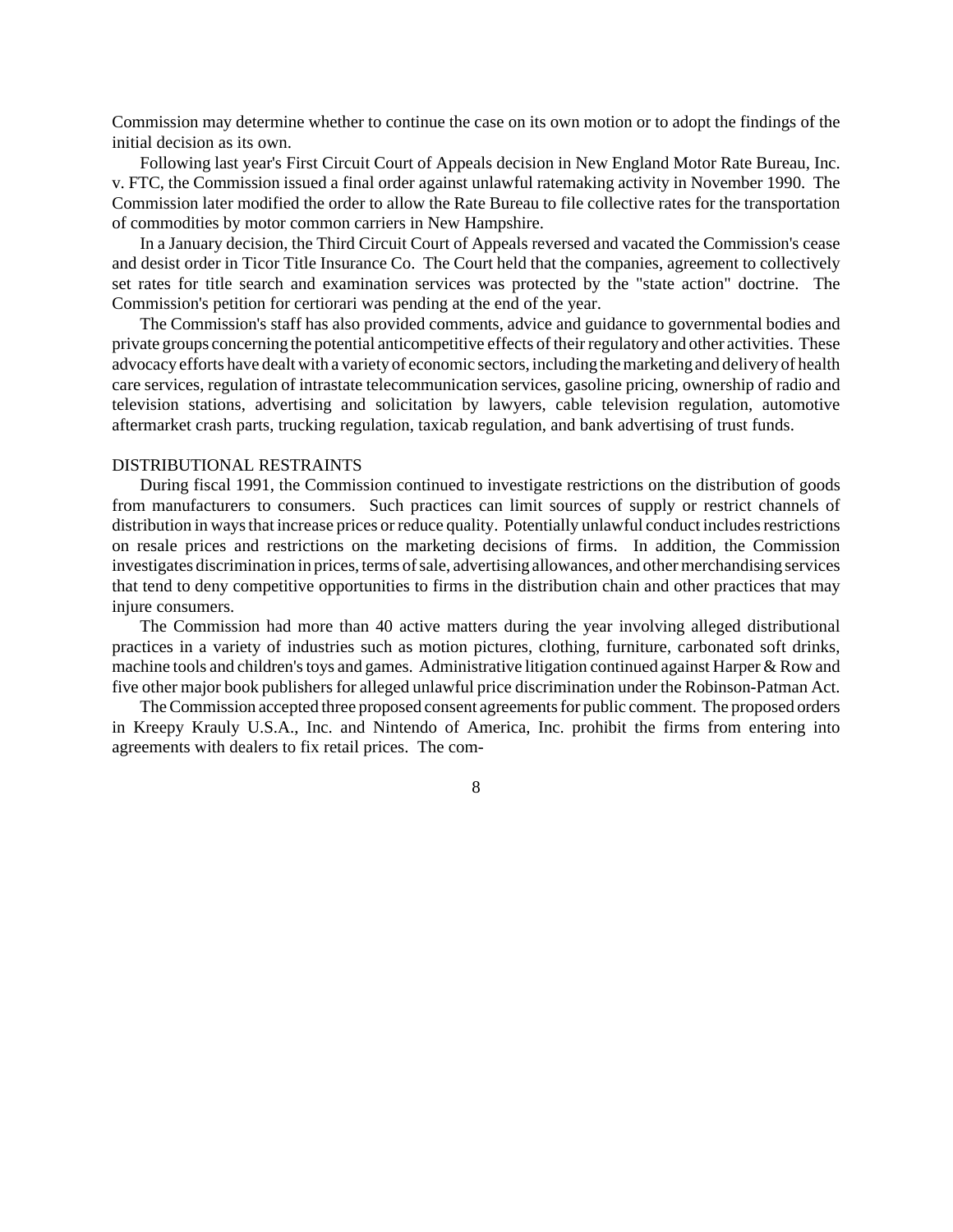Commission may determine whether to continue the case on its own motion or to adopt the findings of the initial decision as its own.

Following last year's First Circuit Court of Appeals decision in New England Motor Rate Bureau, Inc. v. FTC, the Commission issued a final order against unlawful ratemaking activity in November 1990. The Commission later modified the order to allow the Rate Bureau to file collective rates for the transportation of commodities by motor common carriers in New Hampshire.

In a January decision, the Third Circuit Court of Appeals reversed and vacated the Commission's cease and desist order in Ticor Title Insurance Co. The Court held that the companies, agreement to collectively set rates for title search and examination services was protected by the "state action" doctrine. The Commission's petition for certiorari was pending at the end of the year.

The Commission's staff has also provided comments, advice and guidance to governmental bodies and private groups concerning the potential anticompetitive effects of their regulatory and other activities. These advocacy efforts have dealt with a variety of economic sectors, including themarketing and delivery of health care services, regulation of intrastate telecommunication services, gasoline pricing, ownership of radio and television stations, advertising and solicitation by lawyers, cable television regulation, automotive aftermarket crash parts, trucking regulation, taxicab regulation, and bank advertising of trust funds.

# DISTRIBUTIONAL RESTRAINTS

During fiscal 1991, the Commission continued to investigate restrictions on the distribution of goods from manufacturers to consumers. Such practices can limit sources of supply or restrict channels of distribution in ways that increase prices or reduce quality. Potentially unlawful conduct includes restrictions on resale prices and restrictions on the marketing decisions of firms. In addition, the Commission investigates discrimination in prices, terms of sale, advertising allowances, and other merchandising services that tend to deny competitive opportunities to firms in the distribution chain and other practices that may injure consumers.

The Commission had more than 40 active matters during the year involving alleged distributional practices in a variety of industries such as motion pictures, clothing, furniture, carbonated soft drinks, machine tools and children's toys and games. Administrative litigation continued against Harper & Row and five other major book publishers for alleged unlawful price discrimination under the Robinson-Patman Act.

The Commission accepted three proposed consent agreements for public comment. The proposed orders in Kreepy Krauly U.S.A., Inc. and Nintendo of America, Inc. prohibit the firms from entering into agreements with dealers to fix retail prices. The com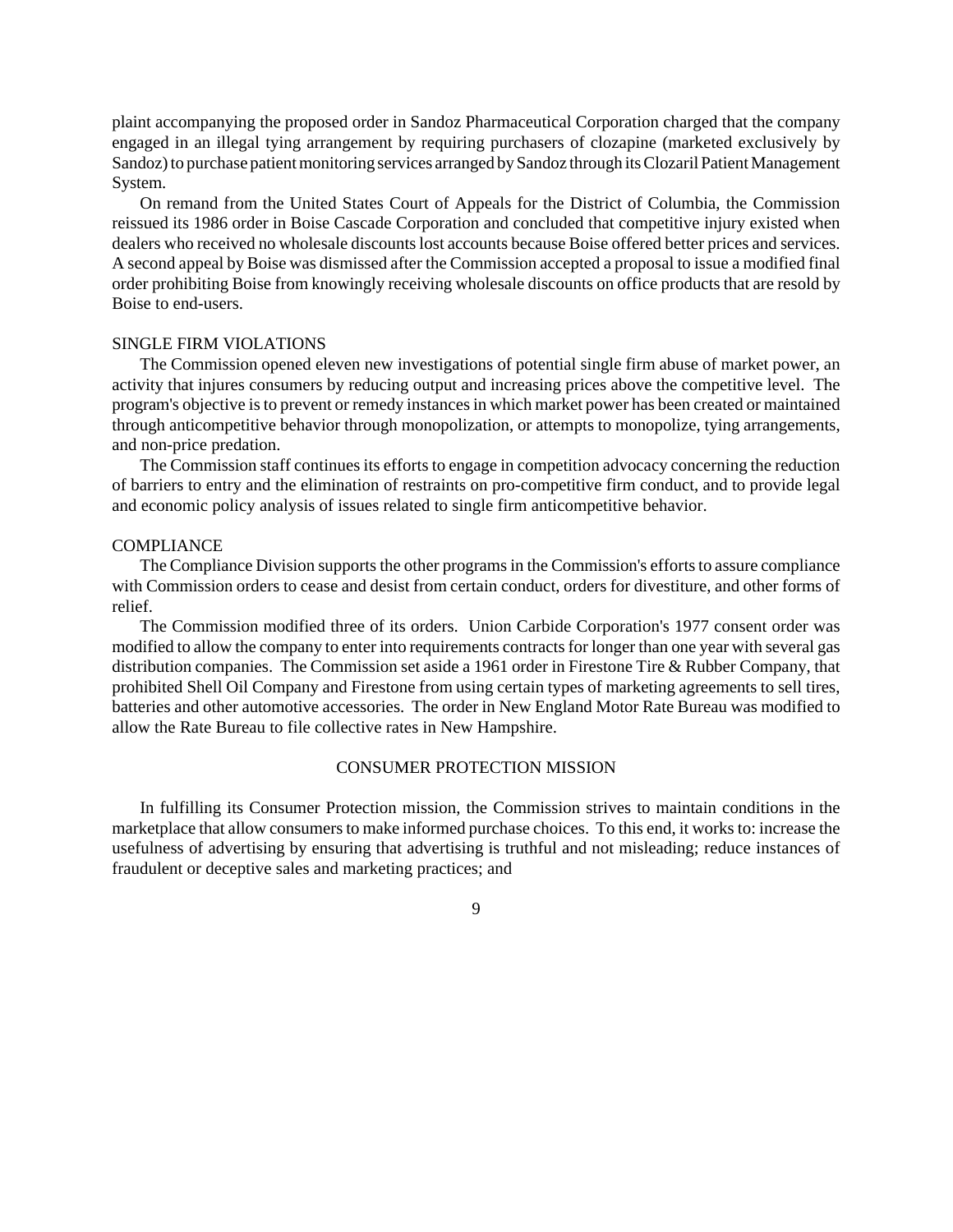plaint accompanying the proposed order in Sandoz Pharmaceutical Corporation charged that the company engaged in an illegal tying arrangement by requiring purchasers of clozapine (marketed exclusively by Sandoz) to purchase patient monitoring services arranged by Sandoz through its Clozaril Patient Management System.

On remand from the United States Court of Appeals for the District of Columbia, the Commission reissued its 1986 order in Boise Cascade Corporation and concluded that competitive injury existed when dealers who received no wholesale discounts lost accounts because Boise offered better prices and services. A second appeal by Boise was dismissed after the Commission accepted a proposal to issue a modified final order prohibiting Boise from knowingly receiving wholesale discounts on office products that are resold by Boise to end-users.

# SINGLE FIRM VIOLATIONS

The Commission opened eleven new investigations of potential single firm abuse of market power, an activity that injures consumers by reducing output and increasing prices above the competitive level. The program's objective is to prevent or remedy instances in which market power has been created or maintained through anticompetitive behavior through monopolization, or attempts to monopolize, tying arrangements, and non-price predation.

The Commission staff continues its efforts to engage in competition advocacy concerning the reduction of barriers to entry and the elimination of restraints on pro-competitive firm conduct, and to provide legal and economic policy analysis of issues related to single firm anticompetitive behavior.

#### **COMPLIANCE**

The Compliance Division supports the other programs in the Commission's efforts to assure compliance with Commission orders to cease and desist from certain conduct, orders for divestiture, and other forms of relief.

The Commission modified three of its orders. Union Carbide Corporation's 1977 consent order was modified to allow the company to enter into requirements contracts for longer than one year with several gas distribution companies. The Commission set aside a 1961 order in Firestone Tire & Rubber Company, that prohibited Shell Oil Company and Firestone from using certain types of marketing agreements to sell tires, batteries and other automotive accessories. The order in New England Motor Rate Bureau was modified to allow the Rate Bureau to file collective rates in New Hampshire.

#### CONSUMER PROTECTION MISSION

In fulfilling its Consumer Protection mission, the Commission strives to maintain conditions in the marketplace that allow consumersto make informed purchase choices. To this end, it works to: increase the usefulness of advertising by ensuring that advertising is truthful and not misleading; reduce instances of fraudulent or deceptive sales and marketing practices; and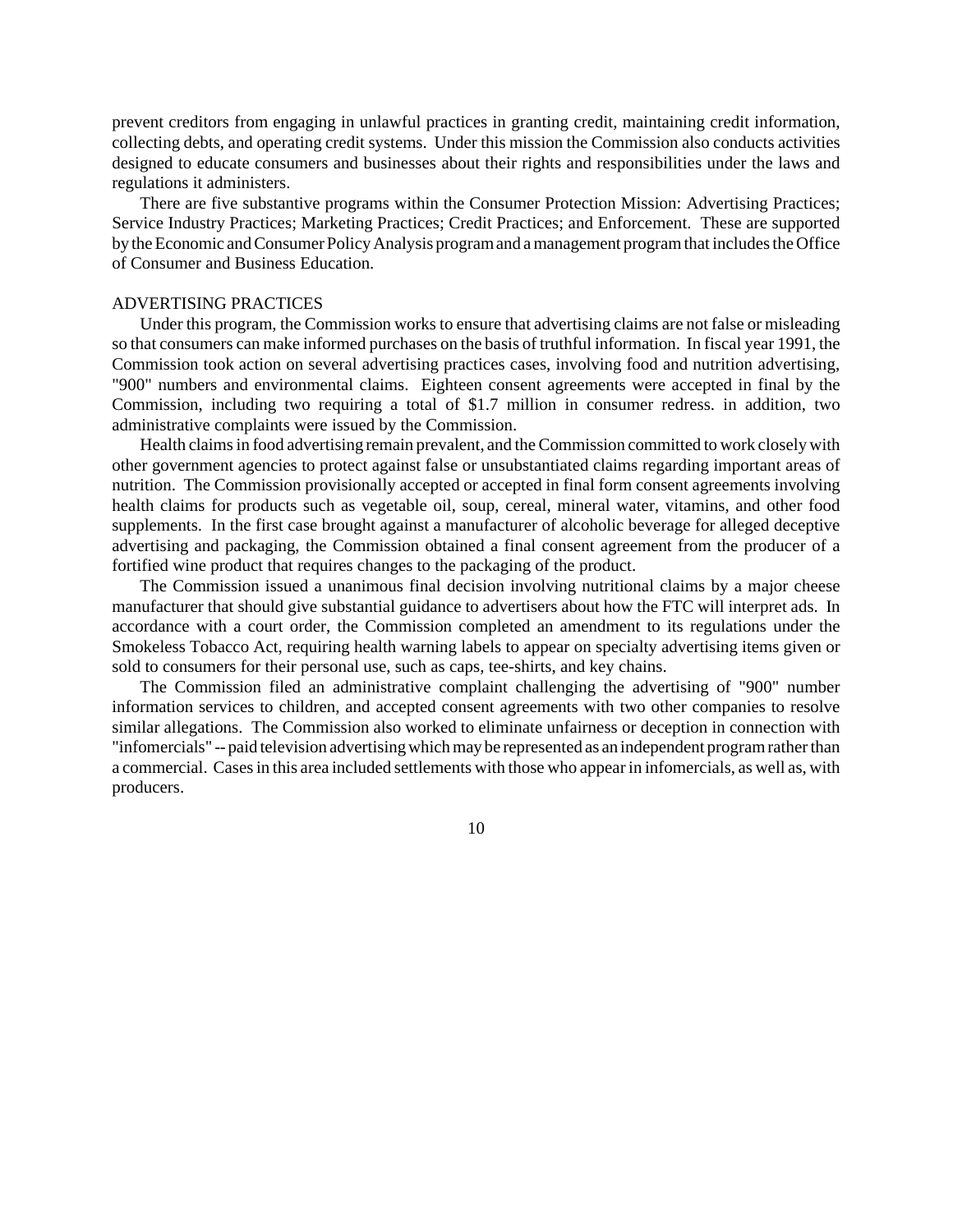prevent creditors from engaging in unlawful practices in granting credit, maintaining credit information, collecting debts, and operating credit systems. Under this mission the Commission also conducts activities designed to educate consumers and businesses about their rights and responsibilities under the laws and regulations it administers.

There are five substantive programs within the Consumer Protection Mission: Advertising Practices; Service Industry Practices; Marketing Practices; Credit Practices; and Enforcement. These are supported by the Economic and Consumer Policy Analysis program and a management program that includes the Office of Consumer and Business Education.

## ADVERTISING PRACTICES

Under this program, the Commission works to ensure that advertising claims are not false or misleading so that consumers can make informed purchases on the basis of truthful information. In fiscal year 1991, the Commission took action on several advertising practices cases, involving food and nutrition advertising, "900" numbers and environmental claims. Eighteen consent agreements were accepted in final by the Commission, including two requiring a total of \$1.7 million in consumer redress. in addition, two administrative complaints were issued by the Commission.

Health claims in food advertising remain prevalent, and the Commission committed to work closely with other government agencies to protect against false or unsubstantiated claims regarding important areas of nutrition. The Commission provisionally accepted or accepted in final form consent agreements involving health claims for products such as vegetable oil, soup, cereal, mineral water, vitamins, and other food supplements. In the first case brought against a manufacturer of alcoholic beverage for alleged deceptive advertising and packaging, the Commission obtained a final consent agreement from the producer of a fortified wine product that requires changes to the packaging of the product.

The Commission issued a unanimous final decision involving nutritional claims by a major cheese manufacturer that should give substantial guidance to advertisers about how the FTC will interpret ads. In accordance with a court order, the Commission completed an amendment to its regulations under the Smokeless Tobacco Act, requiring health warning labels to appear on specialty advertising items given or sold to consumers for their personal use, such as caps, tee-shirts, and key chains.

The Commission filed an administrative complaint challenging the advertising of "900" number information services to children, and accepted consent agreements with two other companies to resolve similar allegations. The Commission also worked to eliminate unfairness or deception in connection with "infomercials" -- paid television advertising which may be represented as an independent program rather than a commercial. Cases in this area included settlements with those who appear in infomercials, as well as, with producers.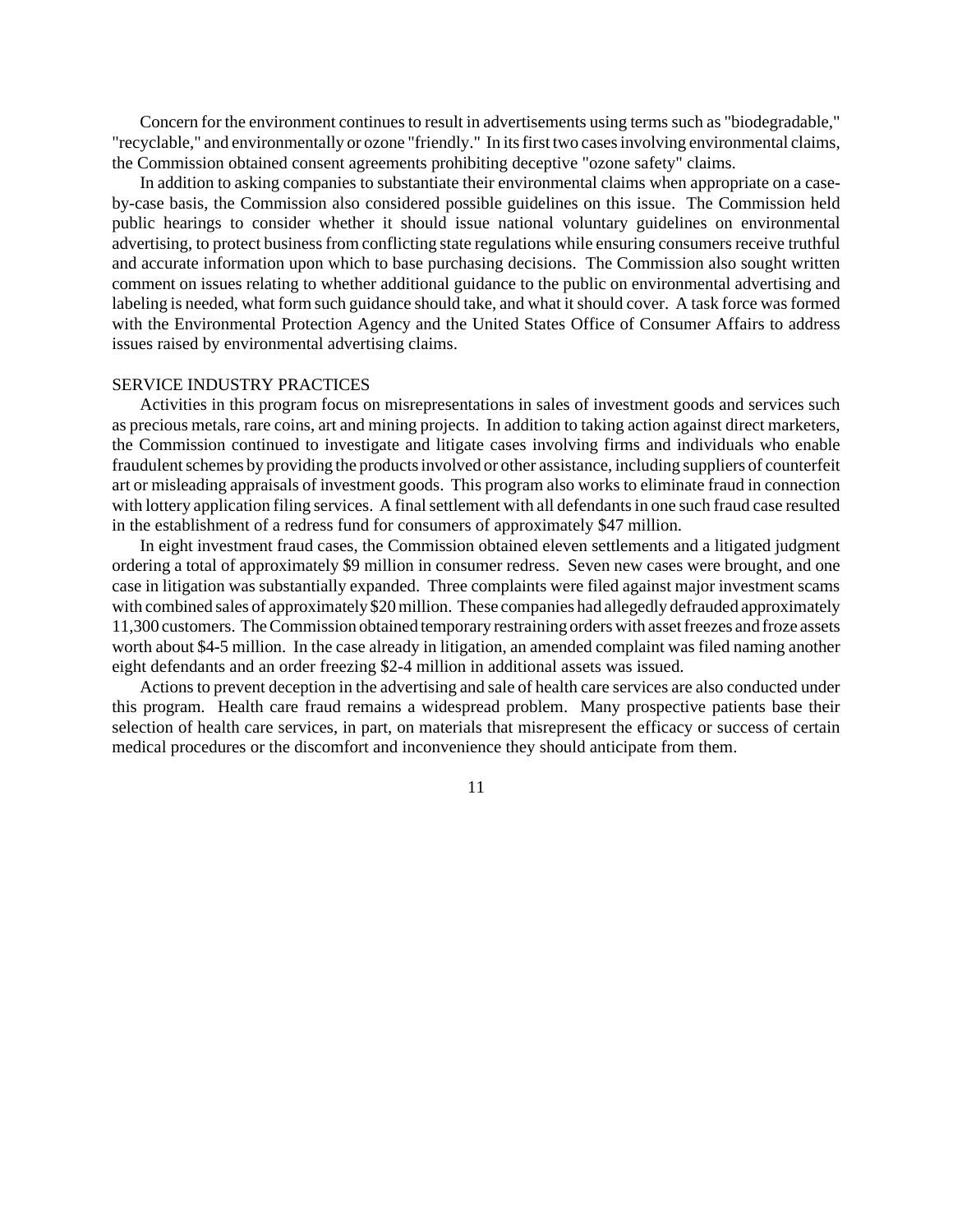Concern for the environment continuesto result in advertisements using terms such as "biodegradable," "recyclable," and environmentally or ozone "friendly." In its first two cases involving environmental claims, the Commission obtained consent agreements prohibiting deceptive "ozone safety" claims.

In addition to asking companies to substantiate their environmental claims when appropriate on a caseby-case basis, the Commission also considered possible guidelines on this issue. The Commission held public hearings to consider whether it should issue national voluntary guidelines on environmental advertising, to protect business from conflicting state regulations while ensuring consumers receive truthful and accurate information upon which to base purchasing decisions. The Commission also sought written comment on issues relating to whether additional guidance to the public on environmental advertising and labeling is needed, what form such guidance should take, and what it should cover. A task force was formed with the Environmental Protection Agency and the United States Office of Consumer Affairs to address issues raised by environmental advertising claims.

# SERVICE INDUSTRY PRACTICES

Activities in this program focus on misrepresentations in sales of investment goods and services such as precious metals, rare coins, art and mining projects. In addition to taking action against direct marketers, the Commission continued to investigate and litigate cases involving firms and individuals who enable fraudulent schemes by providing the products involved or other assistance, including suppliers of counterfeit art or misleading appraisals of investment goods. This program also works to eliminate fraud in connection with lottery application filing services. A final settlement with all defendants in one such fraud case resulted in the establishment of a redress fund for consumers of approximately \$47 million.

In eight investment fraud cases, the Commission obtained eleven settlements and a litigated judgment ordering a total of approximately \$9 million in consumer redress. Seven new cases were brought, and one case in litigation was substantially expanded. Three complaints were filed against major investment scams with combined sales of approximately \$20 million. These companies had allegedly defrauded approximately 11,300 customers. The Commission obtained temporary restraining orders with asset freezes and froze assets worth about \$4-5 million. In the case already in litigation, an amended complaint was filed naming another eight defendants and an order freezing \$2-4 million in additional assets was issued.

Actions to prevent deception in the advertising and sale of health care services are also conducted under this program. Health care fraud remains a widespread problem. Many prospective patients base their selection of health care services, in part, on materials that misrepresent the efficacy or success of certain medical procedures or the discomfort and inconvenience they should anticipate from them.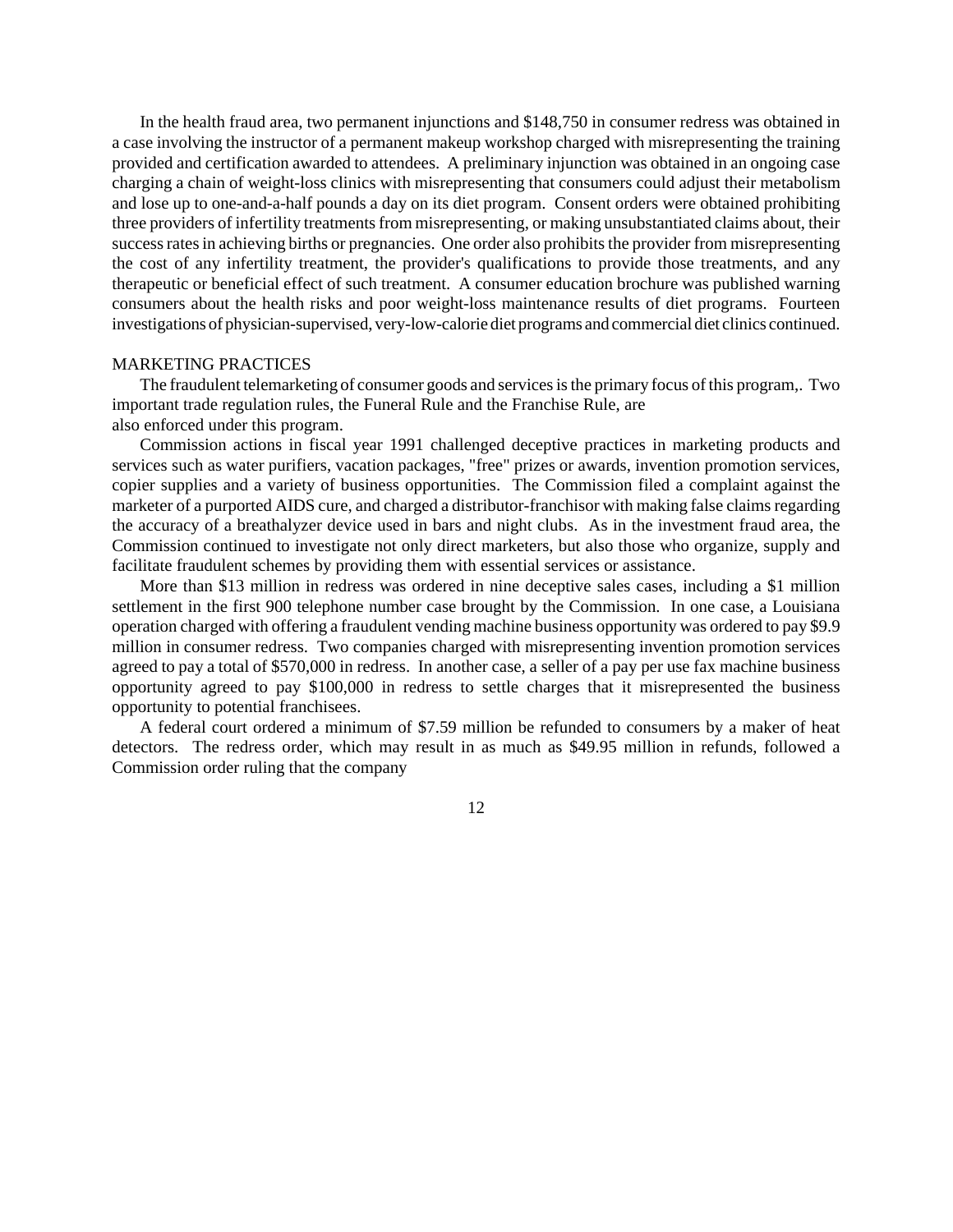In the health fraud area, two permanent injunctions and \$148,750 in consumer redress was obtained in a case involving the instructor of a permanent makeup workshop charged with misrepresenting the training provided and certification awarded to attendees. A preliminary injunction was obtained in an ongoing case charging a chain of weight-loss clinics with misrepresenting that consumers could adjust their metabolism and lose up to one-and-a-half pounds a day on its diet program. Consent orders were obtained prohibiting three providers of infertility treatments from misrepresenting, or making unsubstantiated claims about, their success rates in achieving births or pregnancies. One order also prohibits the provider from misrepresenting the cost of any infertility treatment, the provider's qualifications to provide those treatments, and any therapeutic or beneficial effect of such treatment. A consumer education brochure was published warning consumers about the health risks and poor weight-loss maintenance results of diet programs. Fourteen investigations of physician-supervised, very-low-calorie diet programs and commercial diet clinics continued.

#### MARKETING PRACTICES

The fraudulent telemarketing of consumer goods and services is the primary focus of this program,. Two important trade regulation rules, the Funeral Rule and the Franchise Rule, are also enforced under this program.

Commission actions in fiscal year 1991 challenged deceptive practices in marketing products and services such as water purifiers, vacation packages, "free" prizes or awards, invention promotion services, copier supplies and a variety of business opportunities. The Commission filed a complaint against the marketer of a purported AIDS cure, and charged a distributor-franchisor with making false claims regarding the accuracy of a breathalyzer device used in bars and night clubs. As in the investment fraud area, the Commission continued to investigate not only direct marketers, but also those who organize, supply and facilitate fraudulent schemes by providing them with essential services or assistance.

More than \$13 million in redress was ordered in nine deceptive sales cases, including a \$1 million settlement in the first 900 telephone number case brought by the Commission. In one case, a Louisiana operation charged with offering a fraudulent vending machine business opportunity was ordered to pay \$9.9 million in consumer redress. Two companies charged with misrepresenting invention promotion services agreed to pay a total of \$570,000 in redress. In another case, a seller of a pay per use fax machine business opportunity agreed to pay \$100,000 in redress to settle charges that it misrepresented the business opportunity to potential franchisees.

A federal court ordered a minimum of \$7.59 million be refunded to consumers by a maker of heat detectors. The redress order, which may result in as much as \$49.95 million in refunds, followed a Commission order ruling that the company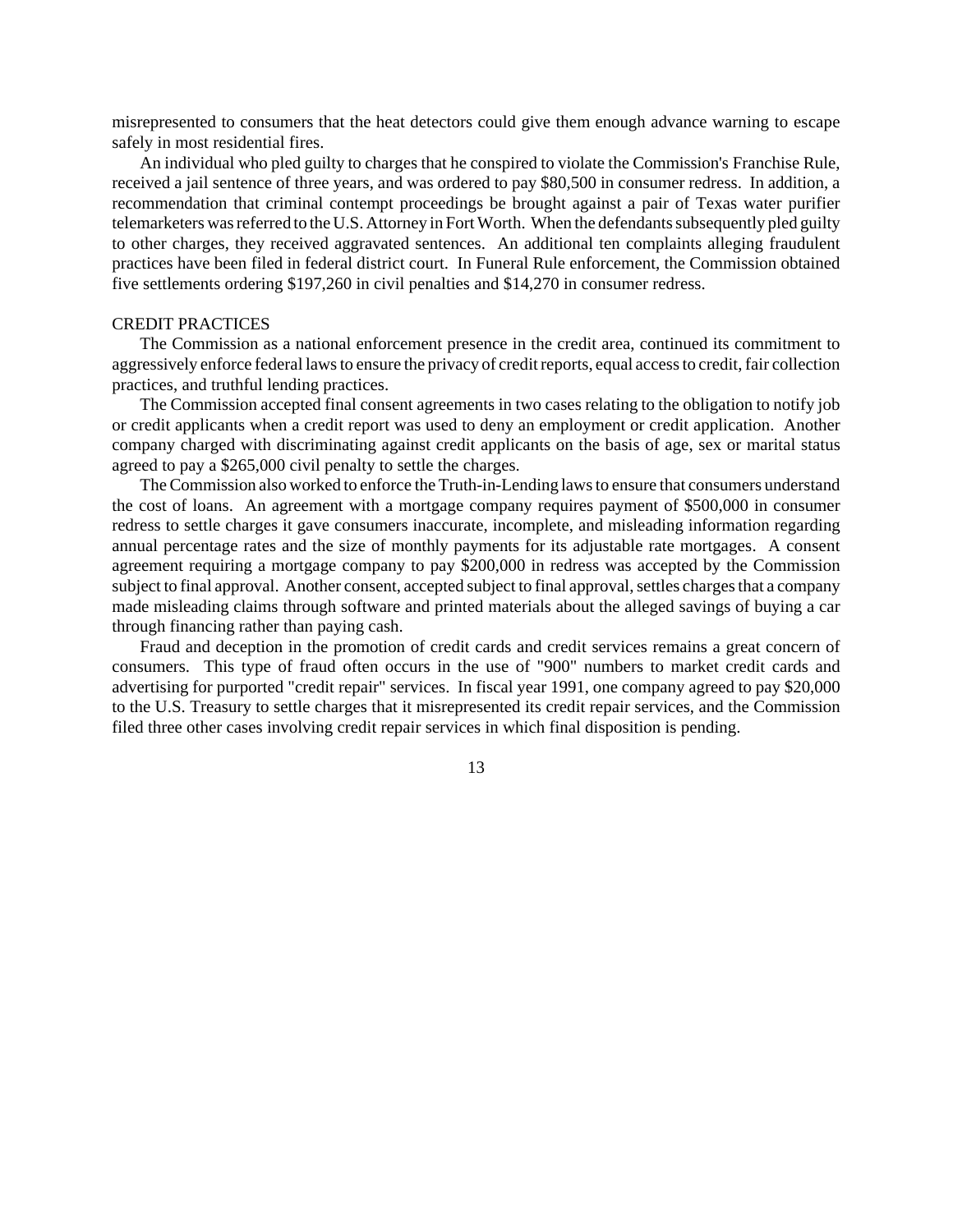misrepresented to consumers that the heat detectors could give them enough advance warning to escape safely in most residential fires.

An individual who pled guilty to charges that he conspired to violate the Commission's Franchise Rule, received a jail sentence of three years, and was ordered to pay \$80,500 in consumer redress. In addition, a recommendation that criminal contempt proceedings be brought against a pair of Texas water purifier telemarketers was referred to the U.S. Attorney in Fort Worth. When the defendants subsequently pled guilty to other charges, they received aggravated sentences. An additional ten complaints alleging fraudulent practices have been filed in federal district court. In Funeral Rule enforcement, the Commission obtained five settlements ordering \$197,260 in civil penalties and \$14,270 in consumer redress.

# CREDIT PRACTICES

The Commission as a national enforcement presence in the credit area, continued its commitment to aggressively enforce federal laws to ensure the privacy of credit reports, equal access to credit, fair collection practices, and truthful lending practices.

The Commission accepted final consent agreements in two cases relating to the obligation to notify job or credit applicants when a credit report was used to deny an employment or credit application. Another company charged with discriminating against credit applicants on the basis of age, sex or marital status agreed to pay a \$265,000 civil penalty to settle the charges.

The Commission also worked to enforce the Truth-in-Lending laws to ensure that consumers understand the cost of loans. An agreement with a mortgage company requires payment of \$500,000 in consumer redress to settle charges it gave consumers inaccurate, incomplete, and misleading information regarding annual percentage rates and the size of monthly payments for its adjustable rate mortgages. A consent agreement requiring a mortgage company to pay \$200,000 in redress was accepted by the Commission subject to final approval. Another consent, accepted subject to final approval, settles charges that a company made misleading claims through software and printed materials about the alleged savings of buying a car through financing rather than paying cash.

Fraud and deception in the promotion of credit cards and credit services remains a great concern of consumers. This type of fraud often occurs in the use of "900" numbers to market credit cards and advertising for purported "credit repair" services. In fiscal year 1991, one company agreed to pay \$20,000 to the U.S. Treasury to settle charges that it misrepresented its credit repair services, and the Commission filed three other cases involving credit repair services in which final disposition is pending.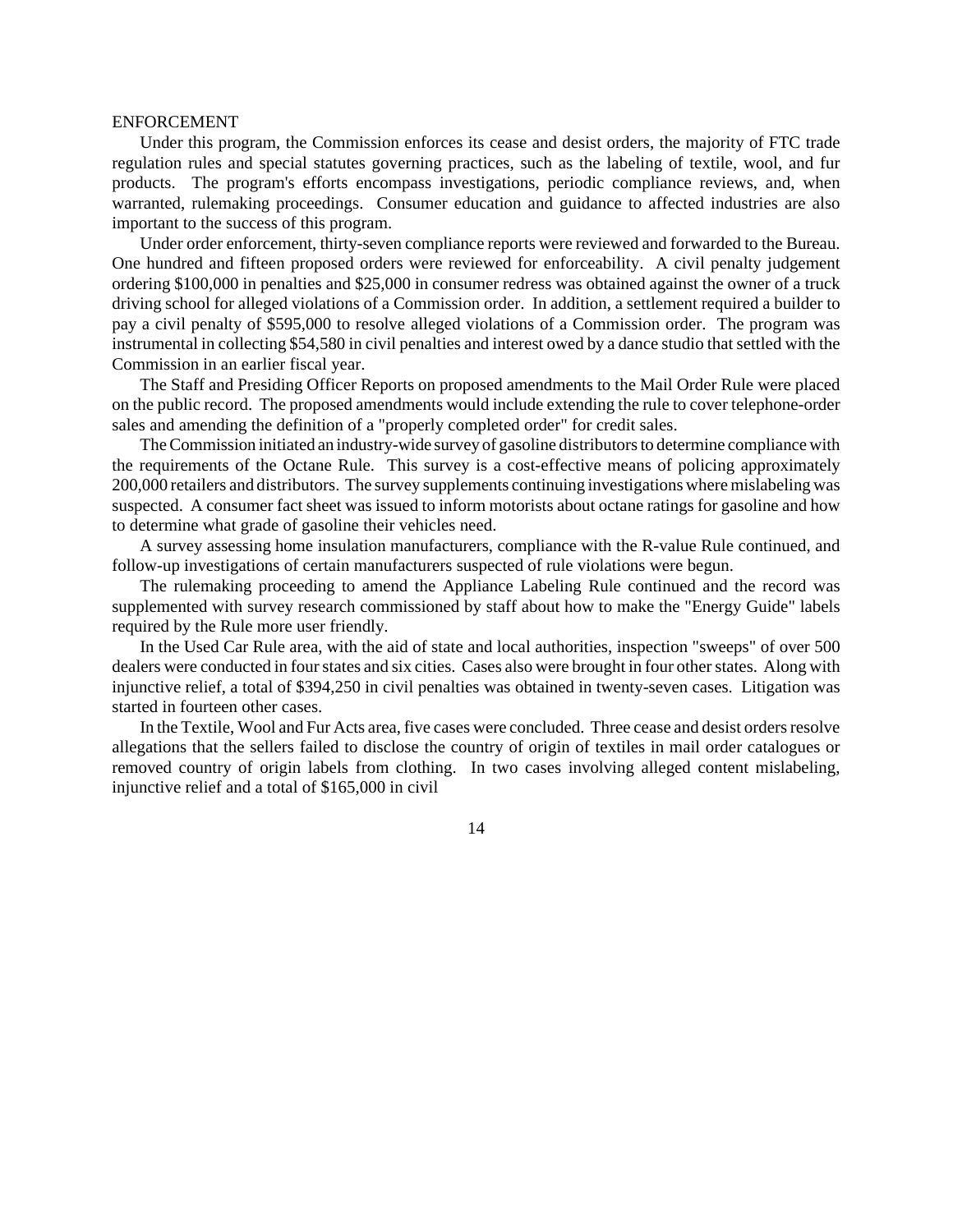#### ENFORCEMENT

Under this program, the Commission enforces its cease and desist orders, the majority of FTC trade regulation rules and special statutes governing practices, such as the labeling of textile, wool, and fur products. The program's efforts encompass investigations, periodic compliance reviews, and, when warranted, rulemaking proceedings. Consumer education and guidance to affected industries are also important to the success of this program.

Under order enforcement, thirty-seven compliance reports were reviewed and forwarded to the Bureau. One hundred and fifteen proposed orders were reviewed for enforceability. A civil penalty judgement ordering \$100,000 in penalties and \$25,000 in consumer redress was obtained against the owner of a truck driving school for alleged violations of a Commission order. In addition, a settlement required a builder to pay a civil penalty of \$595,000 to resolve alleged violations of a Commission order. The program was instrumental in collecting \$54,580 in civil penalties and interest owed by a dance studio that settled with the Commission in an earlier fiscal year.

The Staff and Presiding Officer Reports on proposed amendments to the Mail Order Rule were placed on the public record. The proposed amendments would include extending the rule to cover telephone-order sales and amending the definition of a "properly completed order" for credit sales.

The Commission initiated an industry-wide survey of gasoline distributors to determine compliance with the requirements of the Octane Rule. This survey is a cost-effective means of policing approximately 200,000 retailers and distributors. The survey supplements continuing investigations where mislabeling was suspected. A consumer fact sheet was issued to inform motorists about octane ratings for gasoline and how to determine what grade of gasoline their vehicles need.

A survey assessing home insulation manufacturers, compliance with the R-value Rule continued, and follow-up investigations of certain manufacturers suspected of rule violations were begun.

The rulemaking proceeding to amend the Appliance Labeling Rule continued and the record was supplemented with survey research commissioned by staff about how to make the "Energy Guide" labels required by the Rule more user friendly.

In the Used Car Rule area, with the aid of state and local authorities, inspection "sweeps" of over 500 dealers were conducted in four states and six cities. Cases also were brought in four other states. Along with injunctive relief, a total of \$394,250 in civil penalties was obtained in twenty-seven cases. Litigation was started in fourteen other cases.

In the Textile, Wool and Fur Acts area, five cases were concluded. Three cease and desist orders resolve allegations that the sellers failed to disclose the country of origin of textiles in mail order catalogues or removed country of origin labels from clothing. In two cases involving alleged content mislabeling, injunctive relief and a total of \$165,000 in civil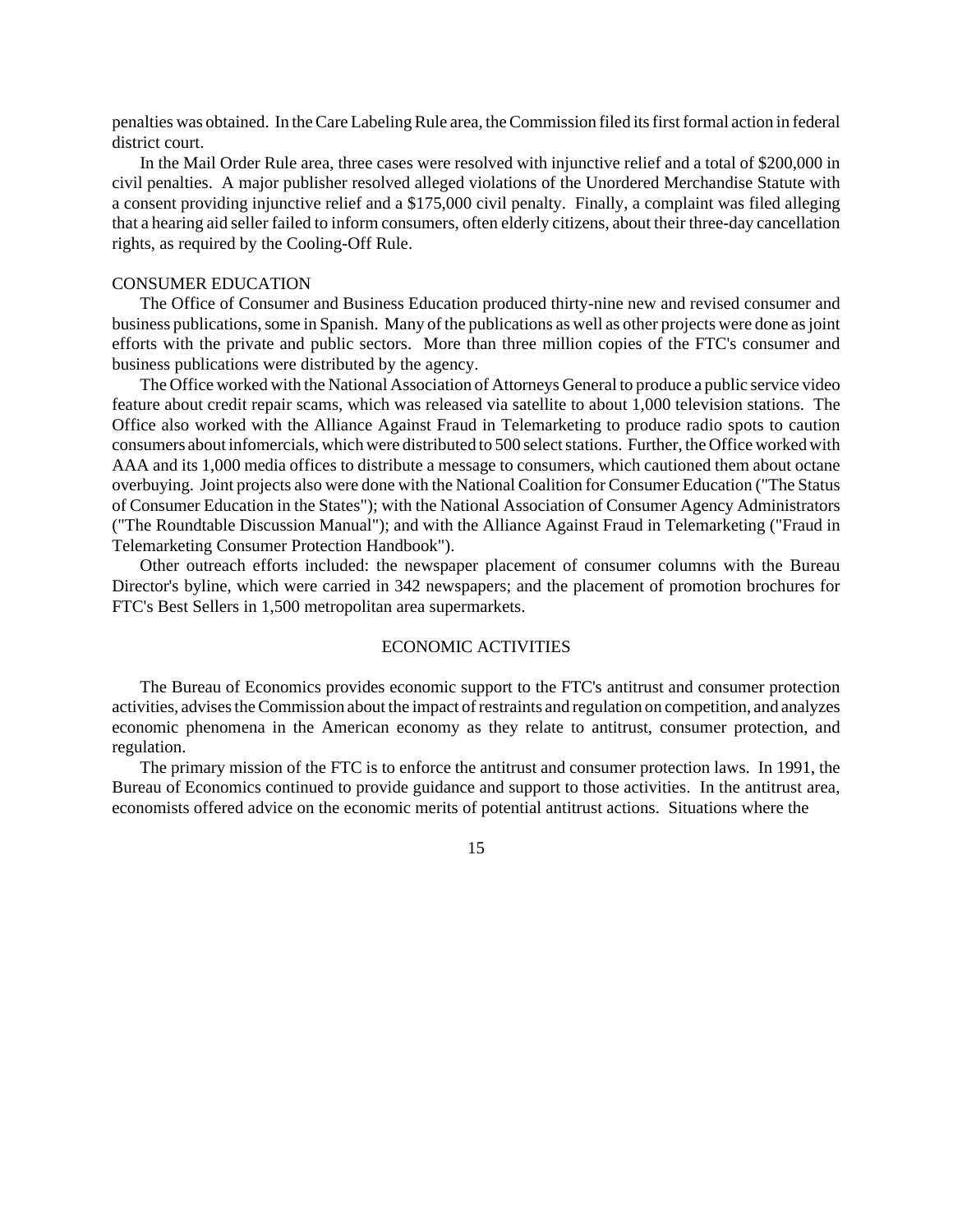penalties was obtained. In the Care Labeling Rule area, the Commission filed its first formal action in federal district court.

In the Mail Order Rule area, three cases were resolved with injunctive relief and a total of \$200,000 in civil penalties. A major publisher resolved alleged violations of the Unordered Merchandise Statute with a consent providing injunctive relief and a \$175,000 civil penalty. Finally, a complaint was filed alleging that a hearing aid seller failed to inform consumers, often elderly citizens, about their three-day cancellation rights, as required by the Cooling-Off Rule.

#### CONSUMER EDUCATION

The Office of Consumer and Business Education produced thirty-nine new and revised consumer and business publications, some in Spanish. Many of the publications as well as other projects were done as joint efforts with the private and public sectors. More than three million copies of the FTC's consumer and business publications were distributed by the agency.

The Office worked with the National Association of Attorneys General to produce a public service video feature about credit repair scams, which was released via satellite to about 1,000 television stations. The Office also worked with the Alliance Against Fraud in Telemarketing to produce radio spots to caution consumers about infomercials, which were distributed to 500 select stations. Further, the Office worked with AAA and its 1,000 media offices to distribute a message to consumers, which cautioned them about octane overbuying. Joint projects also were done with the National Coalition for Consumer Education ("The Status of Consumer Education in the States"); with the National Association of Consumer Agency Administrators ("The Roundtable Discussion Manual"); and with the Alliance Against Fraud in Telemarketing ("Fraud in Telemarketing Consumer Protection Handbook").

Other outreach efforts included: the newspaper placement of consumer columns with the Bureau Director's byline, which were carried in 342 newspapers; and the placement of promotion brochures for FTC's Best Sellers in 1,500 metropolitan area supermarkets.

## ECONOMIC ACTIVITIES

The Bureau of Economics provides economic support to the FTC's antitrust and consumer protection activities, advises the Commission about the impact of restraints and regulation on competition, and analyzes economic phenomena in the American economy as they relate to antitrust, consumer protection, and regulation.

The primary mission of the FTC is to enforce the antitrust and consumer protection laws. In 1991, the Bureau of Economics continued to provide guidance and support to those activities. In the antitrust area, economists offered advice on the economic merits of potential antitrust actions. Situations where the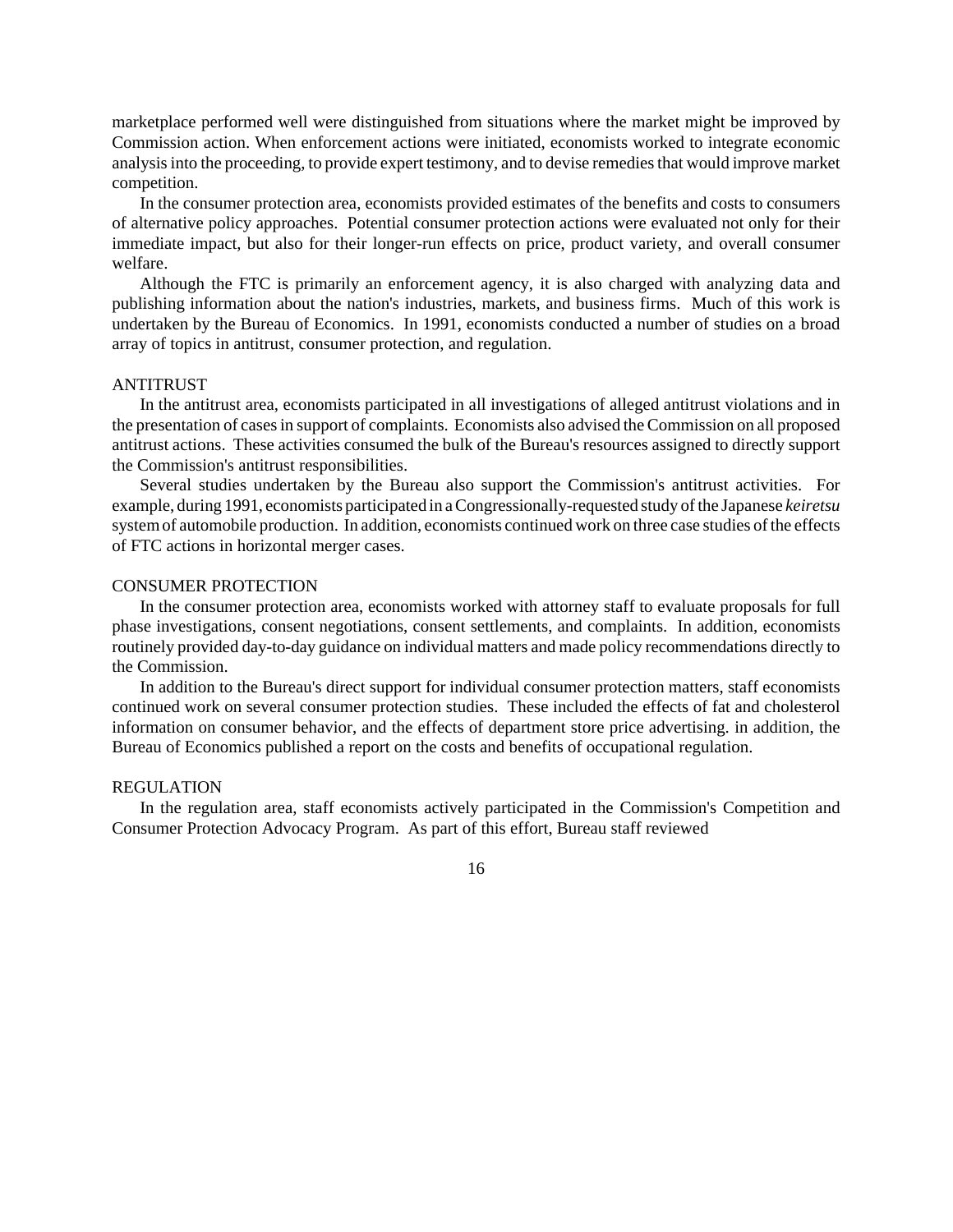marketplace performed well were distinguished from situations where the market might be improved by Commission action. When enforcement actions were initiated, economists worked to integrate economic analysisinto the proceeding, to provide expert testimony, and to devise remediesthat would improve market competition.

In the consumer protection area, economists provided estimates of the benefits and costs to consumers of alternative policy approaches. Potential consumer protection actions were evaluated not only for their immediate impact, but also for their longer-run effects on price, product variety, and overall consumer welfare.

Although the FTC is primarily an enforcement agency, it is also charged with analyzing data and publishing information about the nation's industries, markets, and business firms. Much of this work is undertaken by the Bureau of Economics. In 1991, economists conducted a number of studies on a broad array of topics in antitrust, consumer protection, and regulation.

# ANTITRUST

In the antitrust area, economists participated in all investigations of alleged antitrust violations and in the presentation of cases in support of complaints. Economists also advised the Commission on all proposed antitrust actions. These activities consumed the bulk of the Bureau's resources assigned to directly support the Commission's antitrust responsibilities.

Several studies undertaken by the Bureau also support the Commission's antitrust activities. For example, during 1991, economists participated in aCongressionally-requested study ofthe Japanese *keiretsu* systemof automobile production. In addition, economists continued work on three case studies of the effects of FTC actions in horizontal merger cases.

# CONSUMER PROTECTION

In the consumer protection area, economists worked with attorney staff to evaluate proposals for full phase investigations, consent negotiations, consent settlements, and complaints. In addition, economists routinely provided day-to-day guidance on individual matters and made policy recommendations directly to the Commission.

In addition to the Bureau's direct support for individual consumer protection matters, staff economists continued work on several consumer protection studies. These included the effects of fat and cholesterol information on consumer behavior, and the effects of department store price advertising. in addition, the Bureau of Economics published a report on the costs and benefits of occupational regulation.

#### REGULATION

In the regulation area, staff economists actively participated in the Commission's Competition and Consumer Protection Advocacy Program. As part of this effort, Bureau staff reviewed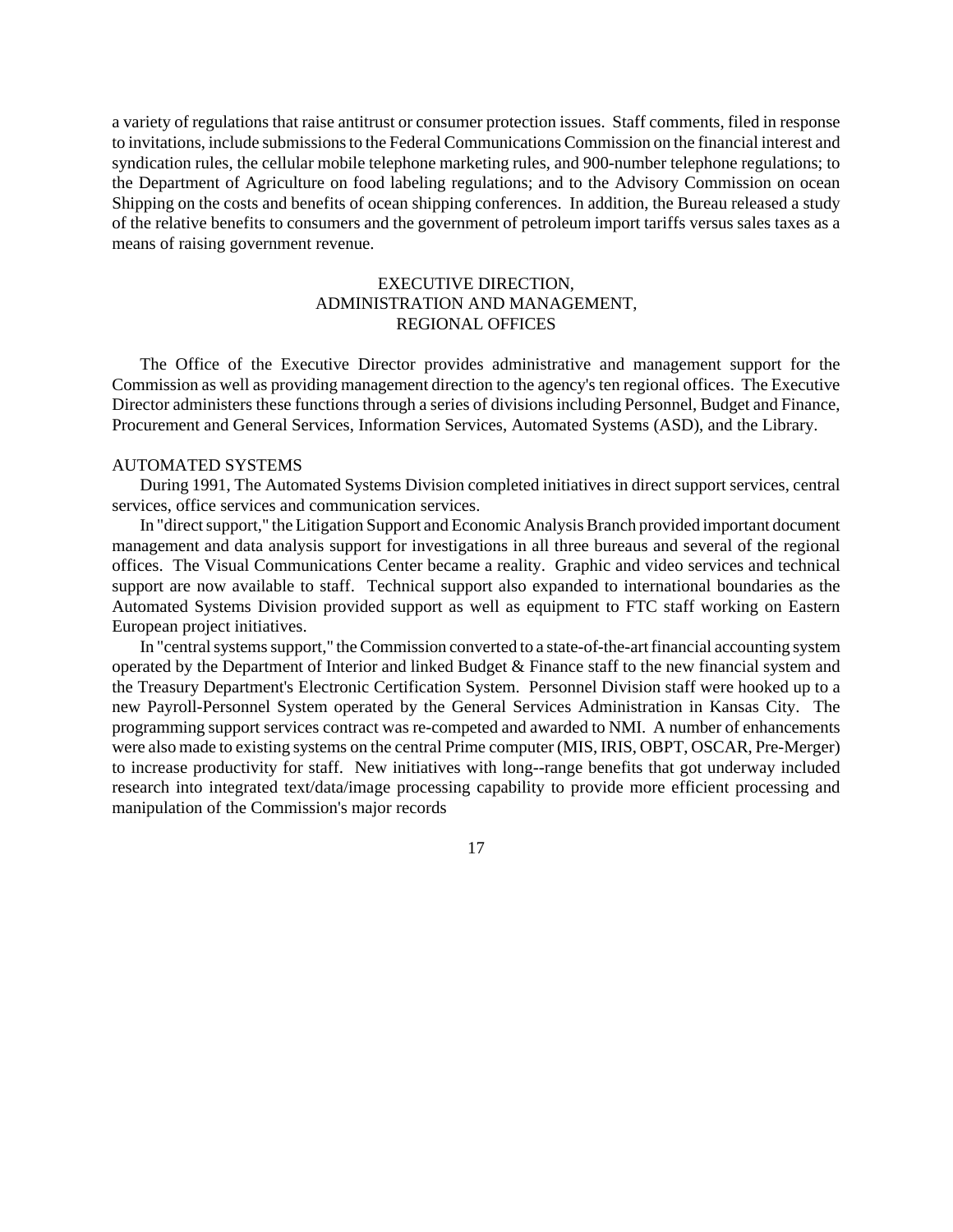a variety of regulations that raise antitrust or consumer protection issues. Staff comments, filed in response to invitations, include submissionsto the Federal Communications Commission on the financial interest and syndication rules, the cellular mobile telephone marketing rules, and 900-number telephone regulations; to the Department of Agriculture on food labeling regulations; and to the Advisory Commission on ocean Shipping on the costs and benefits of ocean shipping conferences. In addition, the Bureau released a study of the relative benefits to consumers and the government of petroleum import tariffs versus sales taxes as a means of raising government revenue.

# EXECUTIVE DIRECTION, ADMINISTRATION AND MANAGEMENT, REGIONAL OFFICES

The Office of the Executive Director provides administrative and management support for the Commission as well as providing management direction to the agency's ten regional offices. The Executive Director administers these functions through a series of divisions including Personnel, Budget and Finance, Procurement and General Services, Information Services, Automated Systems (ASD), and the Library.

#### AUTOMATED SYSTEMS

During 1991, The Automated Systems Division completed initiatives in direct support services, central services, office services and communication services.

In "direct support," the Litigation Support and Economic Analysis Branch provided important document management and data analysis support for investigations in all three bureaus and several of the regional offices. The Visual Communications Center became a reality. Graphic and video services and technical support are now available to staff. Technical support also expanded to international boundaries as the Automated Systems Division provided support as well as equipment to FTC staff working on Eastern European project initiatives.

In "central systems support," the Commission converted to a state-of-the-art financial accounting system operated by the Department of Interior and linked Budget & Finance staff to the new financial system and the Treasury Department's Electronic Certification System. Personnel Division staff were hooked up to a new Payroll-Personnel System operated by the General Services Administration in Kansas City. The programming support services contract was re-competed and awarded to NMI. A number of enhancements were also made to existing systems on the central Prime computer (MIS, IRIS, OBPT, OSCAR, Pre-Merger) to increase productivity for staff. New initiatives with long--range benefits that got underway included research into integrated text/data/image processing capability to provide more efficient processing and manipulation of the Commission's major records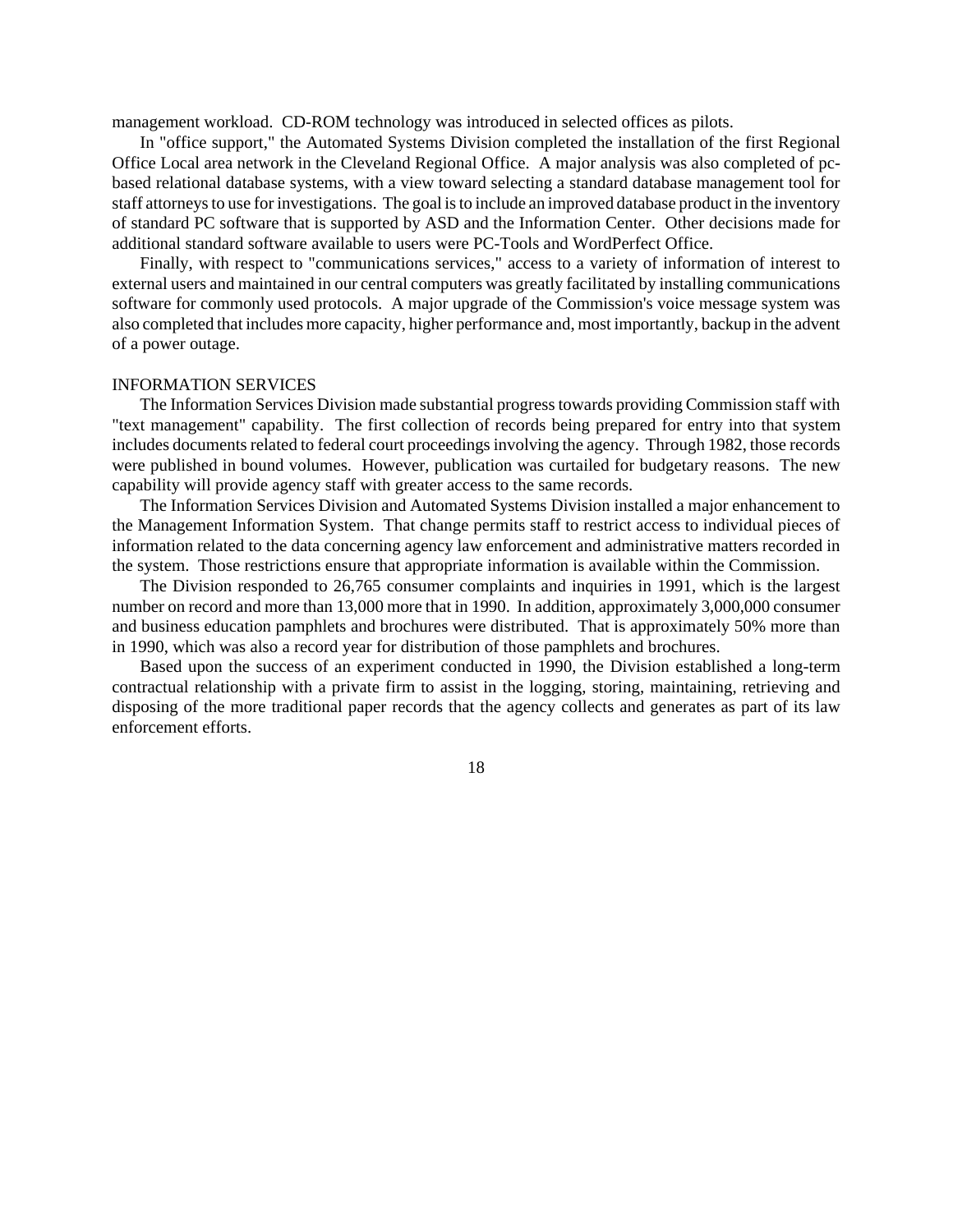management workload. CD-ROM technology was introduced in selected offices as pilots.

In "office support," the Automated Systems Division completed the installation of the first Regional Office Local area network in the Cleveland Regional Office. A major analysis was also completed of pcbased relational database systems, with a view toward selecting a standard database management tool for staff attorneys to use for investigations. The goal is to include an improved database product in the inventory of standard PC software that is supported by ASD and the Information Center. Other decisions made for additional standard software available to users were PC-Tools and WordPerfect Office.

Finally, with respect to "communications services," access to a variety of information of interest to external users and maintained in our central computers was greatly facilitated by installing communications software for commonly used protocols. A major upgrade of the Commission's voice message system was also completed that includes more capacity, higher performance and, most importantly, backup in the advent of a power outage.

# INFORMATION SERVICES

The Information Services Division made substantial progresstowards providing Commission staff with "text management" capability. The first collection of records being prepared for entry into that system includes documents related to federal court proceedings involving the agency. Through 1982, those records were published in bound volumes. However, publication was curtailed for budgetary reasons. The new capability will provide agency staff with greater access to the same records.

The Information Services Division and Automated Systems Division installed a major enhancement to the Management Information System. That change permits staff to restrict access to individual pieces of information related to the data concerning agency law enforcement and administrative matters recorded in the system. Those restrictions ensure that appropriate information is available within the Commission.

The Division responded to 26,765 consumer complaints and inquiries in 1991, which is the largest number on record and more than 13,000 more that in 1990. In addition, approximately 3,000,000 consumer and business education pamphlets and brochures were distributed. That is approximately 50% more than in 1990, which was also a record year for distribution of those pamphlets and brochures.

Based upon the success of an experiment conducted in 1990, the Division established a long-term contractual relationship with a private firm to assist in the logging, storing, maintaining, retrieving and disposing of the more traditional paper records that the agency collects and generates as part of its law enforcement efforts.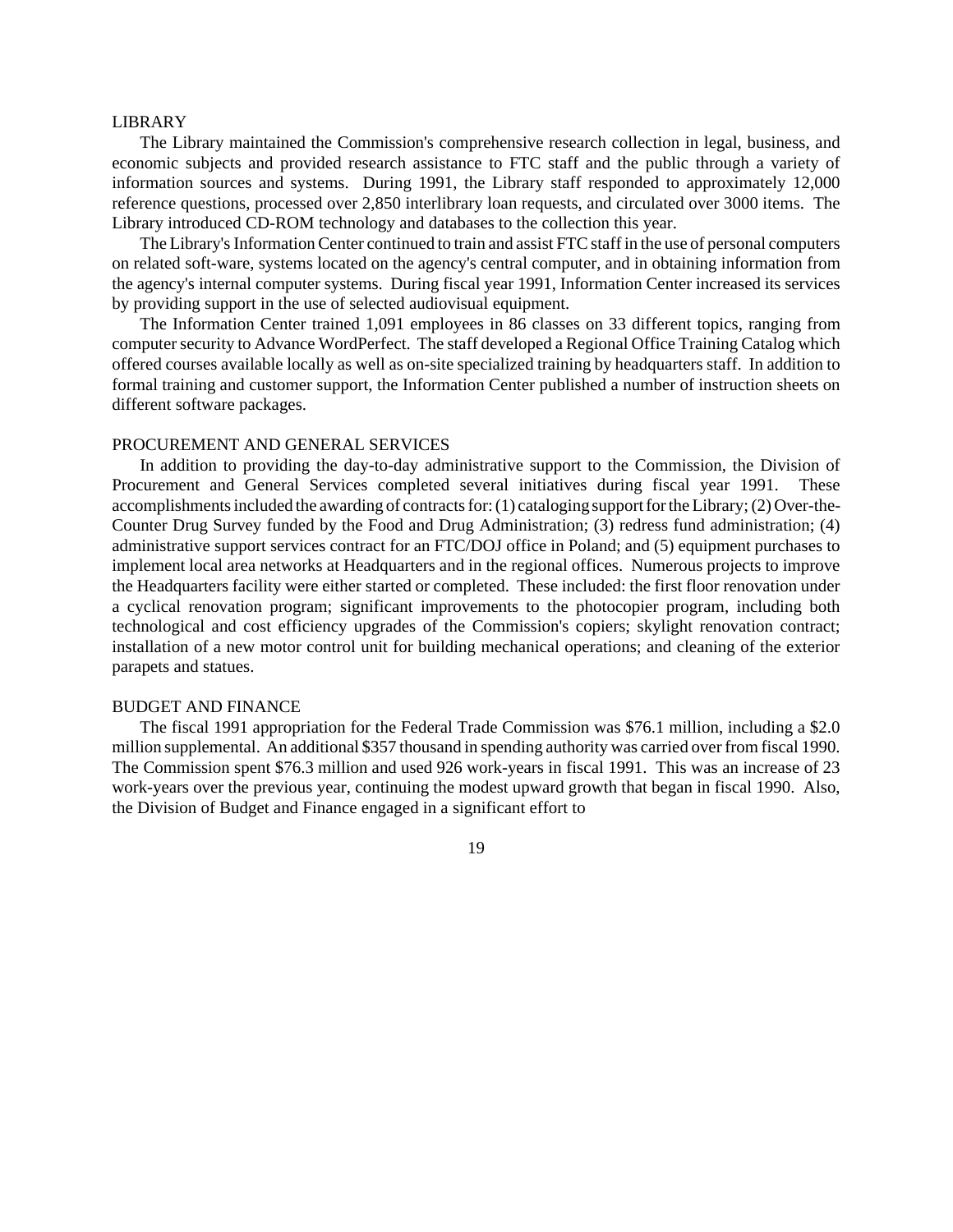#### LIBRARY

The Library maintained the Commission's comprehensive research collection in legal, business, and economic subjects and provided research assistance to FTC staff and the public through a variety of information sources and systems. During 1991, the Library staff responded to approximately 12,000 reference questions, processed over 2,850 interlibrary loan requests, and circulated over 3000 items. The Library introduced CD-ROM technology and databases to the collection this year.

The Library's Information Center continued to train and assist FTC staff in the use of personal computers on related soft-ware, systems located on the agency's central computer, and in obtaining information from the agency's internal computer systems. During fiscal year 1991, Information Center increased its services by providing support in the use of selected audiovisual equipment.

The Information Center trained 1,091 employees in 86 classes on 33 different topics, ranging from computer security to Advance WordPerfect. The staff developed a Regional Office Training Catalog which offered courses available locally as well as on-site specialized training by headquarters staff. In addition to formal training and customer support, the Information Center published a number of instruction sheets on different software packages.

## PROCUREMENT AND GENERAL SERVICES

In addition to providing the day-to-day administrative support to the Commission, the Division of Procurement and General Services completed several initiatives during fiscal year 1991. These accomplishments included the awarding of contracts for: (1) cataloging support for the Library; (2) Over-the-Counter Drug Survey funded by the Food and Drug Administration; (3) redress fund administration; (4) administrative support services contract for an FTC/DOJ office in Poland; and (5) equipment purchases to implement local area networks at Headquarters and in the regional offices. Numerous projects to improve the Headquarters facility were either started or completed. These included: the first floor renovation under a cyclical renovation program; significant improvements to the photocopier program, including both technological and cost efficiency upgrades of the Commission's copiers; skylight renovation contract; installation of a new motor control unit for building mechanical operations; and cleaning of the exterior parapets and statues.

#### BUDGET AND FINANCE

The fiscal 1991 appropriation for the Federal Trade Commission was \$76.1 million, including a \$2.0 million supplemental. An additional \$357 thousand in spending authority was carried over from fiscal 1990. The Commission spent \$76.3 million and used 926 work-years in fiscal 1991. This was an increase of 23 work-years over the previous year, continuing the modest upward growth that began in fiscal 1990. Also, the Division of Budget and Finance engaged in a significant effort to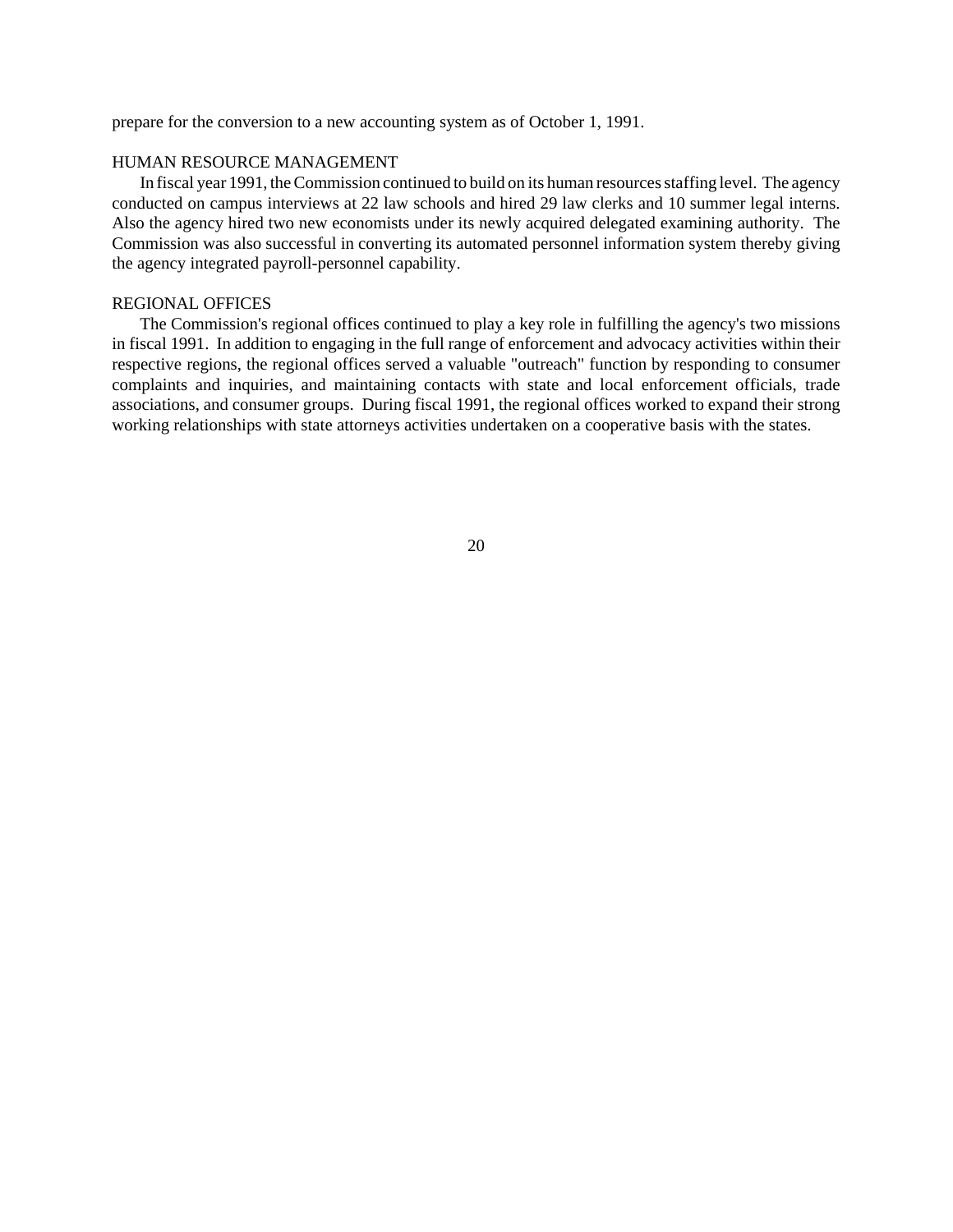prepare for the conversion to a new accounting system as of October 1, 1991.

# HUMAN RESOURCE MANAGEMENT

In fiscal year 1991, the Commission continued to build on its human resources staffing level. The agency conducted on campus interviews at 22 law schools and hired 29 law clerks and 10 summer legal interns. Also the agency hired two new economists under its newly acquired delegated examining authority. The Commission was also successful in converting its automated personnel information system thereby giving the agency integrated payroll-personnel capability.

## REGIONAL OFFICES

The Commission's regional offices continued to play a key role in fulfilling the agency's two missions in fiscal 1991. In addition to engaging in the full range of enforcement and advocacy activities within their respective regions, the regional offices served a valuable "outreach" function by responding to consumer complaints and inquiries, and maintaining contacts with state and local enforcement officials, trade associations, and consumer groups. During fiscal 1991, the regional offices worked to expand their strong working relationships with state attorneys activities undertaken on a cooperative basis with the states.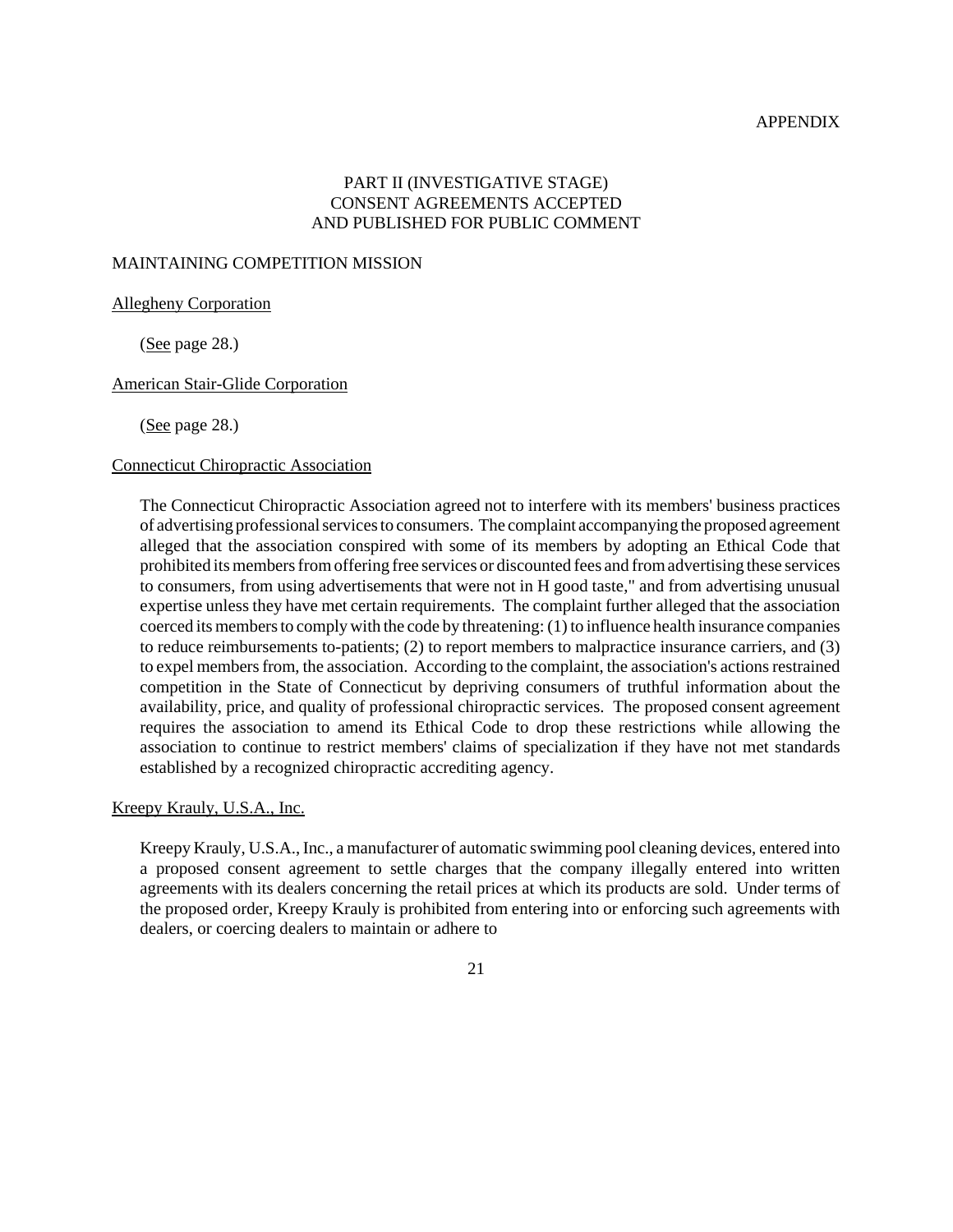# APPENDIX

# PART II (INVESTIGATIVE STAGE) CONSENT AGREEMENTS ACCEPTED AND PUBLISHED FOR PUBLIC COMMENT

## MAINTAINING COMPETITION MISSION

Allegheny Corporation

(See page 28.)

# American Stair-Glide Corporation

(See page 28.)

# Connecticut Chiropractic Association

The Connecticut Chiropractic Association agreed not to interfere with its members' business practices of advertising professionalservicesto consumers. The complaint accompanying the proposed agreement alleged that the association conspired with some of its members by adopting an Ethical Code that prohibited its members from offering free services or discounted fees and from advertising these services to consumers, from using advertisements that were not in H good taste," and from advertising unusual expertise unless they have met certain requirements. The complaint further alleged that the association coerced its members to comply with the code by threatening: (1) to influence health insurance companies to reduce reimbursements to-patients; (2) to report members to malpractice insurance carriers, and (3) to expel members from, the association. According to the complaint, the association's actions restrained competition in the State of Connecticut by depriving consumers of truthful information about the availability, price, and quality of professional chiropractic services. The proposed consent agreement requires the association to amend its Ethical Code to drop these restrictions while allowing the association to continue to restrict members' claims of specialization if they have not met standards established by a recognized chiropractic accrediting agency.

Kreepy Krauly, U.S.A., Inc.

Kreepy Krauly, U.S.A., Inc., a manufacturer of automatic swimming pool cleaning devices, entered into a proposed consent agreement to settle charges that the company illegally entered into written agreements with its dealers concerning the retail prices at which its products are sold. Under terms of the proposed order, Kreepy Krauly is prohibited from entering into or enforcing such agreements with dealers, or coercing dealers to maintain or adhere to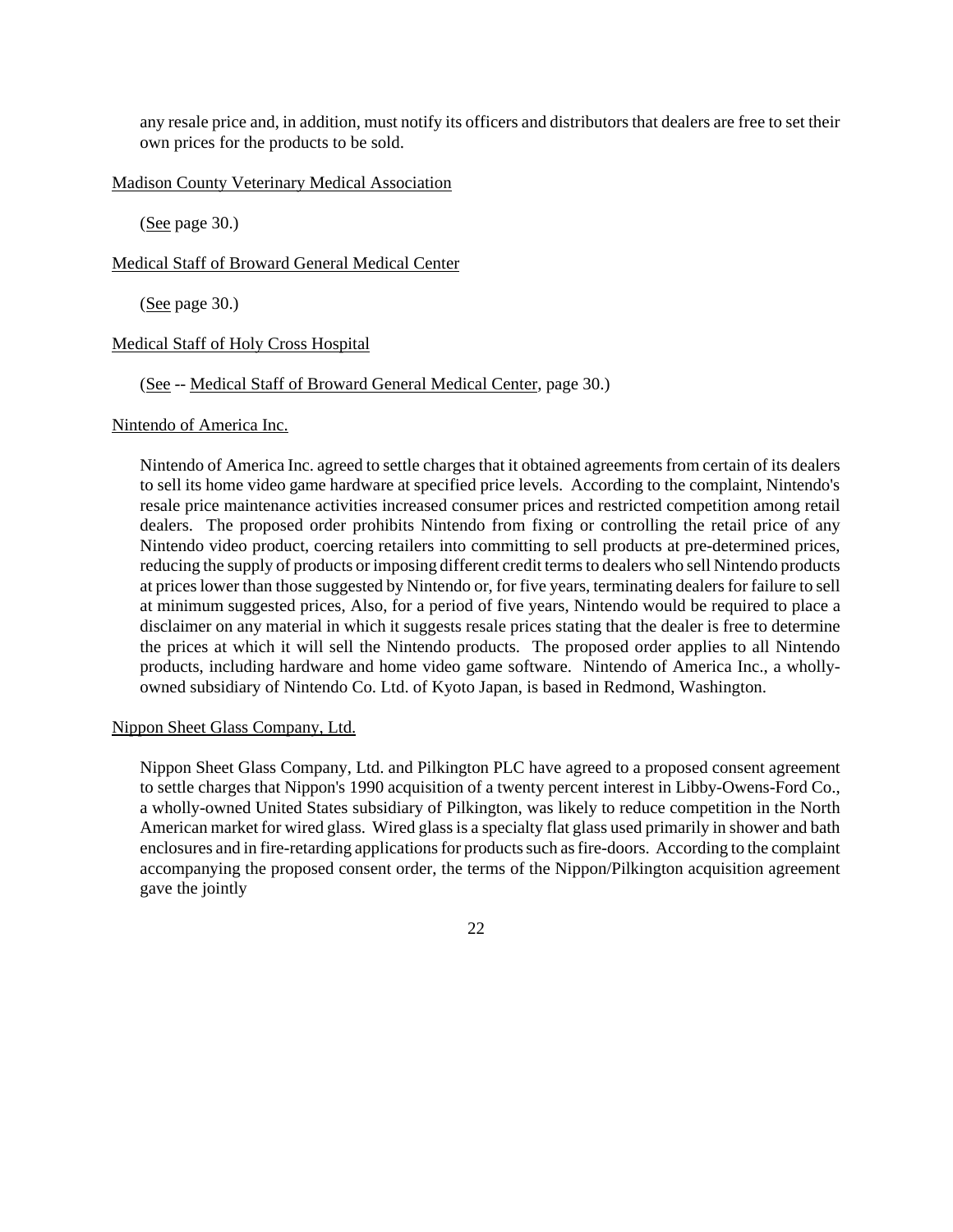any resale price and, in addition, must notify its officers and distributors that dealers are free to set their own prices for the products to be sold.

# Madison County Veterinary Medical Association

(See page 30.)

#### Medical Staff of Broward General Medical Center

(See page 30.)

#### Medical Staff of Holy Cross Hospital

# (See -- Medical Staff of Broward General Medical Center, page 30.)

#### Nintendo of America Inc.

Nintendo of America Inc. agreed to settle charges that it obtained agreements from certain of its dealers to sell its home video game hardware at specified price levels. According to the complaint, Nintendo's resale price maintenance activities increased consumer prices and restricted competition among retail dealers. The proposed order prohibits Nintendo from fixing or controlling the retail price of any Nintendo video product, coercing retailers into committing to sell products at pre-determined prices, reducing the supply of products or imposing different credit termsto dealers who sell Nintendo products at prices lower than those suggested by Nintendo or, for five years, terminating dealers for failure to sell at minimum suggested prices, Also, for a period of five years, Nintendo would be required to place a disclaimer on any material in which it suggests resale prices stating that the dealer is free to determine the prices at which it will sell the Nintendo products. The proposed order applies to all Nintendo products, including hardware and home video game software. Nintendo of America Inc., a whollyowned subsidiary of Nintendo Co. Ltd. of Kyoto Japan, is based in Redmond, Washington.

#### Nippon Sheet Glass Company, Ltd.

Nippon Sheet Glass Company, Ltd. and Pilkington PLC have agreed to a proposed consent agreement to settle charges that Nippon's 1990 acquisition of a twenty percent interest in Libby-Owens-Ford Co., a wholly-owned United States subsidiary of Pilkington, was likely to reduce competition in the North American market for wired glass. Wired glass is a specialty flat glass used primarily in shower and bath enclosures and in fire-retarding applications for products such as fire-doors. According to the complaint accompanying the proposed consent order, the terms of the Nippon/Pilkington acquisition agreement gave the jointly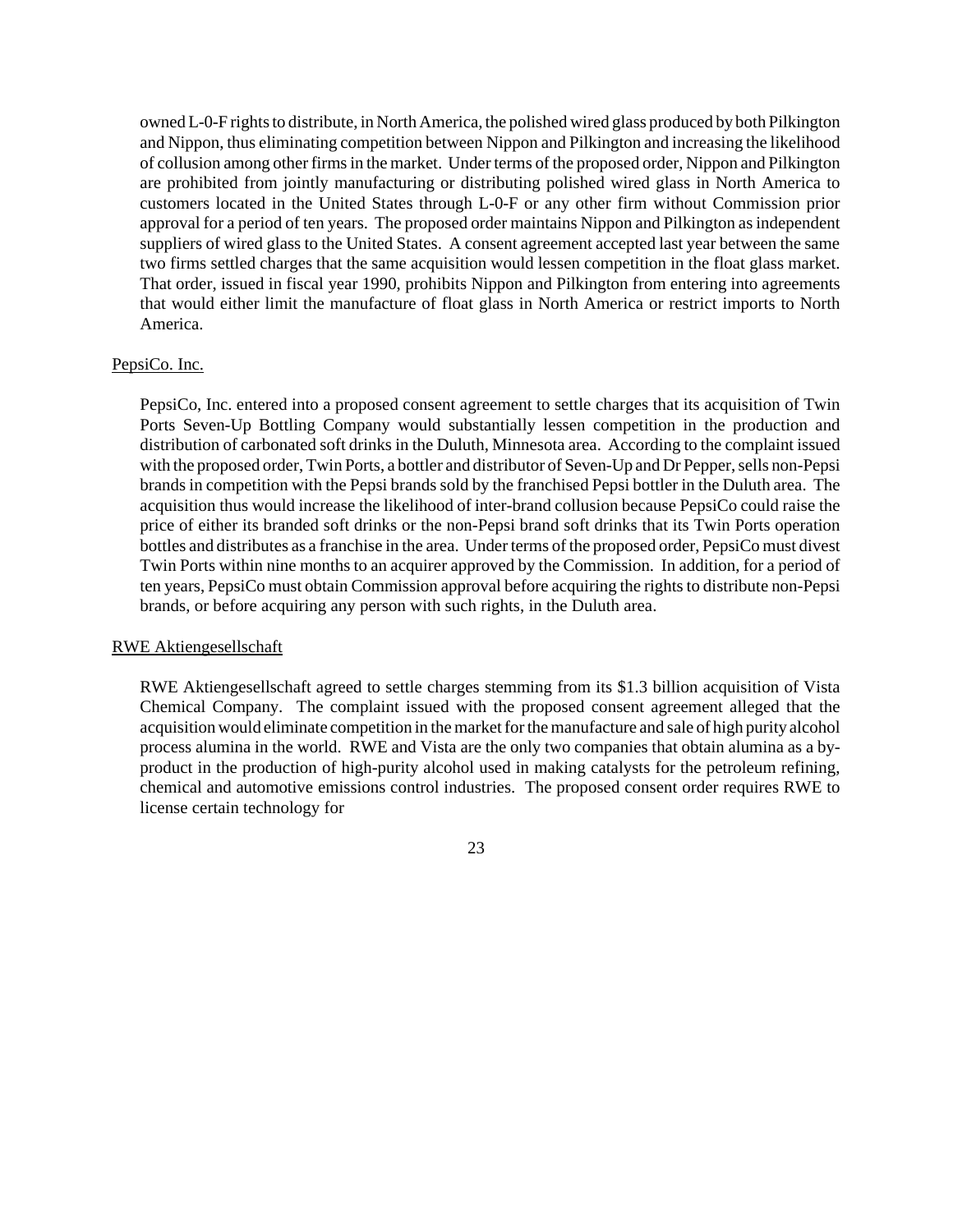owned L-0-F rights to distribute, in North America, the polished wired glass produced by both Pilkington and Nippon, thus eliminating competition between Nippon and Pilkington and increasing the likelihood of collusion among other firms in the market. Under terms of the proposed order, Nippon and Pilkington are prohibited from jointly manufacturing or distributing polished wired glass in North America to customers located in the United States through L-0-F or any other firm without Commission prior approval for a period of ten years. The proposed order maintains Nippon and Pilkington as independent suppliers of wired glass to the United States. A consent agreement accepted last year between the same two firms settled charges that the same acquisition would lessen competition in the float glass market. That order, issued in fiscal year 1990, prohibits Nippon and Pilkington from entering into agreements that would either limit the manufacture of float glass in North America or restrict imports to North America.

#### PepsiCo. Inc.

PepsiCo, Inc. entered into a proposed consent agreement to settle charges that its acquisition of Twin Ports Seven-Up Bottling Company would substantially lessen competition in the production and distribution of carbonated soft drinks in the Duluth, Minnesota area. According to the complaint issued with the proposed order, Twin Ports, a bottler and distributor of Seven-Up and Dr Pepper, sells non-Pepsi brands in competition with the Pepsi brands sold by the franchised Pepsi bottler in the Duluth area. The acquisition thus would increase the likelihood of inter-brand collusion because PepsiCo could raise the price of either its branded soft drinks or the non-Pepsi brand soft drinks that its Twin Ports operation bottles and distributes as a franchise in the area. Under terms of the proposed order, PepsiCo must divest Twin Ports within nine months to an acquirer approved by the Commission. In addition, for a period of ten years, PepsiCo must obtain Commission approval before acquiring the rights to distribute non-Pepsi brands, or before acquiring any person with such rights, in the Duluth area.

#### RWE Aktiengesellschaft

RWE Aktiengesellschaft agreed to settle charges stemming from its \$1.3 billion acquisition of Vista Chemical Company. The complaint issued with the proposed consent agreement alleged that the acquisition would eliminate competition in the market for the manufacture and sale of high purity alcohol process alumina in the world. RWE and Vista are the only two companies that obtain alumina as a byproduct in the production of high-purity alcohol used in making catalysts for the petroleum refining, chemical and automotive emissions control industries. The proposed consent order requires RWE to license certain technology for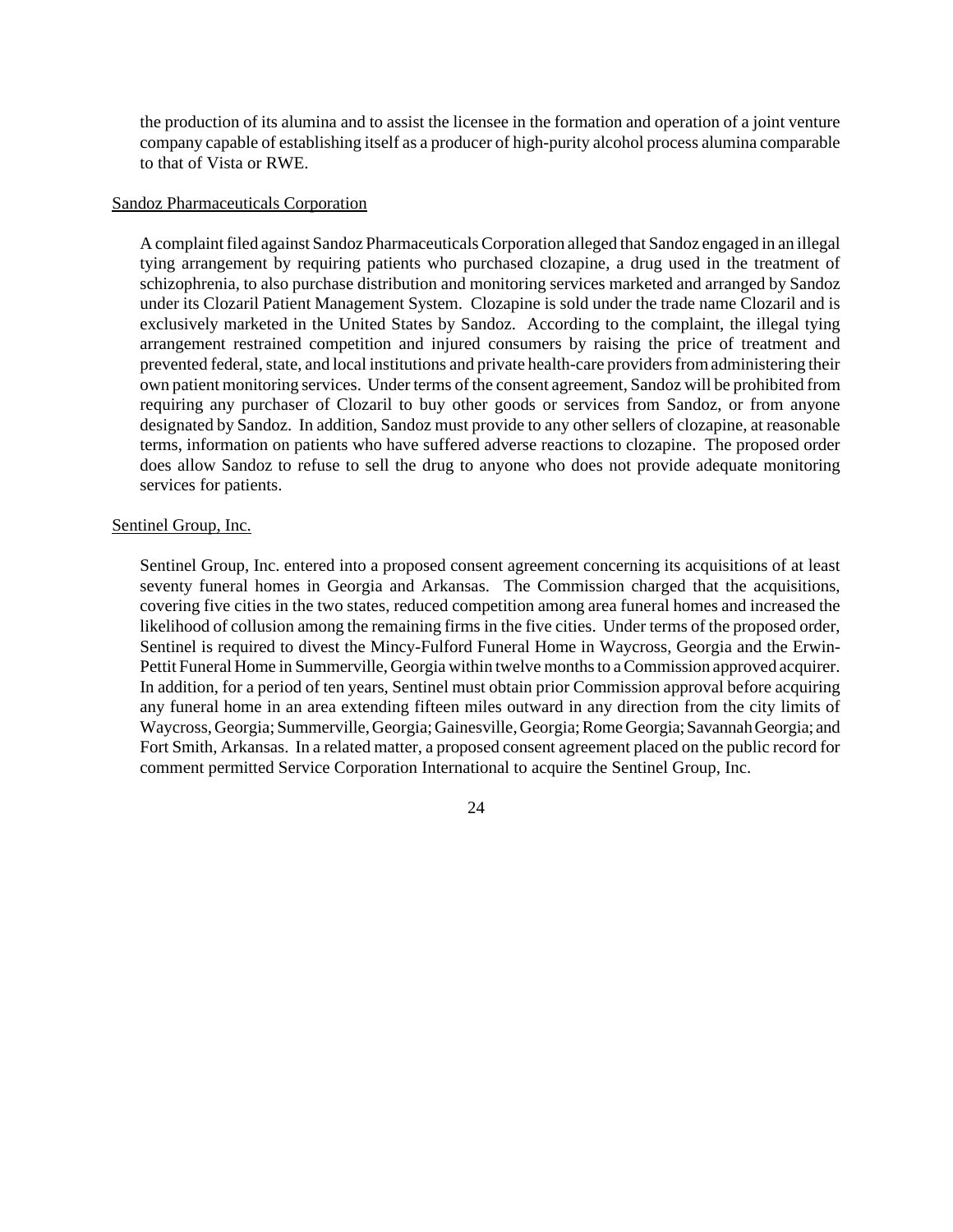the production of its alumina and to assist the licensee in the formation and operation of a joint venture company capable of establishing itself as a producer of high-purity alcohol process alumina comparable to that of Vista or RWE.

## Sandoz Pharmaceuticals Corporation

A complaint filed against Sandoz Pharmaceuticals Corporation alleged that Sandoz engaged in an illegal tying arrangement by requiring patients who purchased clozapine, a drug used in the treatment of schizophrenia, to also purchase distribution and monitoring services marketed and arranged by Sandoz under its Clozaril Patient Management System. Clozapine is sold under the trade name Clozaril and is exclusively marketed in the United States by Sandoz. According to the complaint, the illegal tying arrangement restrained competition and injured consumers by raising the price of treatment and prevented federal, state, and local institutions and private health-care providers from administering their own patient monitoring services. Under terms of the consent agreement, Sandoz will be prohibited from requiring any purchaser of Clozaril to buy other goods or services from Sandoz, or from anyone designated by Sandoz. In addition, Sandoz must provide to any other sellers of clozapine, at reasonable terms, information on patients who have suffered adverse reactions to clozapine. The proposed order does allow Sandoz to refuse to sell the drug to anyone who does not provide adequate monitoring services for patients.

# Sentinel Group, Inc.

Sentinel Group, Inc. entered into a proposed consent agreement concerning its acquisitions of at least seventy funeral homes in Georgia and Arkansas. The Commission charged that the acquisitions, covering five cities in the two states, reduced competition among area funeral homes and increased the likelihood of collusion among the remaining firms in the five cities. Under terms of the proposed order, Sentinel is required to divest the Mincy-Fulford Funeral Home in Waycross, Georgia and the Erwin-Pettit Funeral Home in Summerville, Georgia within twelve months to a Commission approved acquirer. In addition, for a period of ten years, Sentinel must obtain prior Commission approval before acquiring any funeral home in an area extending fifteen miles outward in any direction from the city limits of Waycross,Georgia; Summerville,Georgia;Gainesville,Georgia;Rome Georgia; Savannah Georgia; and Fort Smith, Arkansas. In a related matter, a proposed consent agreement placed on the public record for comment permitted Service Corporation International to acquire the Sentinel Group, Inc.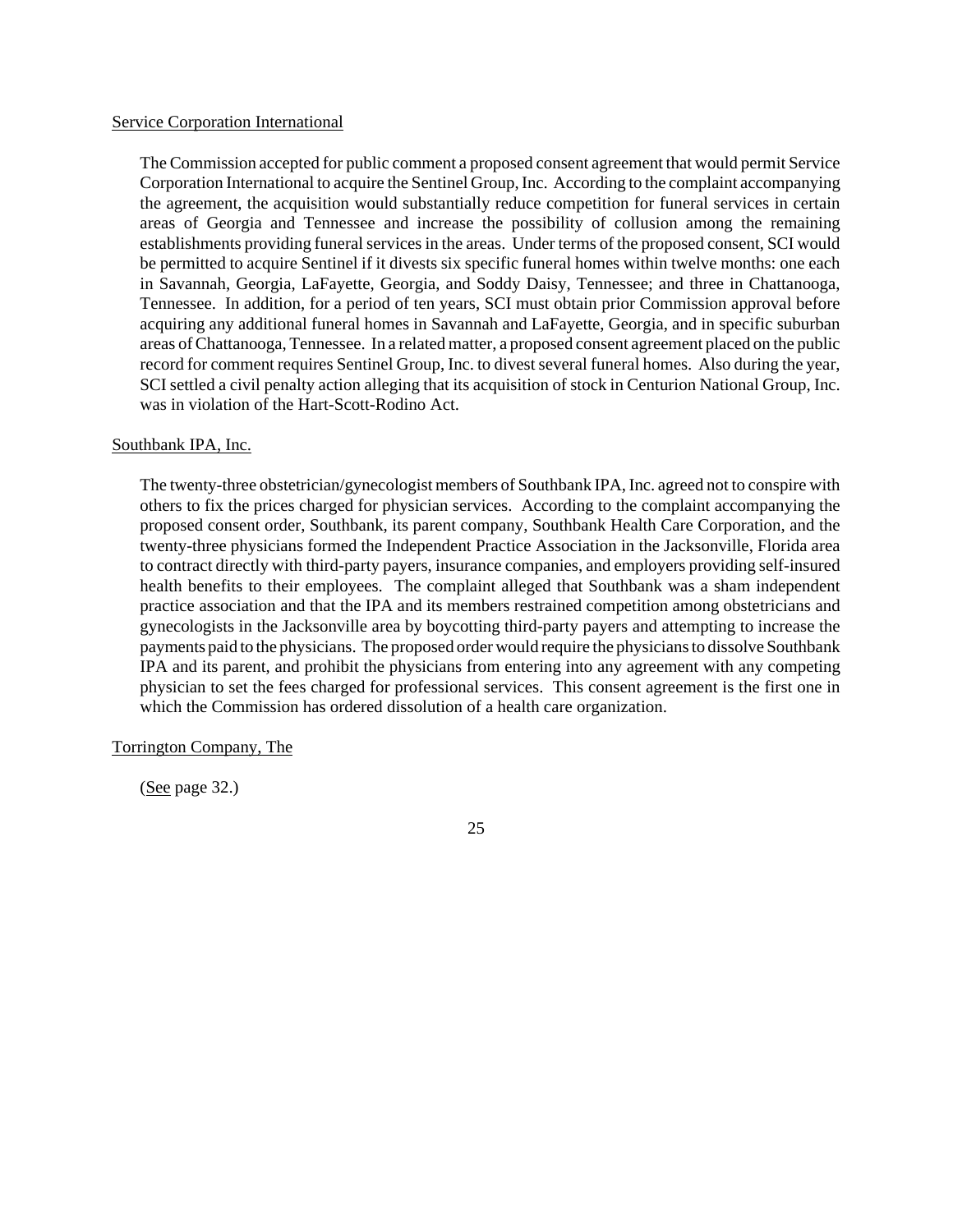#### Service Corporation International

The Commission accepted for public comment a proposed consent agreement that would permit Service Corporation International to acquire the Sentinel Group,Inc. According to the complaint accompanying the agreement, the acquisition would substantially reduce competition for funeral services in certain areas of Georgia and Tennessee and increase the possibility of collusion among the remaining establishments providing funeral services in the areas. Under terms of the proposed consent, SCI would be permitted to acquire Sentinel if it divests six specific funeral homes within twelve months: one each in Savannah, Georgia, LaFayette, Georgia, and Soddy Daisy, Tennessee; and three in Chattanooga, Tennessee. In addition, for a period of ten years, SCI must obtain prior Commission approval before acquiring any additional funeral homes in Savannah and LaFayette, Georgia, and in specific suburban areas ofChattanooga, Tennessee. In a related matter, a proposed consent agreement placed on the public record for comment requires Sentinel Group, Inc. to divest several funeral homes. Also during the year, SCI settled a civil penalty action alleging that its acquisition of stock in Centurion National Group, Inc. was in violation of the Hart-Scott-Rodino Act.

# Southbank IPA, Inc.

The twenty-three obstetrician/gynecologist members of Southbank IPA, Inc. agreed not to conspire with others to fix the prices charged for physician services. According to the complaint accompanying the proposed consent order, Southbank, its parent company, Southbank Health Care Corporation, and the twenty-three physicians formed the Independent Practice Association in the Jacksonville, Florida area to contract directly with third-party payers, insurance companies, and employers providing self-insured health benefits to their employees. The complaint alleged that Southbank was a sham independent practice association and that the IPA and its members restrained competition among obstetricians and gynecologists in the Jacksonville area by boycotting third-party payers and attempting to increase the payments paid to the physicians. The proposed order would require the physicians to dissolve Southbank IPA and its parent, and prohibit the physicians from entering into any agreement with any competing physician to set the fees charged for professional services. This consent agreement is the first one in which the Commission has ordered dissolution of a health care organization.

# Torrington Company, The

(See page 32.)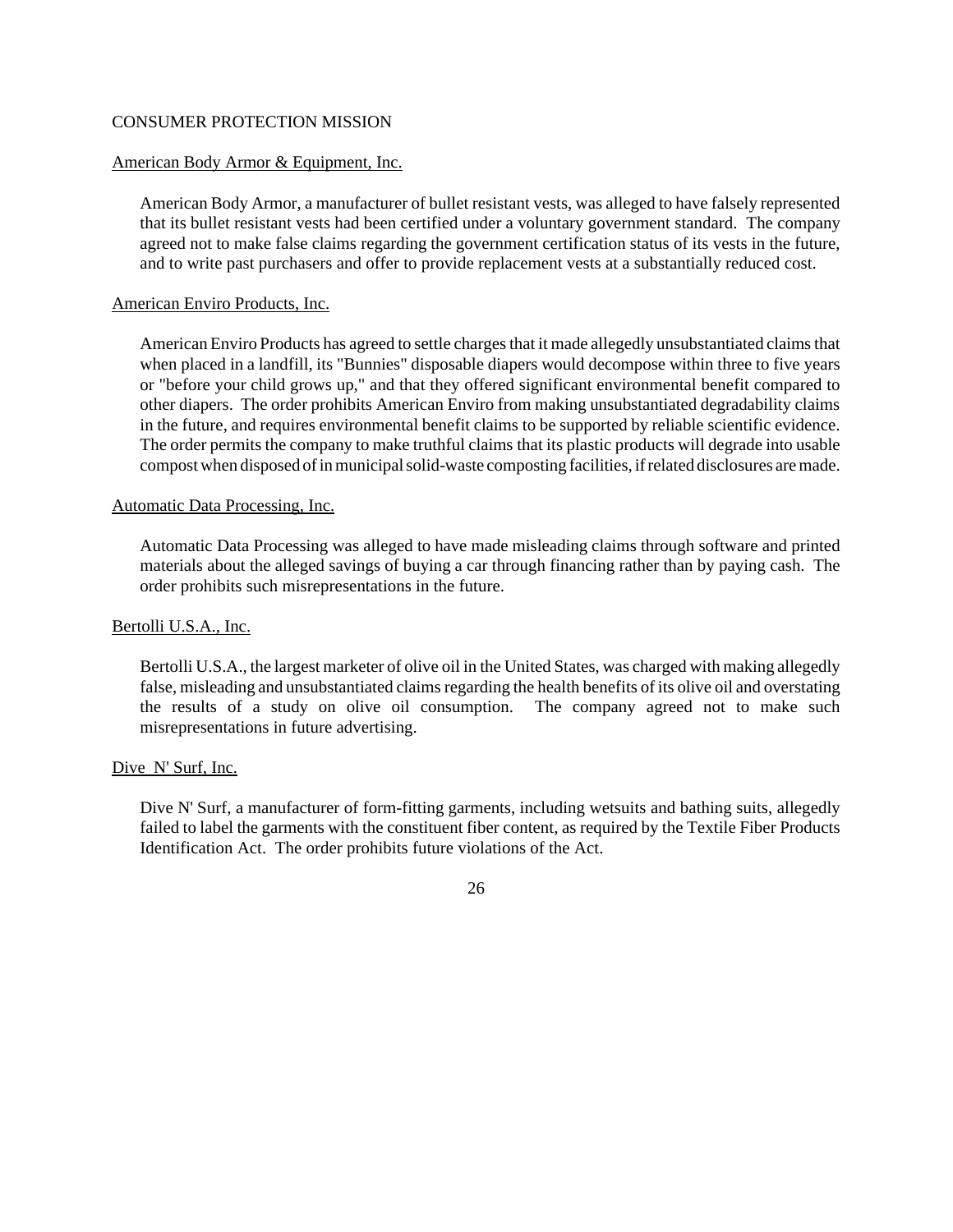# CONSUMER PROTECTION MISSION

# American Body Armor & Equipment, Inc.

American Body Armor, a manufacturer of bullet resistant vests, was alleged to have falsely represented that its bullet resistant vests had been certified under a voluntary government standard. The company agreed not to make false claims regarding the government certification status of its vests in the future, and to write past purchasers and offer to provide replacement vests at a substantially reduced cost.

# American Enviro Products, Inc.

American Enviro Products has agreed to settle charges that it made allegedly unsubstantiated claims that when placed in a landfill, its "Bunnies" disposable diapers would decompose within three to five years or "before your child grows up," and that they offered significant environmental benefit compared to other diapers. The order prohibits American Enviro from making unsubstantiated degradability claims in the future, and requires environmental benefit claims to be supported by reliable scientific evidence. The order permits the company to make truthful claims that its plastic products will degrade into usable compostwhen disposed of in municipal solid-waste composting facilities, if related disclosures are made.

# Automatic Data Processing, Inc.

Automatic Data Processing was alleged to have made misleading claims through software and printed materials about the alleged savings of buying a car through financing rather than by paying cash. The order prohibits such misrepresentations in the future.

# Bertolli U.S.A., Inc.

Bertolli U.S.A., the largest marketer of olive oil in the United States, was charged with making allegedly false, misleading and unsubstantiated claims regarding the health benefits of its olive oil and overstating the results of a study on olive oil consumption. The company agreed not to make such misrepresentations in future advertising.

# Dive N' Surf, Inc.

Dive N' Surf, a manufacturer of form-fitting garments, including wetsuits and bathing suits, allegedly failed to label the garments with the constituent fiber content, as required by the Textile Fiber Products Identification Act. The order prohibits future violations of the Act.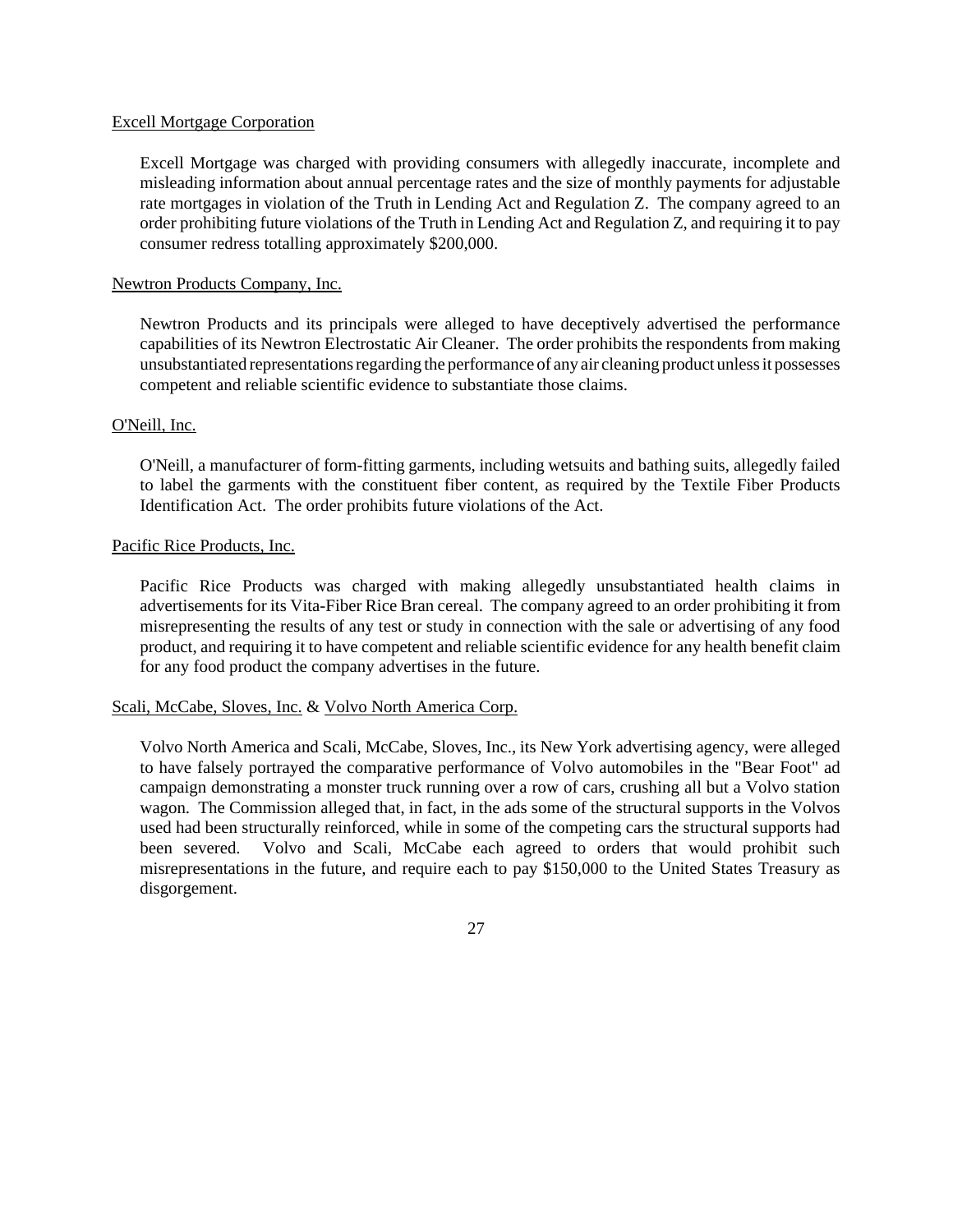## Excell Mortgage Corporation

Excell Mortgage was charged with providing consumers with allegedly inaccurate, incomplete and misleading information about annual percentage rates and the size of monthly payments for adjustable rate mortgages in violation of the Truth in Lending Act and Regulation Z. The company agreed to an order prohibiting future violations of the Truth in Lending Act and Regulation Z, and requiring it to pay consumer redress totalling approximately \$200,000.

# Newtron Products Company, Inc.

Newtron Products and its principals were alleged to have deceptively advertised the performance capabilities of its Newtron Electrostatic Air Cleaner. The order prohibits the respondents from making unsubstantiated representations regarding the performance of any air cleaning product unless it possesses competent and reliable scientific evidence to substantiate those claims.

## O'Neill, Inc.

O'Neill, a manufacturer of form-fitting garments, including wetsuits and bathing suits, allegedly failed to label the garments with the constituent fiber content, as required by the Textile Fiber Products Identification Act. The order prohibits future violations of the Act.

## Pacific Rice Products, Inc.

Pacific Rice Products was charged with making allegedly unsubstantiated health claims in advertisements for its Vita-Fiber Rice Bran cereal. The company agreed to an order prohibiting it from misrepresenting the results of any test or study in connection with the sale or advertising of any food product, and requiring it to have competent and reliable scientific evidence for any health benefit claim for any food product the company advertises in the future.

# Scali, McCabe, Sloves, Inc. & Volvo North America Corp.

Volvo North America and Scali, McCabe, Sloves, Inc., its New York advertising agency, were alleged to have falsely portrayed the comparative performance of Volvo automobiles in the "Bear Foot" ad campaign demonstrating a monster truck running over a row of cars, crushing all but a Volvo station wagon. The Commission alleged that, in fact, in the ads some of the structural supports in the Volvos used had been structurally reinforced, while in some of the competing cars the structural supports had been severed. Volvo and Scali, McCabe each agreed to orders that would prohibit such misrepresentations in the future, and require each to pay \$150,000 to the United States Treasury as disgorgement.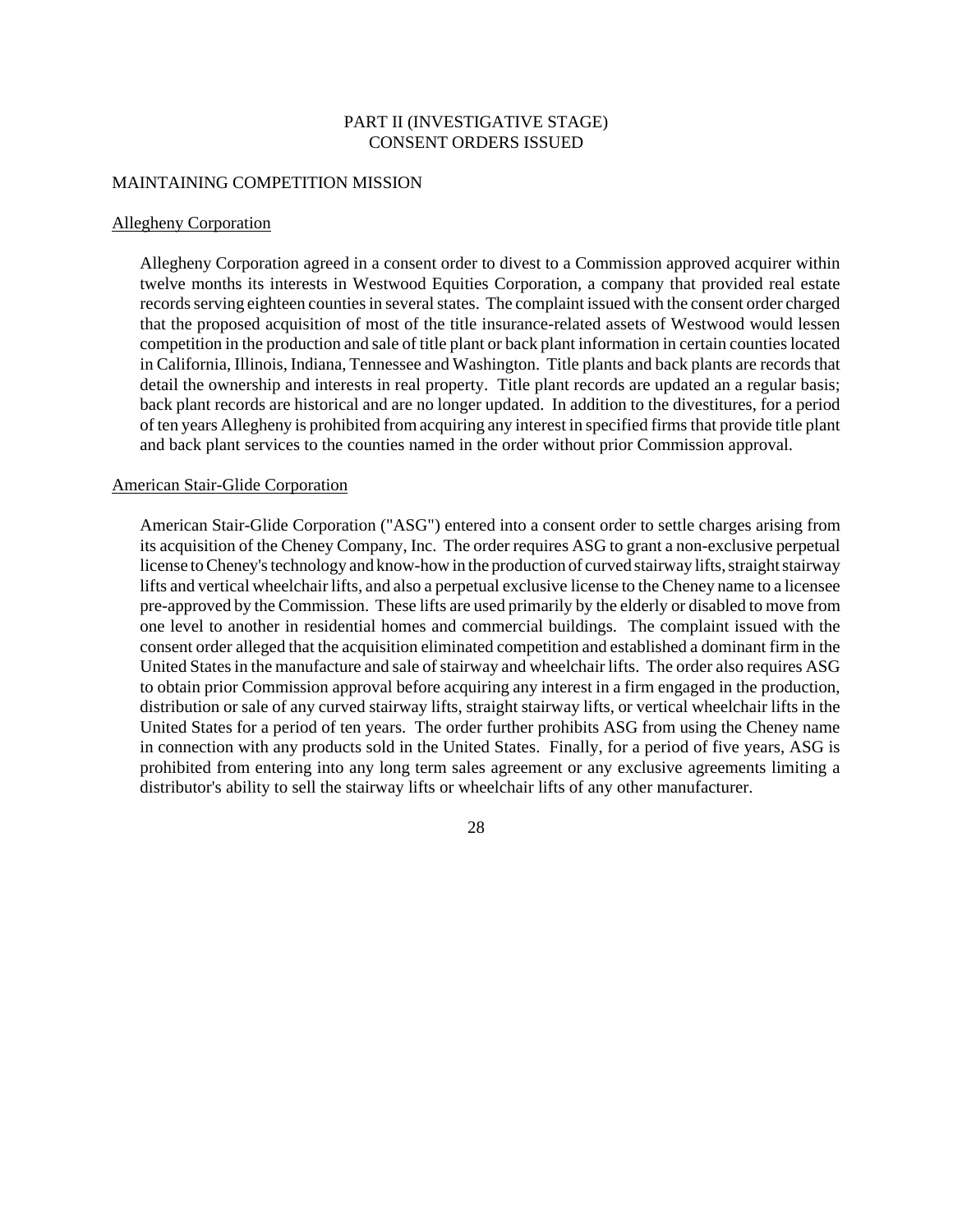# PART II (INVESTIGATIVE STAGE) CONSENT ORDERS ISSUED

### MAINTAINING COMPETITION MISSION

#### Allegheny Corporation

Allegheny Corporation agreed in a consent order to divest to a Commission approved acquirer within twelve months its interests in Westwood Equities Corporation, a company that provided real estate records serving eighteen counties in several states. The complaint issued with the consent order charged that the proposed acquisition of most of the title insurance-related assets of Westwood would lessen competition in the production and sale of title plant or back plant information in certain countieslocated in California, Illinois, Indiana, Tennessee and Washington. Title plants and back plants are records that detail the ownership and interests in real property. Title plant records are updated an a regular basis; back plant records are historical and are no longer updated. In addition to the divestitures, for a period of ten years Allegheny is prohibited fromacquiring any interest in specified firms that provide title plant and back plant services to the counties named in the order without prior Commission approval.

## American Stair-Glide Corporation

American Stair-Glide Corporation ("ASG") entered into a consent order to settle charges arising from its acquisition of the Cheney Company, Inc. The order requires ASG to grant a non-exclusive perpetual license to Cheney's technology and know-how in the production of curved stairway lifts, straight stairway lifts and vertical wheelchair lifts, and also a perpetual exclusive license to the Cheney name to a licensee pre-approved by the Commission. These lifts are used primarily by the elderly or disabled to move from one level to another in residential homes and commercial buildings. The complaint issued with the consent order alleged that the acquisition eliminated competition and established a dominant firm in the United States in the manufacture and sale of stairway and wheelchair lifts. The order also requires ASG to obtain prior Commission approval before acquiring any interest in a firm engaged in the production, distribution or sale of any curved stairway lifts, straight stairway lifts, or vertical wheelchair lifts in the United States for a period of ten years. The order further prohibits ASG from using the Cheney name in connection with any products sold in the United States. Finally, for a period of five years, ASG is prohibited from entering into any long term sales agreement or any exclusive agreements limiting a distributor's ability to sell the stairway lifts or wheelchair lifts of any other manufacturer.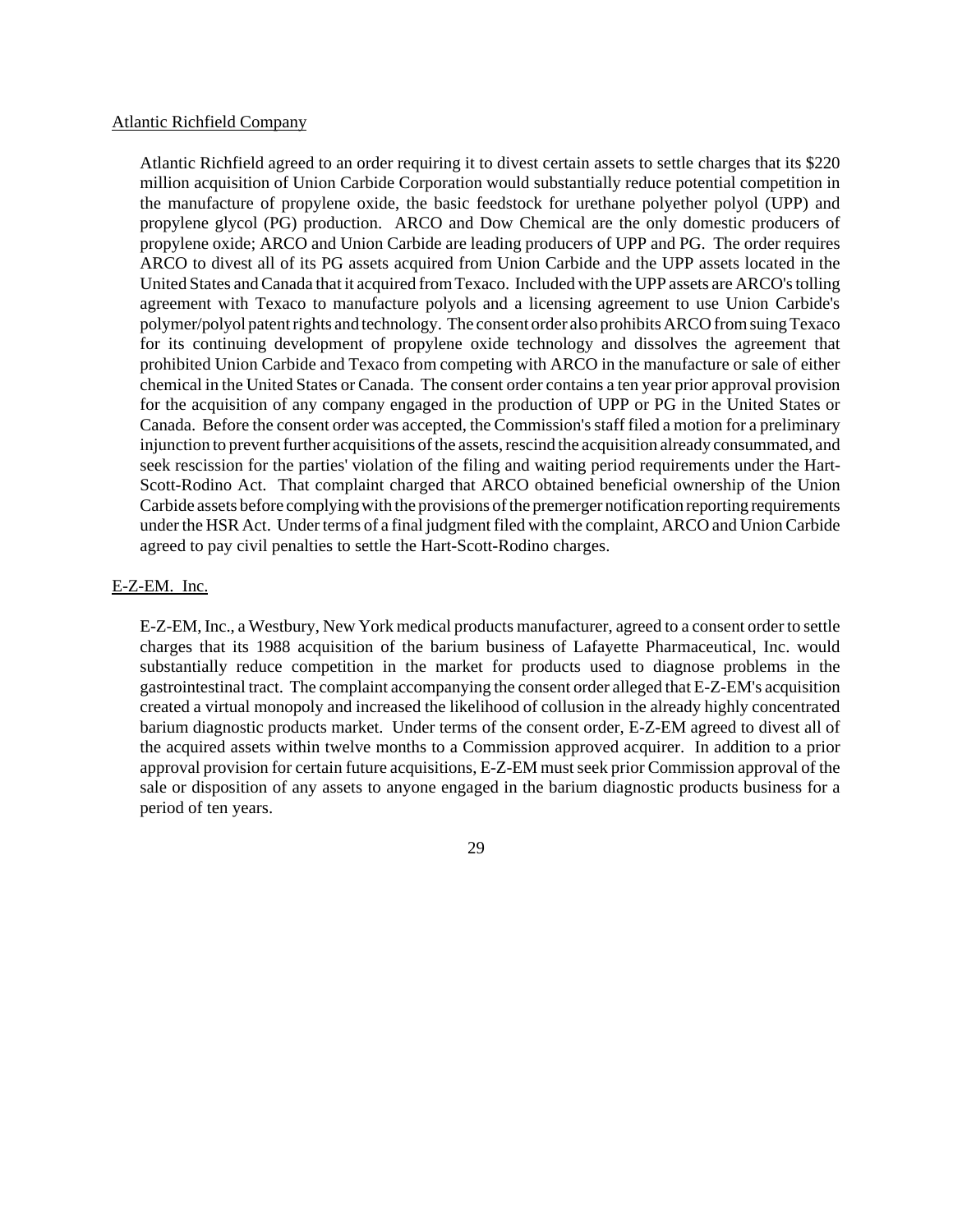#### Atlantic Richfield Company

Atlantic Richfield agreed to an order requiring it to divest certain assets to settle charges that its \$220 million acquisition of Union Carbide Corporation would substantially reduce potential competition in the manufacture of propylene oxide, the basic feedstock for urethane polyether polyol (UPP) and propylene glycol (PG) production. ARCO and Dow Chemical are the only domestic producers of propylene oxide; ARCO and Union Carbide are leading producers of UPP and PG. The order requires ARCO to divest all of its PG assets acquired from Union Carbide and the UPP assets located in the United States andCanada that it acquired fromTexaco. Included with the UPP assets are ARCO's tolling agreement with Texaco to manufacture polyols and a licensing agreement to use Union Carbide's polymer/polyol patentrights and technology. The consent order also prohibits ARCO from suing Texaco for its continuing development of propylene oxide technology and dissolves the agreement that prohibited Union Carbide and Texaco from competing with ARCO in the manufacture or sale of either chemical in the United States or Canada. The consent order contains a ten year prior approval provision for the acquisition of any company engaged in the production of UPP or PG in the United States or Canada. Before the consent order was accepted, the Commission's staff filed a motion for a preliminary injunction to prevent further acquisitions of the assets, rescind the acquisition already consummated, and seek rescission for the parties' violation of the filing and waiting period requirements under the Hart-Scott-Rodino Act. That complaint charged that ARCO obtained beneficial ownership of the Union Carbide assets before complying with the provisions of the premerger notification reporting requirements under the HSR Act. Under terms of a final judgment filed with the complaint, ARCO and Union Carbide agreed to pay civil penalties to settle the Hart-Scott-Rodino charges.

#### E-Z-EM. Inc.

E-Z-EM, Inc., a Westbury, New York medical products manufacturer, agreed to a consent order to settle charges that its 1988 acquisition of the barium business of Lafayette Pharmaceutical, Inc. would substantially reduce competition in the market for products used to diagnose problems in the gastrointestinal tract. The complaint accompanying the consent order alleged that E-Z-EM's acquisition created a virtual monopoly and increased the likelihood of collusion in the already highly concentrated barium diagnostic products market. Under terms of the consent order, E-Z-EM agreed to divest all of the acquired assets within twelve months to a Commission approved acquirer. In addition to a prior approval provision for certain future acquisitions, E-Z-EM must seek prior Commission approval of the sale or disposition of any assets to anyone engaged in the barium diagnostic products business for a period of ten years.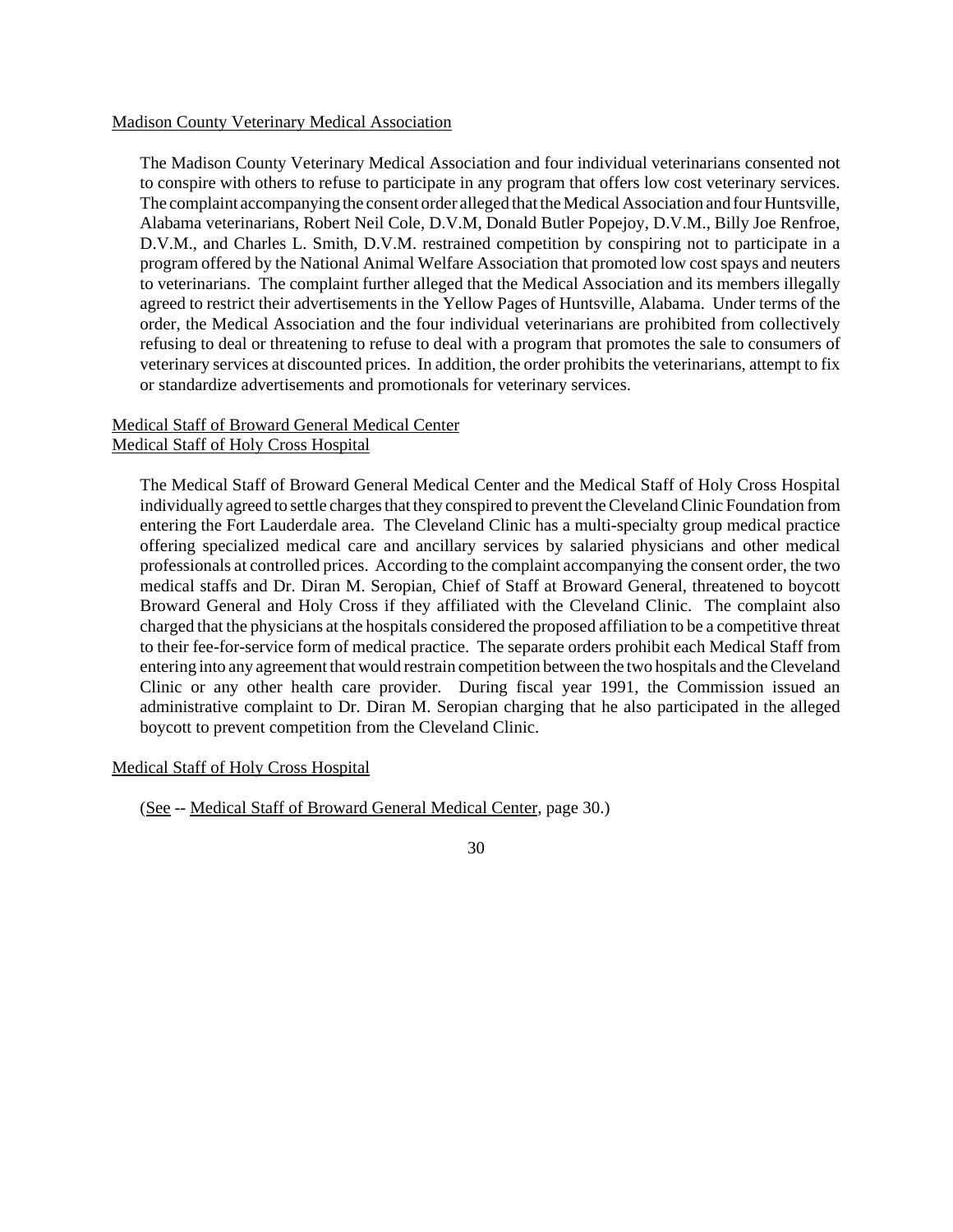## Madison County Veterinary Medical Association

The Madison County Veterinary Medical Association and four individual veterinarians consented not to conspire with others to refuse to participate in any program that offers low cost veterinary services. The complaint accompanying the consent order alleged that the Medical Association and four Huntsville, Alabama veterinarians, Robert Neil Cole, D.V.M, Donald Butler Popejoy, D.V.M., Billy Joe Renfroe, D.V.M., and Charles L. Smith, D.V.M. restrained competition by conspiring not to participate in a program offered by the National Animal Welfare Association that promoted low cost spays and neuters to veterinarians. The complaint further alleged that the Medical Association and its members illegally agreed to restrict their advertisements in the Yellow Pages of Huntsville, Alabama. Under terms of the order, the Medical Association and the four individual veterinarians are prohibited from collectively refusing to deal or threatening to refuse to deal with a program that promotes the sale to consumers of veterinary services at discounted prices. In addition, the order prohibits the veterinarians, attempt to fix or standardize advertisements and promotionals for veterinary services.

# Medical Staff of Broward General Medical Center Medical Staff of Holy Cross Hospital

The Medical Staff of Broward General Medical Center and the Medical Staff of Holy Cross Hospital individually agreed to settle charges that they conspired to prevent the Cleveland Clinic Foundation from entering the Fort Lauderdale area. The Cleveland Clinic has a multi-specialty group medical practice offering specialized medical care and ancillary services by salaried physicians and other medical professionals at controlled prices. According to the complaint accompanying the consent order, the two medical staffs and Dr. Diran M. Seropian, Chief of Staff at Broward General, threatened to boycott Broward General and Holy Cross if they affiliated with the Cleveland Clinic. The complaint also charged that the physicians at the hospitals considered the proposed affiliation to be a competitive threat to their fee-for-service form of medical practice. The separate orders prohibit each Medical Staff from entering into any agreement that would restrain competition between the two hospitals and theCleveland Clinic or any other health care provider. During fiscal year 1991, the Commission issued an administrative complaint to Dr. Diran M. Seropian charging that he also participated in the alleged boycott to prevent competition from the Cleveland Clinic.

Medical Staff of Holy Cross Hospital

(See -- Medical Staff of Broward General Medical Center, page 30.)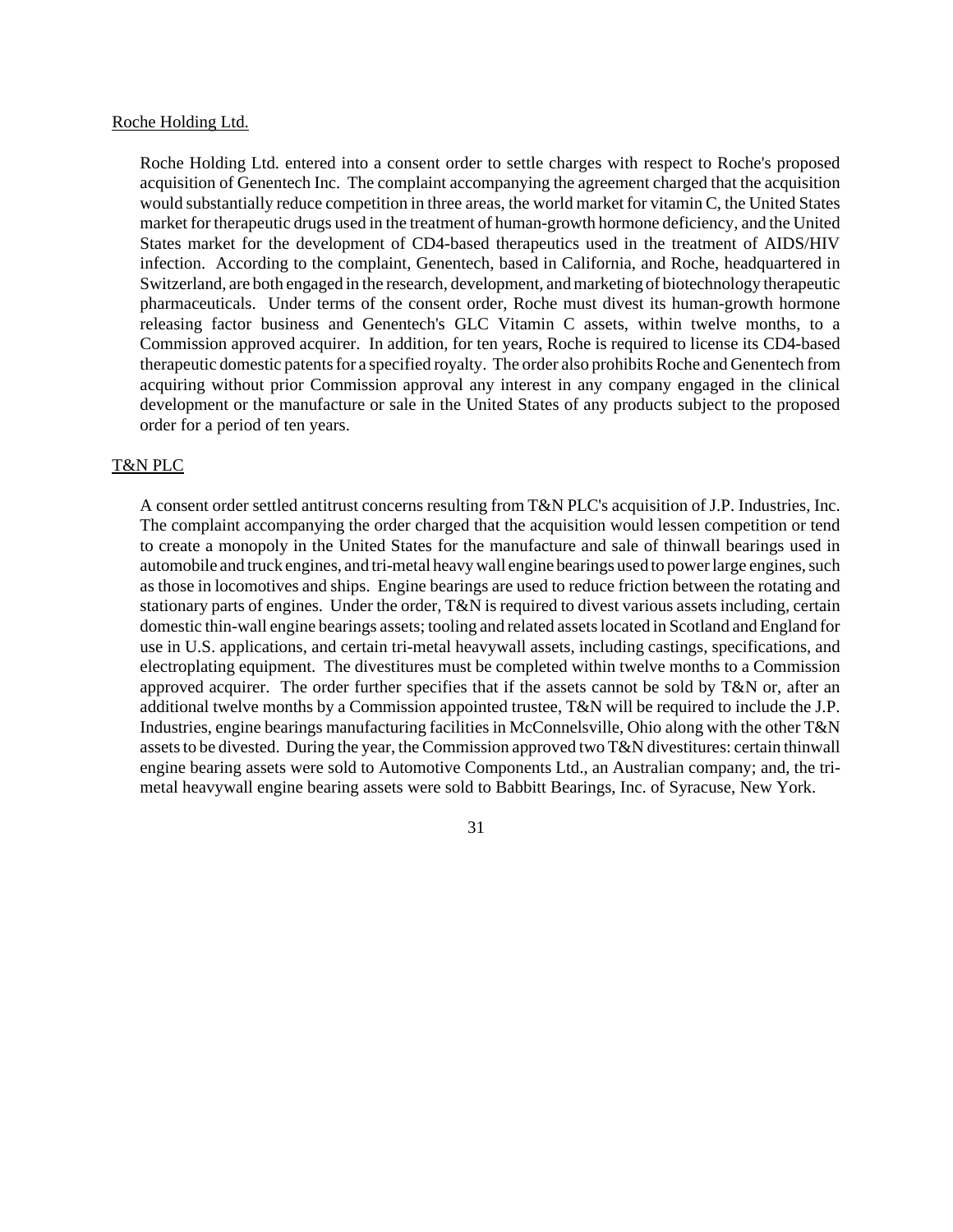#### Roche Holding Ltd.

Roche Holding Ltd. entered into a consent order to settle charges with respect to Roche's proposed acquisition of Genentech Inc. The complaint accompanying the agreement charged that the acquisition would substantially reduce competition in three areas, the world market for vitamin C, the United States market for therapeutic drugs used in the treatment of human-growth hormone deficiency, and the United States market for the development of CD4-based therapeutics used in the treatment of AIDS/HIV infection. According to the complaint, Genentech, based in California, and Roche, headquartered in Switzerland, are both engaged in the research, development, and marketing of biotechnology therapeutic pharmaceuticals. Under terms of the consent order, Roche must divest its human-growth hormone releasing factor business and Genentech's GLC Vitamin C assets, within twelve months, to a Commission approved acquirer. In addition, for ten years, Roche is required to license its CD4-based therapeutic domestic patentsfor a specified royalty. The order also prohibits Roche and Genentech from acquiring without prior Commission approval any interest in any company engaged in the clinical development or the manufacture or sale in the United States of any products subject to the proposed order for a period of ten years.

# T&N PLC

A consent order settled antitrust concerns resulting from T&N PLC's acquisition of J.P. Industries, Inc. The complaint accompanying the order charged that the acquisition would lessen competition or tend to create a monopoly in the United States for the manufacture and sale of thinwall bearings used in automobile and truck engines, and tri-metal heavy wall engine bearings used to power large engines, such as those in locomotives and ships. Engine bearings are used to reduce friction between the rotating and stationary parts of engines. Under the order, T&N is required to divest various assets including, certain domestic thin-wall engine bearings assets; tooling and related assetslocated in Scotland and England for use in U.S. applications, and certain tri-metal heavywall assets, including castings, specifications, and electroplating equipment. The divestitures must be completed within twelve months to a Commission approved acquirer. The order further specifies that if the assets cannot be sold by T&N or, after an additional twelve months by a Commission appointed trustee, T&N will be required to include the J.P. Industries, engine bearings manufacturing facilities in McConnelsville, Ohio along with the other T&N assets to be divested. During the year, the Commission approved two T&N divestitures: certain thinwall engine bearing assets were sold to Automotive Components Ltd., an Australian company; and, the trimetal heavywall engine bearing assets were sold to Babbitt Bearings, Inc. of Syracuse, New York.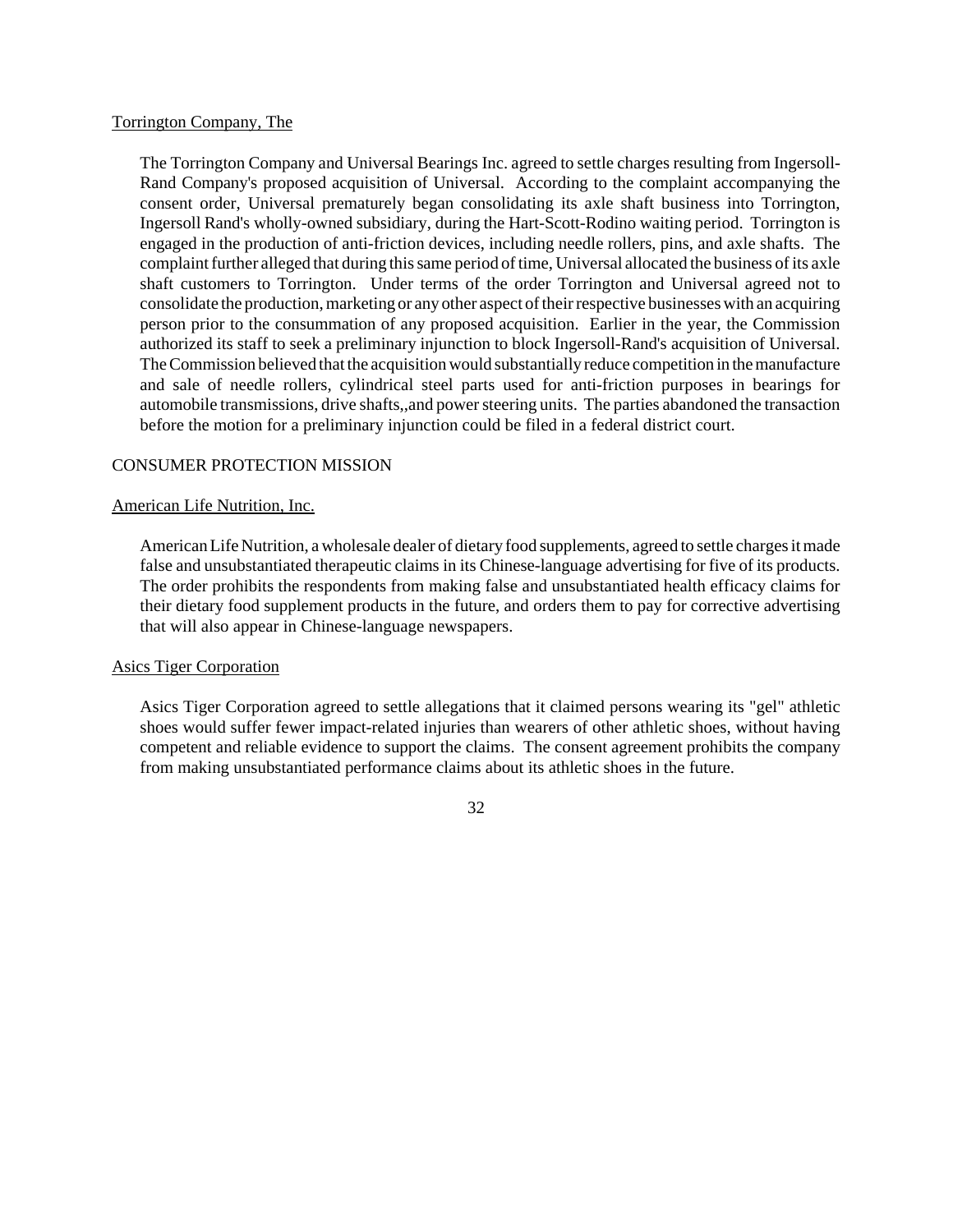## Torrington Company, The

The Torrington Company and Universal Bearings Inc. agreed to settle charges resulting from Ingersoll-Rand Company's proposed acquisition of Universal. According to the complaint accompanying the consent order, Universal prematurely began consolidating its axle shaft business into Torrington, Ingersoll Rand's wholly-owned subsidiary, during the Hart-Scott-Rodino waiting period. Torrington is engaged in the production of anti-friction devices, including needle rollers, pins, and axle shafts. The complaint further alleged that during this same period of time, Universal allocated the business of its axle shaft customers to Torrington. Under terms of the order Torrington and Universal agreed not to consolidate the production, marketing or any other aspect of their respective businesses with an acquiring person prior to the consummation of any proposed acquisition. Earlier in the year, the Commission authorized its staff to seek a preliminary injunction to block Ingersoll-Rand's acquisition of Universal. TheCommission believed that the acquisitionwould substantially reduce competition in the manufacture and sale of needle rollers, cylindrical steel parts used for anti-friction purposes in bearings for automobile transmissions, drive shafts,, and power steering units. The parties abandoned the transaction before the motion for a preliminary injunction could be filed in a federal district court.

# CONSUMER PROTECTION MISSION

# American Life Nutrition, Inc.

American Life Nutrition, a wholesale dealer of dietary food supplements, agreed to settle charges it made false and unsubstantiated therapeutic claims in its Chinese-language advertising for five of its products. The order prohibits the respondents from making false and unsubstantiated health efficacy claims for their dietary food supplement products in the future, and orders them to pay for corrective advertising that will also appear in Chinese-language newspapers.

# Asics Tiger Corporation

Asics Tiger Corporation agreed to settle allegations that it claimed persons wearing its "gel" athletic shoes would suffer fewer impact-related injuries than wearers of other athletic shoes, without having competent and reliable evidence to support the claims. The consent agreement prohibits the company from making unsubstantiated performance claims about its athletic shoes in the future.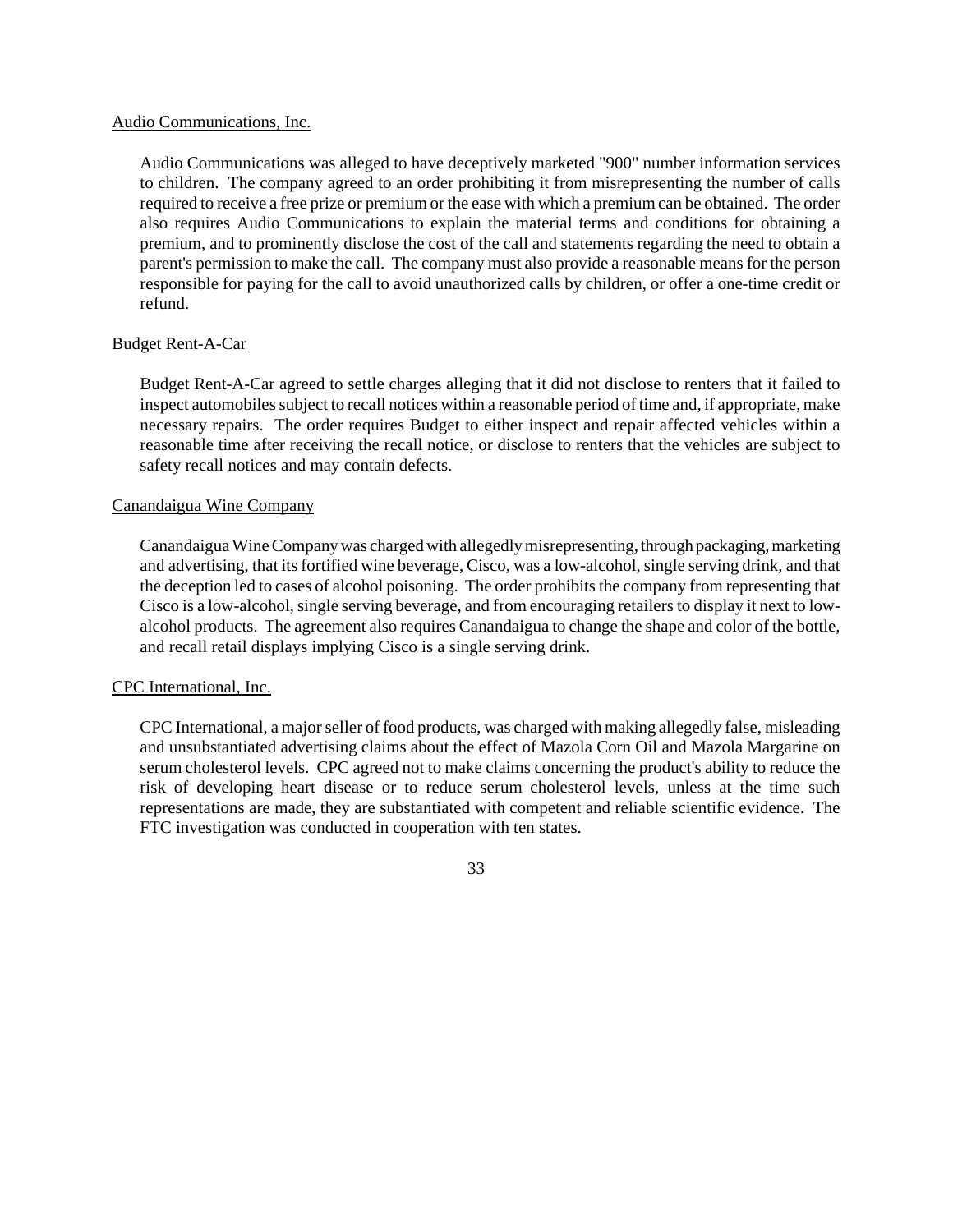## Audio Communications, Inc.

Audio Communications was alleged to have deceptively marketed "900" number information services to children. The company agreed to an order prohibiting it from misrepresenting the number of calls required to receive a free prize or premium or the ease with which a premiumcan be obtained. The order also requires Audio Communications to explain the material terms and conditions for obtaining a premium, and to prominently disclose the cost of the call and statements regarding the need to obtain a parent's permission to make the call. The company must also provide a reasonable means for the person responsible for paying for the call to avoid unauthorized calls by children, or offer a one-time credit or refund.

# Budget Rent-A-Car

Budget Rent-A-Car agreed to settle charges alleging that it did not disclose to renters that it failed to inspect automobiles subject to recall notices within a reasonable period of time and, if appropriate, make necessary repairs. The order requires Budget to either inspect and repair affected vehicles within a reasonable time after receiving the recall notice, or disclose to renters that the vehicles are subject to safety recall notices and may contain defects.

# Canandaigua Wine Company

CanandaiguaWineCompanywas chargedwith allegedlymisrepresenting, through packaging, marketing and advertising, that its fortified wine beverage, Cisco, was a low-alcohol, single serving drink, and that the deception led to cases of alcohol poisoning. The order prohibits the company from representing that Cisco is a low-alcohol, single serving beverage, and from encouraging retailers to display it next to lowalcohol products. The agreement also requires Canandaigua to change the shape and color of the bottle, and recall retail displays implying Cisco is a single serving drink.

# CPC International, Inc.

CPC International, a major seller of food products, was charged with making allegedly false, misleading and unsubstantiated advertising claims about the effect of Mazola Corn Oil and Mazola Margarine on serum cholesterol levels. CPC agreed not to make claims concerning the product's ability to reduce the risk of developing heart disease or to reduce serum cholesterol levels, unless at the time such representations are made, they are substantiated with competent and reliable scientific evidence. The FTC investigation was conducted in cooperation with ten states.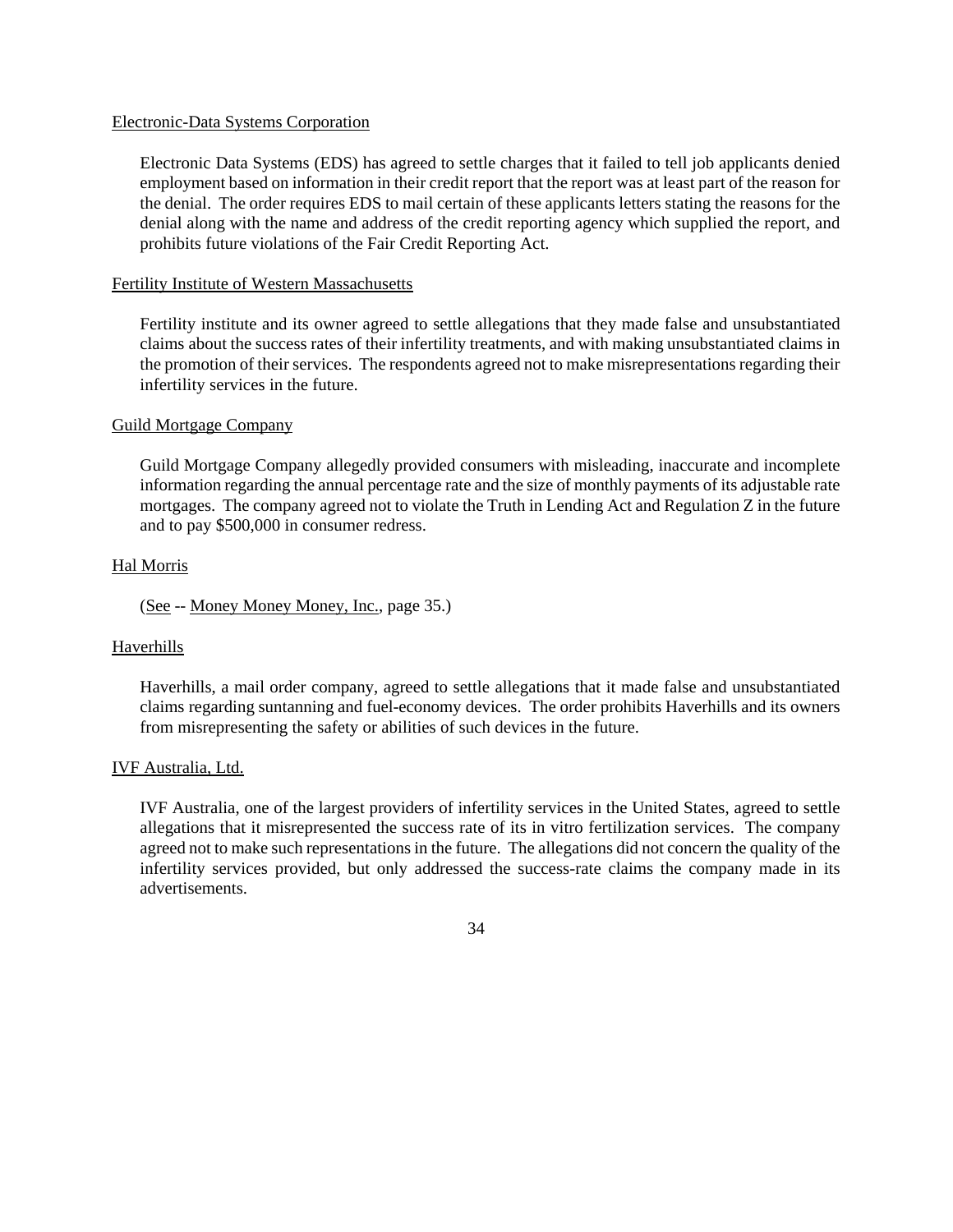### Electronic-Data Systems Corporation

Electronic Data Systems (EDS) has agreed to settle charges that it failed to tell job applicants denied employment based on information in their credit report that the report was at least part of the reason for the denial. The order requires EDS to mail certain of these applicants letters stating the reasons for the denial along with the name and address of the credit reporting agency which supplied the report, and prohibits future violations of the Fair Credit Reporting Act.

## Fertility Institute of Western Massachusetts

Fertility institute and its owner agreed to settle allegations that they made false and unsubstantiated claims about the success rates of their infertility treatments, and with making unsubstantiated claims in the promotion of their services. The respondents agreed not to make misrepresentations regarding their infertility services in the future.

## Guild Mortgage Company

Guild Mortgage Company allegedly provided consumers with misleading, inaccurate and incomplete information regarding the annual percentage rate and the size of monthly payments of its adjustable rate mortgages. The company agreed not to violate the Truth in Lending Act and Regulation Z in the future and to pay \$500,000 in consumer redress.

## Hal Morris

(See -- Money Money Money, Inc., page 35.)

# Haverhills

Haverhills, a mail order company, agreed to settle allegations that it made false and unsubstantiated claims regarding suntanning and fuel-economy devices. The order prohibits Haverhills and its owners from misrepresenting the safety or abilities of such devices in the future.

# IVF Australia, Ltd.

IVF Australia, one of the largest providers of infertility services in the United States, agreed to settle allegations that it misrepresented the success rate of its in vitro fertilization services. The company agreed not to make such representations in the future. The allegations did not concern the quality of the infertility services provided, but only addressed the success-rate claims the company made in its advertisements.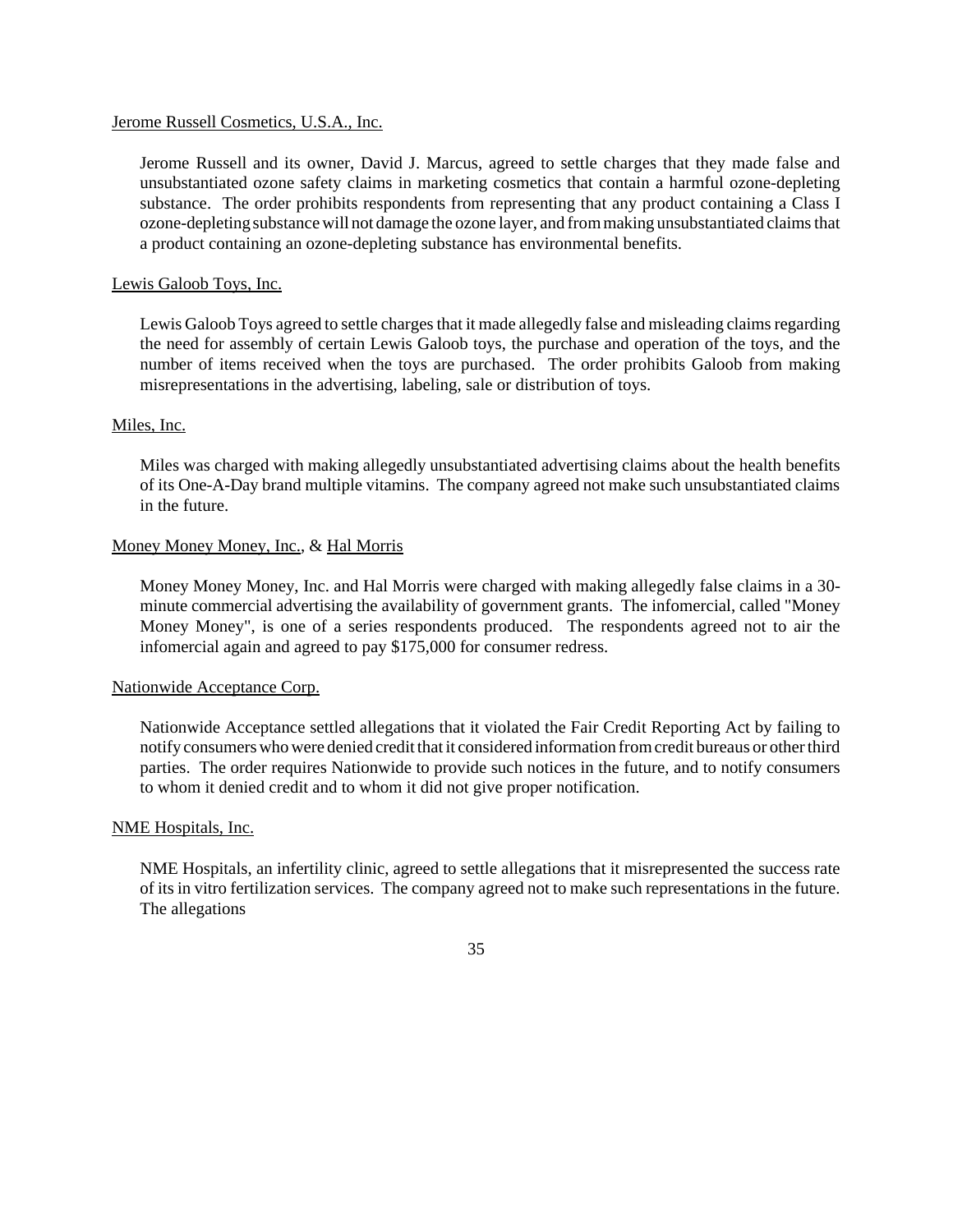### Jerome Russell Cosmetics, U.S.A., Inc.

Jerome Russell and its owner, David J. Marcus, agreed to settle charges that they made false and unsubstantiated ozone safety claims in marketing cosmetics that contain a harmful ozone-depleting substance. The order prohibits respondents from representing that any product containing a Class I ozone-depleting substance will not damage the ozone layer, and from making unsubstantiated claims that a product containing an ozone-depleting substance has environmental benefits.

# Lewis Galoob Toys, Inc.

Lewis Galoob Toys agreed to settle charges that it made allegedly false and misleading claims regarding the need for assembly of certain Lewis Galoob toys, the purchase and operation of the toys, and the number of items received when the toys are purchased. The order prohibits Galoob from making misrepresentations in the advertising, labeling, sale or distribution of toys.

#### Miles, Inc.

Miles was charged with making allegedly unsubstantiated advertising claims about the health benefits of its One-A-Day brand multiple vitamins. The company agreed not make such unsubstantiated claims in the future.

## Money Money Money, Inc., & Hal Morris

Money Money Money, Inc. and Hal Morris were charged with making allegedly false claims in a 30 minute commercial advertising the availability of government grants. The infomercial, called "Money Money Money", is one of a series respondents produced. The respondents agreed not to air the infomercial again and agreed to pay \$175,000 for consumer redress.

#### Nationwide Acceptance Corp.

Nationwide Acceptance settled allegations that it violated the Fair Credit Reporting Act by failing to notify consumerswhowere denied credit that it considered information fromcredit bureaus or otherthird parties. The order requires Nationwide to provide such notices in the future, and to notify consumers to whom it denied credit and to whom it did not give proper notification.

#### NME Hospitals, Inc.

NME Hospitals, an infertility clinic, agreed to settle allegations that it misrepresented the success rate of its in vitro fertilization services. The company agreed not to make such representations in the future. The allegations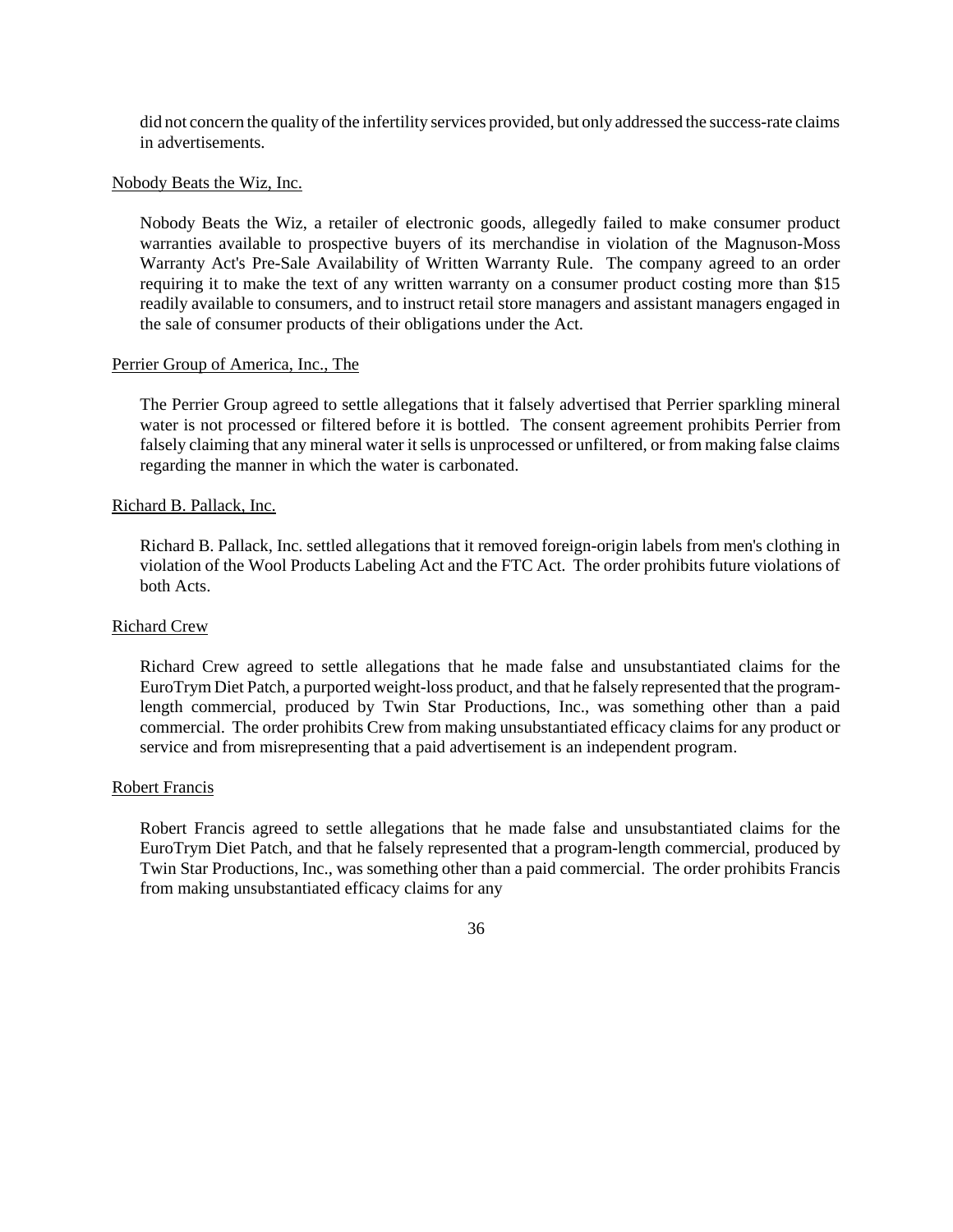did not concern the quality of the infertility services provided, but only addressed the success-rate claims in advertisements.

## Nobody Beats the Wiz, Inc.

Nobody Beats the Wiz, a retailer of electronic goods, allegedly failed to make consumer product warranties available to prospective buyers of its merchandise in violation of the Magnuson-Moss Warranty Act's Pre-Sale Availability of Written Warranty Rule. The company agreed to an order requiring it to make the text of any written warranty on a consumer product costing more than \$15 readily available to consumers, and to instruct retail store managers and assistant managers engaged in the sale of consumer products of their obligations under the Act.

## Perrier Group of America, Inc., The

The Perrier Group agreed to settle allegations that it falsely advertised that Perrier sparkling mineral water is not processed or filtered before it is bottled. The consent agreement prohibits Perrier from falsely claiming that any mineral water it sells is unprocessed or unfiltered, or from making false claims regarding the manner in which the water is carbonated.

## Richard B. Pallack, Inc.

Richard B. Pallack, Inc. settled allegations that it removed foreign-origin labels from men's clothing in violation of the Wool Products Labeling Act and the FTC Act. The order prohibits future violations of both Acts.

# Richard Crew

Richard Crew agreed to settle allegations that he made false and unsubstantiated claims for the EuroTrym Diet Patch, a purported weight-loss product, and that he falsely represented that the programlength commercial, produced by Twin Star Productions, Inc., was something other than a paid commercial. The order prohibits Crew from making unsubstantiated efficacy claims for any product or service and from misrepresenting that a paid advertisement is an independent program.

## Robert Francis

Robert Francis agreed to settle allegations that he made false and unsubstantiated claims for the EuroTrym Diet Patch, and that he falsely represented that a program-length commercial, produced by Twin Star Productions, Inc., was something other than a paid commercial. The order prohibits Francis from making unsubstantiated efficacy claims for any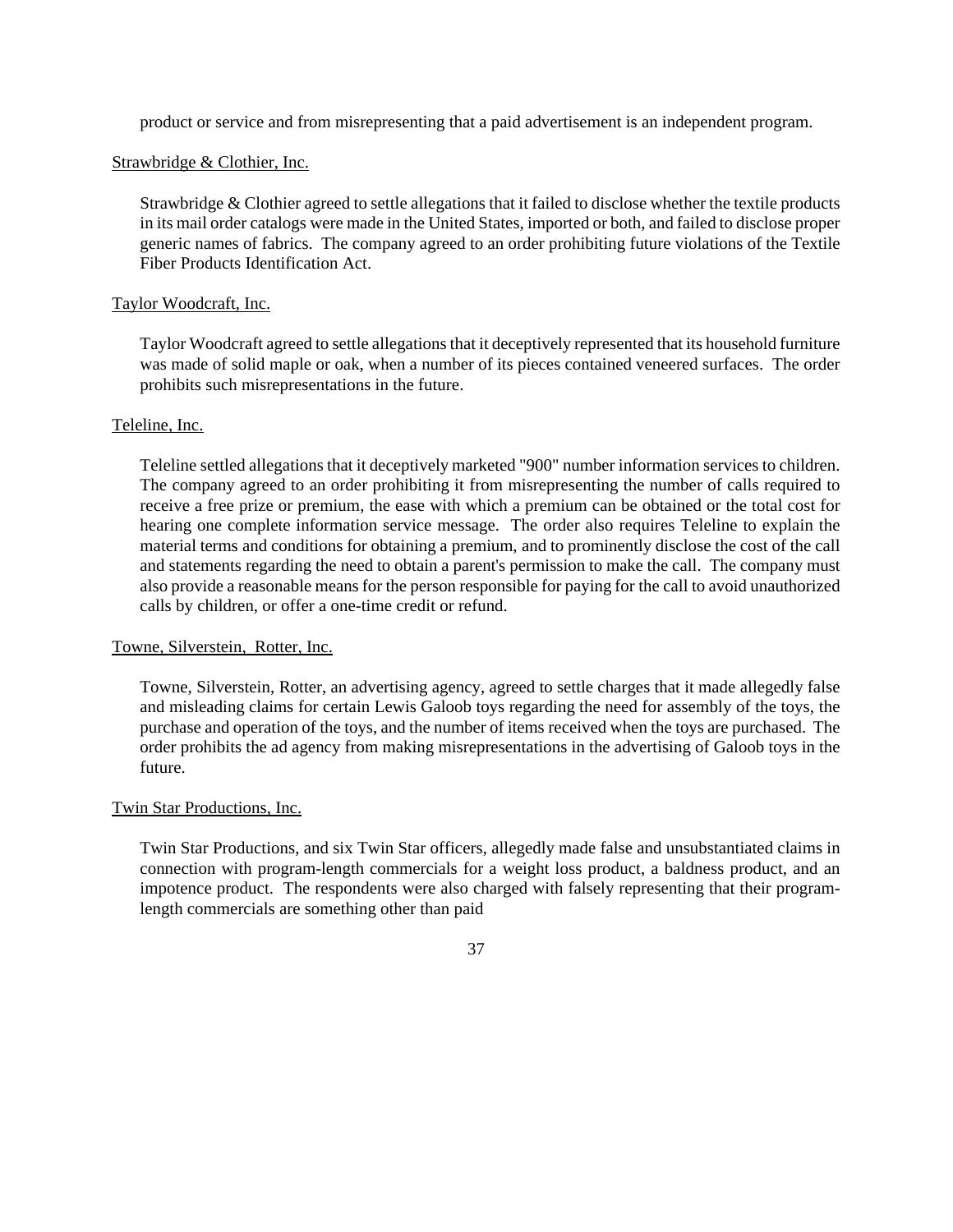product or service and from misrepresenting that a paid advertisement is an independent program.

# Strawbridge & Clothier, Inc.

Strawbridge & Clothier agreed to settle allegations that it failed to disclose whether the textile products in its mail order catalogs were made in the United States, imported or both, and failed to disclose proper generic names of fabrics. The company agreed to an order prohibiting future violations of the Textile Fiber Products Identification Act.

## Taylor Woodcraft, Inc.

Taylor Woodcraft agreed to settle allegationsthat it deceptively represented that its household furniture was made of solid maple or oak, when a number of its pieces contained veneered surfaces. The order prohibits such misrepresentations in the future.

#### Teleline, Inc.

Teleline settled allegations that it deceptively marketed "900" number information services to children. The company agreed to an order prohibiting it from misrepresenting the number of calls required to receive a free prize or premium, the ease with which a premium can be obtained or the total cost for hearing one complete information service message. The order also requires Teleline to explain the material terms and conditions for obtaining a premium, and to prominently disclose the cost of the call and statements regarding the need to obtain a parent's permission to make the call. The company must also provide a reasonable meansfor the person responsible for paying for the call to avoid unauthorized calls by children, or offer a one-time credit or refund.

## Towne, Silverstein, Rotter, Inc.

Towne, Silverstein, Rotter, an advertising agency, agreed to settle charges that it made allegedly false and misleading claims for certain Lewis Galoob toys regarding the need for assembly of the toys, the purchase and operation of the toys, and the number of items received when the toys are purchased. The order prohibits the ad agency from making misrepresentations in the advertising of Galoob toys in the future.

#### Twin Star Productions, Inc.

Twin Star Productions, and six Twin Star officers, allegedly made false and unsubstantiated claims in connection with program-length commercials for a weight loss product, a baldness product, and an impotence product. The respondents were also charged with falsely representing that their programlength commercials are something other than paid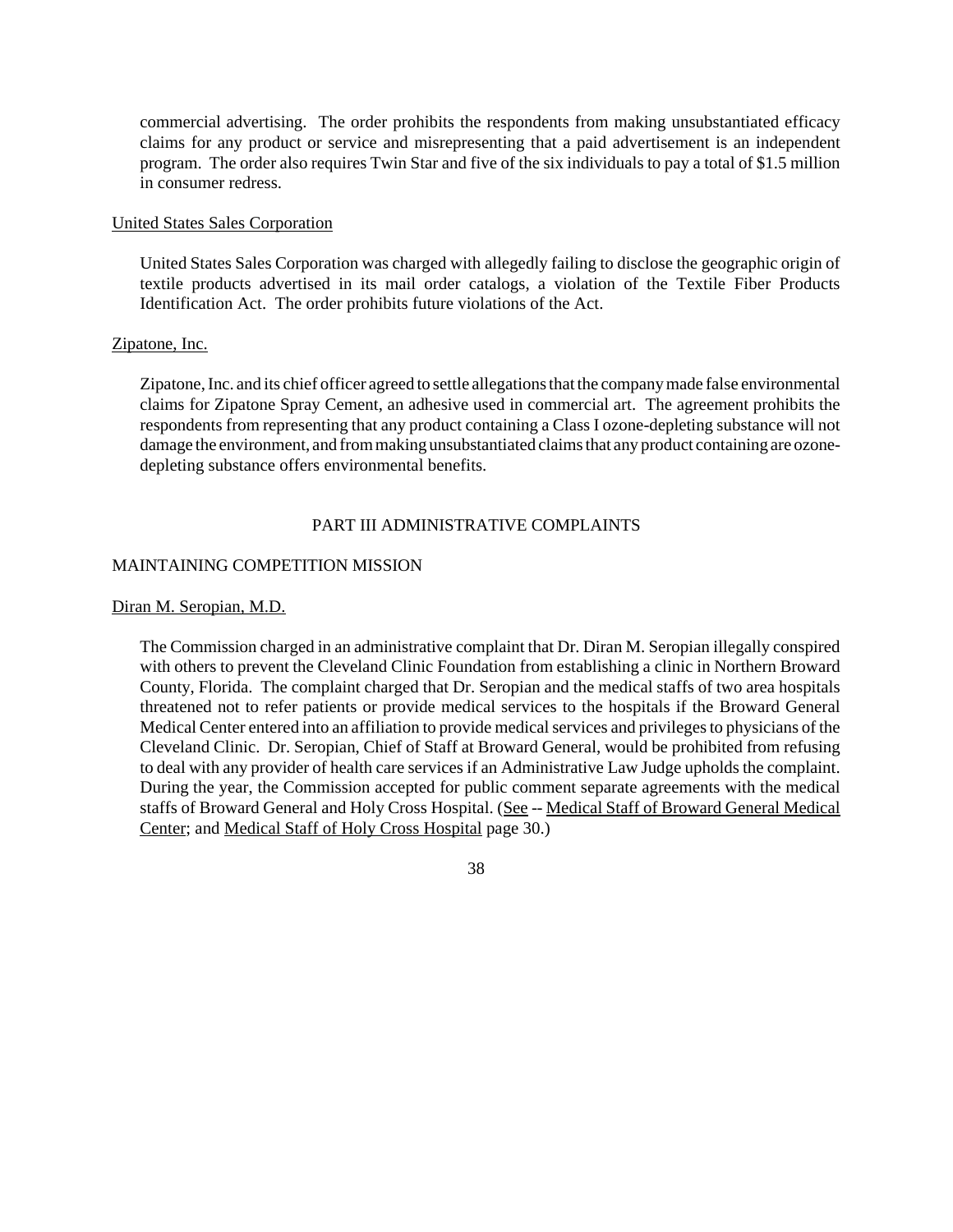commercial advertising. The order prohibits the respondents from making unsubstantiated efficacy claims for any product or service and misrepresenting that a paid advertisement is an independent program. The order also requires Twin Star and five of the six individuals to pay a total of \$1.5 million in consumer redress.

# United States Sales Corporation

United States Sales Corporation was charged with allegedly failing to disclose the geographic origin of textile products advertised in its mail order catalogs, a violation of the Textile Fiber Products Identification Act. The order prohibits future violations of the Act.

# Zipatone, Inc.

Zipatone, Inc. and its chief officer agreed to settle allegations that the company made false environmental claims for Zipatone Spray Cement, an adhesive used in commercial art. The agreement prohibits the respondents from representing that any product containing a Class I ozone-depleting substance will not damage the environment, and from making unsubstantiated claims that any product containing are ozonedepleting substance offers environmental benefits.

# PART III ADMINISTRATIVE COMPLAINTS

# MAINTAINING COMPETITION MISSION

# Diran M. Seropian, M.D.

The Commission charged in an administrative complaint that Dr. Diran M. Seropian illegally conspired with others to prevent the Cleveland Clinic Foundation from establishing a clinic in Northern Broward County, Florida. The complaint charged that Dr. Seropian and the medical staffs of two area hospitals threatened not to refer patients or provide medical services to the hospitals if the Broward General Medical Center entered into an affiliation to provide medical services and privileges to physicians of the Cleveland Clinic. Dr. Seropian, Chief of Staff at Broward General, would be prohibited from refusing to deal with any provider of health care services if an Administrative Law Judge upholds the complaint. During the year, the Commission accepted for public comment separate agreements with the medical staffs of Broward General and Holy Cross Hospital. (See -- Medical Staff of Broward General Medical Center; and Medical Staff of Holy Cross Hospital page 30.)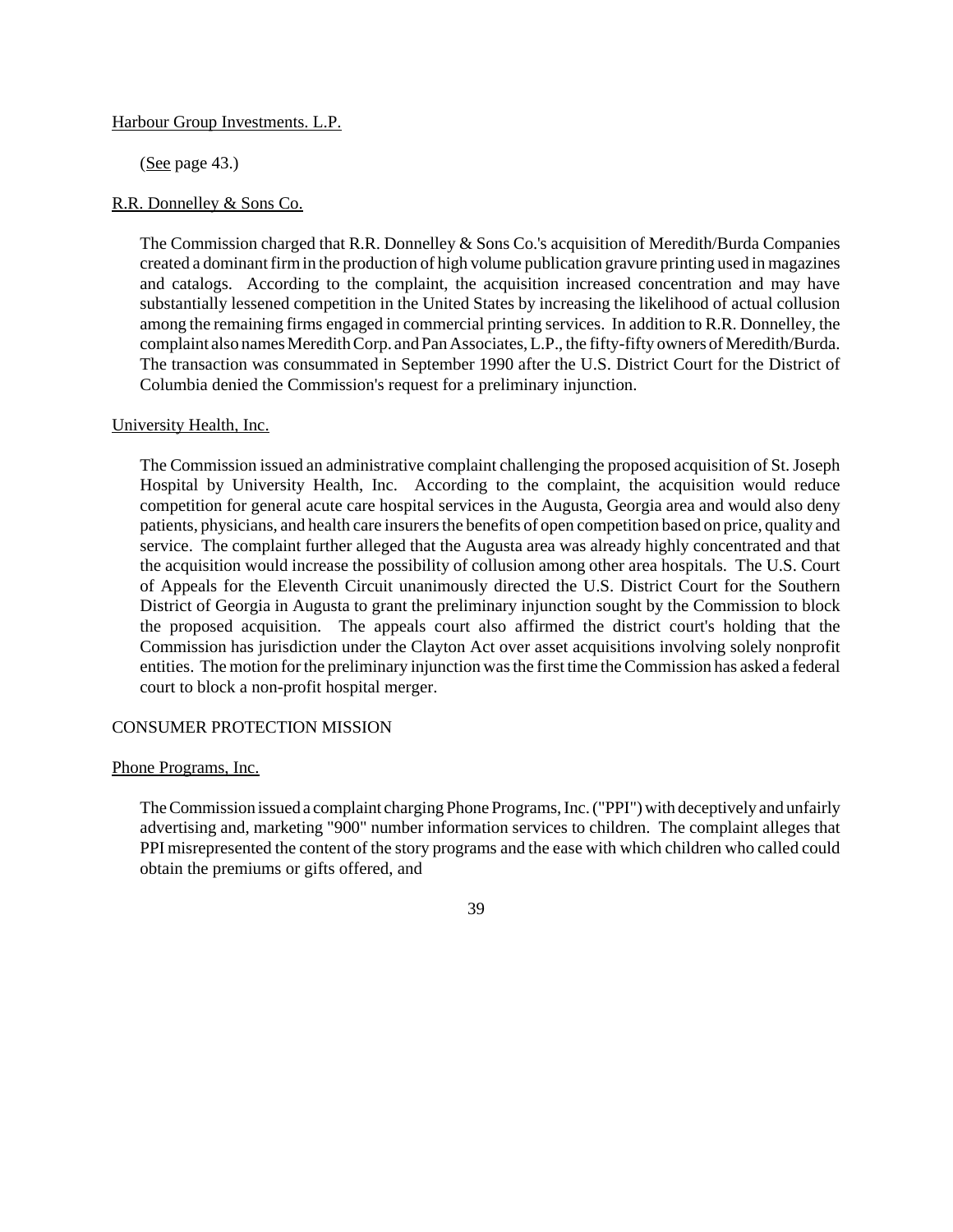## Harbour Group Investments. L.P.

 $(See page 43.)$ 

## R.R. Donnelley & Sons Co.

The Commission charged that R.R. Donnelley  $&$  Sons Co.'s acquisition of Meredith/Burda Companies created a dominantfirmin the production of high volume publication gravure printing used in magazines and catalogs. According to the complaint, the acquisition increased concentration and may have substantially lessened competition in the United States by increasing the likelihood of actual collusion among the remaining firms engaged in commercial printing services. In addition to R.R. Donnelley, the complaint also names Meredith Corp. and Pan Associates, L.P., the fifty-fifty owners of Meredith/Burda. The transaction was consummated in September 1990 after the U.S. District Court for the District of Columbia denied the Commission's request for a preliminary injunction.

## University Health, Inc.

The Commission issued an administrative complaint challenging the proposed acquisition of St. Joseph Hospital by University Health, Inc. According to the complaint, the acquisition would reduce competition for general acute care hospital services in the Augusta, Georgia area and would also deny patients, physicians, and health care insurers the benefits of open competition based on price, quality and service. The complaint further alleged that the Augusta area was already highly concentrated and that the acquisition would increase the possibility of collusion among other area hospitals. The U.S. Court of Appeals for the Eleventh Circuit unanimously directed the U.S. District Court for the Southern District of Georgia in Augusta to grant the preliminary injunction sought by the Commission to block the proposed acquisition. The appeals court also affirmed the district court's holding that the Commission has jurisdiction under the Clayton Act over asset acquisitions involving solely nonprofit entities. The motion for the preliminary injunction was the first time the Commission has asked a federal court to block a non-profit hospital merger.

# CONSUMER PROTECTION MISSION

## Phone Programs, Inc.

TheCommission issued a complaint charging Phone Programs, Inc. ("PPI") with deceptively and unfairly advertising and, marketing "900" number information services to children. The complaint alleges that PPI misrepresented the content of the story programs and the ease with which children who called could obtain the premiums or gifts offered, and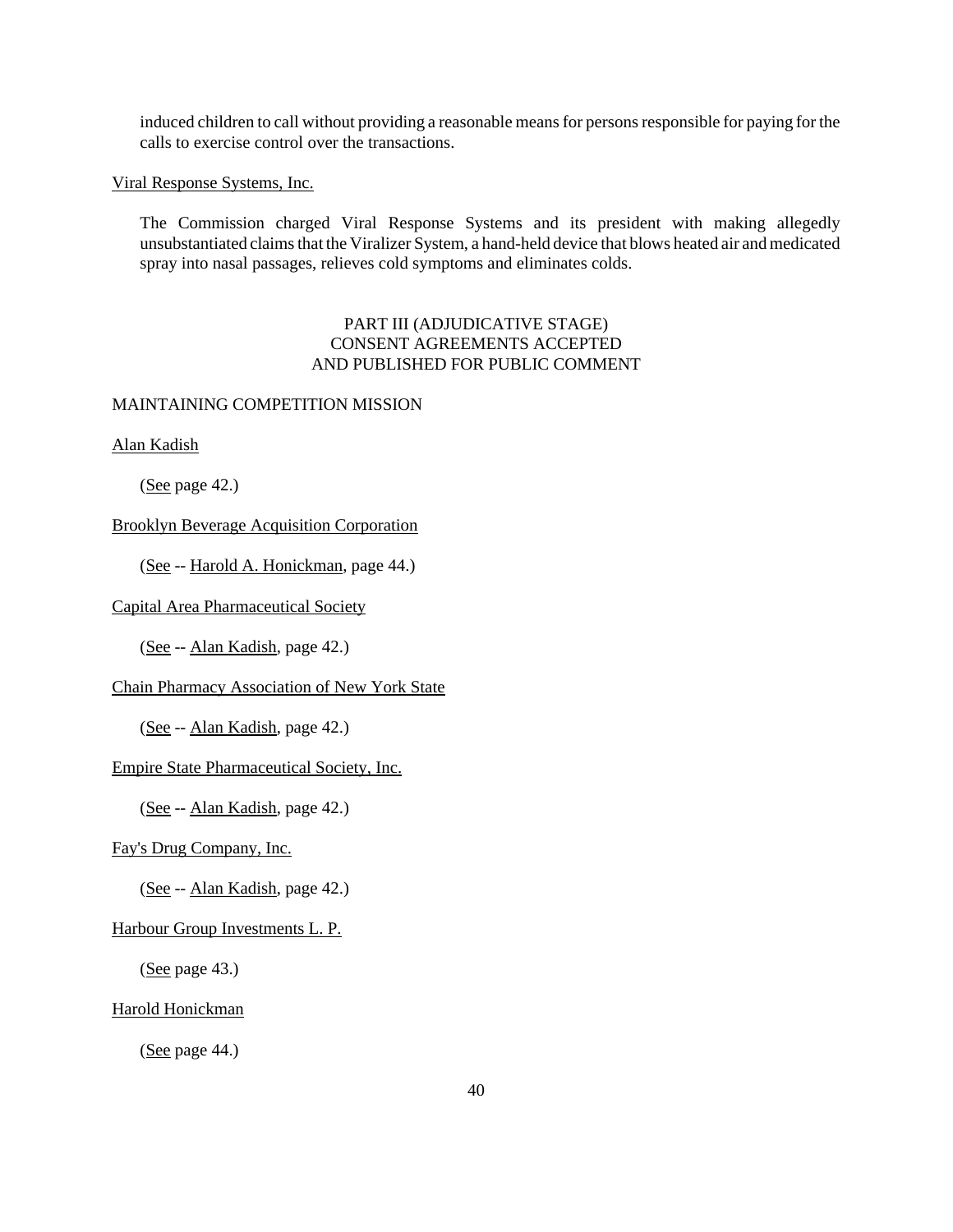induced children to call without providing a reasonable means for persons responsible for paying for the calls to exercise control over the transactions.

Viral Response Systems, Inc.

The Commission charged Viral Response Systems and its president with making allegedly unsubstantiated claims that the Viralizer System, a hand-held device that blows heated air and medicated spray into nasal passages, relieves cold symptoms and eliminates colds.

# PART III (ADJUDICATIVE STAGE) CONSENT AGREEMENTS ACCEPTED AND PUBLISHED FOR PUBLIC COMMENT

## MAINTAINING COMPETITION MISSION

Alan Kadish

(See page 42.)

# Brooklyn Beverage Acquisition Corporation

(See -- Harold A. Honickman, page 44.)

# Capital Area Pharmaceutical Society

(See -- Alan Kadish, page 42.)

# Chain Pharmacy Association of New York State

(See -- Alan Kadish, page 42.)

## Empire State Pharmaceutical Society, Inc.

(See -- Alan Kadish, page 42.)

# Fay's Drug Company, Inc.

(See -- Alan Kadish, page 42.)

#### Harbour Group Investments L. P.

(See page 43.)

## Harold Honickman

(See page 44.)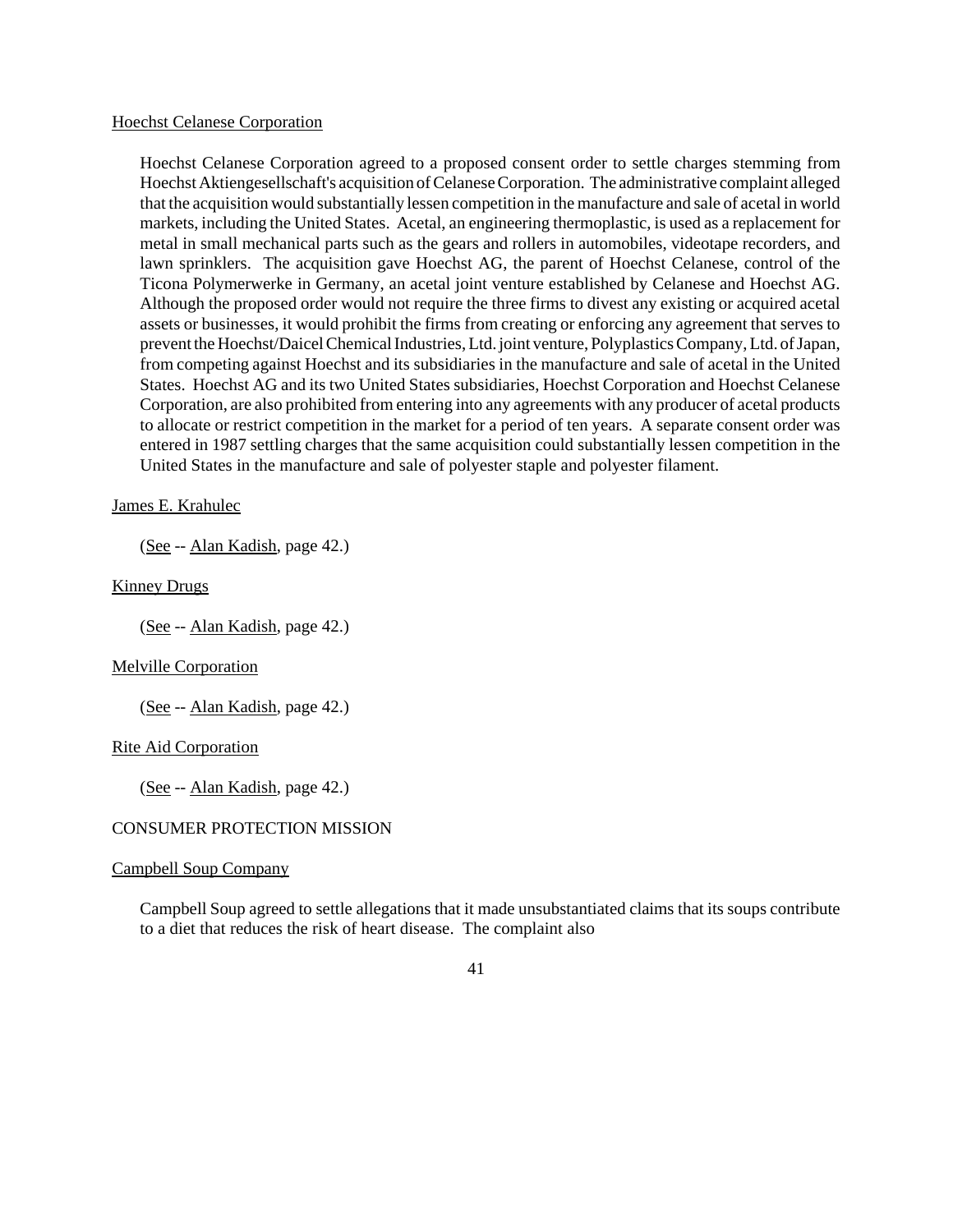#### Hoechst Celanese Corporation

Hoechst Celanese Corporation agreed to a proposed consent order to settle charges stemming from HoechstAktiengesellschaft's acquisition of Celanese Corporation. The administrative complaint alleged that the acquisition would substantially lessen competition in the manufacture and sale of acetal in world markets, including the United States. Acetal, an engineering thermoplastic, is used as a replacement for metal in small mechanical parts such as the gears and rollers in automobiles, videotape recorders, and lawn sprinklers. The acquisition gave Hoechst AG, the parent of Hoechst Celanese, control of the Ticona Polymerwerke in Germany, an acetal joint venture established by Celanese and Hoechst AG. Although the proposed order would not require the three firms to divest any existing or acquired acetal assets or businesses, it would prohibit the firms from creating or enforcing any agreement that serves to prevent the Hoechst/Daicel Chemical Industries, Ltd. joint venture, Polyplastics Company, Ltd. of Japan, from competing against Hoechst and its subsidiaries in the manufacture and sale of acetal in the United States. Hoechst AG and its two United States subsidiaries, Hoechst Corporation and Hoechst Celanese Corporation, are also prohibited from entering into any agreements with any producer of acetal products to allocate or restrict competition in the market for a period of ten years. A separate consent order was entered in 1987 settling charges that the same acquisition could substantially lessen competition in the United States in the manufacture and sale of polyester staple and polyester filament.

## James E. Krahulec

(See -- Alan Kadish, page 42.)

### **Kinney Drugs**

(See -- Alan Kadish, page 42.)

# Melville Corporation

(See -- Alan Kadish, page 42.)

#### Rite Aid Corporation

(See -- Alan Kadish, page 42.)

#### CONSUMER PROTECTION MISSION

### Campbell Soup Company

Campbell Soup agreed to settle allegations that it made unsubstantiated claims that its soups contribute to a diet that reduces the risk of heart disease. The complaint also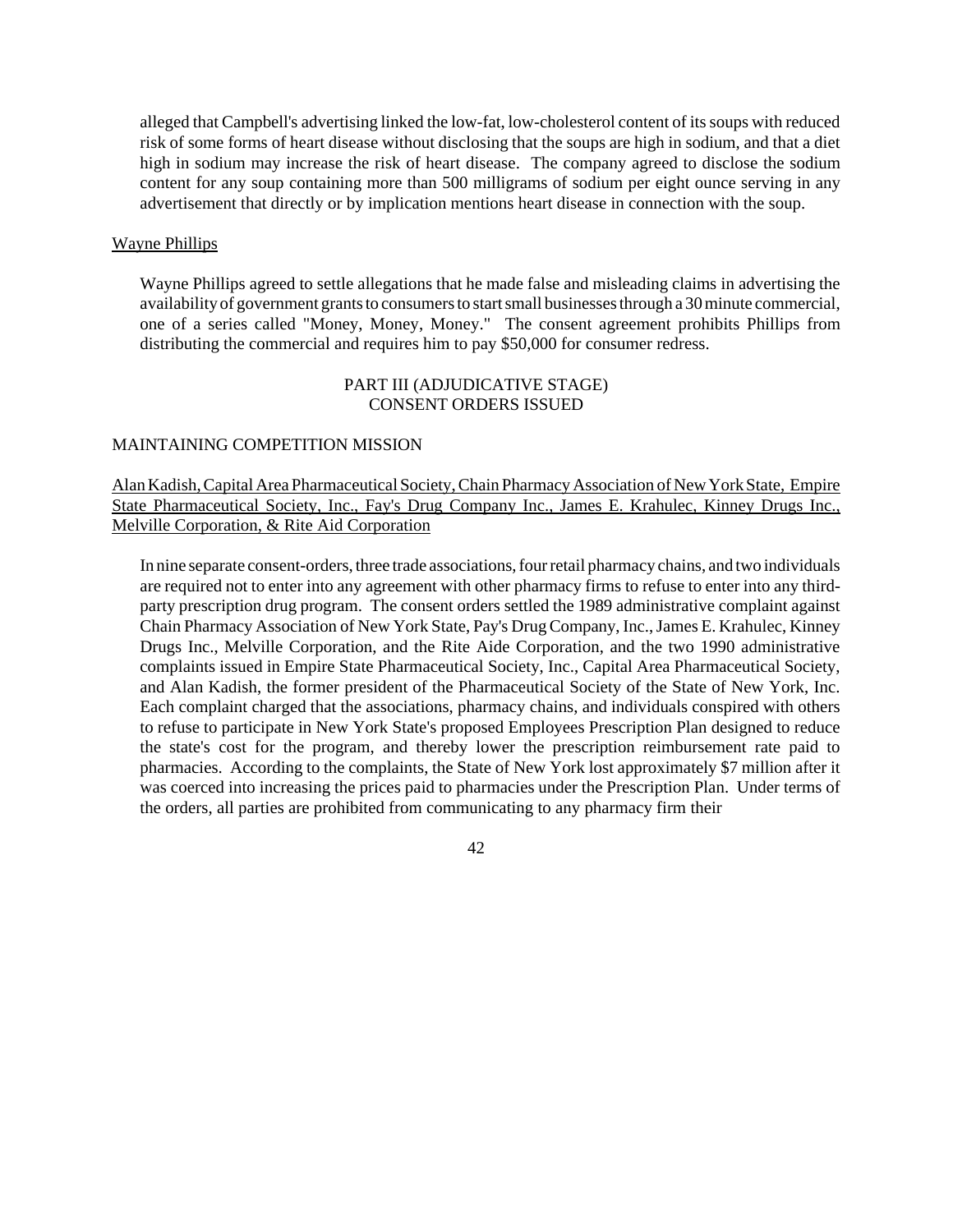alleged that Campbell's advertising linked the low-fat, low-cholesterol content of itssoups with reduced risk of some forms of heart disease without disclosing that the soups are high in sodium, and that a diet high in sodium may increase the risk of heart disease. The company agreed to disclose the sodium content for any soup containing more than 500 milligrams of sodium per eight ounce serving in any advertisement that directly or by implication mentions heart disease in connection with the soup.

### Wayne Phillips

Wayne Phillips agreed to settle allegations that he made false and misleading claims in advertising the availability of government grants to consumers to start small businesses through a 30 minute commercial, one of a series called "Money, Money, Money." The consent agreement prohibits Phillips from distributing the commercial and requires him to pay \$50,000 for consumer redress.

# PART III (ADJUDICATIVE STAGE) CONSENT ORDERS ISSUED

# MAINTAINING COMPETITION MISSION

Alan Kadish, Capital Area Pharmaceutical Society, Chain Pharmacy Association of New York State, Empire State Pharmaceutical Society, Inc., Fay's Drug Company Inc., James E. Krahulec, Kinney Drugs Inc., Melville Corporation, & Rite Aid Corporation

In nine separate consent-orders, three trade associations, four retail pharmacy chains, and two individuals are required not to enter into any agreement with other pharmacy firms to refuse to enter into any thirdparty prescription drug program. The consent orders settled the 1989 administrative complaint against Chain Pharmacy Association of New York State, Pay's DrugCompany, Inc.,James E. Krahulec, Kinney Drugs Inc., Melville Corporation, and the Rite Aide Corporation, and the two 1990 administrative complaints issued in Empire State Pharmaceutical Society, Inc., Capital Area Pharmaceutical Society, and Alan Kadish, the former president of the Pharmaceutical Society of the State of New York, Inc. Each complaint charged that the associations, pharmacy chains, and individuals conspired with others to refuse to participate in New York State's proposed Employees Prescription Plan designed to reduce the state's cost for the program, and thereby lower the prescription reimbursement rate paid to pharmacies. According to the complaints, the State of New York lost approximately \$7 million after it was coerced into increasing the prices paid to pharmacies under the Prescription Plan. Under terms of the orders, all parties are prohibited from communicating to any pharmacy firm their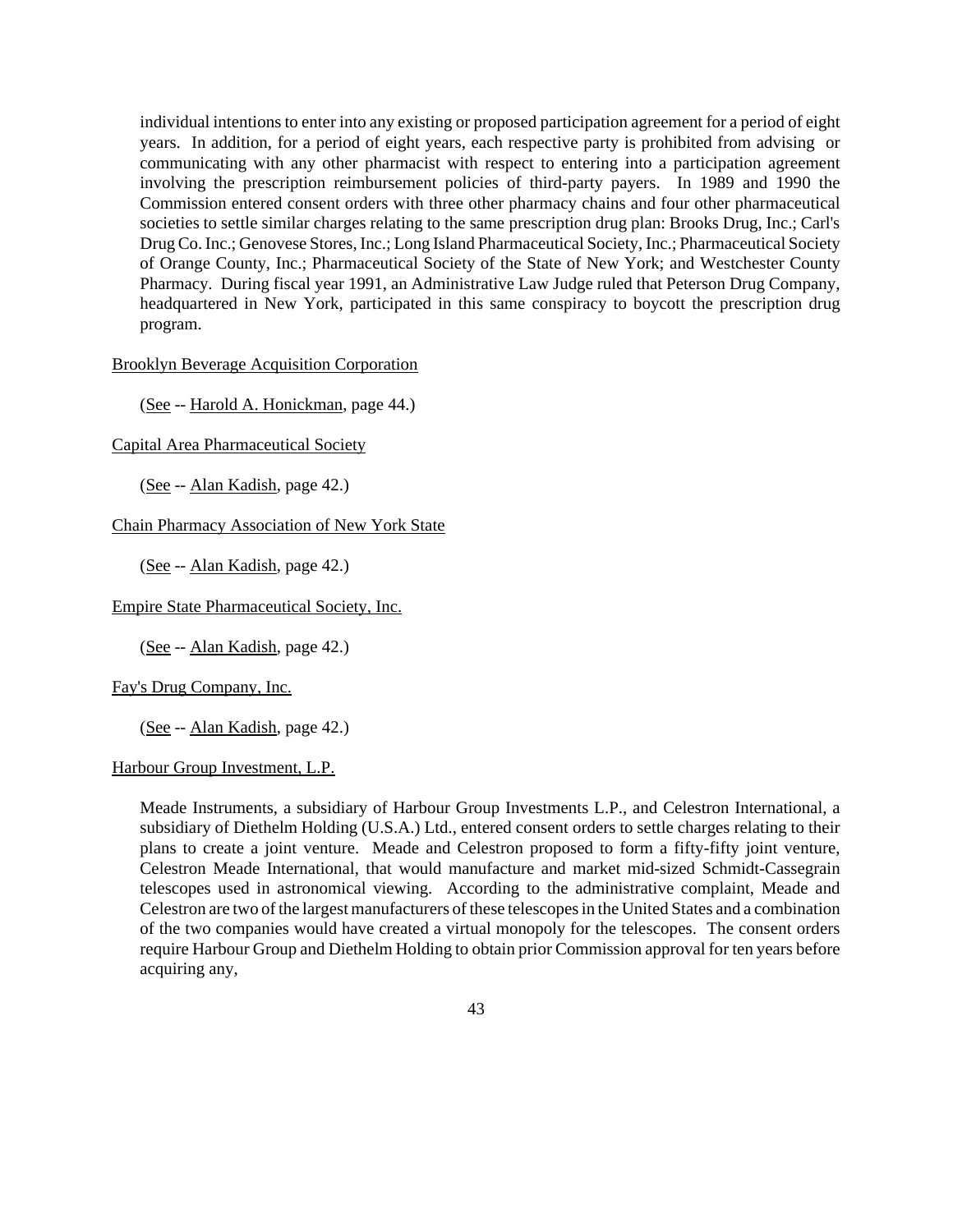individual intentions to enter into any existing or proposed participation agreement for a period of eight years. In addition, for a period of eight years, each respective party is prohibited from advising or communicating with any other pharmacist with respect to entering into a participation agreement involving the prescription reimbursement policies of third-party payers. In 1989 and 1990 the Commission entered consent orders with three other pharmacy chains and four other pharmaceutical societies to settle similar charges relating to the same prescription drug plan: Brooks Drug, Inc.; Carl's DrugCo. Inc.; Genovese Stores, Inc.; Long Island Pharmaceutical Society, Inc.; Pharmaceutical Society of Orange County, Inc.; Pharmaceutical Society of the State of New York; and Westchester County Pharmacy. During fiscal year 1991, an Administrative Law Judge ruled that Peterson Drug Company, headquartered in New York, participated in this same conspiracy to boycott the prescription drug program.

### Brooklyn Beverage Acquisition Corporation

(See -- Harold A. Honickman, page 44.)

Capital Area Pharmaceutical Society

(See -- Alan Kadish, page 42.)

Chain Pharmacy Association of New York State

(See -- Alan Kadish, page 42.)

Empire State Pharmaceutical Society, Inc.

(See -- Alan Kadish, page 42.)

Fay's Drug Company, Inc.

(See -- Alan Kadish, page 42.)

Harbour Group Investment, L.P.

Meade Instruments, a subsidiary of Harbour Group Investments L.P., and Celestron International, a subsidiary of Diethelm Holding (U.S.A.) Ltd., entered consent orders to settle charges relating to their plans to create a joint venture. Meade and Celestron proposed to form a fifty-fifty joint venture, Celestron Meade International, that would manufacture and market mid-sized Schmidt-Cassegrain telescopes used in astronomical viewing. According to the administrative complaint, Meade and Celestron are two of the largest manufacturers of these telescopes in the United States and a combination of the two companies would have created a virtual monopoly for the telescopes. The consent orders require Harbour Group and Diethelm Holding to obtain prior Commission approval for ten years before acquiring any,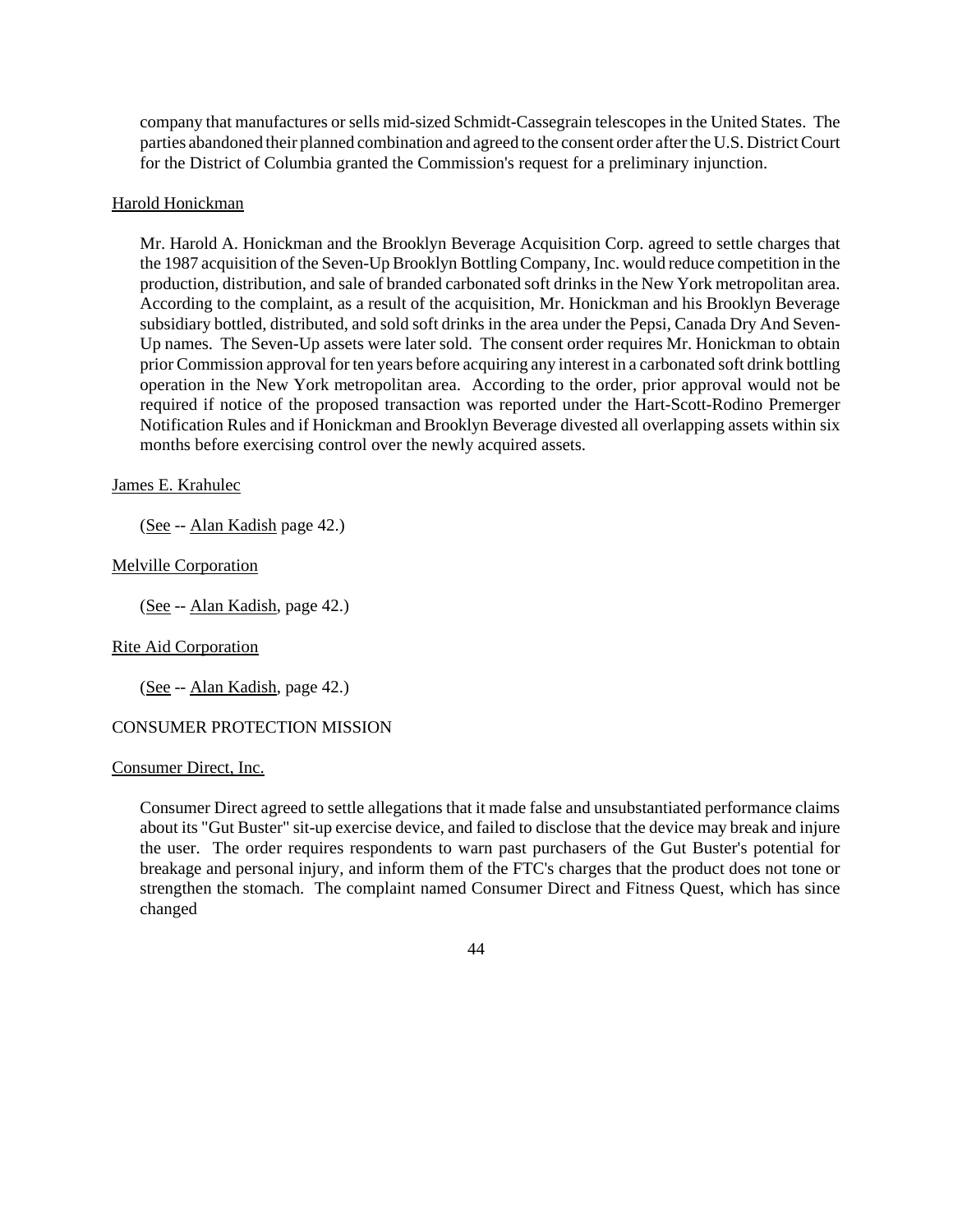company that manufactures or sells mid-sized Schmidt-Cassegrain telescopes in the United States. The parties abandoned their planned combination and agreed to the consent order afterthe U.S. DistrictCourt for the District of Columbia granted the Commission's request for a preliminary injunction.

# Harold Honickman

Mr. Harold A. Honickman and the Brooklyn Beverage Acquisition Corp. agreed to settle charges that the 1987 acquisition of the Seven-Up Brooklyn Bottling Company, Inc. would reduce competition in the production, distribution, and sale of branded carbonated soft drinks in the New York metropolitan area. According to the complaint, as a result of the acquisition, Mr. Honickman and his Brooklyn Beverage subsidiary bottled, distributed, and sold soft drinks in the area under the Pepsi, Canada Dry And Seven-Up names. The Seven-Up assets were later sold. The consent order requires Mr. Honickman to obtain prior Commission approval for ten years before acquiring any interest in a carbonated soft drink bottling operation in the New York metropolitan area. According to the order, prior approval would not be required if notice of the proposed transaction was reported under the Hart-Scott-Rodino Premerger Notification Rules and if Honickman and Brooklyn Beverage divested all overlapping assets within six months before exercising control over the newly acquired assets.

# James E. Krahulec

(See -- Alan Kadish page 42.)

# Melville Corporation

(See -- Alan Kadish, page 42.)

# Rite Aid Corporation

(See -- Alan Kadish, page 42.)

# CONSUMER PROTECTION MISSION

## Consumer Direct, Inc.

Consumer Direct agreed to settle allegations that it made false and unsubstantiated performance claims about its "Gut Buster" sit-up exercise device, and failed to disclose that the device may break and injure the user. The order requires respondents to warn past purchasers of the Gut Buster's potential for breakage and personal injury, and inform them of the FTC's charges that the product does not tone or strengthen the stomach. The complaint named Consumer Direct and Fitness Quest, which has since changed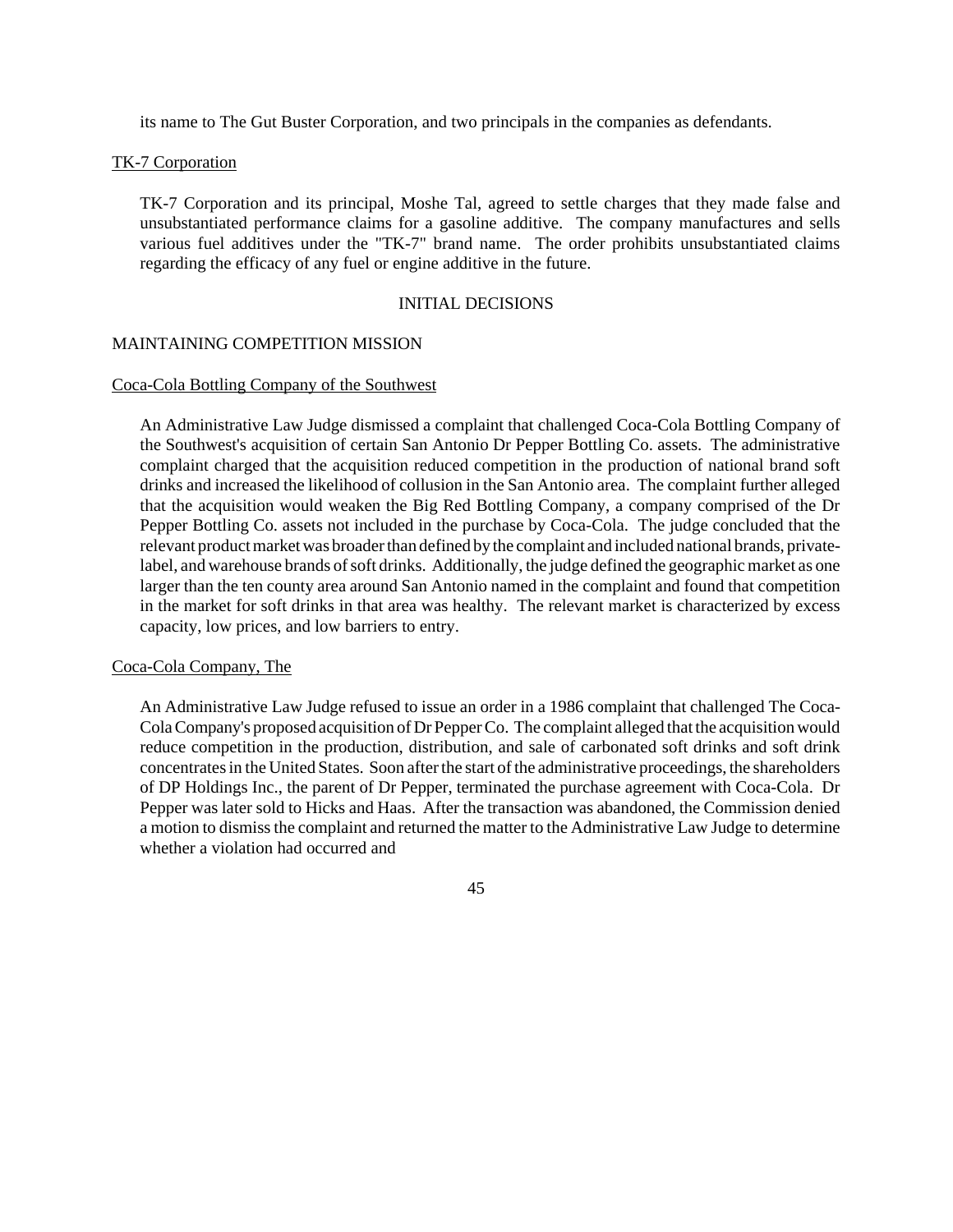its name to The Gut Buster Corporation, and two principals in the companies as defendants.

## TK-7 Corporation

TK-7 Corporation and its principal, Moshe Tal, agreed to settle charges that they made false and unsubstantiated performance claims for a gasoline additive. The company manufactures and sells various fuel additives under the "TK-7" brand name. The order prohibits unsubstantiated claims regarding the efficacy of any fuel or engine additive in the future.

## INITIAL DECISIONS

### MAINTAINING COMPETITION MISSION

# Coca-Cola Bottling Company of the Southwest

An Administrative Law Judge dismissed a complaint that challenged Coca-Cola Bottling Company of the Southwest's acquisition of certain San Antonio Dr Pepper Bottling Co. assets. The administrative complaint charged that the acquisition reduced competition in the production of national brand soft drinks and increased the likelihood of collusion in the San Antonio area. The complaint further alleged that the acquisition would weaken the Big Red Bottling Company, a company comprised of the Dr Pepper Bottling Co. assets not included in the purchase by Coca-Cola. The judge concluded that the relevant product market was broader than defined by the complaint and included national brands, privatelabel, and warehouse brands of soft drinks. Additionally, the judge defined the geographic market as one larger than the ten county area around San Antonio named in the complaint and found that competition in the market for soft drinks in that area was healthy. The relevant market is characterized by excess capacity, low prices, and low barriers to entry.

# Coca-Cola Company, The

An Administrative Law Judge refused to issue an order in a 1986 complaint that challenged The Coca-Cola Company's proposed acquisition of Dr Pepper Co. The complaint alleged that the acquisition would reduce competition in the production, distribution, and sale of carbonated soft drinks and soft drink concentratesin the United States. Soon after the start of the administrative proceedings, the shareholders of DP Holdings Inc., the parent of Dr Pepper, terminated the purchase agreement with Coca-Cola. Dr Pepper was later sold to Hicks and Haas. After the transaction was abandoned, the Commission denied a motion to dismissthe complaint and returned the matter to the Administrative Law Judge to determine whether a violation had occurred and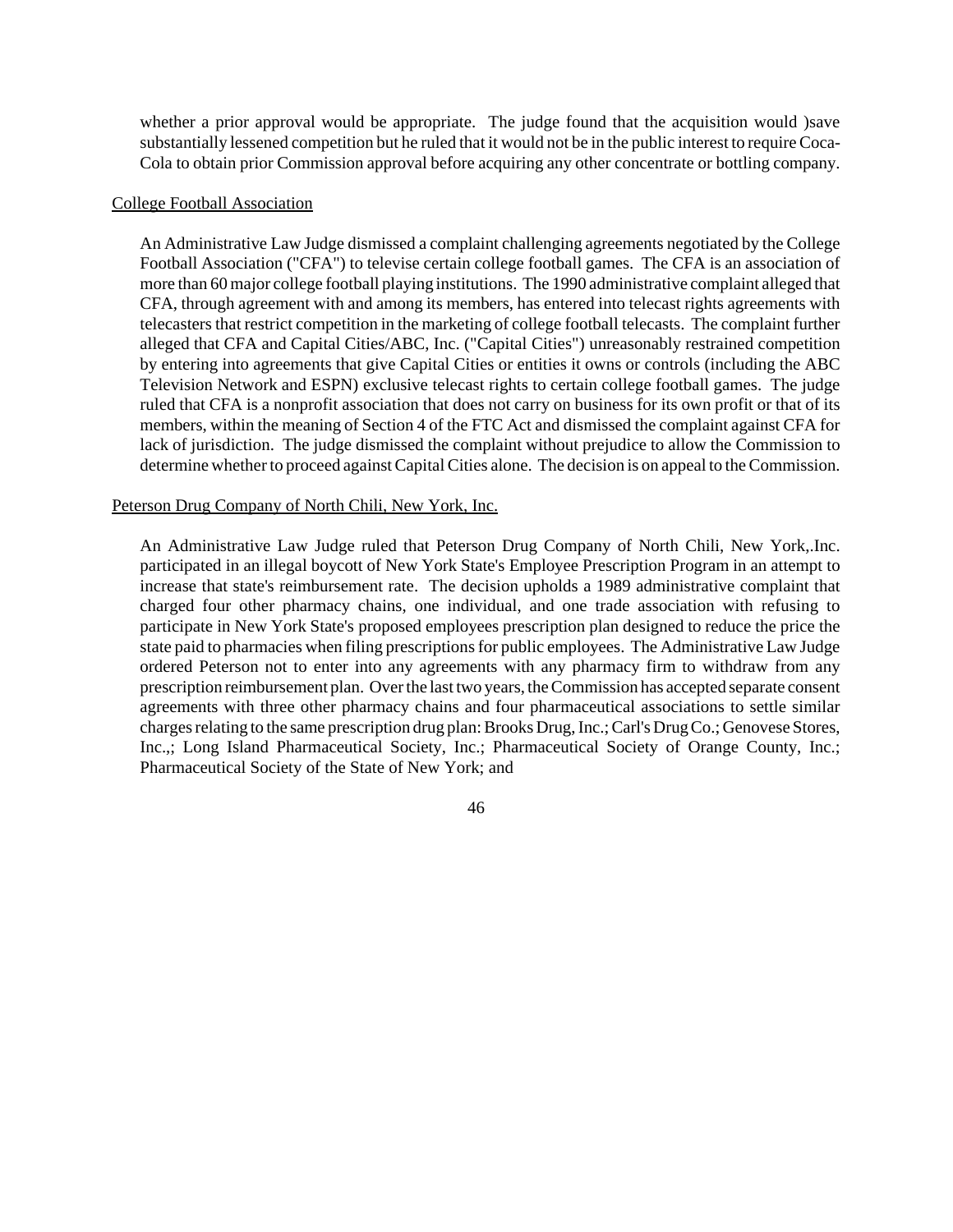whether a prior approval would be appropriate. The judge found that the acquisition would )save substantially lessened competition but he ruled that it would not be in the public interest to requireCoca-Cola to obtain prior Commission approval before acquiring any other concentrate or bottling company.

#### College Football Association

An Administrative Law Judge dismissed a complaint challenging agreements negotiated by the College Football Association ("CFA") to televise certain college football games. The CFA is an association of more than 60 major college football playing institutions. The 1990 administrative complaint alleged that CFA, through agreement with and among its members, has entered into telecast rights agreements with telecasters that restrict competition in the marketing of college football telecasts. The complaint further alleged that CFA and Capital Cities/ABC, Inc. ("Capital Cities") unreasonably restrained competition by entering into agreements that give Capital Cities or entities it owns or controls (including the ABC Television Network and ESPN) exclusive telecast rights to certain college football games. The judge ruled that CFA is a nonprofit association that does not carry on business for its own profit or that of its members, within the meaning of Section 4 of the FTC Act and dismissed the complaint against CFA for lack of jurisdiction. The judge dismissed the complaint without prejudice to allow the Commission to determine whether to proceed against Capital Cities alone. The decision is on appeal to the Commission.

## Peterson Drug Company of North Chili, New York, Inc.

An Administrative Law Judge ruled that Peterson Drug Company of North Chili, New York,.Inc. participated in an illegal boycott of New York State's Employee Prescription Program in an attempt to increase that state's reimbursement rate. The decision upholds a 1989 administrative complaint that charged four other pharmacy chains, one individual, and one trade association with refusing to participate in New York State's proposed employees prescription plan designed to reduce the price the state paid to pharmacies when filing prescriptions for public employees. The Administrative Law Judge ordered Peterson not to enter into any agreements with any pharmacy firm to withdraw from any prescription reimbursement plan. Over the last two years, the Commission has accepted separate consent agreements with three other pharmacy chains and four pharmaceutical associations to settle similar charges relating to the same prescription drug plan: Brooks Drug, Inc.; Carl's Drug Co.; Genovese Stores, Inc.,; Long Island Pharmaceutical Society, Inc.; Pharmaceutical Society of Orange County, Inc.; Pharmaceutical Society of the State of New York; and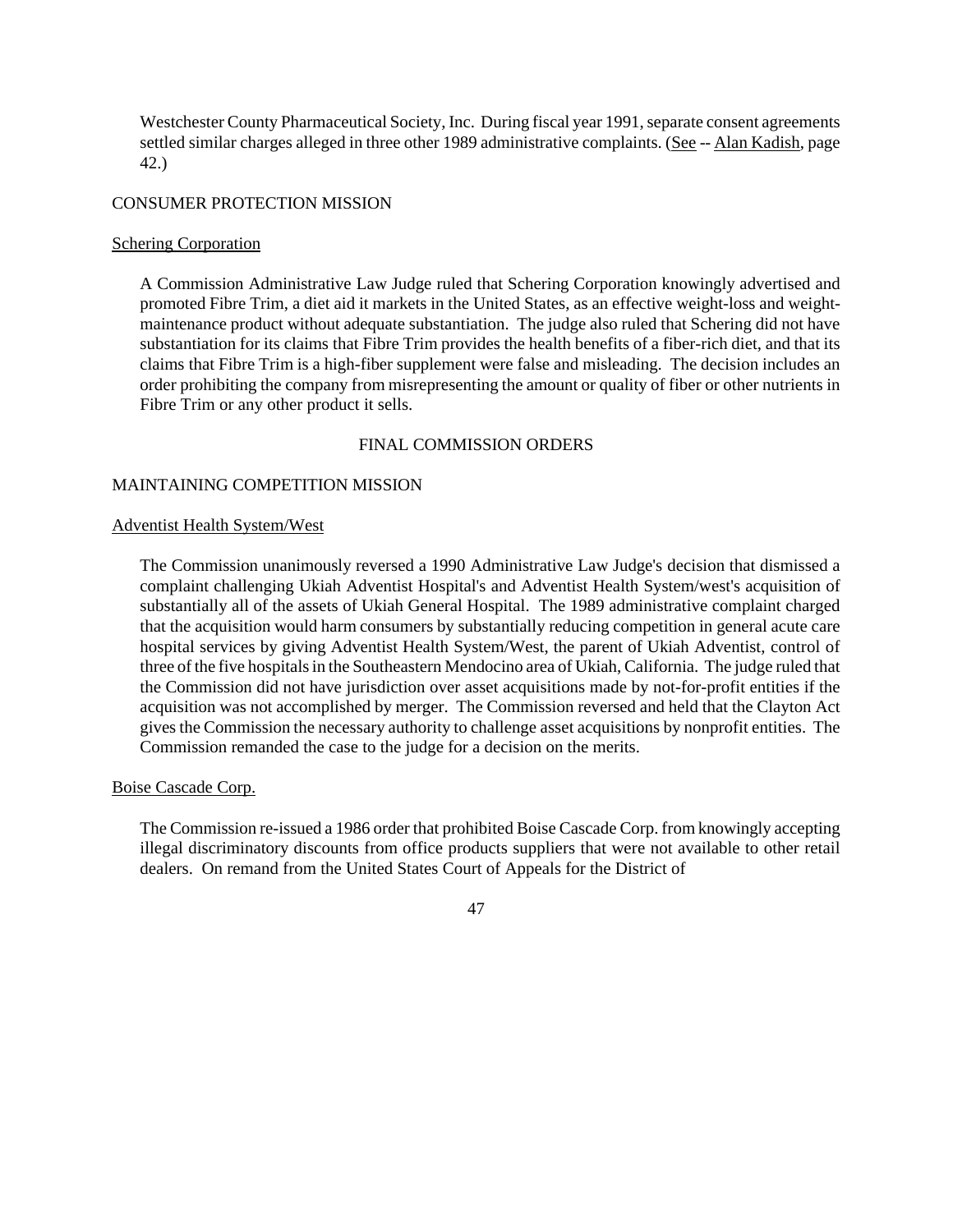Westchester County Pharmaceutical Society, Inc. During fiscal year 1991, separate consent agreements settled similar charges alleged in three other 1989 administrative complaints. (See -- Alan Kadish, page 42.)

## CONSUMER PROTECTION MISSION

## Schering Corporation

A Commission Administrative Law Judge ruled that Schering Corporation knowingly advertised and promoted Fibre Trim, a diet aid it markets in the United States, as an effective weight-loss and weightmaintenance product without adequate substantiation. The judge also ruled that Schering did not have substantiation for its claims that Fibre Trim provides the health benefits of a fiber-rich diet, and that its claims that Fibre Trim is a high-fiber supplement were false and misleading. The decision includes an order prohibiting the company from misrepresenting the amount or quality of fiber or other nutrients in Fibre Trim or any other product it sells.

# FINAL COMMISSION ORDERS

# MAINTAINING COMPETITION MISSION

## Adventist Health System/West

The Commission unanimously reversed a 1990 Administrative Law Judge's decision that dismissed a complaint challenging Ukiah Adventist Hospital's and Adventist Health System/west's acquisition of substantially all of the assets of Ukiah General Hospital. The 1989 administrative complaint charged that the acquisition would harm consumers by substantially reducing competition in general acute care hospital services by giving Adventist Health System/West, the parent of Ukiah Adventist, control of three of the five hospitals in the Southeastern Mendocino area of Ukiah, California. The judge ruled that the Commission did not have jurisdiction over asset acquisitions made by not-for-profit entities if the acquisition was not accomplished by merger. The Commission reversed and held that the Clayton Act givesthe Commission the necessary authority to challenge asset acquisitions by nonprofit entities. The Commission remanded the case to the judge for a decision on the merits.

## Boise Cascade Corp.

The Commission re-issued a 1986 order that prohibited Boise Cascade Corp. from knowingly accepting illegal discriminatory discounts from office products suppliers that were not available to other retail dealers. On remand from the United States Court of Appeals for the District of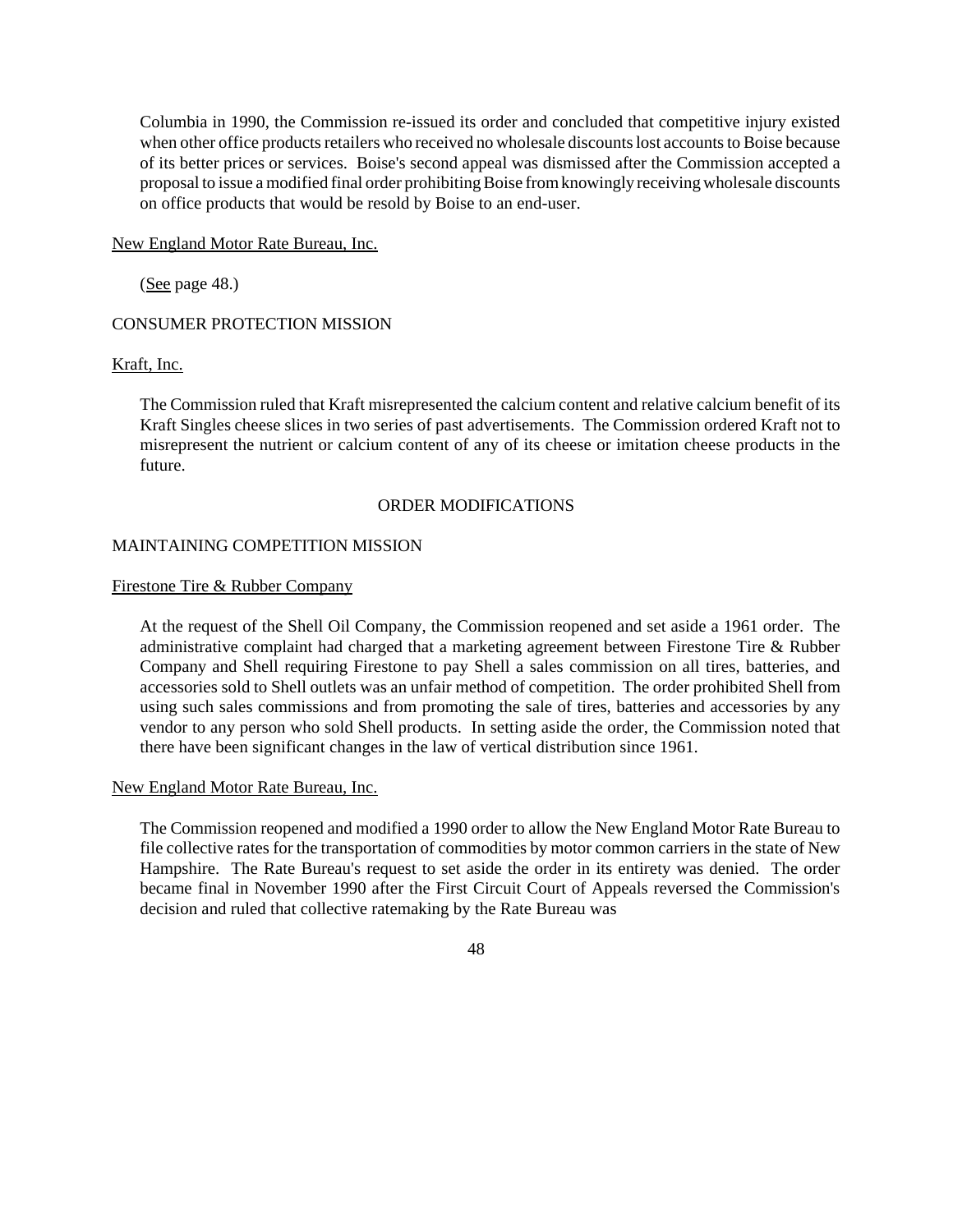Columbia in 1990, the Commission re-issued its order and concluded that competitive injury existed when other office products retailers who received no wholesale discounts lost accounts to Boise because of its better prices or services. Boise's second appeal was dismissed after the Commission accepted a proposal to issue a modified final order prohibiting Boise from knowingly receiving wholesale discounts on office products that would be resold by Boise to an end-user.

New England Motor Rate Bureau, Inc.

(See page 48.)

# CONSUMER PROTECTION MISSION

# Kraft, Inc.

The Commission ruled that Kraft misrepresented the calcium content and relative calcium benefit of its Kraft Singles cheese slices in two series of past advertisements. The Commission ordered Kraft not to misrepresent the nutrient or calcium content of any of its cheese or imitation cheese products in the future.

# ORDER MODIFICATIONS

# MAINTAINING COMPETITION MISSION

## Firestone Tire & Rubber Company

At the request of the Shell Oil Company, the Commission reopened and set aside a 1961 order. The administrative complaint had charged that a marketing agreement between Firestone Tire & Rubber Company and Shell requiring Firestone to pay Shell a sales commission on all tires, batteries, and accessories sold to Shell outlets was an unfair method of competition. The order prohibited Shell from using such sales commissions and from promoting the sale of tires, batteries and accessories by any vendor to any person who sold Shell products. In setting aside the order, the Commission noted that there have been significant changes in the law of vertical distribution since 1961.

## New England Motor Rate Bureau, Inc.

The Commission reopened and modified a 1990 order to allow the New England Motor Rate Bureau to file collective rates for the transportation of commodities by motor common carriers in the state of New Hampshire. The Rate Bureau's request to set aside the order in its entirety was denied. The order became final in November 1990 after the First Circuit Court of Appeals reversed the Commission's decision and ruled that collective ratemaking by the Rate Bureau was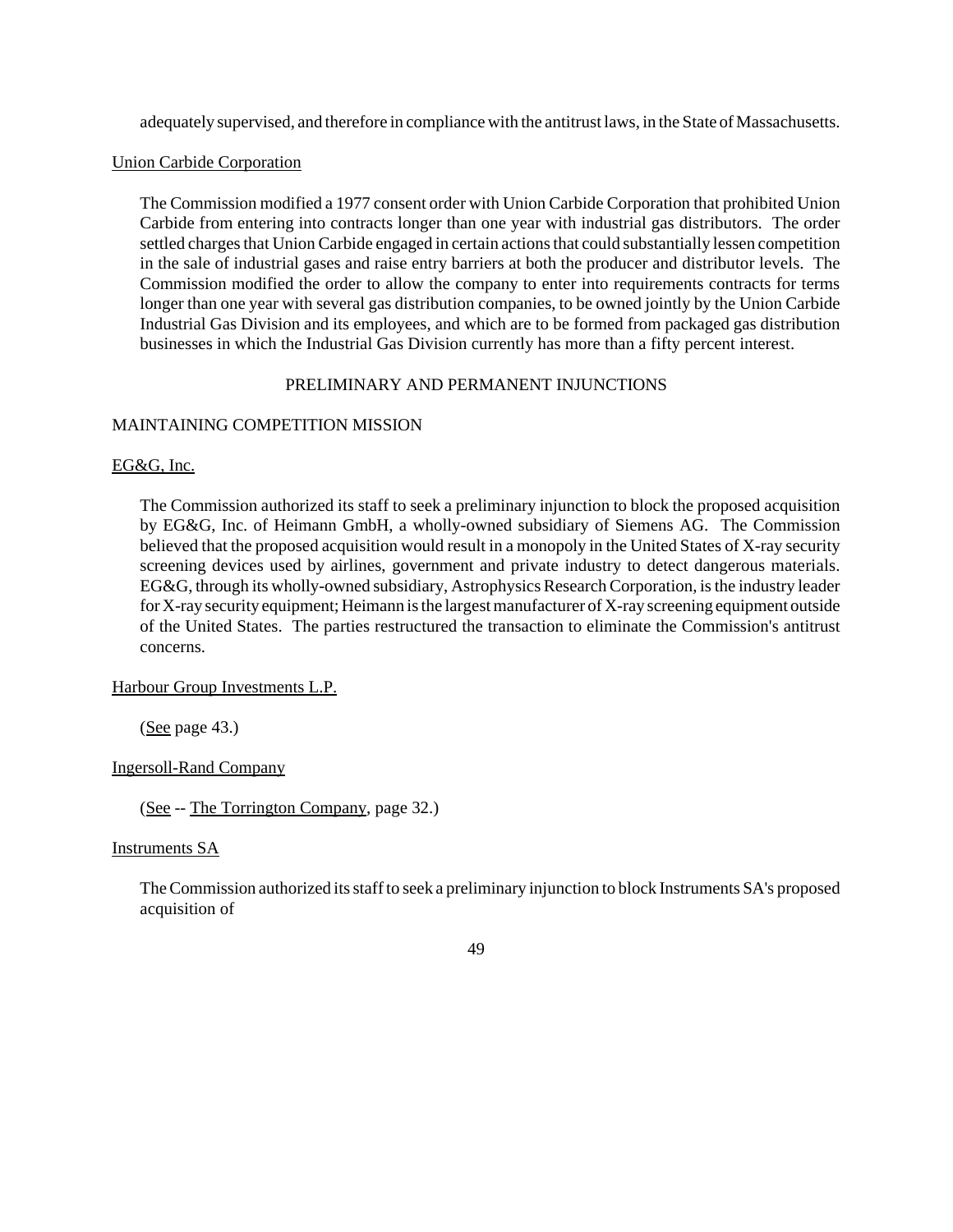adequately supervised, and therefore in compliance with the antitrust laws, in the State of Massachusetts.

# Union Carbide Corporation

The Commission modified a 1977 consent order with Union Carbide Corporation that prohibited Union Carbide from entering into contracts longer than one year with industrial gas distributors. The order settled charges that Union Carbide engaged in certain actions that could substantially lessen competition in the sale of industrial gases and raise entry barriers at both the producer and distributor levels. The Commission modified the order to allow the company to enter into requirements contracts for terms longer than one year with several gas distribution companies, to be owned jointly by the Union Carbide Industrial Gas Division and its employees, and which are to be formed from packaged gas distribution businesses in which the Industrial Gas Division currently has more than a fifty percent interest.

# PRELIMINARY AND PERMANENT INJUNCTIONS

# MAINTAINING COMPETITION MISSION

EG&G, Inc.

The Commission authorized its staff to seek a preliminary injunction to block the proposed acquisition by EG&G, Inc. of Heimann GmbH, a wholly-owned subsidiary of Siemens AG. The Commission believed that the proposed acquisition would result in a monopoly in the United States of X-ray security screening devices used by airlines, government and private industry to detect dangerous materials. EG&G, through its wholly-owned subsidiary, Astrophysics Research Corporation, is the industry leader for X-ray security equipment; Heimann is the largest manufacturer of X-ray screening equipment outside of the United States. The parties restructured the transaction to eliminate the Commission's antitrust concerns.

Harbour Group Investments L.P.

 $(See page 43.)$ 

Ingersoll-Rand Company

(See -- The Torrington Company, page 32.)

Instruments SA

TheCommission authorized itsstaffto seek a preliminary injunction to block Instruments SA's proposed acquisition of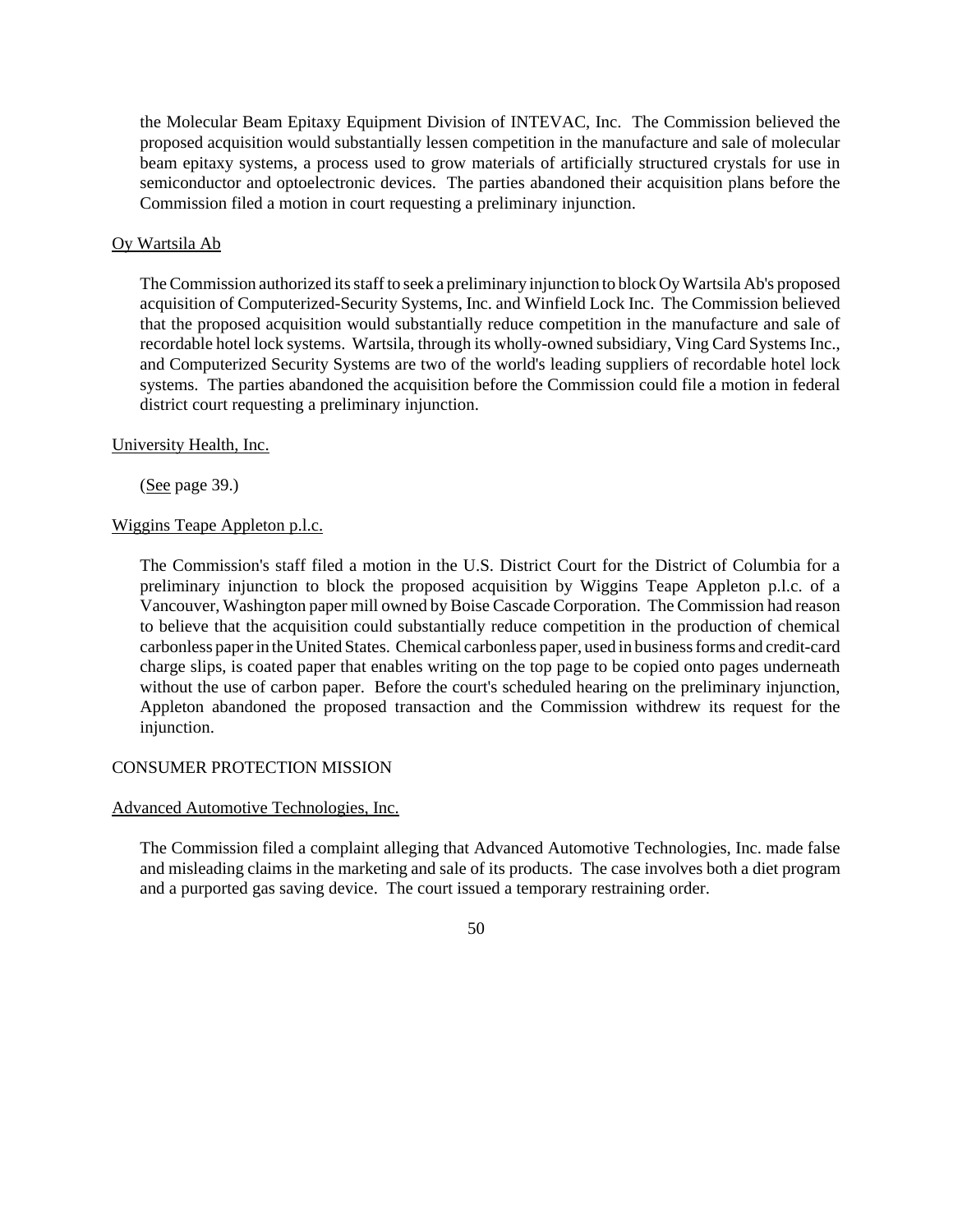the Molecular Beam Epitaxy Equipment Division of INTEVAC, Inc. The Commission believed the proposed acquisition would substantially lessen competition in the manufacture and sale of molecular beam epitaxy systems, a process used to grow materials of artificially structured crystals for use in semiconductor and optoelectronic devices. The parties abandoned their acquisition plans before the Commission filed a motion in court requesting a preliminary injunction.

## Oy Wartsila Ab

TheCommission authorized itsstaffto seek a preliminary injunction to blockOyWartsila Ab's proposed acquisition of Computerized-Security Systems, Inc. and Winfield Lock Inc. The Commission believed that the proposed acquisition would substantially reduce competition in the manufacture and sale of recordable hotel lock systems. Wartsila, through its wholly-owned subsidiary, Ving Card Systems Inc., and Computerized Security Systems are two of the world's leading suppliers of recordable hotel lock systems. The parties abandoned the acquisition before the Commission could file a motion in federal district court requesting a preliminary injunction.

## University Health, Inc.

(See page 39.)

# Wiggins Teape Appleton p.l.c.

The Commission's staff filed a motion in the U.S. District Court for the District of Columbia for a preliminary injunction to block the proposed acquisition by Wiggins Teape Appleton p.l.c. of a Vancouver, Washington paper mill owned by Boise Cascade Corporation. The Commission had reason to believe that the acquisition could substantially reduce competition in the production of chemical carbonless paperin theUnited States. Chemical carbonless paper, used in business forms and credit-card charge slips, is coated paper that enables writing on the top page to be copied onto pages underneath without the use of carbon paper. Before the court's scheduled hearing on the preliminary injunction, Appleton abandoned the proposed transaction and the Commission withdrew its request for the injunction.

## CONSUMER PROTECTION MISSION

## Advanced Automotive Technologies, Inc.

The Commission filed a complaint alleging that Advanced Automotive Technologies, Inc. made false and misleading claims in the marketing and sale of its products. The case involves both a diet program and a purported gas saving device. The court issued a temporary restraining order.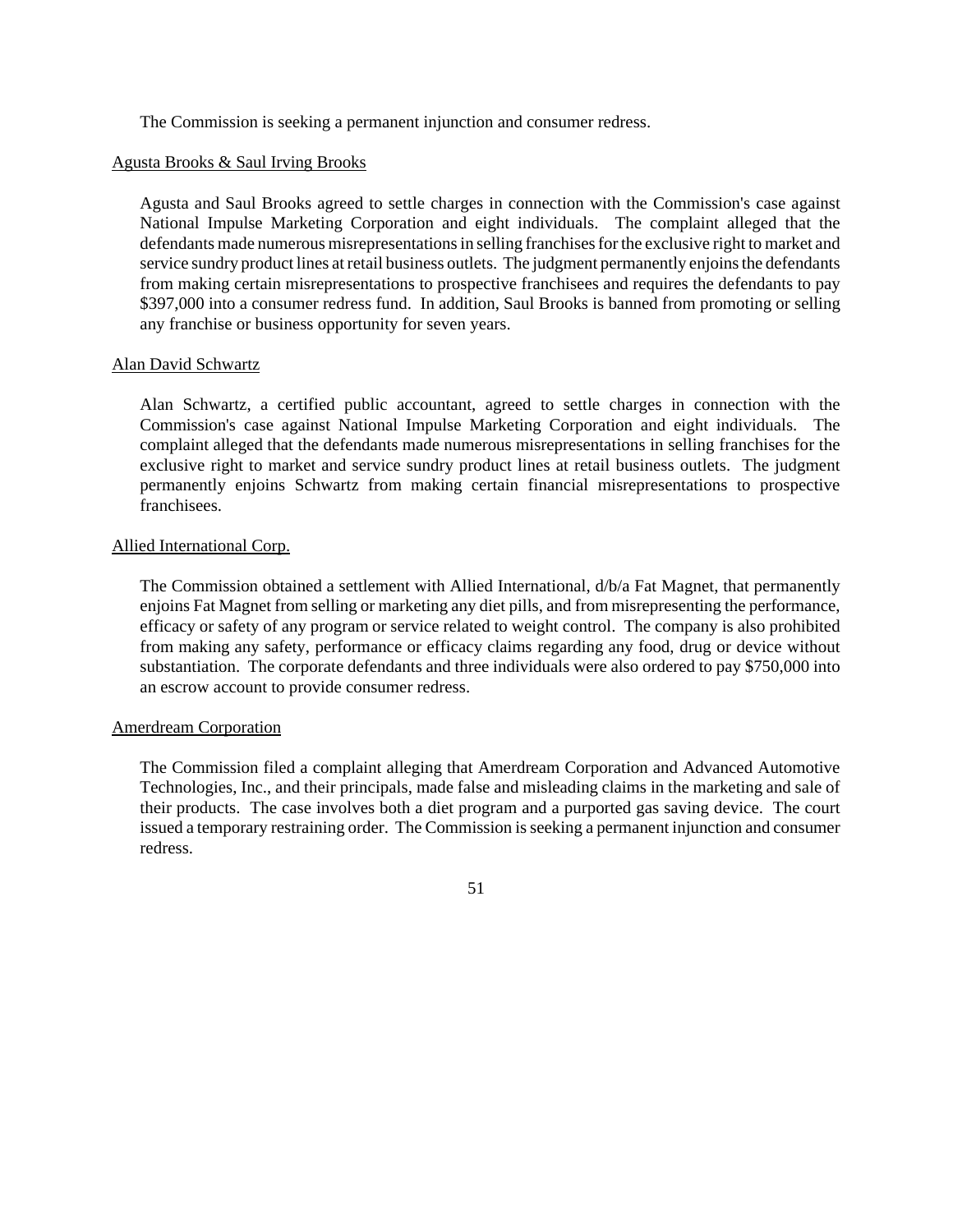The Commission is seeking a permanent injunction and consumer redress.

# Agusta Brooks & Saul Irving Brooks

Agusta and Saul Brooks agreed to settle charges in connection with the Commission's case against National Impulse Marketing Corporation and eight individuals. The complaint alleged that the defendants made numerous misrepresentations in selling franchises for the exclusive right to market and service sundry product lines at retail business outlets. The judgment permanently enjoins the defendants from making certain misrepresentations to prospective franchisees and requires the defendants to pay \$397,000 into a consumer redress fund. In addition, Saul Brooks is banned from promoting or selling any franchise or business opportunity for seven years.

# Alan David Schwartz

Alan Schwartz, a certified public accountant, agreed to settle charges in connection with the Commission's case against National Impulse Marketing Corporation and eight individuals. The complaint alleged that the defendants made numerous misrepresentations in selling franchises for the exclusive right to market and service sundry product lines at retail business outlets. The judgment permanently enjoins Schwartz from making certain financial misrepresentations to prospective franchisees.

# Allied International Corp.

The Commission obtained a settlement with Allied International, d/b/a Fat Magnet, that permanently enjoins Fat Magnet from selling or marketing any diet pills, and from misrepresenting the performance, efficacy or safety of any program or service related to weight control. The company is also prohibited from making any safety, performance or efficacy claims regarding any food, drug or device without substantiation. The corporate defendants and three individuals were also ordered to pay \$750,000 into an escrow account to provide consumer redress.

# Amerdream Corporation

The Commission filed a complaint alleging that Amerdream Corporation and Advanced Automotive Technologies, Inc., and their principals, made false and misleading claims in the marketing and sale of their products. The case involves both a diet program and a purported gas saving device. The court issued a temporary restraining order. The Commission is seeking a permanent injunction and consumer redress.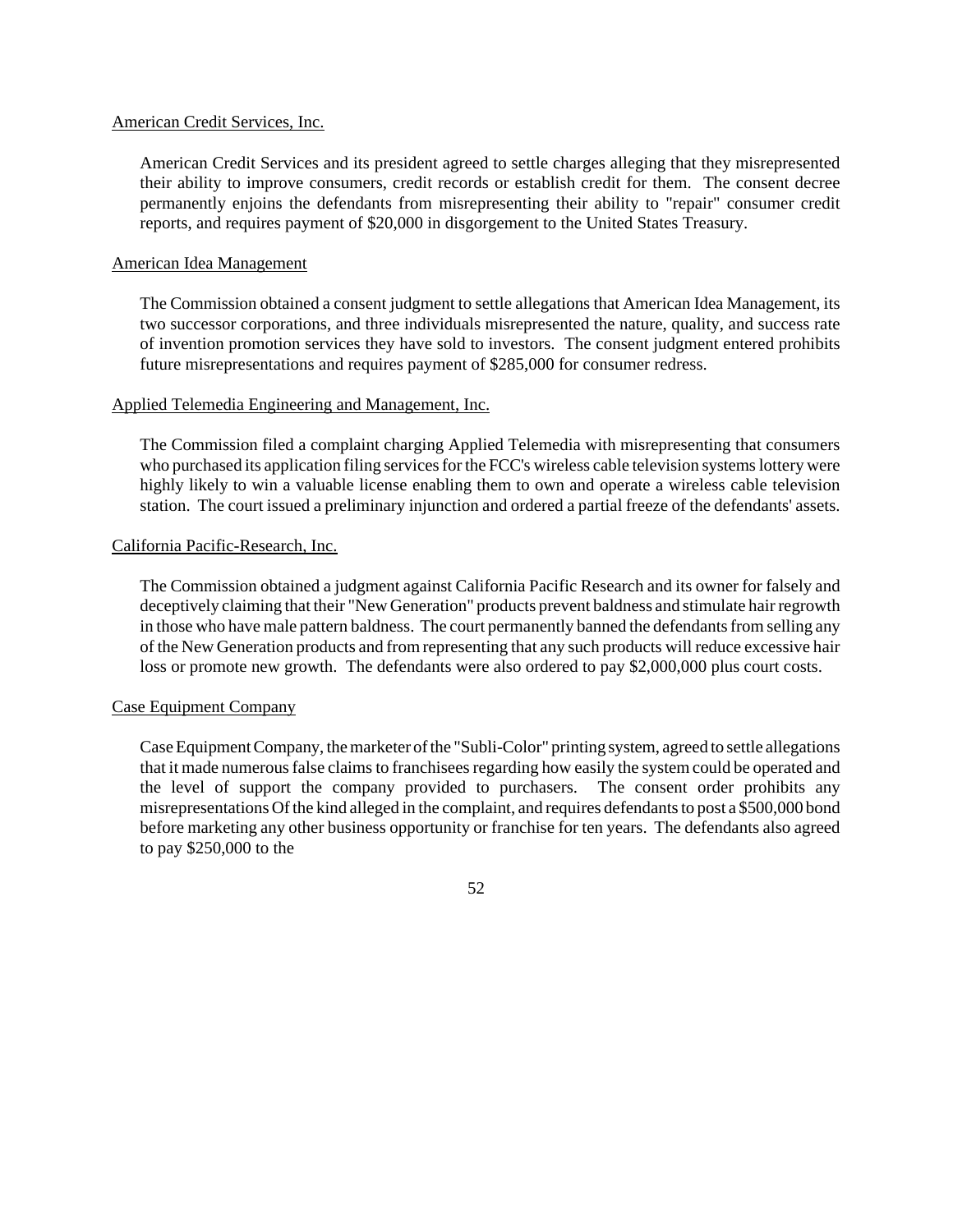### American Credit Services, Inc.

American Credit Services and its president agreed to settle charges alleging that they misrepresented their ability to improve consumers, credit records or establish credit for them. The consent decree permanently enjoins the defendants from misrepresenting their ability to "repair" consumer credit reports, and requires payment of \$20,000 in disgorgement to the United States Treasury.

### American Idea Management

The Commission obtained a consent judgment to settle allegations that American Idea Management, its two successor corporations, and three individuals misrepresented the nature, quality, and success rate of invention promotion services they have sold to investors. The consent judgment entered prohibits future misrepresentations and requires payment of \$285,000 for consumer redress.

### Applied Telemedia Engineering and Management, Inc.

The Commission filed a complaint charging Applied Telemedia with misrepresenting that consumers who purchased its application filing services for the FCC's wireless cable television systems lottery were highly likely to win a valuable license enabling them to own and operate a wireless cable television station. The court issued a preliminary injunction and ordered a partial freeze of the defendants' assets.

### California Pacific-Research, Inc.

The Commission obtained a judgment against California Pacific Research and its owner for falsely and deceptively claiming that their "New Generation" products prevent baldness and stimulate hair regrowth in those who have male pattern baldness. The court permanently banned the defendants from selling any of the New Generation products and fromrepresenting that any such products will reduce excessive hair loss or promote new growth. The defendants were also ordered to pay \$2,000,000 plus court costs.

## Case Equipment Company

Case Equipment Company, the marketer of the "Subli-Color" printing system, agreed to settle allegations that it made numerous false claims to franchisees regarding how easily the system could be operated and the level of support the company provided to purchasers. The consent order prohibits any misrepresentations Of the kind alleged in the complaint, and requires defendants to post a \$500,000 bond before marketing any other business opportunity or franchise for ten years. The defendants also agreed to pay \$250,000 to the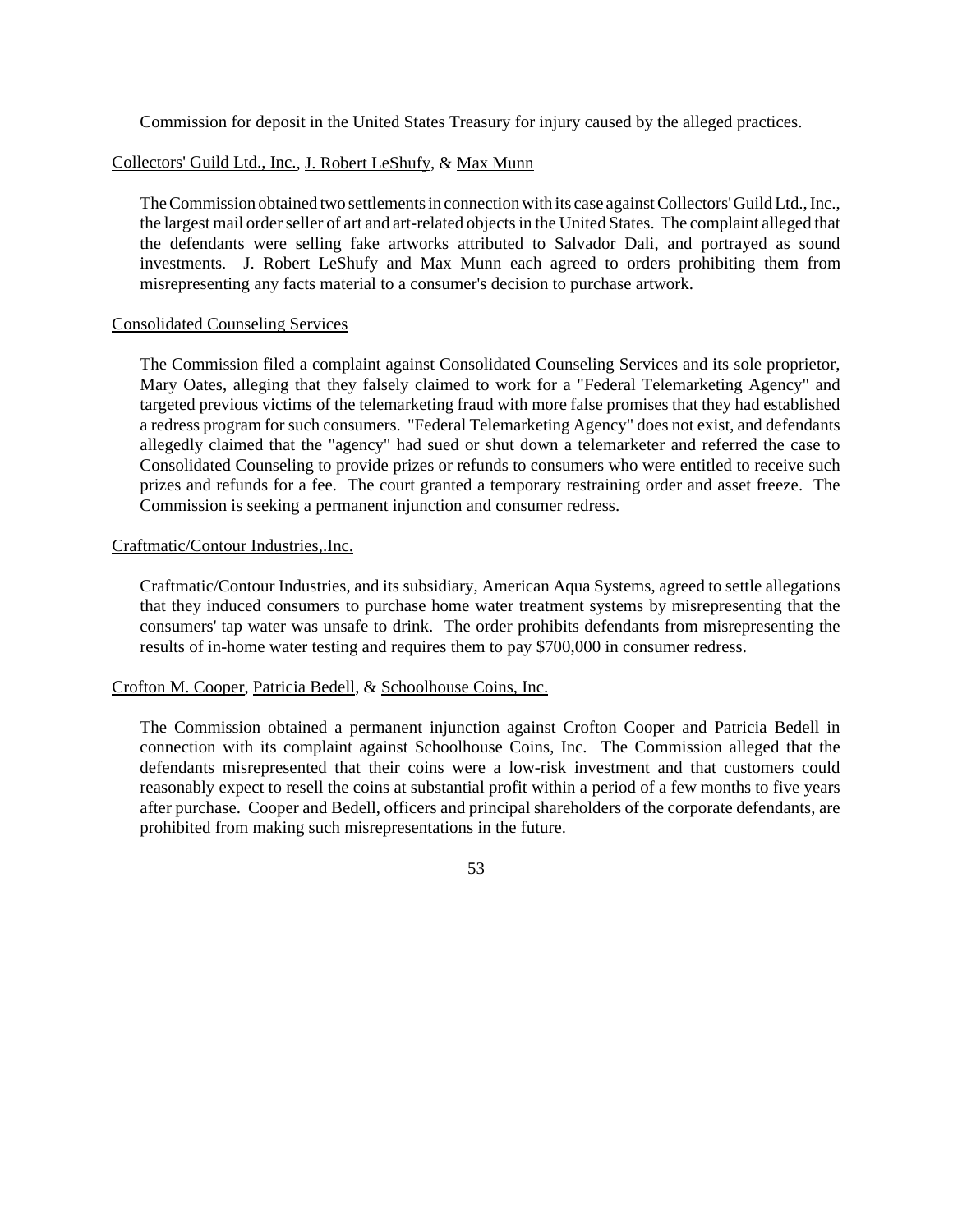Commission for deposit in the United States Treasury for injury caused by the alleged practices.

# Collectors' Guild Ltd., Inc., J. Robert LeShufy, & Max Munn

The Commission obtained two settlements in connection with its case against Collectors' Guild Ltd., Inc., the largest mail order seller of art and art-related objects in the United States. The complaint alleged that the defendants were selling fake artworks attributed to Salvador Dali, and portrayed as sound investments. J. Robert LeShufy and Max Munn each agreed to orders prohibiting them from misrepresenting any facts material to a consumer's decision to purchase artwork.

# Consolidated Counseling Services

The Commission filed a complaint against Consolidated Counseling Services and its sole proprietor, Mary Oates, alleging that they falsely claimed to work for a "Federal Telemarketing Agency" and targeted previous victims of the telemarketing fraud with more false promises that they had established a redress program for such consumers. "Federal Telemarketing Agency" does not exist, and defendants allegedly claimed that the "agency" had sued or shut down a telemarketer and referred the case to Consolidated Counseling to provide prizes or refunds to consumers who were entitled to receive such prizes and refunds for a fee. The court granted a temporary restraining order and asset freeze. The Commission is seeking a permanent injunction and consumer redress.

# Craftmatic/Contour Industries,.Inc.

Craftmatic/Contour Industries, and its subsidiary, American Aqua Systems, agreed to settle allegations that they induced consumers to purchase home water treatment systems by misrepresenting that the consumers' tap water was unsafe to drink. The order prohibits defendants from misrepresenting the results of in-home water testing and requires them to pay \$700,000 in consumer redress.

# Crofton M. Cooper, Patricia Bedell, & Schoolhouse Coins, Inc.

The Commission obtained a permanent injunction against Crofton Cooper and Patricia Bedell in connection with its complaint against Schoolhouse Coins, Inc. The Commission alleged that the defendants misrepresented that their coins were a low-risk investment and that customers could reasonably expect to resell the coins at substantial profit within a period of a few months to five years after purchase. Cooper and Bedell, officers and principal shareholders of the corporate defendants, are prohibited from making such misrepresentations in the future.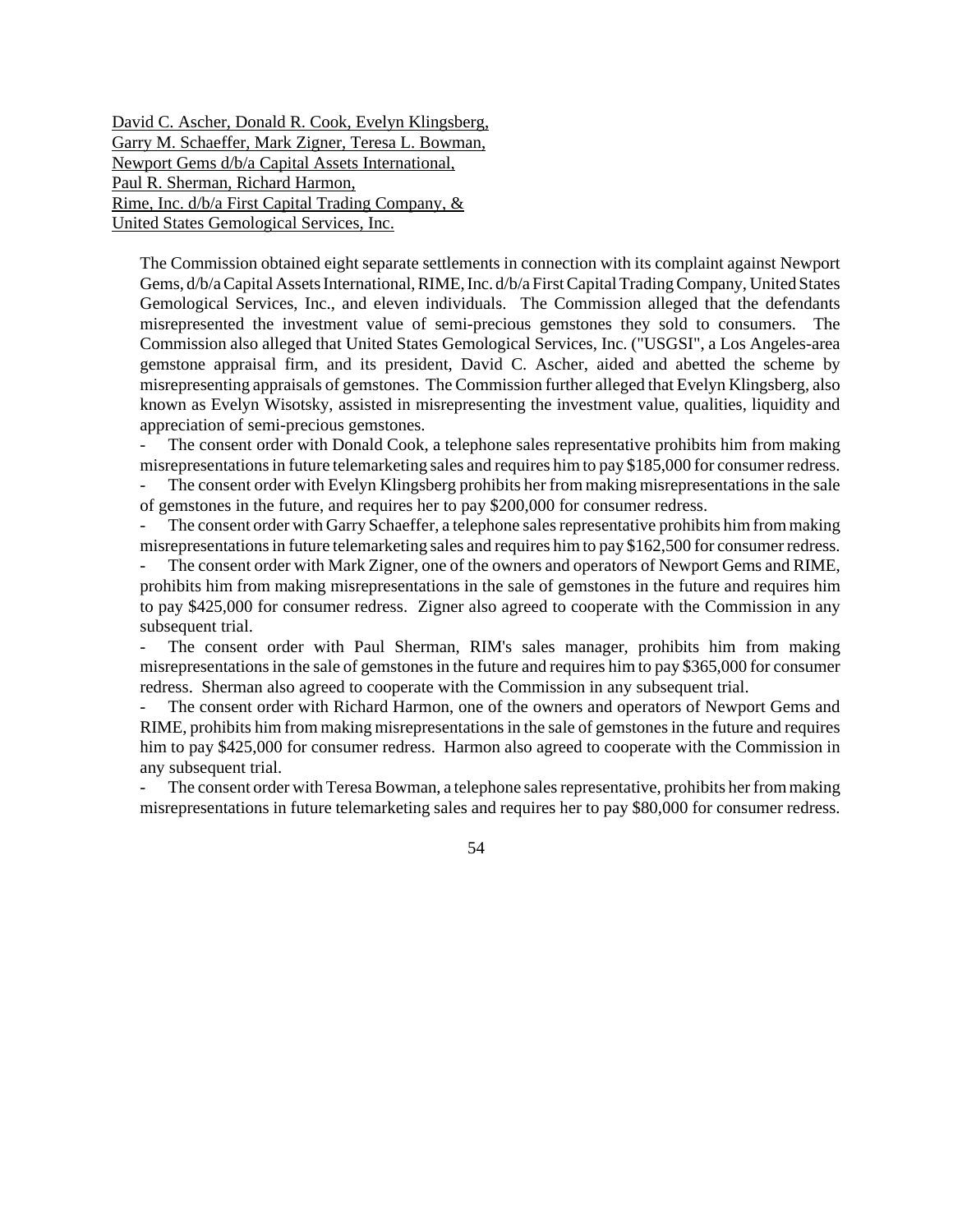David C. Ascher, Donald R. Cook, Evelyn Klingsberg, Garry M. Schaeffer, Mark Zigner, Teresa L. Bowman, Newport Gems d/b/a Capital Assets International, Paul R. Sherman, Richard Harmon, Rime, Inc. d/b/a First Capital Trading Company, & United States Gemological Services, Inc.

The Commission obtained eight separate settlements in connection with its complaint against Newport Gems, d/b/a Capital Assets International, RIME, Inc. d/b/a First Capital Trading Company, United States Gemological Services, Inc., and eleven individuals. The Commission alleged that the defendants misrepresented the investment value of semi-precious gemstones they sold to consumers. The Commission also alleged that United States Gemological Services, Inc. ("USGSI", a Los Angeles-area gemstone appraisal firm, and its president, David C. Ascher, aided and abetted the scheme by misrepresenting appraisals of gemstones. The Commission further alleged that Evelyn Klingsberg, also known as Evelyn Wisotsky, assisted in misrepresenting the investment value, qualities, liquidity and appreciation of semi-precious gemstones.

The consent order with Donald Cook, a telephone sales representative prohibits him from making misrepresentations in future telemarketing sales and requires him to pay \$185,000 for consumer redress. The consent order with Evelyn Klingsberg prohibits her from making misrepresentations in the sale

of gemstones in the future, and requires her to pay \$200,000 for consumer redress.

The consent order with Garry Schaeffer, a telephone sales representative prohibits him from making misrepresentations in future telemarketing sales and requires him to pay \$162,500 for consumer redress.

The consent order with Mark Zigner, one of the owners and operators of Newport Gems and RIME, prohibits him from making misrepresentations in the sale of gemstones in the future and requires him to pay \$425,000 for consumer redress. Zigner also agreed to cooperate with the Commission in any subsequent trial.

The consent order with Paul Sherman, RIM's sales manager, prohibits him from making misrepresentations in the sale of gemstones in the future and requires him to pay \$365,000 for consumer redress. Sherman also agreed to cooperate with the Commission in any subsequent trial.

The consent order with Richard Harmon, one of the owners and operators of Newport Gems and RIME, prohibits him from making misrepresentations in the sale of gemstones in the future and requires him to pay \$425,000 for consumer redress. Harmon also agreed to cooperate with the Commission in any subsequent trial.

The consent order with Teresa Bowman, a telephone sales representative, prohibits her from making misrepresentations in future telemarketing sales and requires her to pay \$80,000 for consumer redress.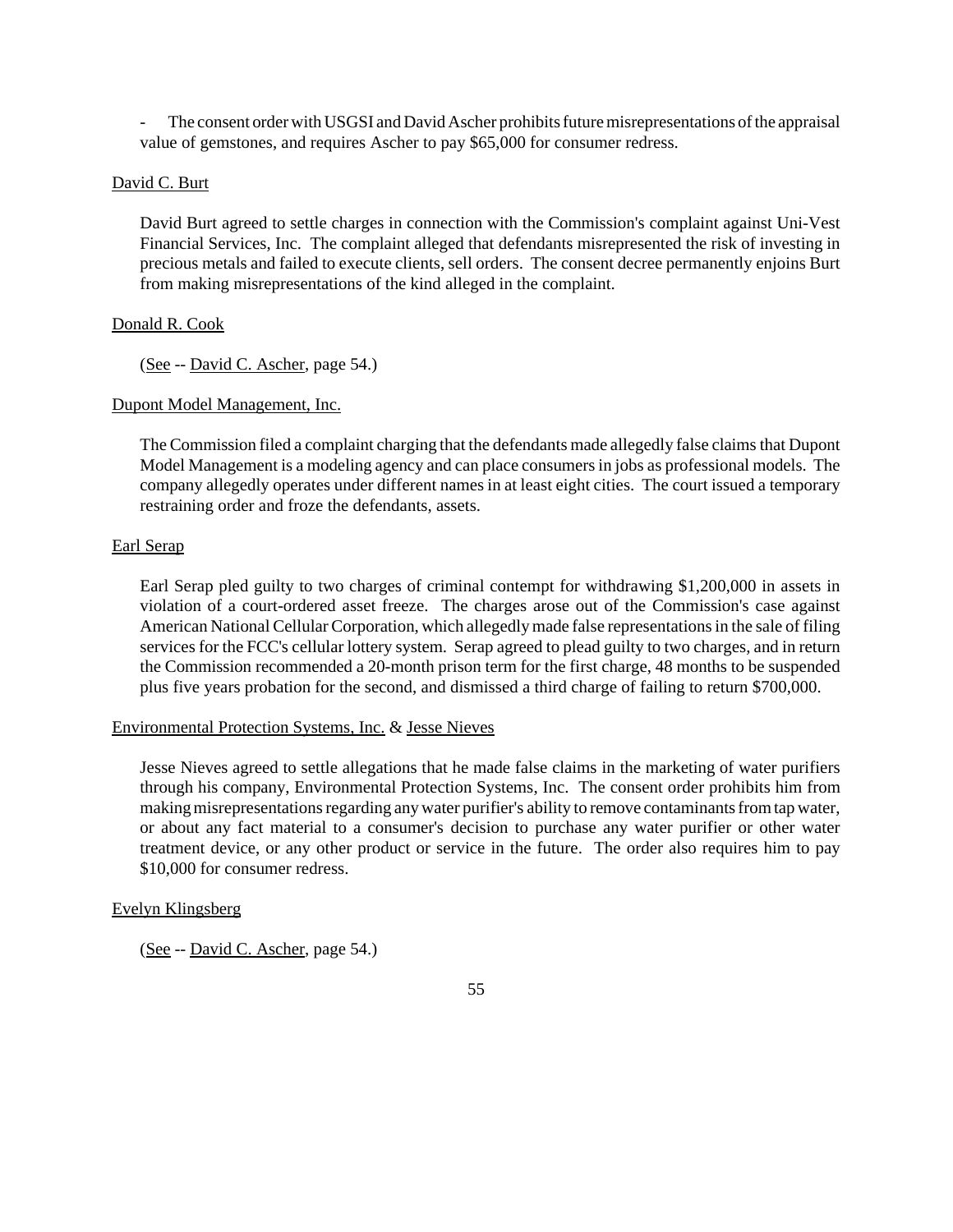The consent order with USGSI and David Ascher prohibits future misrepresentations of the appraisal value of gemstones, and requires Ascher to pay \$65,000 for consumer redress.

# David C. Burt

David Burt agreed to settle charges in connection with the Commission's complaint against Uni-Vest Financial Services, Inc. The complaint alleged that defendants misrepresented the risk of investing in precious metals and failed to execute clients, sell orders. The consent decree permanently enjoins Burt from making misrepresentations of the kind alleged in the complaint.

### Donald R. Cook

(See -- David C. Ascher, page 54.)

### Dupont Model Management, Inc.

The Commission filed a complaint charging that the defendants made allegedly false claimsthat Dupont Model Management is a modeling agency and can place consumersin jobs as professional models. The company allegedly operates under different names in at least eight cities. The court issued a temporary restraining order and froze the defendants, assets.

### Earl Serap

Earl Serap pled guilty to two charges of criminal contempt for withdrawing \$1,200,000 in assets in violation of a court-ordered asset freeze. The charges arose out of the Commission's case against American National Cellular Corporation, which allegedly made false representations in the sale of filing services for the FCC's cellular lottery system. Serap agreed to plead guilty to two charges, and in return the Commission recommended a 20-month prison term for the first charge, 48 months to be suspended plus five years probation for the second, and dismissed a third charge of failing to return \$700,000.

#### Environmental Protection Systems, Inc. & Jesse Nieves

Jesse Nieves agreed to settle allegations that he made false claims in the marketing of water purifiers through his company, Environmental Protection Systems, Inc. The consent order prohibits him from making misrepresentations regarding any water purifier's ability to remove contaminants from tap water, or about any fact material to a consumer's decision to purchase any water purifier or other water treatment device, or any other product or service in the future. The order also requires him to pay \$10,000 for consumer redress.

### Evelyn Klingsberg

(See -- David C. Ascher, page 54.)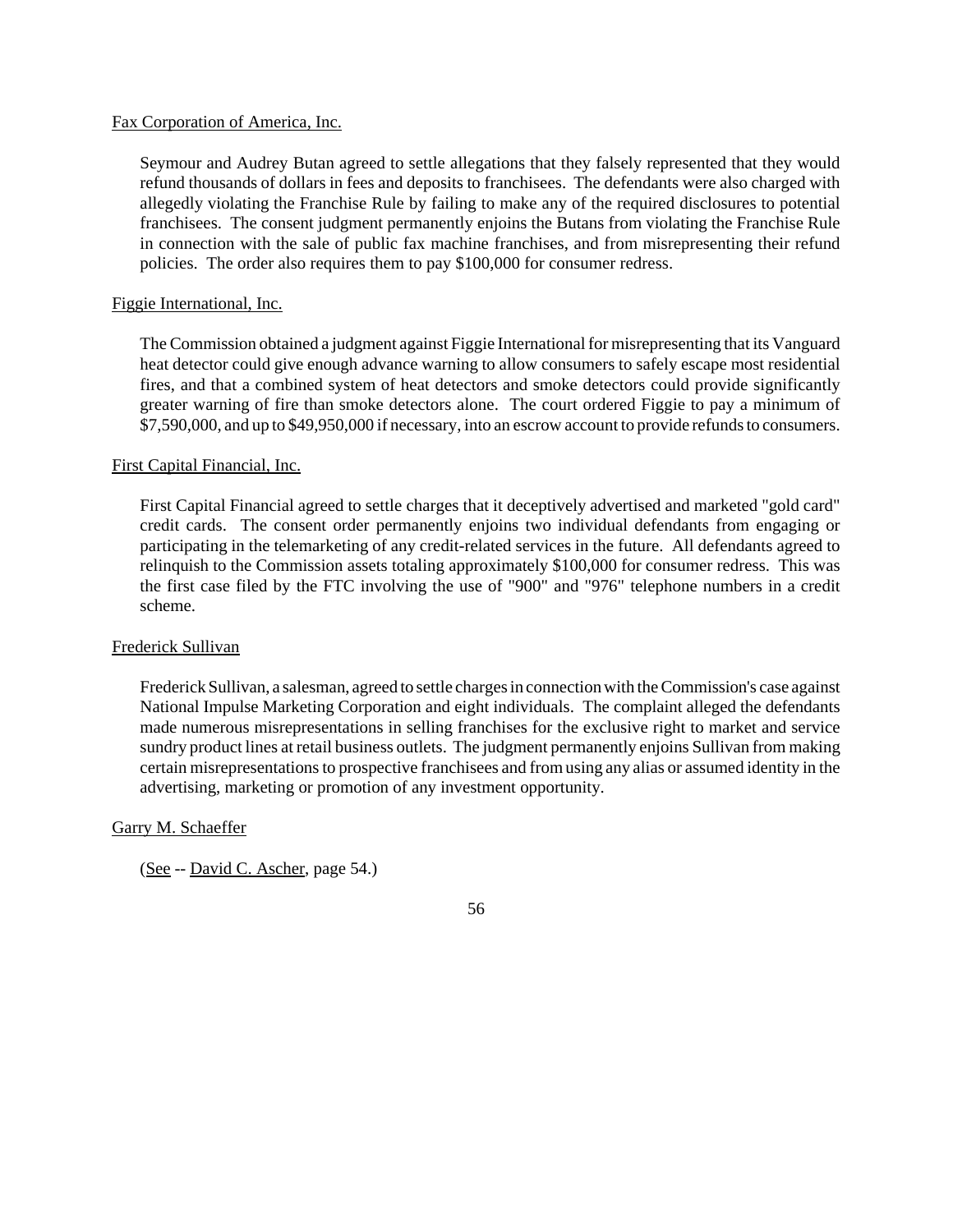### Fax Corporation of America, Inc.

Seymour and Audrey Butan agreed to settle allegations that they falsely represented that they would refund thousands of dollars in fees and deposits to franchisees. The defendants were also charged with allegedly violating the Franchise Rule by failing to make any of the required disclosures to potential franchisees. The consent judgment permanently enjoins the Butans from violating the Franchise Rule in connection with the sale of public fax machine franchises, and from misrepresenting their refund policies. The order also requires them to pay \$100,000 for consumer redress.

# Figgie International, Inc.

The Commission obtained a judgment against Figgie International for misrepresenting that its Vanguard heat detector could give enough advance warning to allow consumers to safely escape most residential fires, and that a combined system of heat detectors and smoke detectors could provide significantly greater warning of fire than smoke detectors alone. The court ordered Figgie to pay a minimum of \$7,590,000, and up to \$49,950,000 if necessary, into an escrow account to provide refunds to consumers.

# First Capital Financial, Inc.

First Capital Financial agreed to settle charges that it deceptively advertised and marketed "gold card" credit cards. The consent order permanently enjoins two individual defendants from engaging or participating in the telemarketing of any credit-related services in the future. All defendants agreed to relinquish to the Commission assets totaling approximately \$100,000 for consumer redress. This was the first case filed by the FTC involving the use of "900" and "976" telephone numbers in a credit scheme.

## Frederick Sullivan

Frederick Sullivan, a salesman, agreed to settle charges in connection with the Commission's case against National Impulse Marketing Corporation and eight individuals. The complaint alleged the defendants made numerous misrepresentations in selling franchises for the exclusive right to market and service sundry product lines at retail business outlets. The judgment permanently enjoins Sullivan from making certain misrepresentationsto prospective franchisees and fromusing any alias or assumed identity in the advertising, marketing or promotion of any investment opportunity.

## Garry M. Schaeffer

(See -- David C. Ascher, page 54.)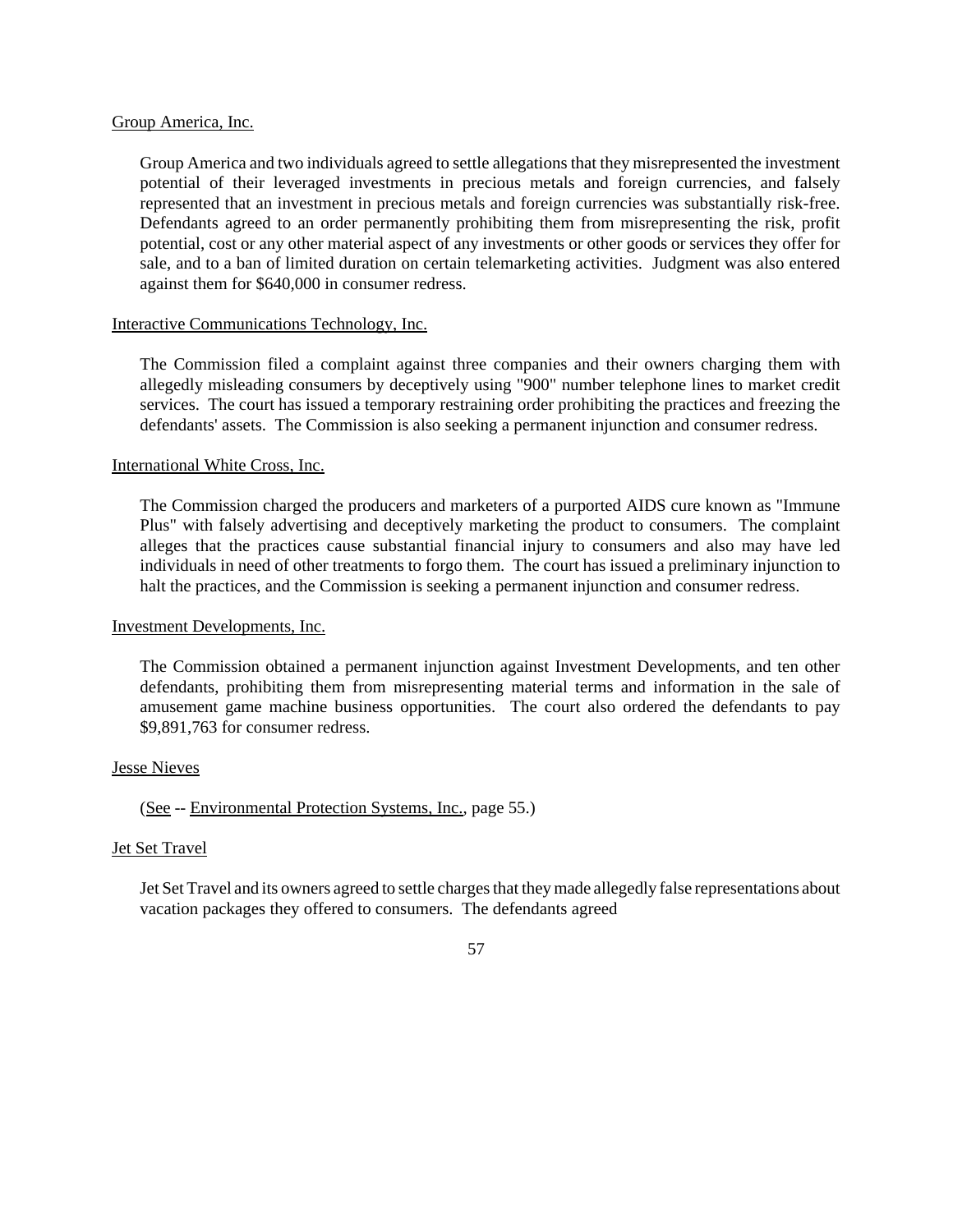### Group America, Inc.

Group America and two individuals agreed to settle allegations that they misrepresented the investment potential of their leveraged investments in precious metals and foreign currencies, and falsely represented that an investment in precious metals and foreign currencies was substantially risk-free. Defendants agreed to an order permanently prohibiting them from misrepresenting the risk, profit potential, cost or any other material aspect of any investments or other goods or services they offer for sale, and to a ban of limited duration on certain telemarketing activities. Judgment was also entered against them for \$640,000 in consumer redress.

# Interactive Communications Technology, Inc.

The Commission filed a complaint against three companies and their owners charging them with allegedly misleading consumers by deceptively using "900" number telephone lines to market credit services. The court has issued a temporary restraining order prohibiting the practices and freezing the defendants' assets. The Commission is also seeking a permanent injunction and consumer redress.

# International White Cross, Inc.

The Commission charged the producers and marketers of a purported AIDS cure known as "Immune Plus" with falsely advertising and deceptively marketing the product to consumers. The complaint alleges that the practices cause substantial financial injury to consumers and also may have led individuals in need of other treatments to forgo them. The court has issued a preliminary injunction to halt the practices, and the Commission is seeking a permanent injunction and consumer redress.

## Investment Developments, Inc.

The Commission obtained a permanent injunction against Investment Developments, and ten other defendants, prohibiting them from misrepresenting material terms and information in the sale of amusement game machine business opportunities. The court also ordered the defendants to pay \$9,891,763 for consumer redress.

## Jesse Nieves

# (See -- Environmental Protection Systems, Inc., page 55.)

## Jet Set Travel

Jet Set Travel and its owners agreed to settle charges that they made allegedly false representations about vacation packages they offered to consumers. The defendants agreed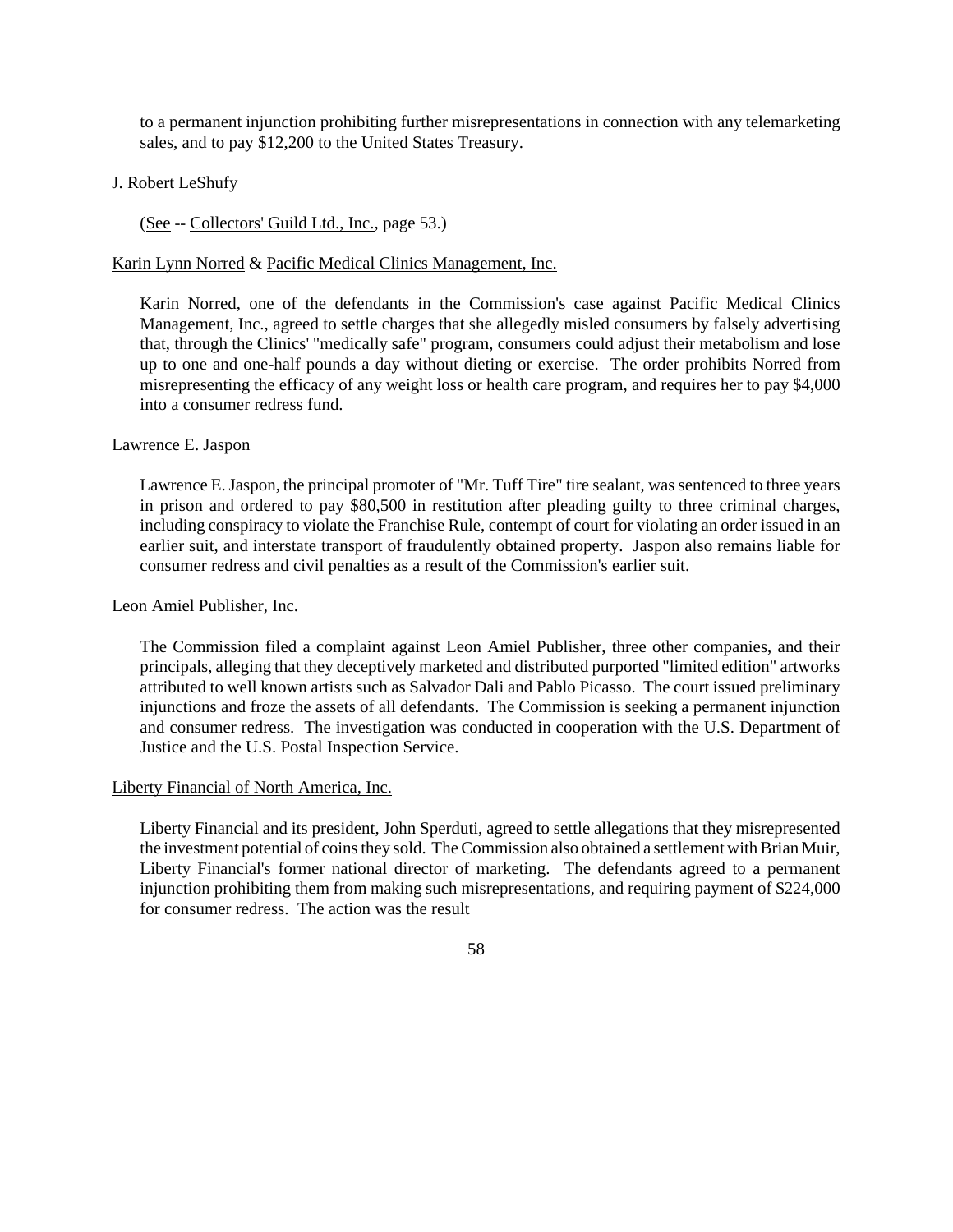to a permanent injunction prohibiting further misrepresentations in connection with any telemarketing sales, and to pay \$12,200 to the United States Treasury.

# J. Robert LeShufy

(See -- Collectors' Guild Ltd., Inc., page 53.)

## Karin Lynn Norred & Pacific Medical Clinics Management, Inc.

Karin Norred, one of the defendants in the Commission's case against Pacific Medical Clinics Management, Inc., agreed to settle charges that she allegedly misled consumers by falsely advertising that, through the Clinics' "medically safe" program, consumers could adjust their metabolism and lose up to one and one-half pounds a day without dieting or exercise. The order prohibits Norred from misrepresenting the efficacy of any weight loss or health care program, and requires her to pay \$4,000 into a consumer redress fund.

### Lawrence E. Jaspon

Lawrence E.Jaspon, the principal promoter of "Mr. Tuff Tire" tire sealant, was sentenced to three years in prison and ordered to pay \$80,500 in restitution after pleading guilty to three criminal charges, including conspiracy to violate the Franchise Rule, contempt of court for violating an order issued in an earlier suit, and interstate transport of fraudulently obtained property. Jaspon also remains liable for consumer redress and civil penalties as a result of the Commission's earlier suit.

### Leon Amiel Publisher, Inc.

The Commission filed a complaint against Leon Amiel Publisher, three other companies, and their principals, alleging that they deceptively marketed and distributed purported "limited edition" artworks attributed to well known artists such as Salvador Dali and Pablo Picasso. The court issued preliminary injunctions and froze the assets of all defendants. The Commission is seeking a permanent injunction and consumer redress. The investigation was conducted in cooperation with the U.S. Department of Justice and the U.S. Postal Inspection Service.

## Liberty Financial of North America, Inc.

Liberty Financial and its president, John Sperduti, agreed to settle allegations that they misrepresented the investment potential of coins they sold. The Commission also obtained a settlement with Brian Muir, Liberty Financial's former national director of marketing. The defendants agreed to a permanent injunction prohibiting them from making such misrepresentations, and requiring payment of \$224,000 for consumer redress. The action was the result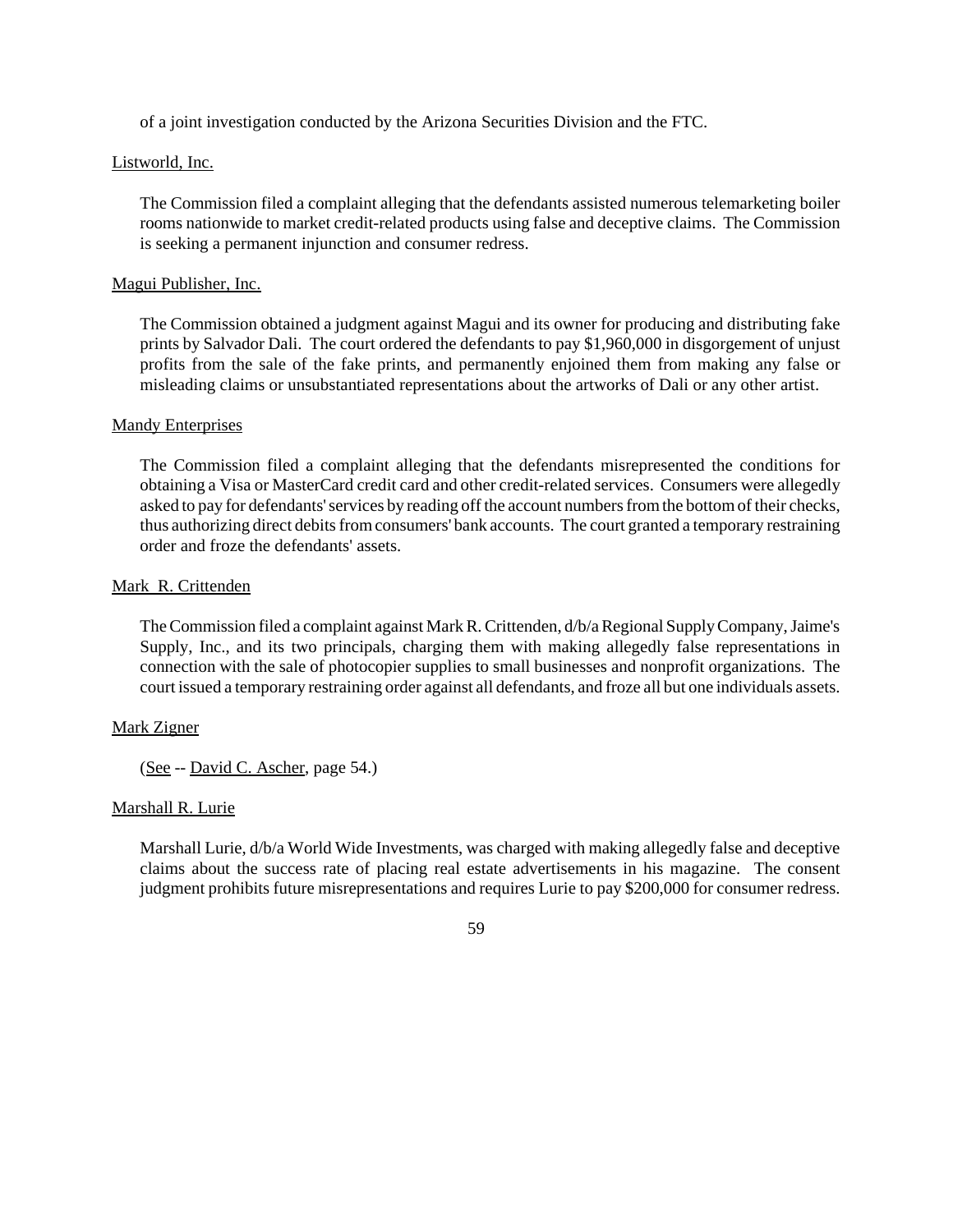of a joint investigation conducted by the Arizona Securities Division and the FTC.

## Listworld, Inc.

The Commission filed a complaint alleging that the defendants assisted numerous telemarketing boiler rooms nationwide to market credit-related products using false and deceptive claims. The Commission is seeking a permanent injunction and consumer redress.

### Magui Publisher, Inc.

The Commission obtained a judgment against Magui and its owner for producing and distributing fake prints by Salvador Dali. The court ordered the defendants to pay \$1,960,000 in disgorgement of unjust profits from the sale of the fake prints, and permanently enjoined them from making any false or misleading claims or unsubstantiated representations about the artworks of Dali or any other artist.

### **Mandy Enterprises**

The Commission filed a complaint alleging that the defendants misrepresented the conditions for obtaining a Visa or MasterCard credit card and other credit-related services. Consumers were allegedly asked to pay for defendants' services by reading off the account numbers from the bottom of their checks, thus authorizing direct debits from consumers' bank accounts. The court granted a temporary restraining order and froze the defendants' assets.

### Mark R. Crittenden

The Commission filed a complaint against Mark R. Crittenden, d/b/a Regional Supply Company, Jaime's Supply, Inc., and its two principals, charging them with making allegedly false representations in connection with the sale of photocopier supplies to small businesses and nonprofit organizations. The court issued a temporary restraining order against all defendants, and froze all but one individuals assets.

## Mark Zigner

(See -- David C. Ascher, page 54.)

## Marshall R. Lurie

Marshall Lurie, d/b/a World Wide Investments, was charged with making allegedly false and deceptive claims about the success rate of placing real estate advertisements in his magazine. The consent judgment prohibits future misrepresentations and requires Lurie to pay \$200,000 for consumer redress.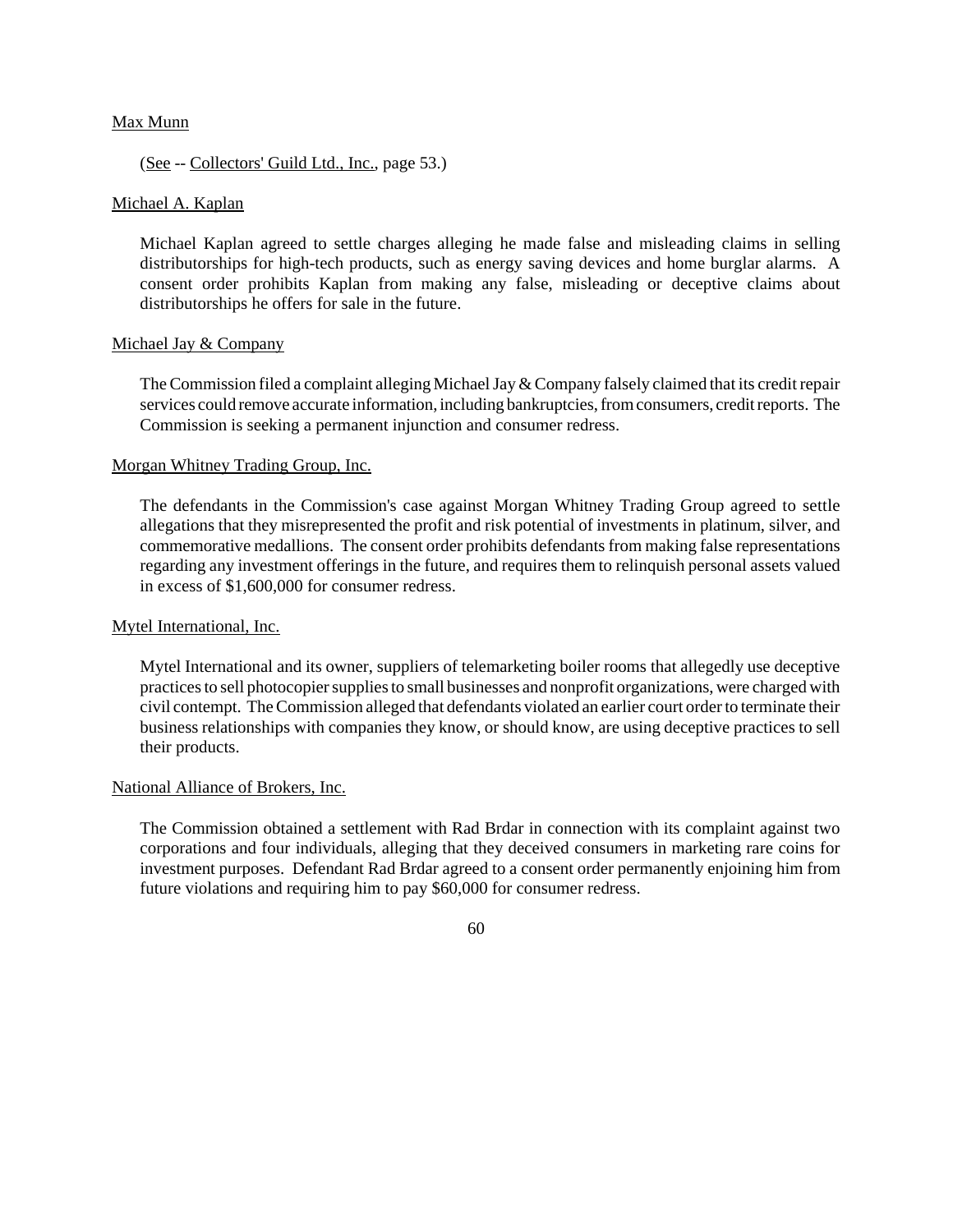## Max Munn

# (See -- Collectors' Guild Ltd., Inc., page 53.)

### Michael A. Kaplan

Michael Kaplan agreed to settle charges alleging he made false and misleading claims in selling distributorships for high-tech products, such as energy saving devices and home burglar alarms. A consent order prohibits Kaplan from making any false, misleading or deceptive claims about distributorships he offers for sale in the future.

### Michael Jay & Company

The Commission filed a complaint alleging Michael Jay  $&$  Company falsely claimed that its credit repair services could remove accurate information, including bankruptcies, from consumers, credit reports. The Commission is seeking a permanent injunction and consumer redress.

### Morgan Whitney Trading Group, Inc.

The defendants in the Commission's case against Morgan Whitney Trading Group agreed to settle allegations that they misrepresented the profit and risk potential of investments in platinum, silver, and commemorative medallions. The consent order prohibits defendants from making false representations regarding any investment offerings in the future, and requires them to relinquish personal assets valued in excess of \$1,600,000 for consumer redress.

#### Mytel International, Inc.

Mytel International and its owner, suppliers of telemarketing boiler rooms that allegedly use deceptive practices to sell photocopier supplies to small businesses and nonprofit organizations, were charged with civil contempt. The Commission alleged that defendants violated an earlier court order to terminate their business relationships with companies they know, or should know, are using deceptive practices to sell their products.

## National Alliance of Brokers, Inc.

The Commission obtained a settlement with Rad Brdar in connection with its complaint against two corporations and four individuals, alleging that they deceived consumers in marketing rare coins for investment purposes. Defendant Rad Brdar agreed to a consent order permanently enjoining him from future violations and requiring him to pay \$60,000 for consumer redress.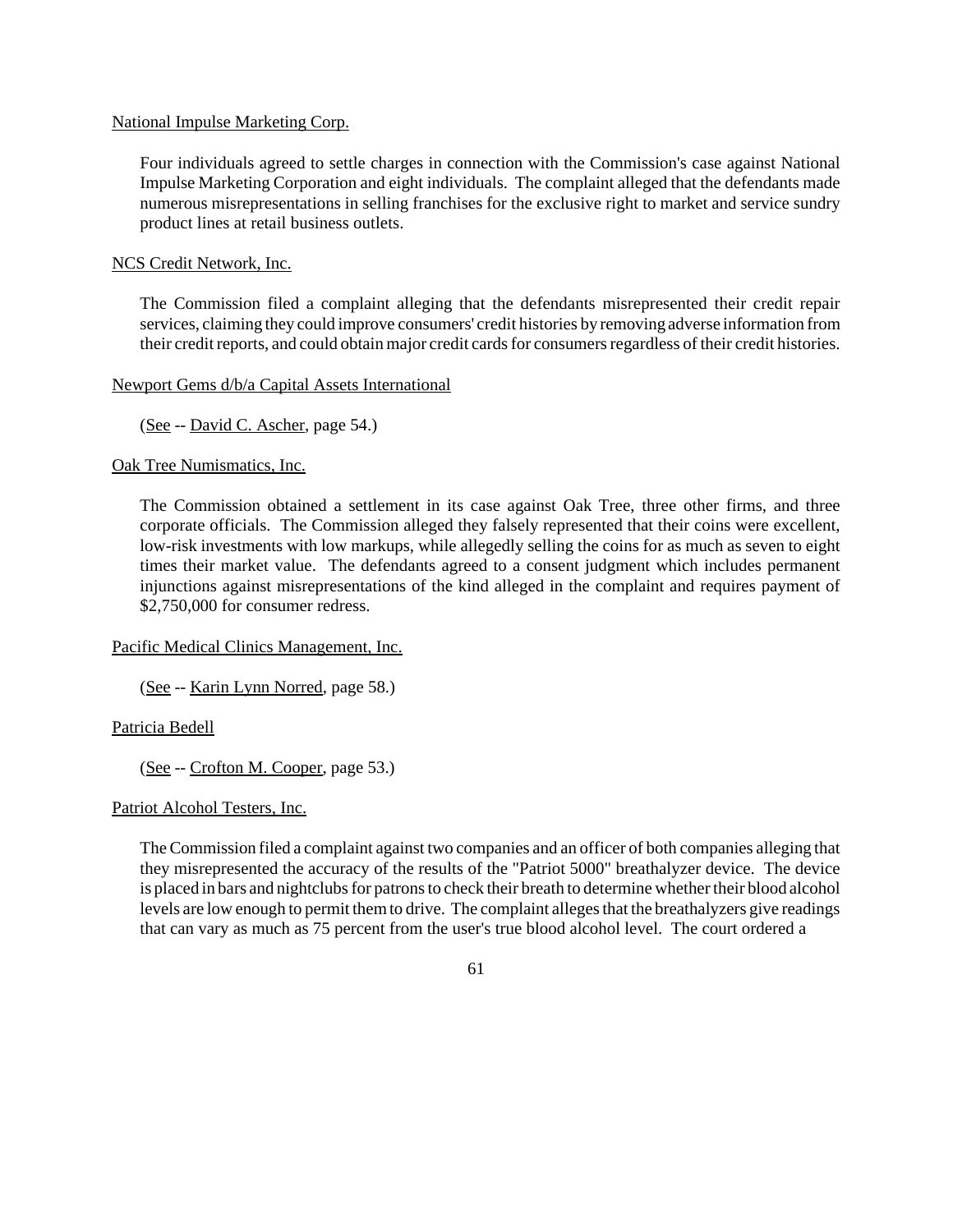## National Impulse Marketing Corp.

Four individuals agreed to settle charges in connection with the Commission's case against National Impulse Marketing Corporation and eight individuals. The complaint alleged that the defendants made numerous misrepresentations in selling franchises for the exclusive right to market and service sundry product lines at retail business outlets.

# NCS Credit Network, Inc.

The Commission filed a complaint alleging that the defendants misrepresented their credit repair services, claiming they could improve consumers' credit histories by removing adverse information from their credit reports, and could obtain major credit cards for consumers regardless of their credit histories.

# Newport Gems d/b/a Capital Assets International

(See -- David C. Ascher, page 54.)

Oak Tree Numismatics, Inc.

The Commission obtained a settlement in its case against Oak Tree, three other firms, and three corporate officials. The Commission alleged they falsely represented that their coins were excellent, low-risk investments with low markups, while allegedly selling the coins for as much as seven to eight times their market value. The defendants agreed to a consent judgment which includes permanent injunctions against misrepresentations of the kind alleged in the complaint and requires payment of \$2,750,000 for consumer redress.

# Pacific Medical Clinics Management, Inc.

(See -- Karin Lynn Norred, page 58.)

# Patricia Bedell

(See -- Crofton M. Cooper, page 53.)

## Patriot Alcohol Testers, Inc.

TheCommission filed a complaint against two companies and an officer of both companies alleging that they misrepresented the accuracy of the results of the "Patriot 5000" breathalyzer device. The device is placed in bars and nightclubs for patrons to check their breath to determine whether their blood alcohol levels are low enough to permit themto drive. The complaint alleges that the breathalyzers give readings that can vary as much as 75 percent from the user's true blood alcohol level. The court ordered a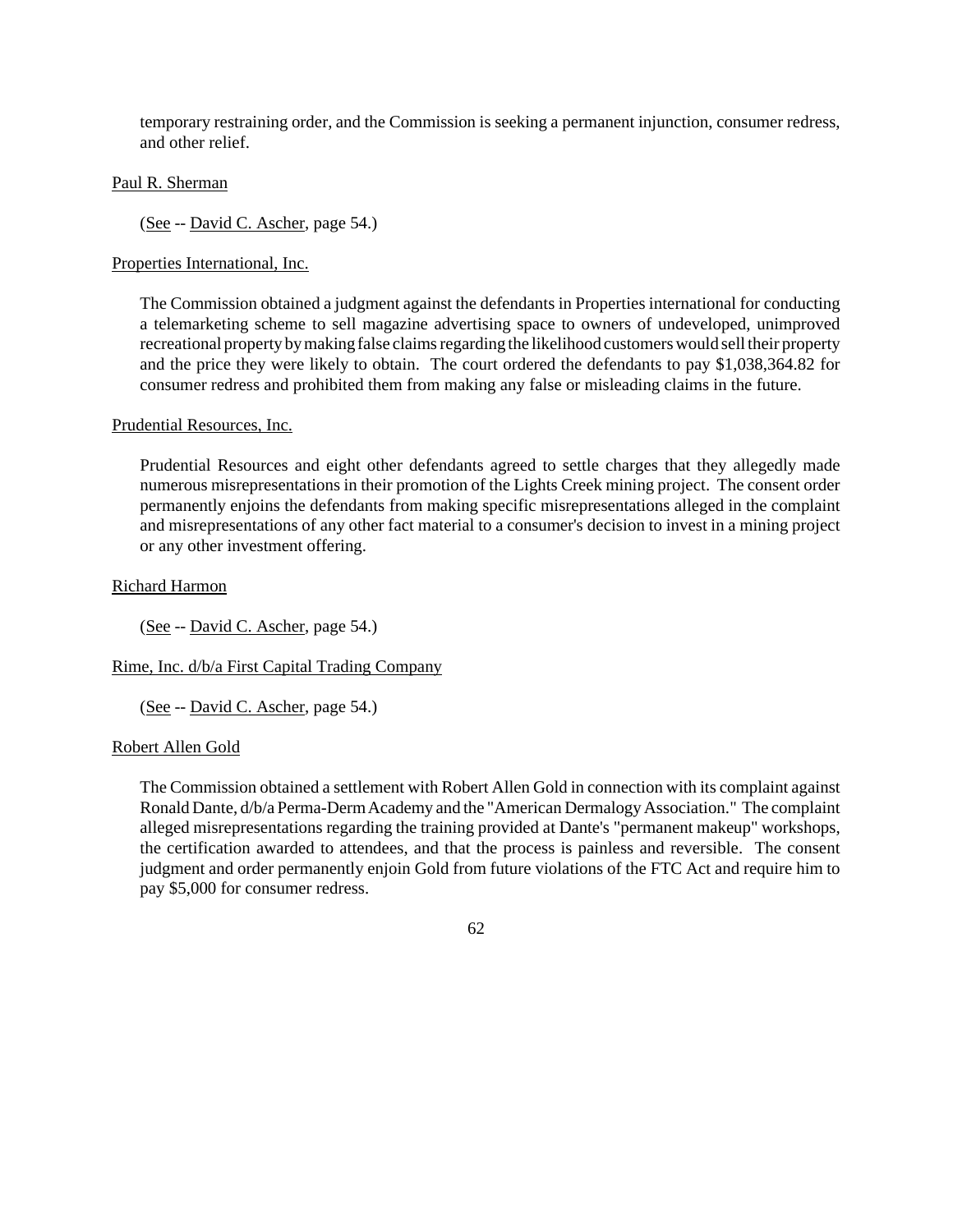temporary restraining order, and the Commission is seeking a permanent injunction, consumer redress, and other relief.

### Paul R. Sherman

(See -- David C. Ascher, page 54.)

### Properties International, Inc.

The Commission obtained a judgment against the defendants in Properties international for conducting a telemarketing scheme to sell magazine advertising space to owners of undeveloped, unimproved recreational property by making false claims regarding the likelihood customers would sell their property and the price they were likely to obtain. The court ordered the defendants to pay \$1,038,364.82 for consumer redress and prohibited them from making any false or misleading claims in the future.

#### Prudential Resources, Inc.

Prudential Resources and eight other defendants agreed to settle charges that they allegedly made numerous misrepresentations in their promotion of the Lights Creek mining project. The consent order permanently enjoins the defendants from making specific misrepresentations alleged in the complaint and misrepresentations of any other fact material to a consumer's decision to invest in a mining project or any other investment offering.

### Richard Harmon

(See -- David C. Ascher, page 54.)

Rime, Inc. d/b/a First Capital Trading Company

(See -- David C. Ascher, page 54.)

#### Robert Allen Gold

The Commission obtained a settlement with Robert Allen Gold in connection with its complaint against Ronald Dante, d/b/a Perma-DermAcademy and the "American Dermalogy Association." The complaint alleged misrepresentations regarding the training provided at Dante's "permanent makeup" workshops, the certification awarded to attendees, and that the process is painless and reversible. The consent judgment and order permanently enjoin Gold from future violations of the FTC Act and require him to pay \$5,000 for consumer redress.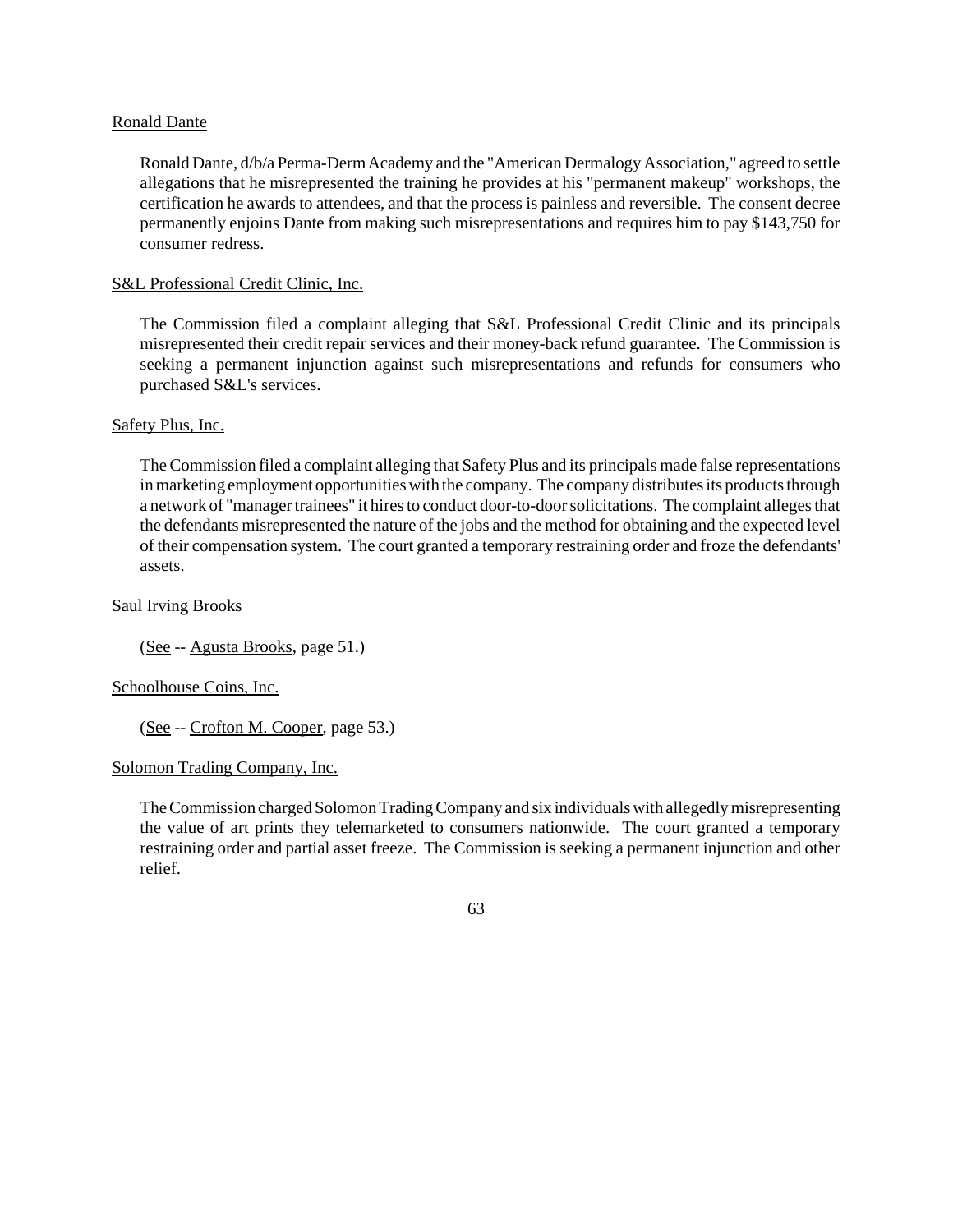## Ronald Dante

Ronald Dante, d/b/a Perma-DermAcademy and the "American Dermalogy Association," agreed to settle allegations that he misrepresented the training he provides at his "permanent makeup" workshops, the certification he awards to attendees, and that the process is painless and reversible. The consent decree permanently enjoins Dante from making such misrepresentations and requires him to pay \$143,750 for consumer redress.

### S&L Professional Credit Clinic, Inc.

The Commission filed a complaint alleging that S&L Professional Credit Clinic and its principals misrepresented their credit repair services and their money-back refund guarantee. The Commission is seeking a permanent injunction against such misrepresentations and refunds for consumers who purchased S&L's services.

### Safety Plus, Inc.

TheCommission filed a complaint alleging that Safety Plus and its principals made false representations in marketing employment opportunities with the company. The company distributes its products through a network of "manager trainees" it hires to conduct door-to-door solicitations. The complaint alleges that the defendants misrepresented the nature of the jobs and the method for obtaining and the expected level of their compensation system. The court granted a temporary restraining order and froze the defendants' assets.

### Saul Irving Brooks

(See -- Agusta Brooks, page 51.)

## Schoolhouse Coins, Inc.

(See -- Crofton M. Cooper, page 53.)

#### Solomon Trading Company, Inc.

TheCommission charged Solomon Trading Company and six individuals with allegedly misrepresenting the value of art prints they telemarketed to consumers nationwide. The court granted a temporary restraining order and partial asset freeze. The Commission is seeking a permanent injunction and other relief.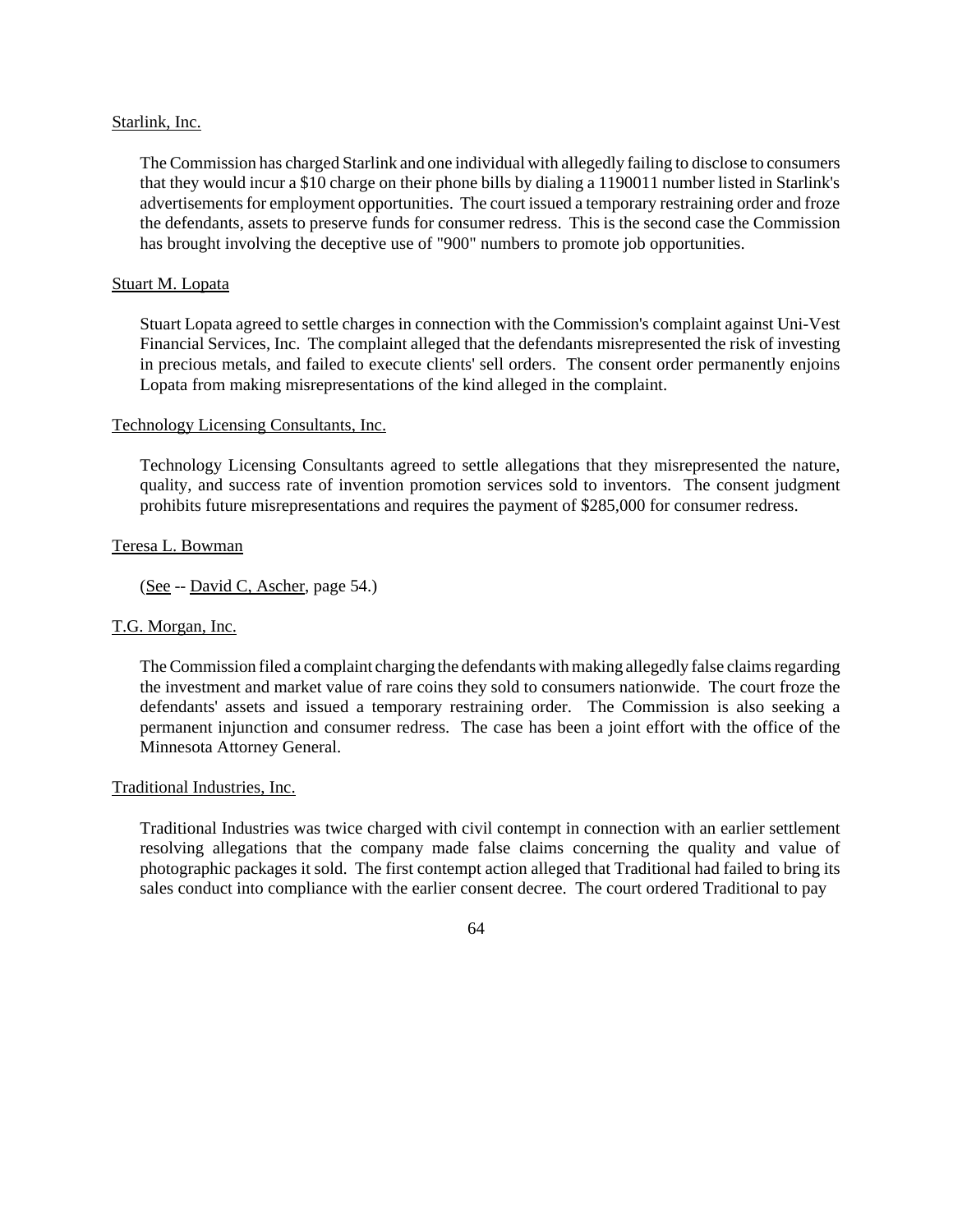### Starlink, Inc.

The Commission has charged Starlink and one individual with allegedly failing to disclose to consumers that they would incur a \$10 charge on their phone bills by dialing a 1190011 number listed in Starlink's advertisements for employment opportunities. The court issued a temporary restraining order and froze the defendants, assets to preserve funds for consumer redress. This is the second case the Commission has brought involving the deceptive use of "900" numbers to promote job opportunities.

### Stuart M. Lopata

Stuart Lopata agreed to settle charges in connection with the Commission's complaint against Uni-Vest Financial Services, Inc. The complaint alleged that the defendants misrepresented the risk of investing in precious metals, and failed to execute clients' sell orders. The consent order permanently enjoins Lopata from making misrepresentations of the kind alleged in the complaint.

### Technology Licensing Consultants, Inc.

Technology Licensing Consultants agreed to settle allegations that they misrepresented the nature, quality, and success rate of invention promotion services sold to inventors. The consent judgment prohibits future misrepresentations and requires the payment of \$285,000 for consumer redress.

### Teresa L. Bowman

(See -- David C, Ascher, page 54.)

## T.G. Morgan, Inc.

The Commission filed a complaint charging the defendants with making allegedly false claims regarding the investment and market value of rare coins they sold to consumers nationwide. The court froze the defendants' assets and issued a temporary restraining order. The Commission is also seeking a permanent injunction and consumer redress. The case has been a joint effort with the office of the Minnesota Attorney General.

### Traditional Industries, Inc.

Traditional Industries was twice charged with civil contempt in connection with an earlier settlement resolving allegations that the company made false claims concerning the quality and value of photographic packages it sold. The first contempt action alleged that Traditional had failed to bring its sales conduct into compliance with the earlier consent decree. The court ordered Traditional to pay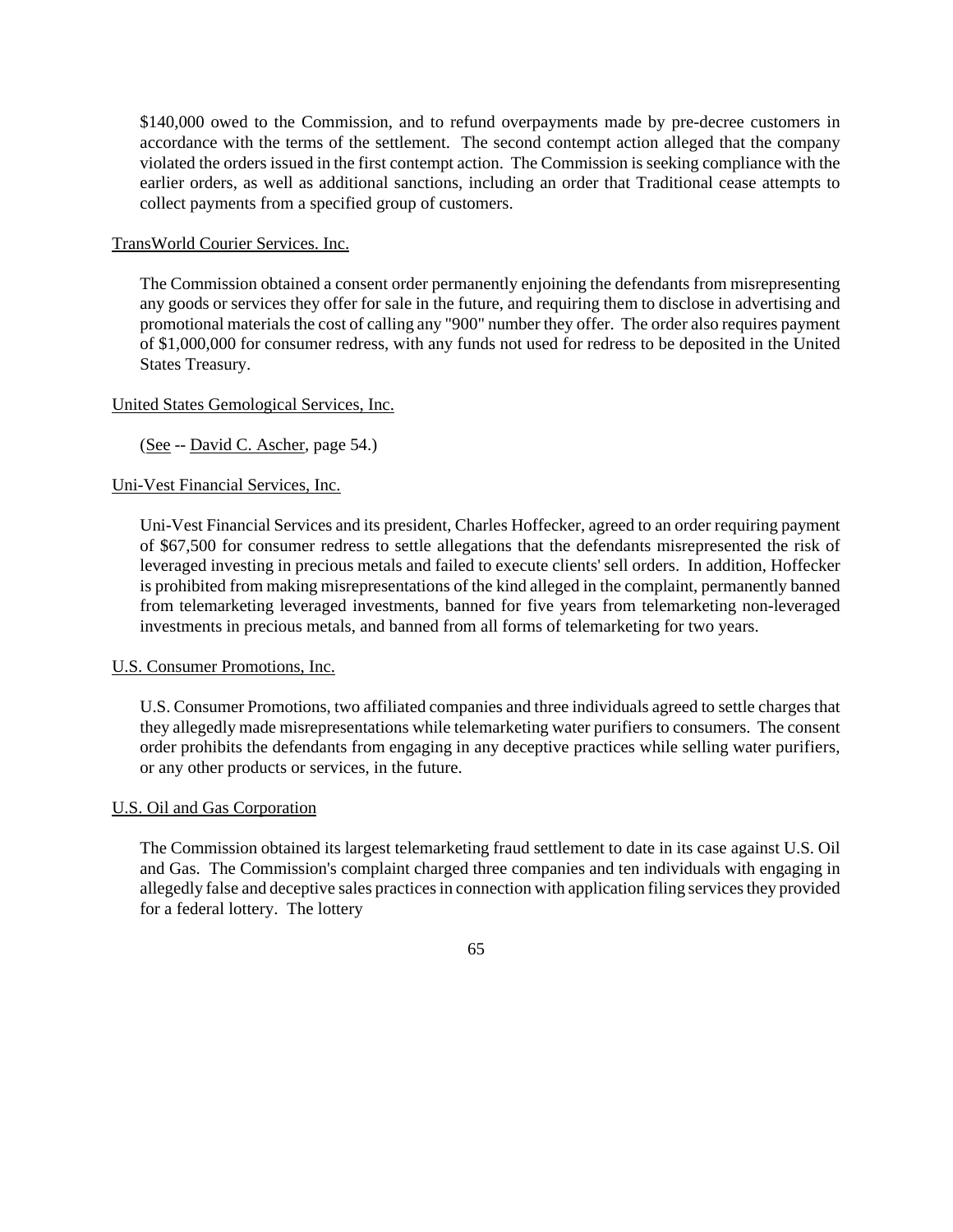\$140,000 owed to the Commission, and to refund overpayments made by pre-decree customers in accordance with the terms of the settlement. The second contempt action alleged that the company violated the orders issued in the first contempt action. The Commission is seeking compliance with the earlier orders, as well as additional sanctions, including an order that Traditional cease attempts to collect payments from a specified group of customers.

TransWorld Courier Services. Inc.

The Commission obtained a consent order permanently enjoining the defendants from misrepresenting any goods or services they offer for sale in the future, and requiring them to disclose in advertising and promotional materials the cost of calling any "900" number they offer. The order also requires payment of \$1,000,000 for consumer redress, with any funds not used for redress to be deposited in the United States Treasury.

# United States Gemological Services, Inc.

(See -- David C. Ascher, page 54.)

# Uni-Vest Financial Services, Inc.

Uni-Vest Financial Services and its president, Charles Hoffecker, agreed to an order requiring payment of \$67,500 for consumer redress to settle allegations that the defendants misrepresented the risk of leveraged investing in precious metals and failed to execute clients' sell orders. In addition, Hoffecker is prohibited from making misrepresentations of the kind alleged in the complaint, permanently banned from telemarketing leveraged investments, banned for five years from telemarketing non-leveraged investments in precious metals, and banned from all forms of telemarketing for two years.

# U.S. Consumer Promotions, Inc.

U.S. Consumer Promotions, two affiliated companies and three individuals agreed to settle charges that they allegedly made misrepresentations while telemarketing water purifiers to consumers. The consent order prohibits the defendants from engaging in any deceptive practices while selling water purifiers, or any other products or services, in the future.

## U.S. Oil and Gas Corporation

The Commission obtained its largest telemarketing fraud settlement to date in its case against U.S. Oil and Gas. The Commission's complaint charged three companies and ten individuals with engaging in allegedly false and deceptive sales practices in connection with application filing services they provided for a federal lottery. The lottery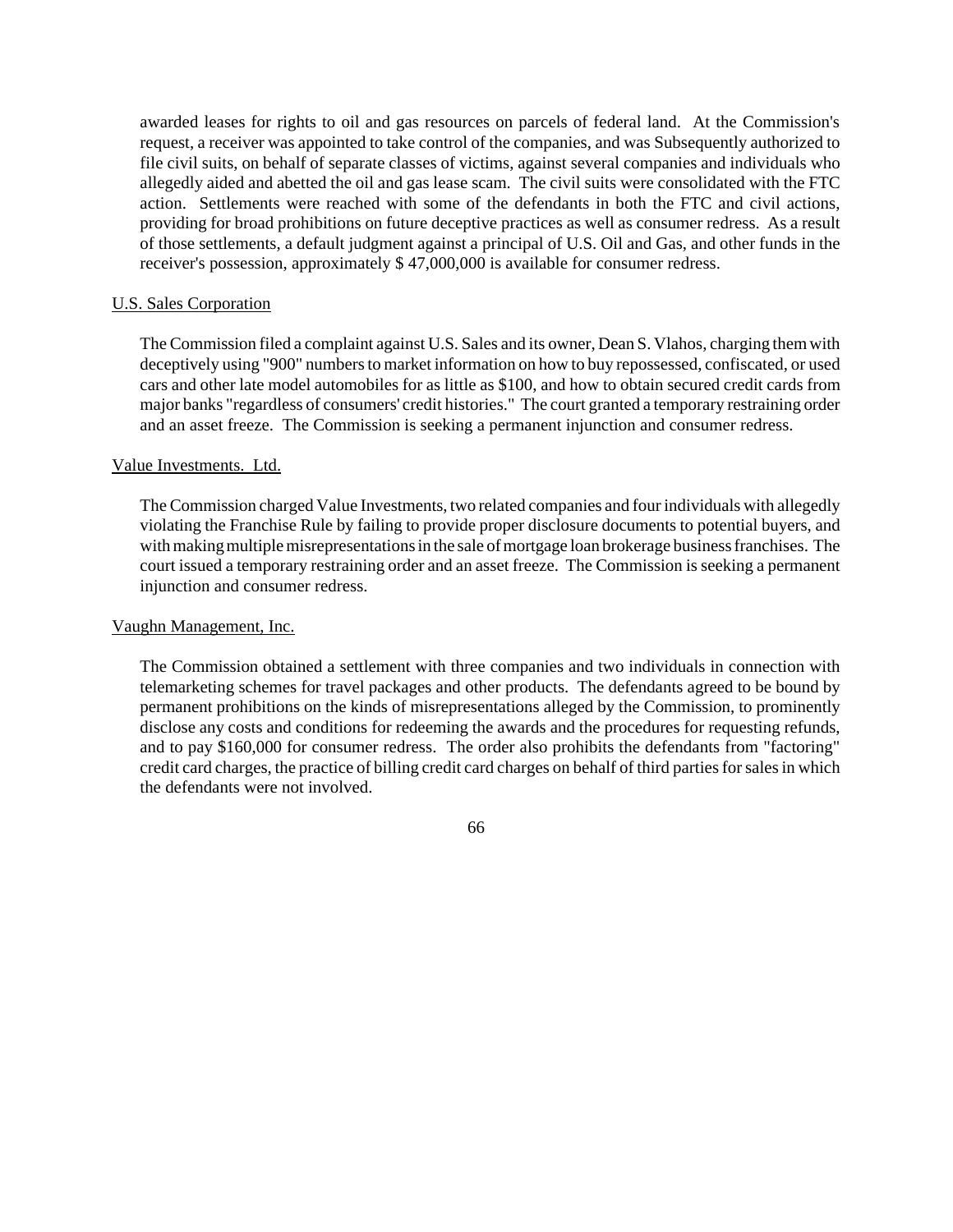awarded leases for rights to oil and gas resources on parcels of federal land. At the Commission's request, a receiver was appointed to take control of the companies, and was Subsequently authorized to file civil suits, on behalf of separate classes of victims, against several companies and individuals who allegedly aided and abetted the oil and gas lease scam. The civil suits were consolidated with the FTC action. Settlements were reached with some of the defendants in both the FTC and civil actions, providing for broad prohibitions on future deceptive practices as well as consumer redress. As a result of those settlements, a default judgment against a principal of U.S. Oil and Gas, and other funds in the receiver's possession, approximately \$ 47,000,000 is available for consumer redress.

## U.S. Sales Corporation

The Commission filed a complaint against U.S. Sales and its owner, Dean S. Vlahos, charging themwith deceptively using "900" numbersto market information on how to buy repossessed, confiscated, or used cars and other late model automobiles for as little as \$100, and how to obtain secured credit cards from major banks "regardless of consumers' credit histories." The court granted a temporary restraining order and an asset freeze. The Commission is seeking a permanent injunction and consumer redress.

# Value Investments. Ltd.

The Commission charged Value Investments, two related companies and four individuals with allegedly violating the Franchise Rule by failing to provide proper disclosure documents to potential buyers, and with making multiple misrepresentations in the sale of mortgage loan brokerage business franchises. The court issued a temporary restraining order and an asset freeze. The Commission is seeking a permanent injunction and consumer redress.

#### Vaughn Management, Inc.

The Commission obtained a settlement with three companies and two individuals in connection with telemarketing schemes for travel packages and other products. The defendants agreed to be bound by permanent prohibitions on the kinds of misrepresentations alleged by the Commission, to prominently disclose any costs and conditions for redeeming the awards and the procedures for requesting refunds, and to pay \$160,000 for consumer redress. The order also prohibits the defendants from "factoring" credit card charges, the practice of billing credit card charges on behalf of third partiesforsalesin which the defendants were not involved.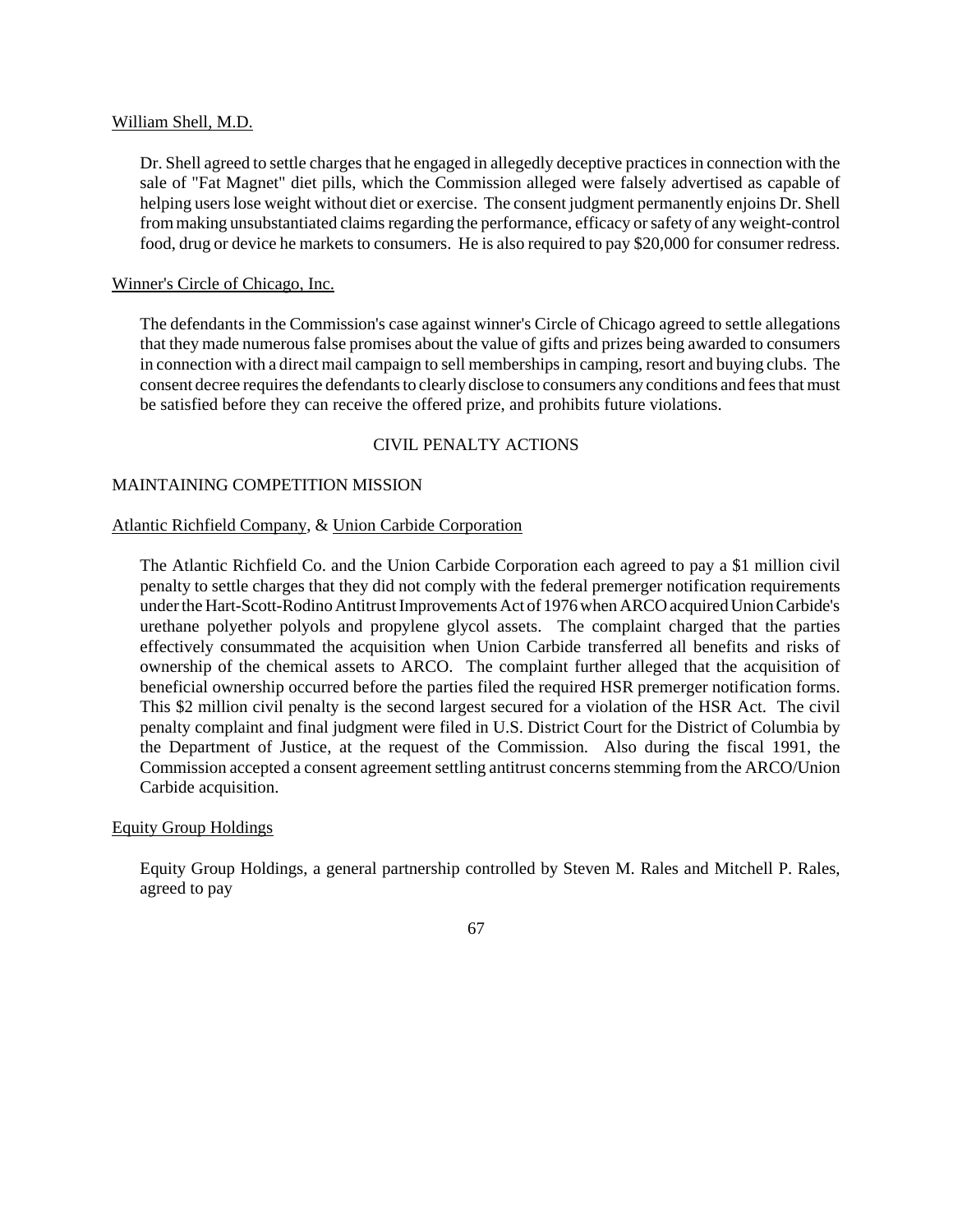### William Shell, M.D.

Dr. Shell agreed to settle charges that he engaged in allegedly deceptive practices in connection with the sale of "Fat Magnet" diet pills, which the Commission alleged were falsely advertised as capable of helping userslose weight without diet or exercise. The consent judgment permanently enjoins Dr. Shell from making unsubstantiated claims regarding the performance, efficacy or safety of any weight-control food, drug or device he markets to consumers. He is also required to pay \$20,000 for consumer redress.

### Winner's Circle of Chicago, Inc.

The defendants in the Commission's case against winner's Circle of Chicago agreed to settle allegations that they made numerousfalse promises about the value of gifts and prizes being awarded to consumers in connection with a direct mail campaign to sell membershipsin camping, resort and buying clubs. The consent decree requires the defendants to clearly disclose to consumers any conditions and fees that must be satisfied before they can receive the offered prize, and prohibits future violations.

## CIVIL PENALTY ACTIONS

## MAINTAINING COMPETITION MISSION

### Atlantic Richfield Company, & Union Carbide Corporation

The Atlantic Richfield Co. and the Union Carbide Corporation each agreed to pay a \$1 million civil penalty to settle charges that they did not comply with the federal premerger notification requirements under the Hart-Scott-Rodino Antitrust Improvements Act of 1976 when ARCO acquired Union Carbide's urethane polyether polyols and propylene glycol assets. The complaint charged that the parties effectively consummated the acquisition when Union Carbide transferred all benefits and risks of ownership of the chemical assets to ARCO. The complaint further alleged that the acquisition of beneficial ownership occurred before the parties filed the required HSR premerger notification forms. This \$2 million civil penalty is the second largest secured for a violation of the HSR Act. The civil penalty complaint and final judgment were filed in U.S. District Court for the District of Columbia by the Department of Justice, at the request of the Commission. Also during the fiscal 1991, the Commission accepted a consent agreement settling antitrust concerns stemming from the ARCO/Union Carbide acquisition.

## Equity Group Holdings

Equity Group Holdings, a general partnership controlled by Steven M. Rales and Mitchell P. Rales, agreed to pay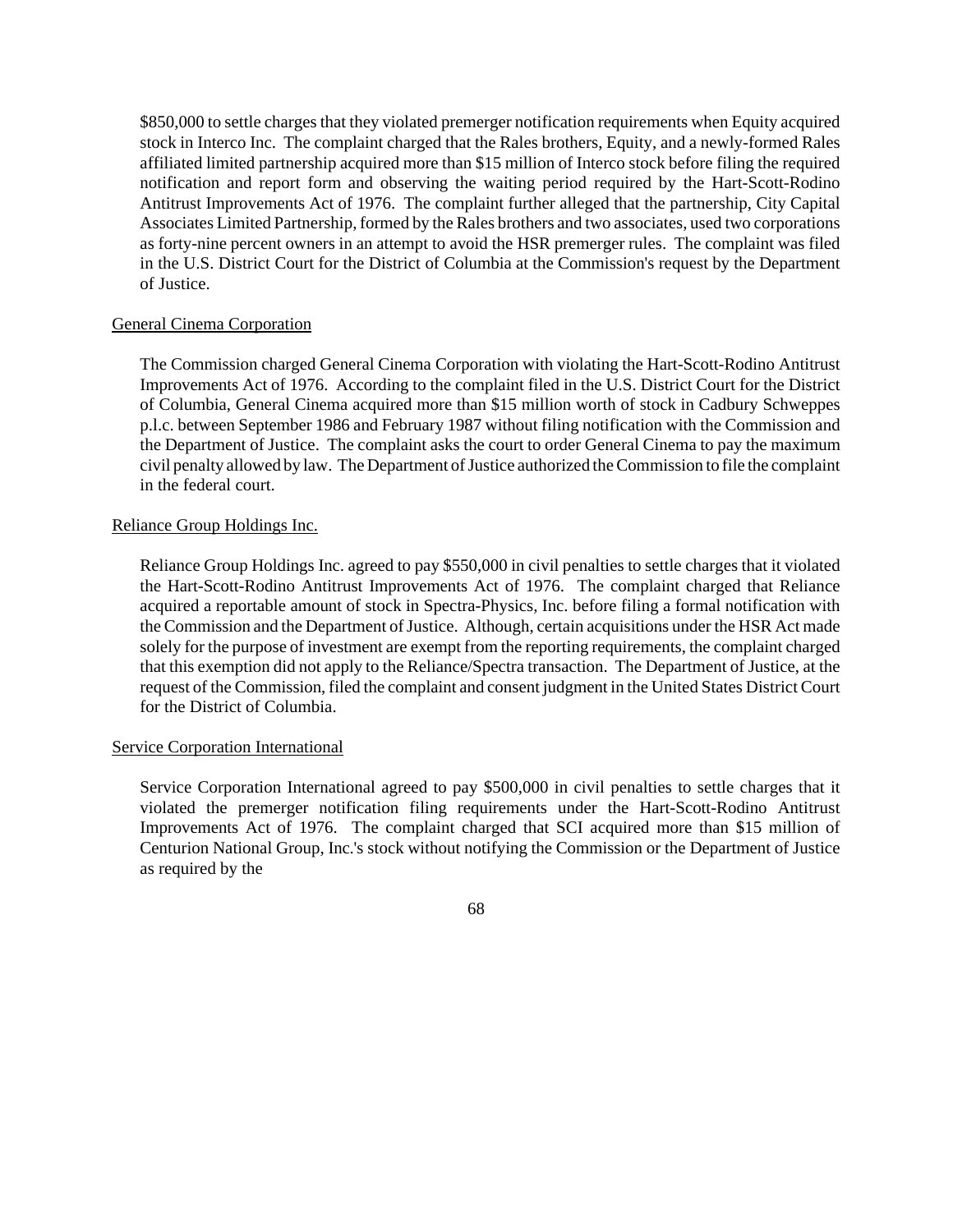\$850,000 to settle charges that they violated premerger notification requirements when Equity acquired stock in Interco Inc. The complaint charged that the Rales brothers, Equity, and a newly-formed Rales affiliated limited partnership acquired more than \$15 million of Interco stock before filing the required notification and report form and observing the waiting period required by the Hart-Scott-Rodino Antitrust Improvements Act of 1976. The complaint further alleged that the partnership, City Capital Associates Limited Partnership, formed by the Rales brothers and two associates, used two corporations as forty-nine percent owners in an attempt to avoid the HSR premerger rules. The complaint was filed in the U.S. District Court for the District of Columbia at the Commission's request by the Department of Justice.

# General Cinema Corporation

The Commission charged General Cinema Corporation with violating the Hart-Scott-Rodino Antitrust Improvements Act of 1976. According to the complaint filed in the U.S. District Court for the District of Columbia, General Cinema acquired more than \$15 million worth of stock in Cadbury Schweppes p.l.c. between September 1986 and February 1987 without filing notification with the Commission and the Department of Justice. The complaint asks the court to order General Cinema to pay the maximum civil penalty allowed by law. The Department of Justice authorized the Commission to file the complaint in the federal court.

# Reliance Group Holdings Inc.

Reliance Group Holdings Inc. agreed to pay \$550,000 in civil penalties to settle charges that it violated the Hart-Scott-Rodino Antitrust Improvements Act of 1976. The complaint charged that Reliance acquired a reportable amount of stock in Spectra-Physics, Inc. before filing a formal notification with the Commission and the Department of Justice. Although, certain acquisitions under the HSR Act made solely for the purpose of investment are exempt from the reporting requirements, the complaint charged that this exemption did not apply to the Reliance/Spectra transaction. The Department of Justice, at the request of the Commission, filed the complaint and consent judgment in the United States District Court for the District of Columbia.

## Service Corporation International

Service Corporation International agreed to pay \$500,000 in civil penalties to settle charges that it violated the premerger notification filing requirements under the Hart-Scott-Rodino Antitrust Improvements Act of 1976. The complaint charged that SCI acquired more than \$15 million of Centurion National Group, Inc.'s stock without notifying the Commission or the Department of Justice as required by the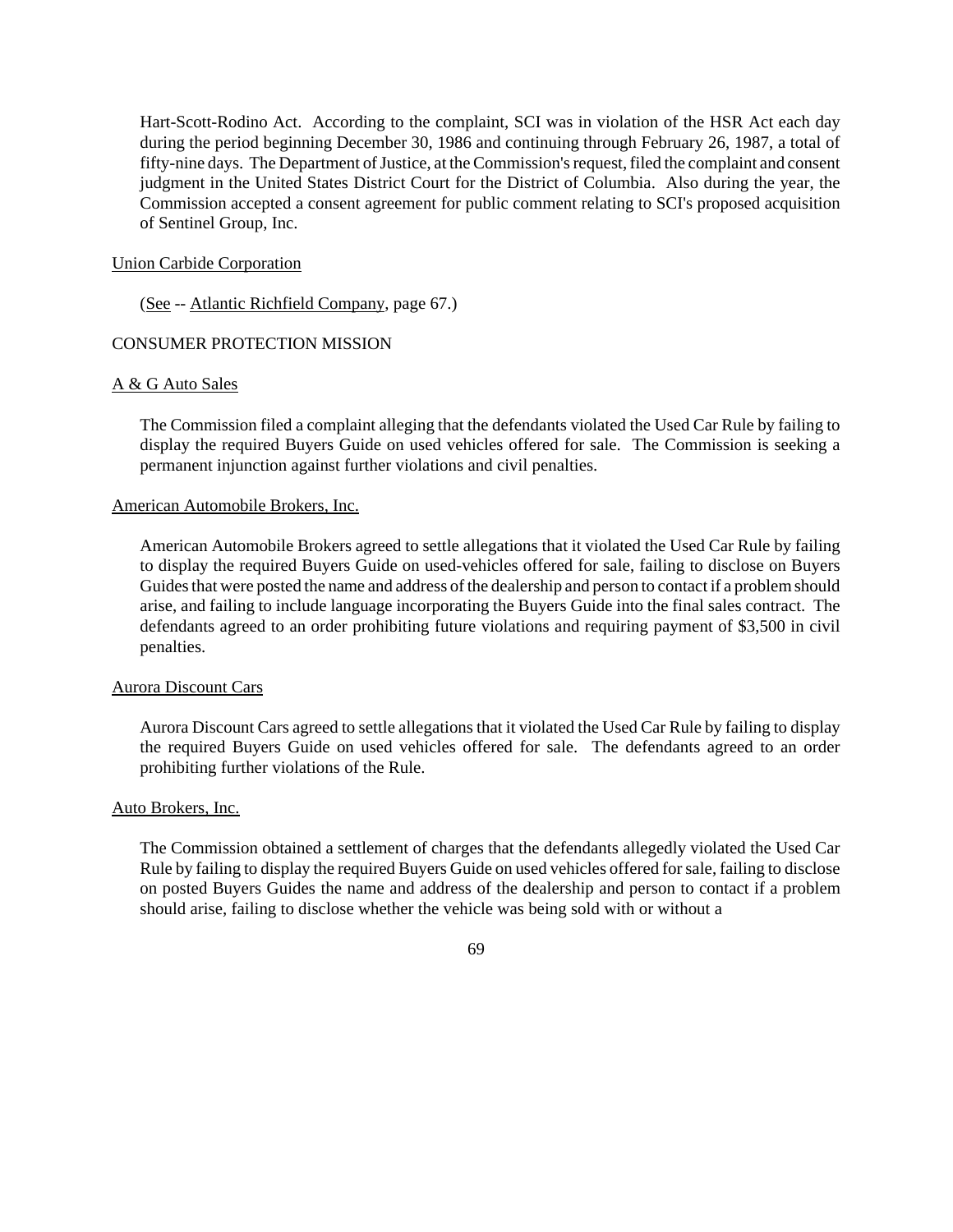Hart-Scott-Rodino Act. According to the complaint, SCI was in violation of the HSR Act each day during the period beginning December 30, 1986 and continuing through February 26, 1987, a total of fifty-nine days. The Department of Justice, at the Commission's request, filed the complaint and consent judgment in the United States District Court for the District of Columbia. Also during the year, the Commission accepted a consent agreement for public comment relating to SCI's proposed acquisition of Sentinel Group, Inc.

#### Union Carbide Corporation

(See -- Atlantic Richfield Company, page 67.)

## CONSUMER PROTECTION MISSION

## A & G Auto Sales

The Commission filed a complaint alleging that the defendants violated the Used Car Rule by failing to display the required Buyers Guide on used vehicles offered for sale. The Commission is seeking a permanent injunction against further violations and civil penalties.

#### American Automobile Brokers, Inc.

American Automobile Brokers agreed to settle allegations that it violated the Used Car Rule by failing to display the required Buyers Guide on used-vehicles offered for sale, failing to disclose on Buyers Guides that were posted the name and address of the dealership and person to contact if a problem should arise, and failing to include language incorporating the Buyers Guide into the final sales contract. The defendants agreed to an order prohibiting future violations and requiring payment of \$3,500 in civil penalties.

# Aurora Discount Cars

Aurora Discount Cars agreed to settle allegations that it violated the Used Car Rule by failing to display the required Buyers Guide on used vehicles offered for sale. The defendants agreed to an order prohibiting further violations of the Rule.

# Auto Brokers, Inc.

The Commission obtained a settlement of charges that the defendants allegedly violated the Used Car Rule by failing to display the required Buyers Guide on used vehicles offered forsale, failing to disclose on posted Buyers Guides the name and address of the dealership and person to contact if a problem should arise, failing to disclose whether the vehicle was being sold with or without a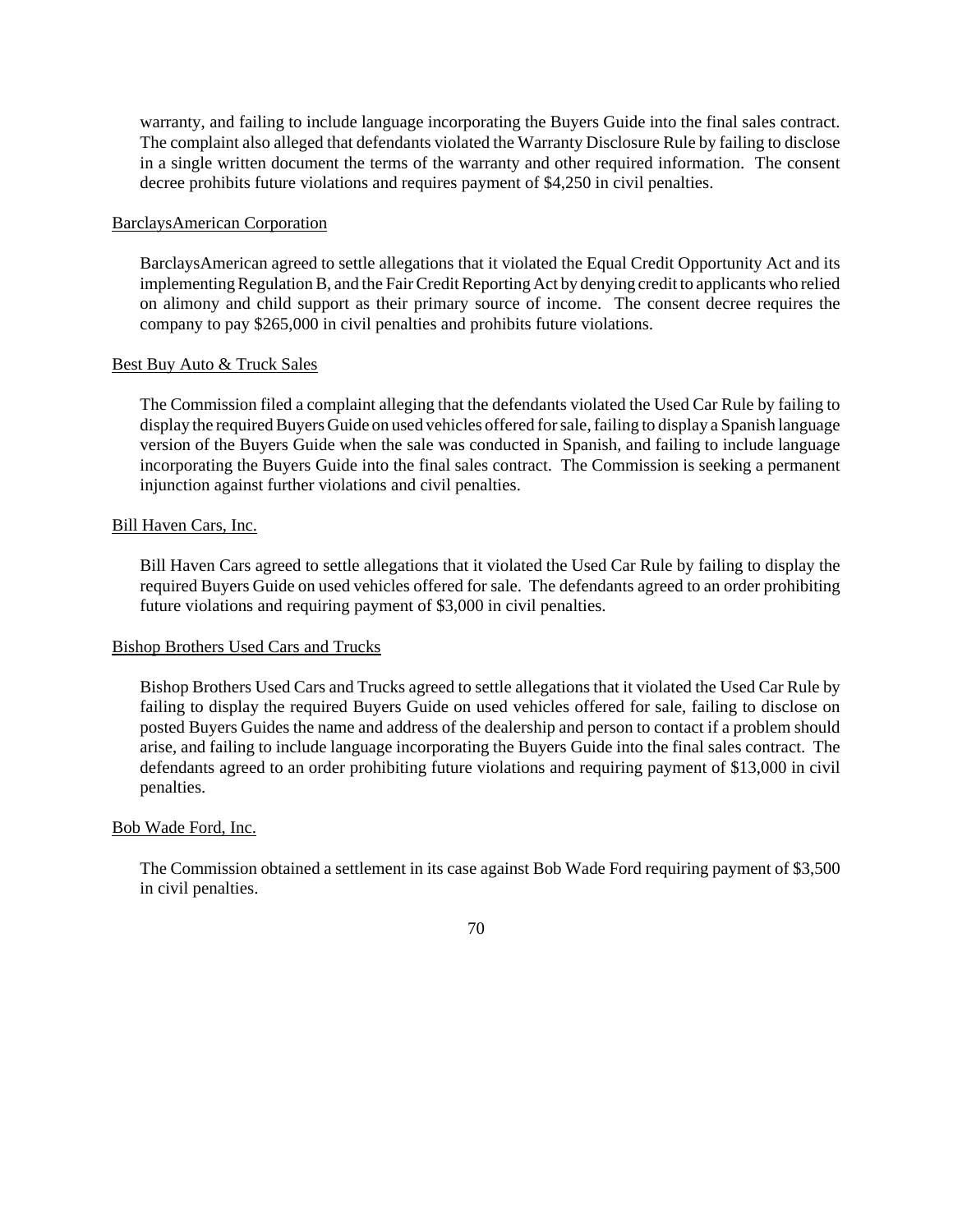warranty, and failing to include language incorporating the Buyers Guide into the final sales contract. The complaint also alleged that defendants violated the Warranty Disclosure Rule by failing to disclose in a single written document the terms of the warranty and other required information. The consent decree prohibits future violations and requires payment of \$4,250 in civil penalties.

# BarclaysAmerican Corporation

BarclaysAmerican agreed to settle allegations that it violated the Equal Credit Opportunity Act and its implementing Regulation B, and the Fair Credit Reporting Act by denying credit to applicants who relied on alimony and child support as their primary source of income. The consent decree requires the company to pay \$265,000 in civil penalties and prohibits future violations.

## Best Buy Auto & Truck Sales

The Commission filed a complaint alleging that the defendants violated the Used Car Rule by failing to display the required Buyers Guide on used vehicles offered for sale, failing to display a Spanish language version of the Buyers Guide when the sale was conducted in Spanish, and failing to include language incorporating the Buyers Guide into the final sales contract. The Commission is seeking a permanent injunction against further violations and civil penalties.

### Bill Haven Cars, Inc.

Bill Haven Cars agreed to settle allegations that it violated the Used Car Rule by failing to display the required Buyers Guide on used vehicles offered for sale. The defendants agreed to an order prohibiting future violations and requiring payment of \$3,000 in civil penalties.

## Bishop Brothers Used Cars and Trucks

Bishop Brothers Used Cars and Trucks agreed to settle allegations that it violated the Used Car Rule by failing to display the required Buyers Guide on used vehicles offered for sale, failing to disclose on posted Buyers Guides the name and address of the dealership and person to contact if a problem should arise, and failing to include language incorporating the Buyers Guide into the final sales contract. The defendants agreed to an order prohibiting future violations and requiring payment of \$13,000 in civil penalties.

#### Bob Wade Ford, Inc.

The Commission obtained a settlement in its case against Bob Wade Ford requiring payment of \$3,500 in civil penalties.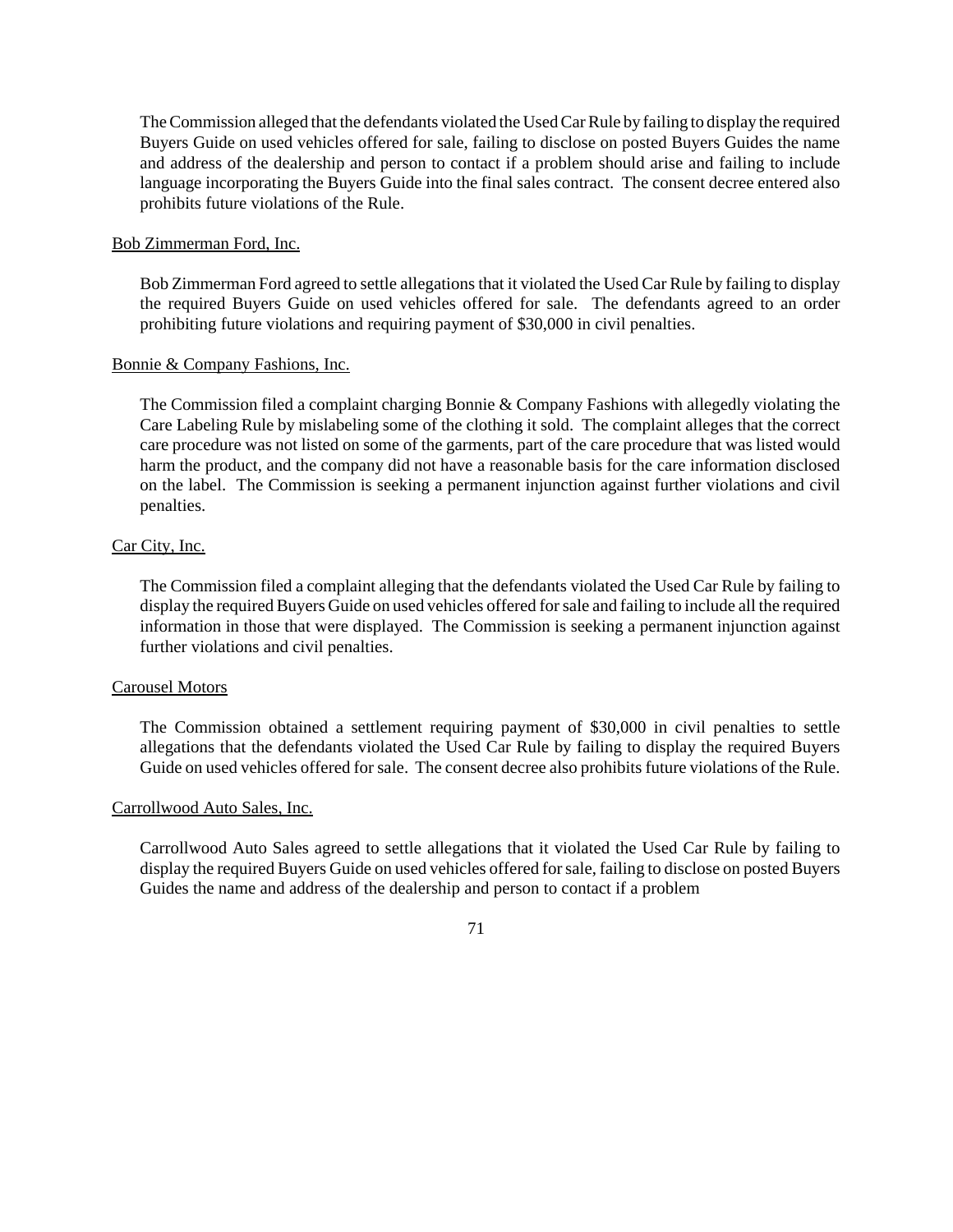TheCommission alleged that the defendants violated the UsedCarRule by failing to display the required Buyers Guide on used vehicles offered for sale, failing to disclose on posted Buyers Guides the name and address of the dealership and person to contact if a problem should arise and failing to include language incorporating the Buyers Guide into the final sales contract. The consent decree entered also prohibits future violations of the Rule.

## Bob Zimmerman Ford, Inc.

Bob Zimmerman Ford agreed to settle allegations that it violated the Used Car Rule by failing to display the required Buyers Guide on used vehicles offered for sale. The defendants agreed to an order prohibiting future violations and requiring payment of \$30,000 in civil penalties.

# Bonnie & Company Fashions, Inc.

The Commission filed a complaint charging Bonnie & Company Fashions with allegedly violating the Care Labeling Rule by mislabeling some of the clothing it sold. The complaint alleges that the correct care procedure was not listed on some of the garments, part of the care procedure that was listed would harm the product, and the company did not have a reasonable basis for the care information disclosed on the label. The Commission is seeking a permanent injunction against further violations and civil penalties.

# Car City, Inc.

The Commission filed a complaint alleging that the defendants violated the Used Car Rule by failing to display the required Buyers Guide on used vehicles offered for sale and failing to include all the required information in those that were displayed. The Commission is seeking a permanent injunction against further violations and civil penalties.

## Carousel Motors

The Commission obtained a settlement requiring payment of \$30,000 in civil penalties to settle allegations that the defendants violated the Used Car Rule by failing to display the required Buyers Guide on used vehicles offered for sale. The consent decree also prohibits future violations of the Rule.

## Carrollwood Auto Sales, Inc.

Carrollwood Auto Sales agreed to settle allegations that it violated the Used Car Rule by failing to display the required Buyers Guide on used vehicles offered forsale, failing to disclose on posted Buyers Guides the name and address of the dealership and person to contact if a problem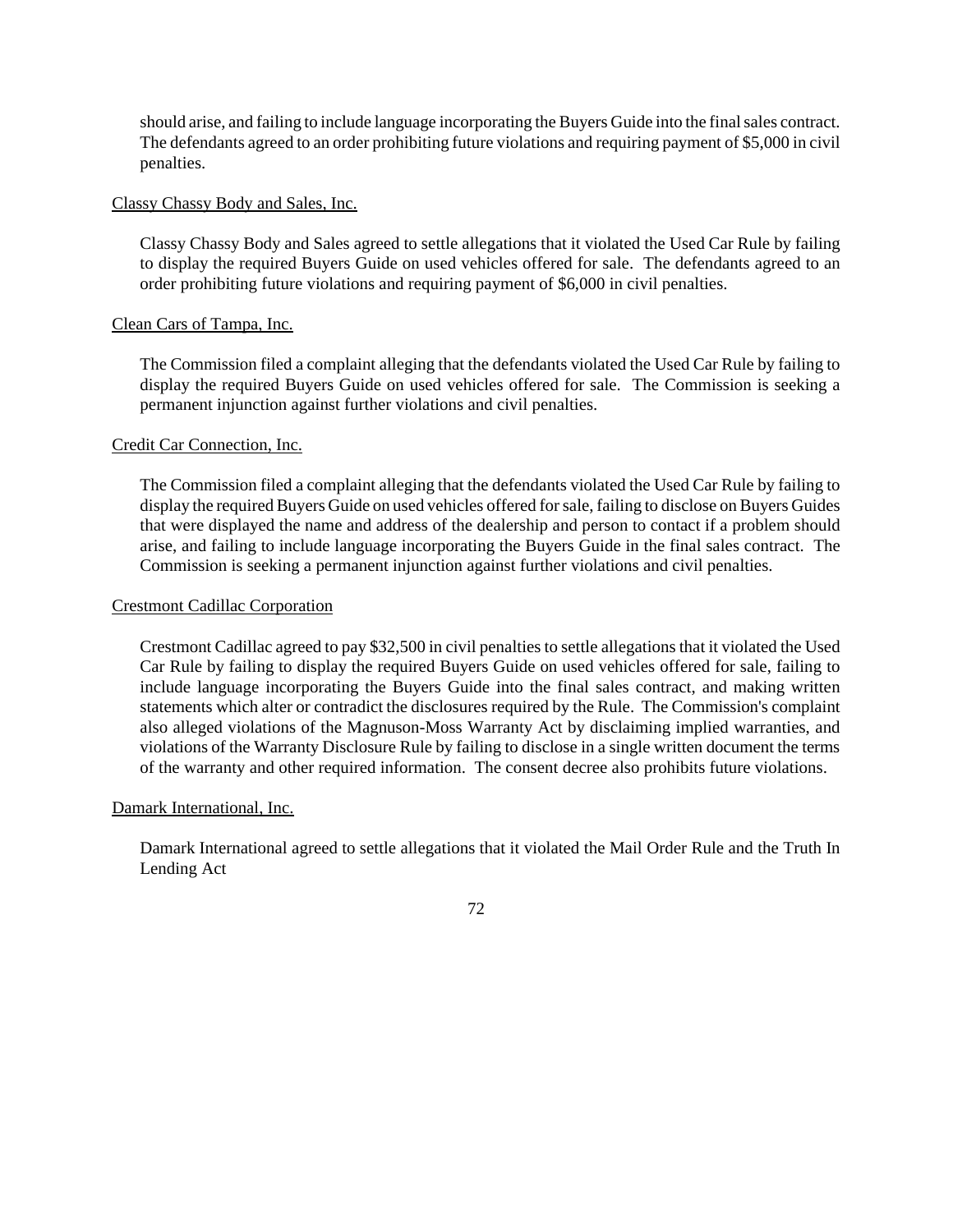should arise, and failing to include language incorporating the Buyers Guide into the finalsales contract. The defendants agreed to an order prohibiting future violations and requiring payment of \$5,000 in civil penalties.

## Classy Chassy Body and Sales, Inc.

Classy Chassy Body and Sales agreed to settle allegations that it violated the Used Car Rule by failing to display the required Buyers Guide on used vehicles offered for sale. The defendants agreed to an order prohibiting future violations and requiring payment of \$6,000 in civil penalties.

# Clean Cars of Tampa, Inc.

The Commission filed a complaint alleging that the defendants violated the Used Car Rule by failing to display the required Buyers Guide on used vehicles offered for sale. The Commission is seeking a permanent injunction against further violations and civil penalties.

# Credit Car Connection, Inc.

The Commission filed a complaint alleging that the defendants violated the Used Car Rule by failing to display the required Buyers Guide on used vehicles offered for sale, failing to disclose on Buyers Guides that were displayed the name and address of the dealership and person to contact if a problem should arise, and failing to include language incorporating the Buyers Guide in the final sales contract. The Commission is seeking a permanent injunction against further violations and civil penalties.

# Crestmont Cadillac Corporation

Crestmont Cadillac agreed to pay \$32,500 in civil penalties to settle allegations that it violated the Used Car Rule by failing to display the required Buyers Guide on used vehicles offered for sale, failing to include language incorporating the Buyers Guide into the final sales contract, and making written statements which alter or contradict the disclosures required by the Rule. The Commission's complaint also alleged violations of the Magnuson-Moss Warranty Act by disclaiming implied warranties, and violations of the Warranty Disclosure Rule by failing to disclose in a single written document the terms of the warranty and other required information. The consent decree also prohibits future violations.

## Damark International, Inc.

Damark International agreed to settle allegations that it violated the Mail Order Rule and the Truth In Lending Act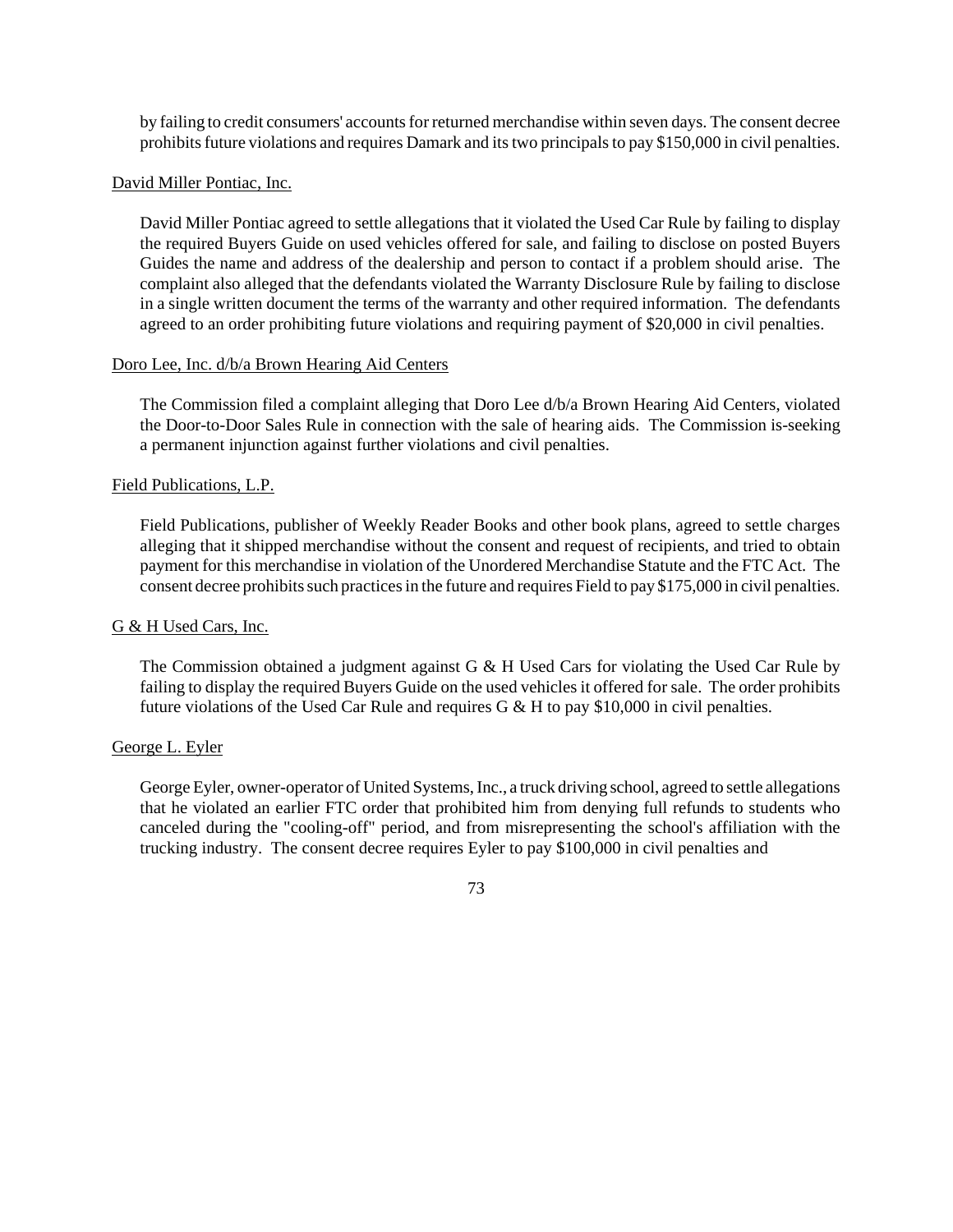by failing to credit consumers' accounts for returned merchandise within seven days. The consent decree prohibits future violations and requires Damark and its two principals to pay \$150,000 in civil penalties.

### David Miller Pontiac, Inc.

David Miller Pontiac agreed to settle allegations that it violated the Used Car Rule by failing to display the required Buyers Guide on used vehicles offered for sale, and failing to disclose on posted Buyers Guides the name and address of the dealership and person to contact if a problem should arise. The complaint also alleged that the defendants violated the Warranty Disclosure Rule by failing to disclose in a single written document the terms of the warranty and other required information. The defendants agreed to an order prohibiting future violations and requiring payment of \$20,000 in civil penalties.

#### Doro Lee, Inc. d/b/a Brown Hearing Aid Centers

The Commission filed a complaint alleging that Doro Lee d/b/a Brown Hearing Aid Centers, violated the Door-to-Door Sales Rule in connection with the sale of hearing aids. The Commission is-seeking a permanent injunction against further violations and civil penalties.

#### Field Publications, L.P.

Field Publications, publisher of Weekly Reader Books and other book plans, agreed to settle charges alleging that it shipped merchandise without the consent and request of recipients, and tried to obtain payment for this merchandise in violation of the Unordered Merchandise Statute and the FTC Act. The consent decree prohibits such practices in the future and requires Field to pay \$175,000 in civil penalties.

### G & H Used Cars, Inc.

The Commission obtained a judgment against G & H Used Cars for violating the Used Car Rule by failing to display the required Buyers Guide on the used vehicles it offered for sale. The order prohibits future violations of the Used Car Rule and requires G  $\&$  H to pay \$10,000 in civil penalties.

#### George L. Eyler

George Eyler, owner-operator of United Systems, Inc., a truck driving school, agreed to settle allegations that he violated an earlier FTC order that prohibited him from denying full refunds to students who canceled during the "cooling-off" period, and from misrepresenting the school's affiliation with the trucking industry. The consent decree requires Eyler to pay \$100,000 in civil penalties and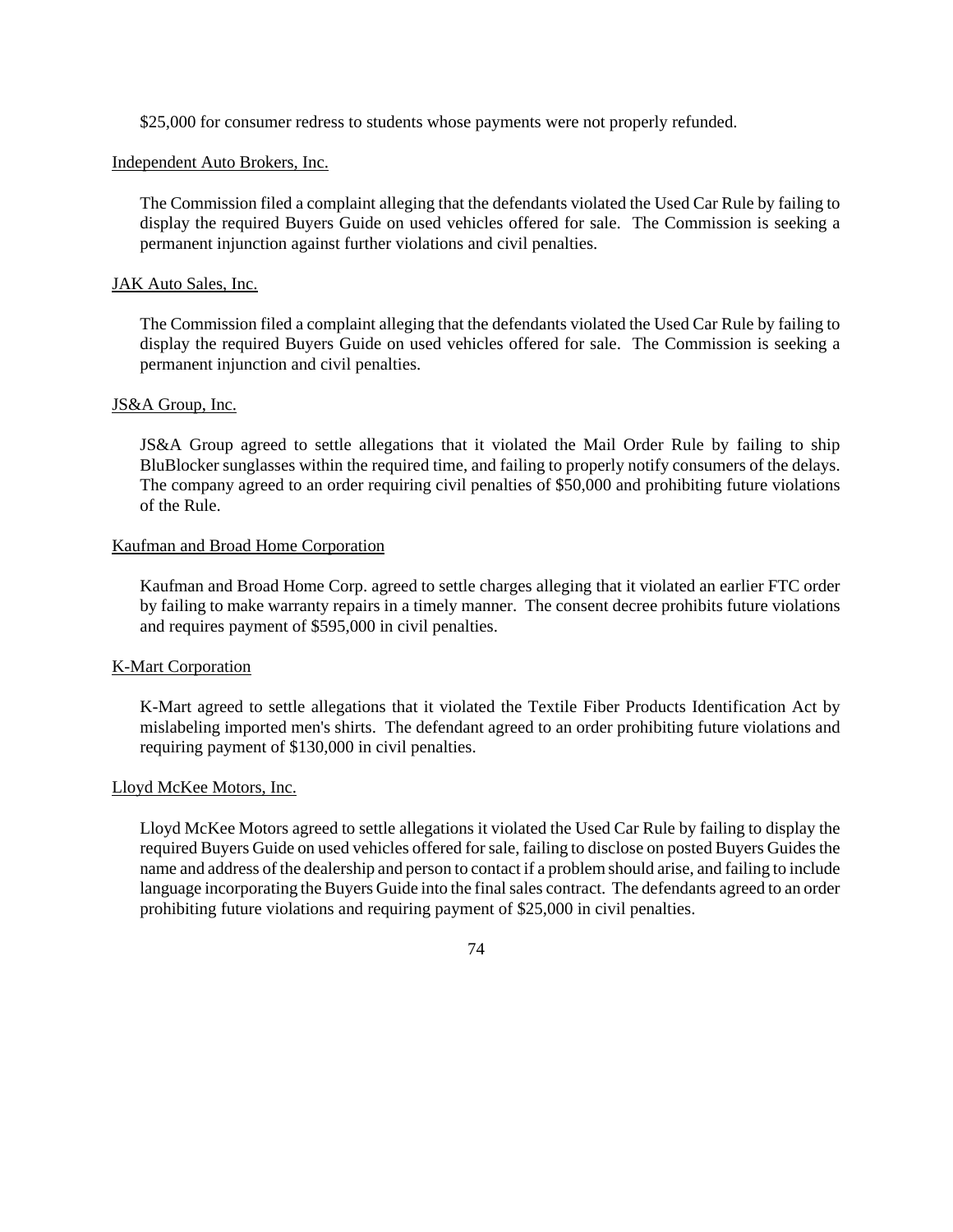\$25,000 for consumer redress to students whose payments were not properly refunded.

# Independent Auto Brokers, Inc.

The Commission filed a complaint alleging that the defendants violated the Used Car Rule by failing to display the required Buyers Guide on used vehicles offered for sale. The Commission is seeking a permanent injunction against further violations and civil penalties.

## JAK Auto Sales, Inc.

The Commission filed a complaint alleging that the defendants violated the Used Car Rule by failing to display the required Buyers Guide on used vehicles offered for sale. The Commission is seeking a permanent injunction and civil penalties.

#### JS&A Group, Inc.

JS&A Group agreed to settle allegations that it violated the Mail Order Rule by failing to ship BluBlocker sunglasses within the required time, and failing to properly notify consumers of the delays. The company agreed to an order requiring civil penalties of \$50,000 and prohibiting future violations of the Rule.

#### Kaufman and Broad Home Corporation

Kaufman and Broad Home Corp. agreed to settle charges alleging that it violated an earlier FTC order by failing to make warranty repairs in a timely manner. The consent decree prohibits future violations and requires payment of \$595,000 in civil penalties.

# K-Mart Corporation

K-Mart agreed to settle allegations that it violated the Textile Fiber Products Identification Act by mislabeling imported men's shirts. The defendant agreed to an order prohibiting future violations and requiring payment of \$130,000 in civil penalties.

#### Lloyd McKee Motors, Inc.

Lloyd McKee Motors agreed to settle allegations it violated the Used Car Rule by failing to display the required Buyers Guide on used vehicles offered for sale, failing to disclose on posted Buyers Guides the name and address of the dealership and person to contact if a problemshould arise, and failing to include language incorporating the Buyers Guide into the final sales contract. The defendants agreed to an order prohibiting future violations and requiring payment of \$25,000 in civil penalties.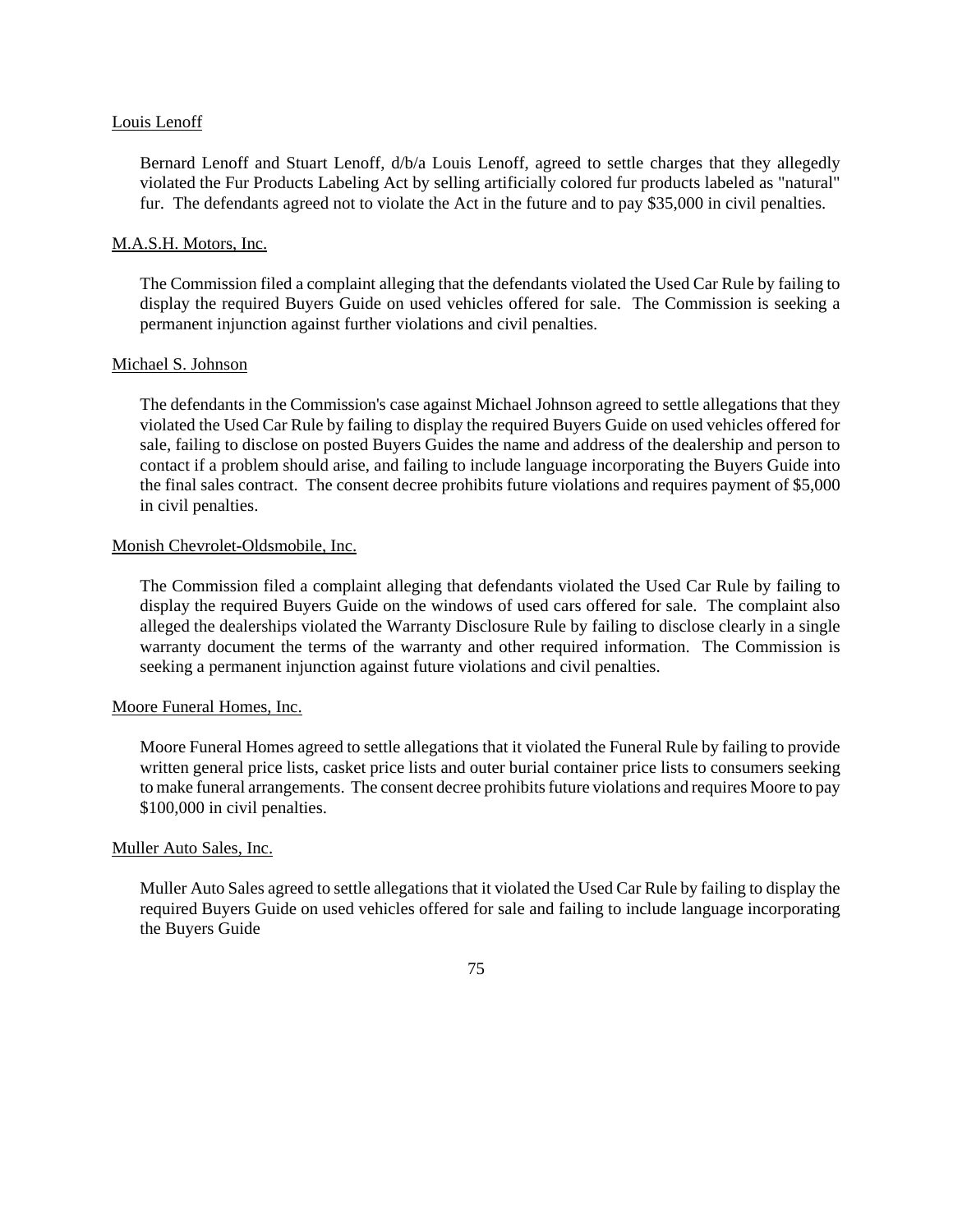#### Louis Lenoff

Bernard Lenoff and Stuart Lenoff, d/b/a Louis Lenoff, agreed to settle charges that they allegedly violated the Fur Products Labeling Act by selling artificially colored fur products labeled as "natural" fur. The defendants agreed not to violate the Act in the future and to pay \$35,000 in civil penalties.

### M.A.S.H. Motors, Inc.

The Commission filed a complaint alleging that the defendants violated the Used Car Rule by failing to display the required Buyers Guide on used vehicles offered for sale. The Commission is seeking a permanent injunction against further violations and civil penalties.

### Michael S. Johnson

The defendants in the Commission's case against Michael Johnson agreed to settle allegations that they violated the Used Car Rule by failing to display the required Buyers Guide on used vehicles offered for sale, failing to disclose on posted Buyers Guides the name and address of the dealership and person to contact if a problem should arise, and failing to include language incorporating the Buyers Guide into the final sales contract. The consent decree prohibits future violations and requires payment of \$5,000 in civil penalties.

## Monish Chevrolet-Oldsmobile, Inc.

The Commission filed a complaint alleging that defendants violated the Used Car Rule by failing to display the required Buyers Guide on the windows of used cars offered for sale. The complaint also alleged the dealerships violated the Warranty Disclosure Rule by failing to disclose clearly in a single warranty document the terms of the warranty and other required information. The Commission is seeking a permanent injunction against future violations and civil penalties.

### Moore Funeral Homes, Inc.

Moore Funeral Homes agreed to settle allegations that it violated the Funeral Rule by failing to provide written general price lists, casket price lists and outer burial container price lists to consumers seeking to make funeral arrangements. The consent decree prohibits future violations and requires Moore to pay \$100,000 in civil penalties.

### Muller Auto Sales, Inc.

Muller Auto Sales agreed to settle allegations that it violated the Used Car Rule by failing to display the required Buyers Guide on used vehicles offered for sale and failing to include language incorporating the Buyers Guide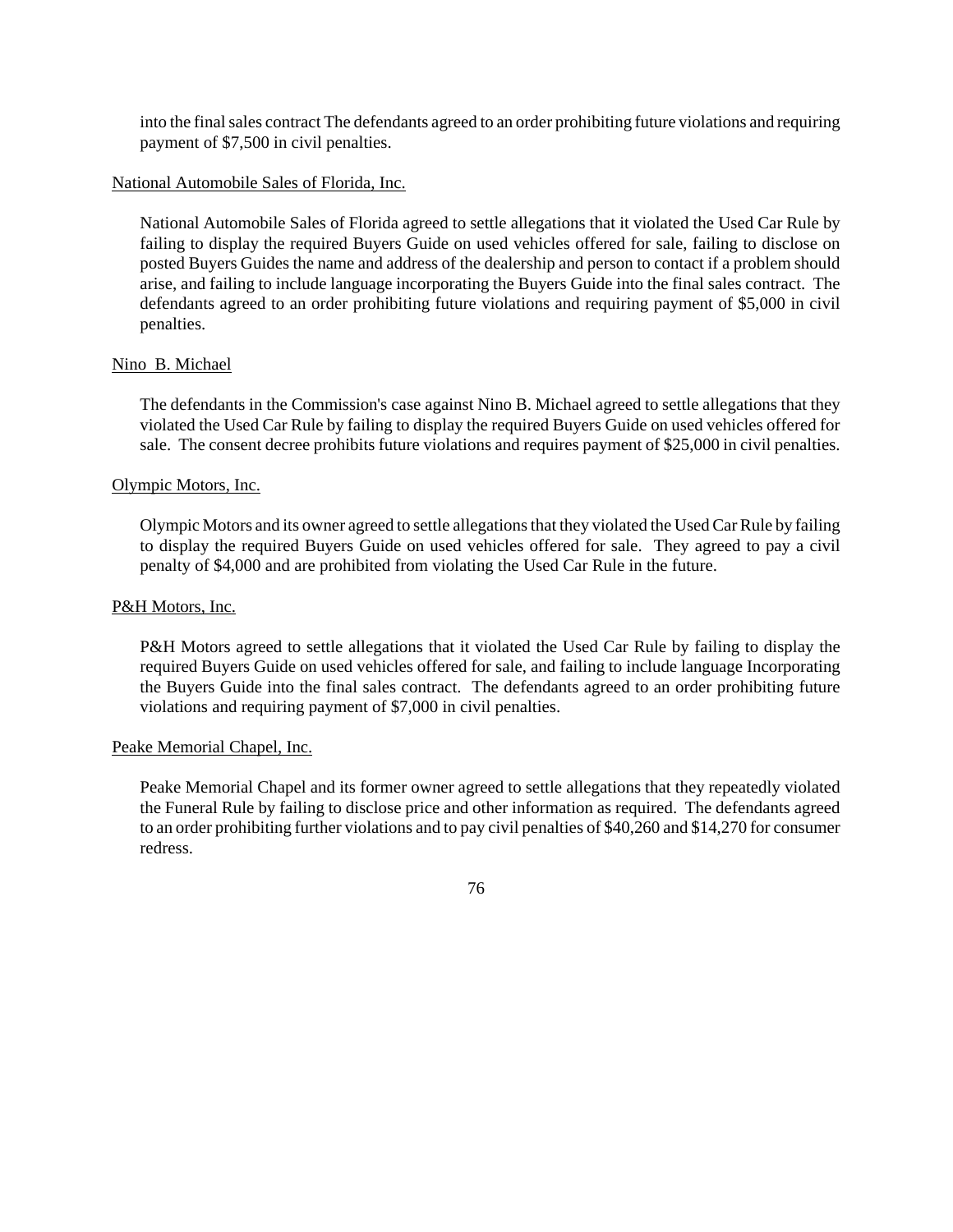into the final sales contract The defendants agreed to an order prohibiting future violations and requiring payment of \$7,500 in civil penalties.

### National Automobile Sales of Florida, Inc.

National Automobile Sales of Florida agreed to settle allegations that it violated the Used Car Rule by failing to display the required Buyers Guide on used vehicles offered for sale, failing to disclose on posted Buyers Guides the name and address of the dealership and person to contact if a problem should arise, and failing to include language incorporating the Buyers Guide into the final sales contract. The defendants agreed to an order prohibiting future violations and requiring payment of \$5,000 in civil penalties.

#### Nino B. Michael

The defendants in the Commission's case against Nino B. Michael agreed to settle allegations that they violated the Used Car Rule by failing to display the required Buyers Guide on used vehicles offered for sale. The consent decree prohibits future violations and requires payment of \$25,000 in civil penalties.

### Olympic Motors, Inc.

Olympic Motors and its owner agreed to settle allegationsthat they violated the UsedCarRule by failing to display the required Buyers Guide on used vehicles offered for sale. They agreed to pay a civil penalty of \$4,000 and are prohibited from violating the Used Car Rule in the future.

### P&H Motors, Inc.

P&H Motors agreed to settle allegations that it violated the Used Car Rule by failing to display the required Buyers Guide on used vehicles offered for sale, and failing to include language Incorporating the Buyers Guide into the final sales contract. The defendants agreed to an order prohibiting future violations and requiring payment of \$7,000 in civil penalties.

#### Peake Memorial Chapel, Inc.

Peake Memorial Chapel and its former owner agreed to settle allegations that they repeatedly violated the Funeral Rule by failing to disclose price and other information as required. The defendants agreed to an order prohibiting further violations and to pay civil penalties of \$40,260 and \$14,270 for consumer redress.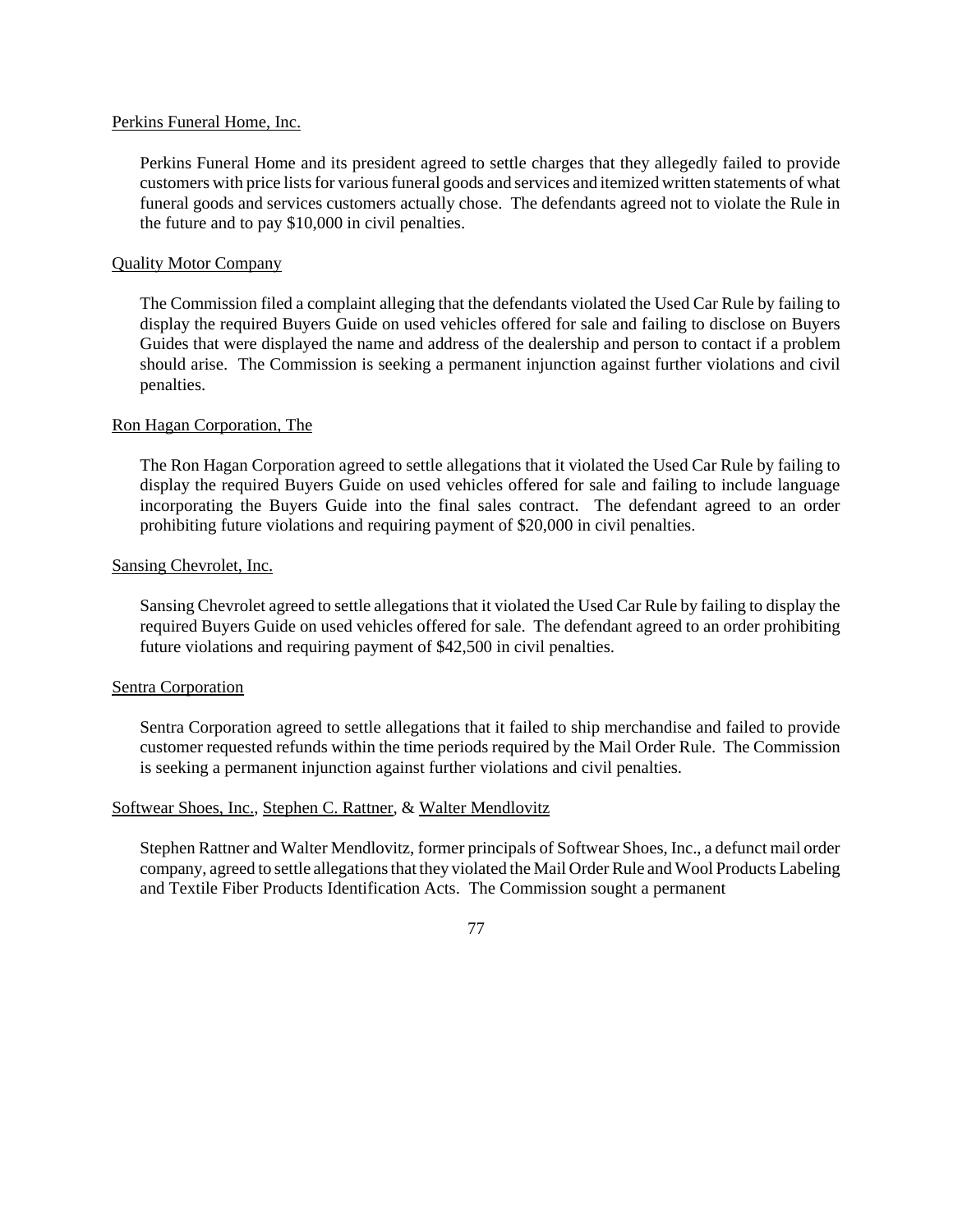### Perkins Funeral Home, Inc.

Perkins Funeral Home and its president agreed to settle charges that they allegedly failed to provide customers with price lists for various funeral goods and services and itemized written statements of what funeral goods and services customers actually chose. The defendants agreed not to violate the Rule in the future and to pay \$10,000 in civil penalties.

# Quality Motor Company

The Commission filed a complaint alleging that the defendants violated the Used Car Rule by failing to display the required Buyers Guide on used vehicles offered for sale and failing to disclose on Buyers Guides that were displayed the name and address of the dealership and person to contact if a problem should arise. The Commission is seeking a permanent injunction against further violations and civil penalties.

# Ron Hagan Corporation, The

The Ron Hagan Corporation agreed to settle allegations that it violated the Used Car Rule by failing to display the required Buyers Guide on used vehicles offered for sale and failing to include language incorporating the Buyers Guide into the final sales contract. The defendant agreed to an order prohibiting future violations and requiring payment of \$20,000 in civil penalties.

### Sansing Chevrolet, Inc.

Sansing Chevrolet agreed to settle allegations that it violated the Used Car Rule by failing to display the required Buyers Guide on used vehicles offered for sale. The defendant agreed to an order prohibiting future violations and requiring payment of \$42,500 in civil penalties.

### Sentra Corporation

Sentra Corporation agreed to settle allegations that it failed to ship merchandise and failed to provide customer requested refunds within the time periods required by the Mail Order Rule. The Commission is seeking a permanent injunction against further violations and civil penalties.

# Softwear Shoes, Inc., Stephen C. Rattner, & Walter Mendlovitz

Stephen Rattner and Walter Mendlovitz, former principals of Softwear Shoes, Inc., a defunct mail order company, agreed to settle allegations that they violated the Mail Order Rule and Wool Products Labeling and Textile Fiber Products Identification Acts. The Commission sought a permanent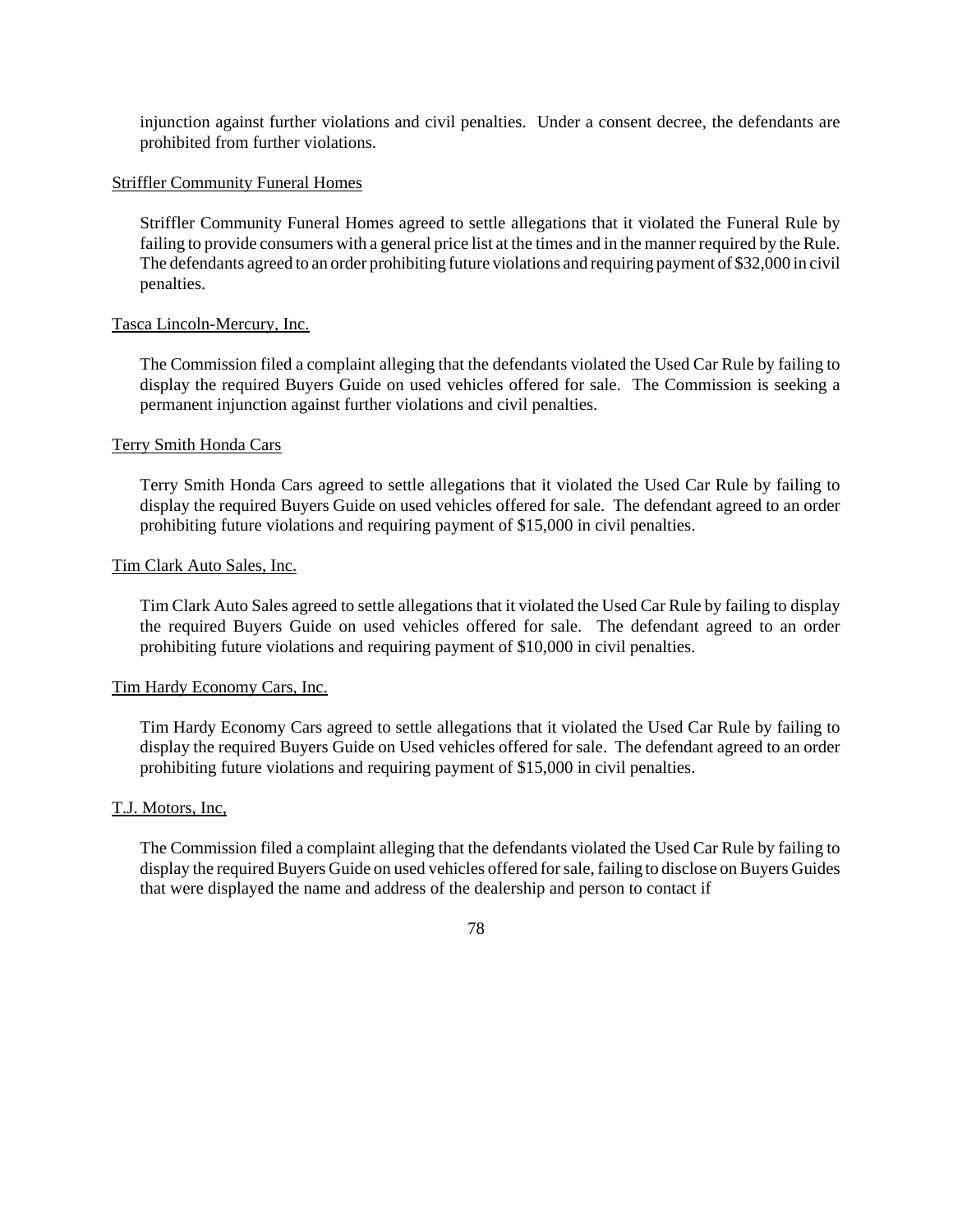injunction against further violations and civil penalties. Under a consent decree, the defendants are prohibited from further violations.

### Striffler Community Funeral Homes

Striffler Community Funeral Homes agreed to settle allegations that it violated the Funeral Rule by failing to provide consumers with a general price list at the times and in the manner required by the Rule. The defendants agreed to an order prohibiting future violations and requiring payment of \$32,000 in civil penalties.

### Tasca Lincoln-Mercury, Inc.

The Commission filed a complaint alleging that the defendants violated the Used Car Rule by failing to display the required Buyers Guide on used vehicles offered for sale. The Commission is seeking a permanent injunction against further violations and civil penalties.

### Terry Smith Honda Cars

Terry Smith Honda Cars agreed to settle allegations that it violated the Used Car Rule by failing to display the required Buyers Guide on used vehicles offered for sale. The defendant agreed to an order prohibiting future violations and requiring payment of \$15,000 in civil penalties.

### Tim Clark Auto Sales, Inc.

Tim Clark Auto Sales agreed to settle allegations that it violated the Used Car Rule by failing to display the required Buyers Guide on used vehicles offered for sale. The defendant agreed to an order prohibiting future violations and requiring payment of \$10,000 in civil penalties.

### Tim Hardy Economy Cars, Inc.

Tim Hardy Economy Cars agreed to settle allegations that it violated the Used Car Rule by failing to display the required Buyers Guide on Used vehicles offered for sale. The defendant agreed to an order prohibiting future violations and requiring payment of \$15,000 in civil penalties.

# T.J. Motors, Inc,

The Commission filed a complaint alleging that the defendants violated the Used Car Rule by failing to display the required Buyers Guide on used vehicles offered for sale, failing to disclose on Buyers Guides that were displayed the name and address of the dealership and person to contact if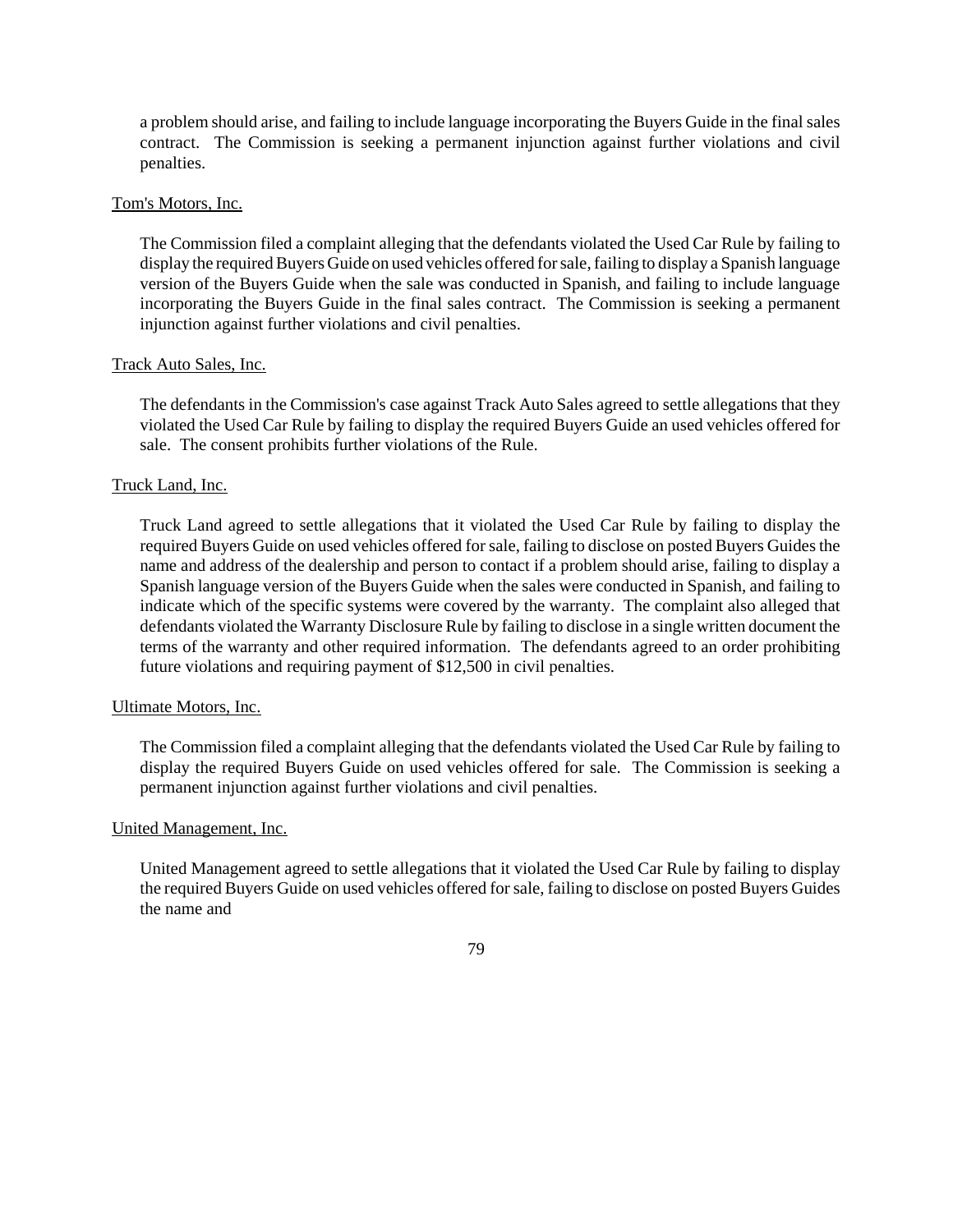a problem should arise, and failing to include language incorporating the Buyers Guide in the final sales contract. The Commission is seeking a permanent injunction against further violations and civil penalties.

#### Tom's Motors, Inc.

The Commission filed a complaint alleging that the defendants violated the Used Car Rule by failing to display the required Buyers Guide on used vehicles offered for sale, failing to display a Spanish language version of the Buyers Guide when the sale was conducted in Spanish, and failing to include language incorporating the Buyers Guide in the final sales contract. The Commission is seeking a permanent injunction against further violations and civil penalties.

### Track Auto Sales, Inc.

The defendants in the Commission's case against Track Auto Sales agreed to settle allegations that they violated the Used Car Rule by failing to display the required Buyers Guide an used vehicles offered for sale. The consent prohibits further violations of the Rule.

### Truck Land, Inc.

Truck Land agreed to settle allegations that it violated the Used Car Rule by failing to display the required Buyers Guide on used vehicles offered for sale, failing to disclose on posted Buyers Guides the name and address of the dealership and person to contact if a problem should arise, failing to display a Spanish language version of the Buyers Guide when the sales were conducted in Spanish, and failing to indicate which of the specific systems were covered by the warranty. The complaint also alleged that defendants violated the Warranty Disclosure Rule by failing to disclose in a single written document the terms of the warranty and other required information. The defendants agreed to an order prohibiting future violations and requiring payment of \$12,500 in civil penalties.

#### Ultimate Motors, Inc.

The Commission filed a complaint alleging that the defendants violated the Used Car Rule by failing to display the required Buyers Guide on used vehicles offered for sale. The Commission is seeking a permanent injunction against further violations and civil penalties.

# United Management, Inc.

United Management agreed to settle allegations that it violated the Used Car Rule by failing to display the required Buyers Guide on used vehicles offered forsale, failing to disclose on posted Buyers Guides the name and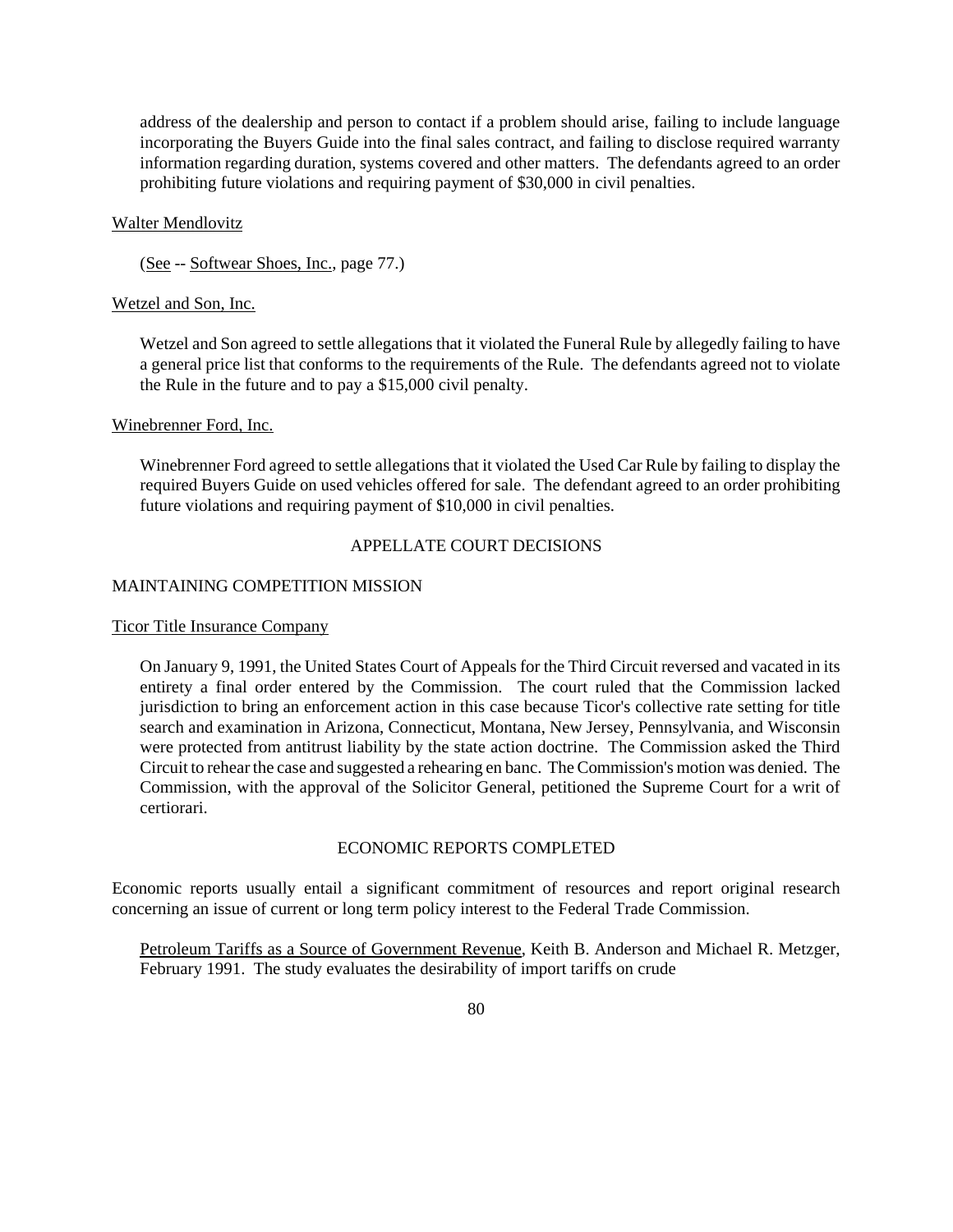address of the dealership and person to contact if a problem should arise, failing to include language incorporating the Buyers Guide into the final sales contract, and failing to disclose required warranty information regarding duration, systems covered and other matters. The defendants agreed to an order prohibiting future violations and requiring payment of \$30,000 in civil penalties.

#### Walter Mendlovitz

(See -- Softwear Shoes, Inc., page 77.)

#### Wetzel and Son, Inc.

Wetzel and Son agreed to settle allegations that it violated the Funeral Rule by allegedly failing to have a general price list that conforms to the requirements of the Rule. The defendants agreed not to violate the Rule in the future and to pay a \$15,000 civil penalty.

#### Winebrenner Ford, Inc.

Winebrenner Ford agreed to settle allegations that it violated the Used Car Rule by failing to display the required Buyers Guide on used vehicles offered for sale. The defendant agreed to an order prohibiting future violations and requiring payment of \$10,000 in civil penalties.

# APPELLATE COURT DECISIONS

### MAINTAINING COMPETITION MISSION

#### Ticor Title Insurance Company

On January 9, 1991, the United States Court of Appeals for the Third Circuit reversed and vacated in its entirety a final order entered by the Commission. The court ruled that the Commission lacked jurisdiction to bring an enforcement action in this case because Ticor's collective rate setting for title search and examination in Arizona, Connecticut, Montana, New Jersey, Pennsylvania, and Wisconsin were protected from antitrust liability by the state action doctrine. The Commission asked the Third Circuit to rehearthe case and suggested a rehearing en banc. The Commission's motion was denied. The Commission, with the approval of the Solicitor General, petitioned the Supreme Court for a writ of certiorari.

# ECONOMIC REPORTS COMPLETED

Economic reports usually entail a significant commitment of resources and report original research concerning an issue of current or long term policy interest to the Federal Trade Commission.

Petroleum Tariffs as a Source of Government Revenue, Keith B. Anderson and Michael R. Metzger, February 1991. The study evaluates the desirability of import tariffs on crude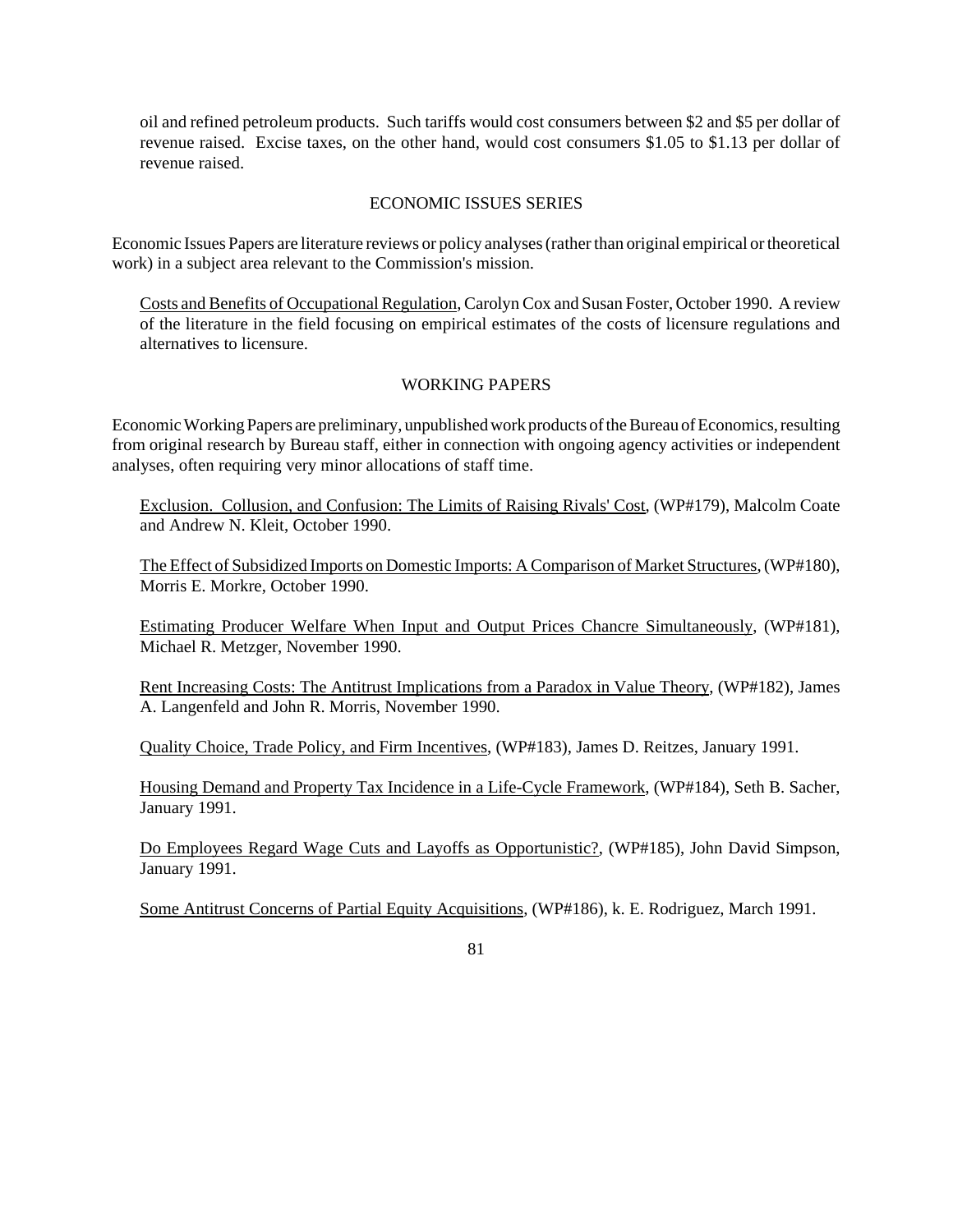oil and refined petroleum products. Such tariffs would cost consumers between \$2 and \$5 per dollar of revenue raised. Excise taxes, on the other hand, would cost consumers \$1.05 to \$1.13 per dollar of revenue raised.

# ECONOMIC ISSUES SERIES

Economic Issues Papers are literature reviews or policy analyses(ratherthan original empirical ortheoretical work) in a subject area relevant to the Commission's mission.

Costs and Benefits of Occupational Regulation, Carolyn Cox and Susan Foster, October 1990. A review of the literature in the field focusing on empirical estimates of the costs of licensure regulations and alternatives to licensure.

# WORKING PAPERS

Economic Working Papers are preliminary, unpublished work products of the Bureau of Economics, resulting from original research by Bureau staff, either in connection with ongoing agency activities or independent analyses, often requiring very minor allocations of staff time.

Exclusion. Collusion, and Confusion: The Limits of Raising Rivals' Cost, (WP#179), Malcolm Coate and Andrew N. Kleit, October 1990.

The Effect of Subsidized Imports on Domestic Imports: A Comparison of Market Structures,(WP#180), Morris E. Morkre, October 1990.

Estimating Producer Welfare When Input and Output Prices Chancre Simultaneously, (WP#181), Michael R. Metzger, November 1990.

Rent Increasing Costs: The Antitrust Implications from a Paradox in Value Theory, (WP#182), James A. Langenfeld and John R. Morris, November 1990.

Quality Choice, Trade Policy, and Firm Incentives, (WP#183), James D. Reitzes, January 1991.

Housing Demand and Property Tax Incidence in a Life-Cycle Framework, (WP#184), Seth B. Sacher, January 1991.

Do Employees Regard Wage Cuts and Layoffs as Opportunistic?, (WP#185), John David Simpson, January 1991.

Some Antitrust Concerns of Partial Equity Acquisitions, (WP#186), k. E. Rodriguez, March 1991.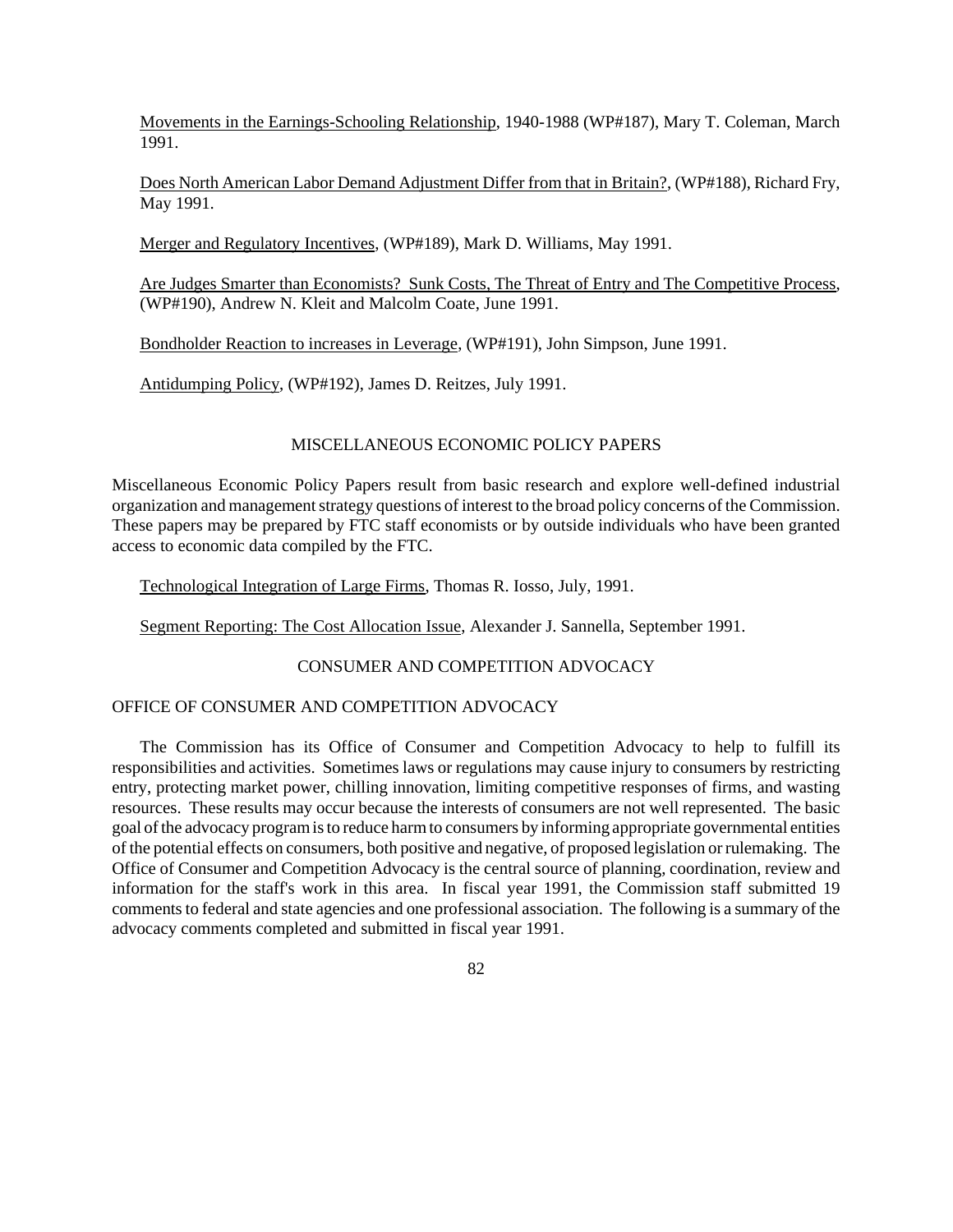Movements in the Earnings-Schooling Relationship, 1940-1988 (WP#187), Mary T. Coleman, March 1991.

Does North American Labor Demand Adjustment Differ from that in Britain?, (WP#188), Richard Fry, May 1991.

Merger and Regulatory Incentives, (WP#189), Mark D. Williams, May 1991.

Are Judges Smarter than Economists? Sunk Costs, The Threat of Entry and The Competitive Process, (WP#190), Andrew N. Kleit and Malcolm Coate, June 1991.

Bondholder Reaction to increases in Leverage, (WP#191), John Simpson, June 1991.

Antidumping Policy, (WP#192), James D. Reitzes, July 1991.

# MISCELLANEOUS ECONOMIC POLICY PAPERS

Miscellaneous Economic Policy Papers result from basic research and explore well-defined industrial organization and management strategy questions of interest to the broad policy concerns of the Commission. These papers may be prepared by FTC staff economists or by outside individuals who have been granted access to economic data compiled by the FTC.

Technological Integration of Large Firms, Thomas R. Iosso, July, 1991.

Segment Reporting: The Cost Allocation Issue, Alexander J. Sannella, September 1991.

# CONSUMER AND COMPETITION ADVOCACY

#### OFFICE OF CONSUMER AND COMPETITION ADVOCACY

The Commission has its Office of Consumer and Competition Advocacy to help to fulfill its responsibilities and activities. Sometimes laws or regulations may cause injury to consumers by restricting entry, protecting market power, chilling innovation, limiting competitive responses of firms, and wasting resources. These results may occur because the interests of consumers are not well represented. The basic goal ofthe advocacy programisto reduce harmto consumers by informing appropriate governmental entities of the potential effects on consumers, both positive and negative, of proposed legislation orrulemaking. The Office of Consumer and Competition Advocacy is the central source of planning, coordination, review and information for the staff's work in this area. In fiscal year 1991, the Commission staff submitted 19 comments to federal and state agencies and one professional association. The following is a summary of the advocacy comments completed and submitted in fiscal year 1991.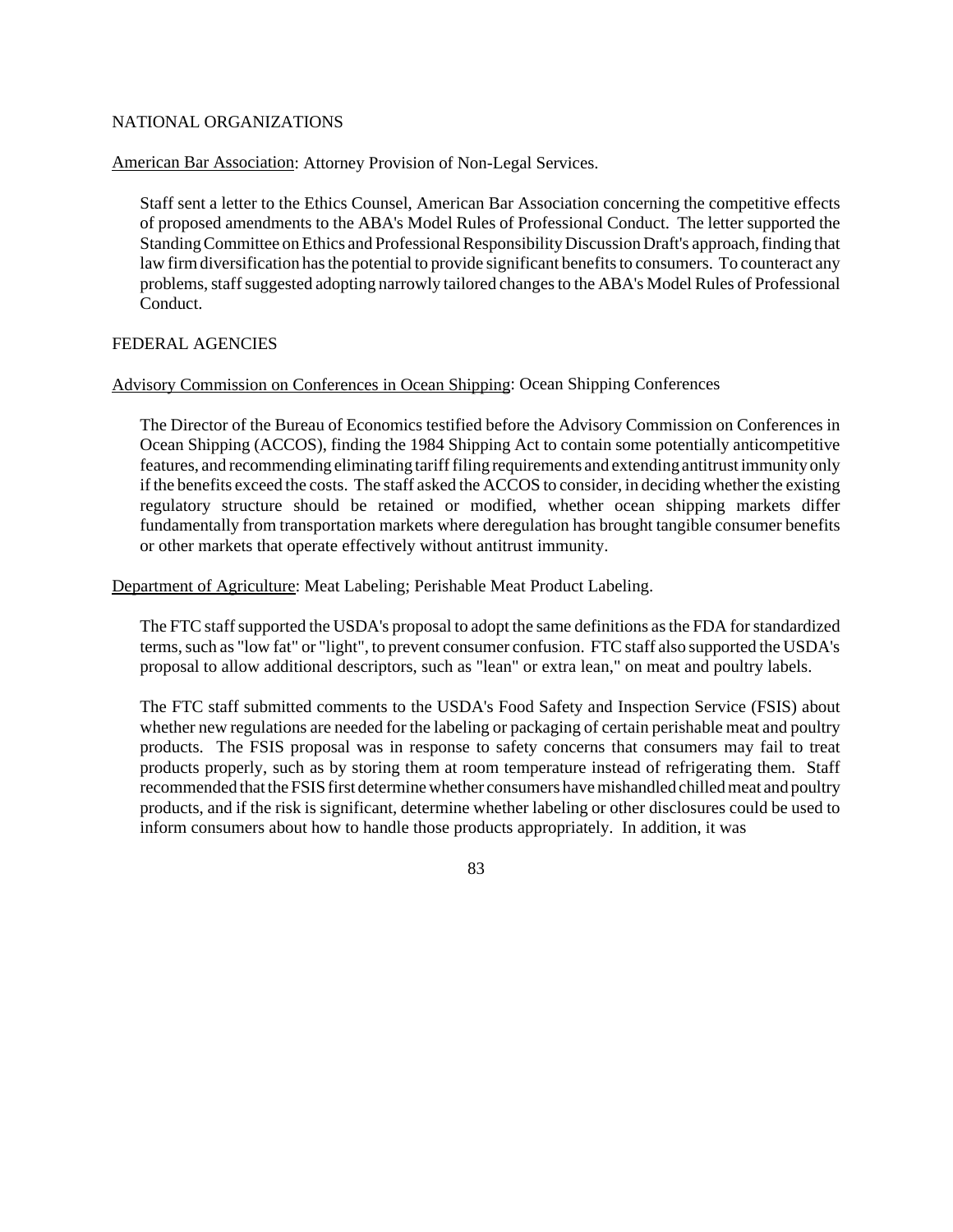# NATIONAL ORGANIZATIONS

American Bar Association: Attorney Provision of Non-Legal Services.

Staff sent a letter to the Ethics Counsel, American Bar Association concerning the competitive effects of proposed amendments to the ABA's Model Rules of Professional Conduct. The letter supported the Standing Committee on Ethics and Professional Responsibility Discussion Draft's approach, finding that law firm diversification has the potential to provide significant benefits to consumers. To counteract any problems, staff suggested adopting narrowly tailored changes to the ABA's Model Rules of Professional Conduct.

# FEDERAL AGENCIES

# Advisory Commission on Conferences in Ocean Shipping: Ocean Shipping Conferences

The Director of the Bureau of Economics testified before the Advisory Commission on Conferences in Ocean Shipping (ACCOS), finding the 1984 Shipping Act to contain some potentially anticompetitive features, and recommending eliminating tarifffiling requirements and extending antitrust immunity only if the benefits exceed the costs. The staff asked the ACCOS to consider, in deciding whether the existing regulatory structure should be retained or modified, whether ocean shipping markets differ fundamentally from transportation markets where deregulation has brought tangible consumer benefits or other markets that operate effectively without antitrust immunity.

Department of Agriculture: Meat Labeling; Perishable Meat Product Labeling.

The FTC staff supported the USDA's proposal to adopt the same definitions as the FDA for standardized terms,such as "low fat" or "light", to prevent consumer confusion. FTC staff also supported the USDA's proposal to allow additional descriptors, such as "lean" or extra lean," on meat and poultry labels.

The FTC staff submitted comments to the USDA's Food Safety and Inspection Service (FSIS) about whether new regulations are needed for the labeling or packaging of certain perishable meat and poultry products. The FSIS proposal was in response to safety concerns that consumers may fail to treat products properly, such as by storing them at room temperature instead of refrigerating them. Staff recommended that the FSIS first determine whether consumers have mishandled chilled meat and poultry products, and if the risk is significant, determine whether labeling or other disclosures could be used to inform consumers about how to handle those products appropriately. In addition, it was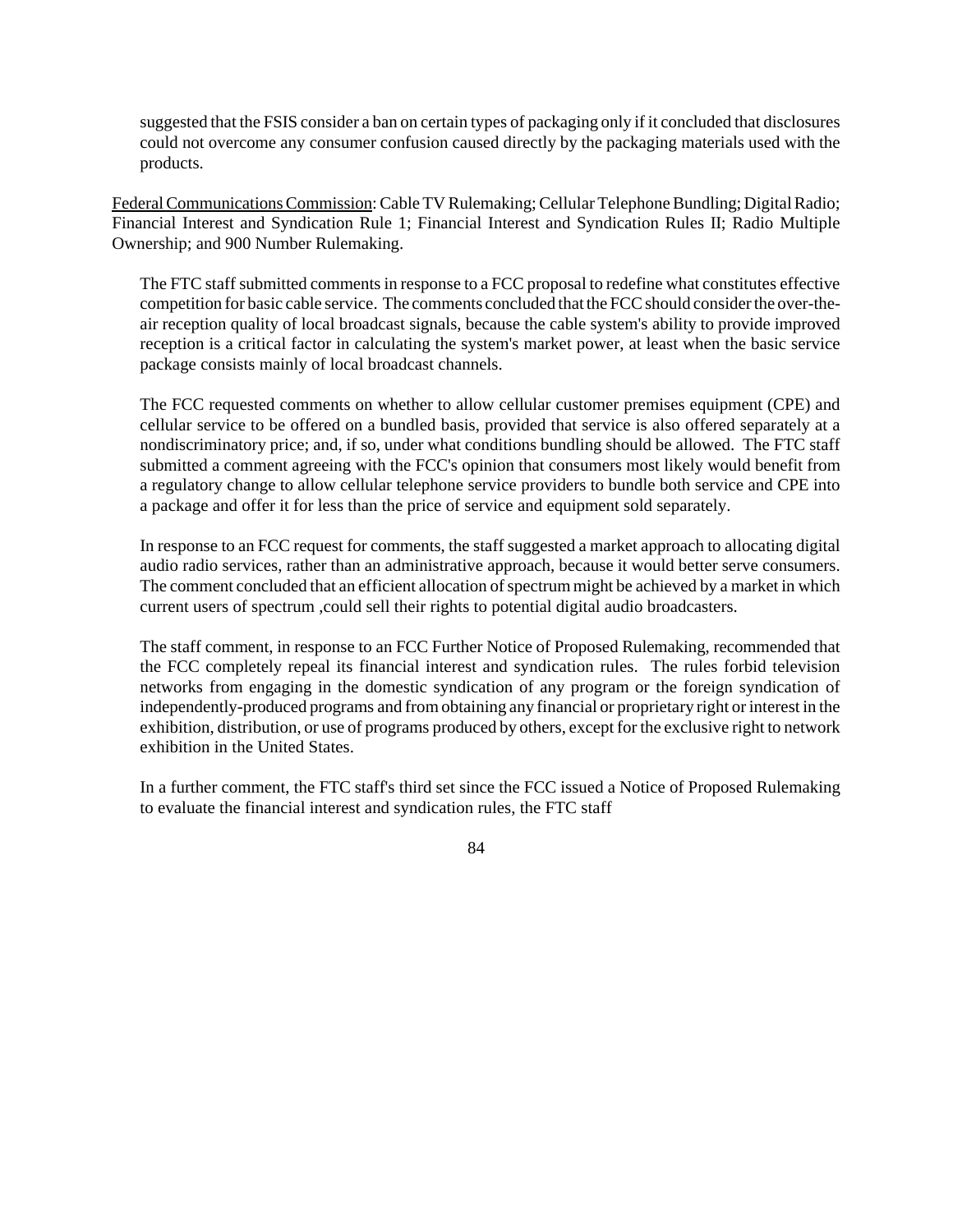suggested that the FSIS consider a ban on certain types of packaging only if it concluded that disclosures could not overcome any consumer confusion caused directly by the packaging materials used with the products.

Federal Communications Commission: Cable TV Rulemaking; Cellular Telephone Bundling; Digital Radio; Financial Interest and Syndication Rule 1; Financial Interest and Syndication Rules II; Radio Multiple Ownership; and 900 Number Rulemaking.

The FTC staff submitted comments in response to a FCC proposal to redefine what constitutes effective competition for basic cable service. The comments concluded that the FCC should consider the over-theair reception quality of local broadcast signals, because the cable system's ability to provide improved reception is a critical factor in calculating the system's market power, at least when the basic service package consists mainly of local broadcast channels.

The FCC requested comments on whether to allow cellular customer premises equipment (CPE) and cellular service to be offered on a bundled basis, provided that service is also offered separately at a nondiscriminatory price; and, if so, under what conditions bundling should be allowed. The FTC staff submitted a comment agreeing with the FCC's opinion that consumers most likely would benefit from a regulatory change to allow cellular telephone service providers to bundle both service and CPE into a package and offer it for less than the price of service and equipment sold separately.

In response to an FCC request for comments, the staff suggested a market approach to allocating digital audio radio services, rather than an administrative approach, because it would better serve consumers. The comment concluded that an efficient allocation of spectrum might be achieved by a market in which current users of spectrum ,could sell their rights to potential digital audio broadcasters.

The staff comment, in response to an FCC Further Notice of Proposed Rulemaking, recommended that the FCC completely repeal its financial interest and syndication rules. The rules forbid television networks from engaging in the domestic syndication of any program or the foreign syndication of independently-produced programs and fromobtaining any financial or proprietary right orinterest in the exhibition, distribution, or use of programs produced by others, except for the exclusive right to network exhibition in the United States.

In a further comment, the FTC staff's third set since the FCC issued a Notice of Proposed Rulemaking to evaluate the financial interest and syndication rules, the FTC staff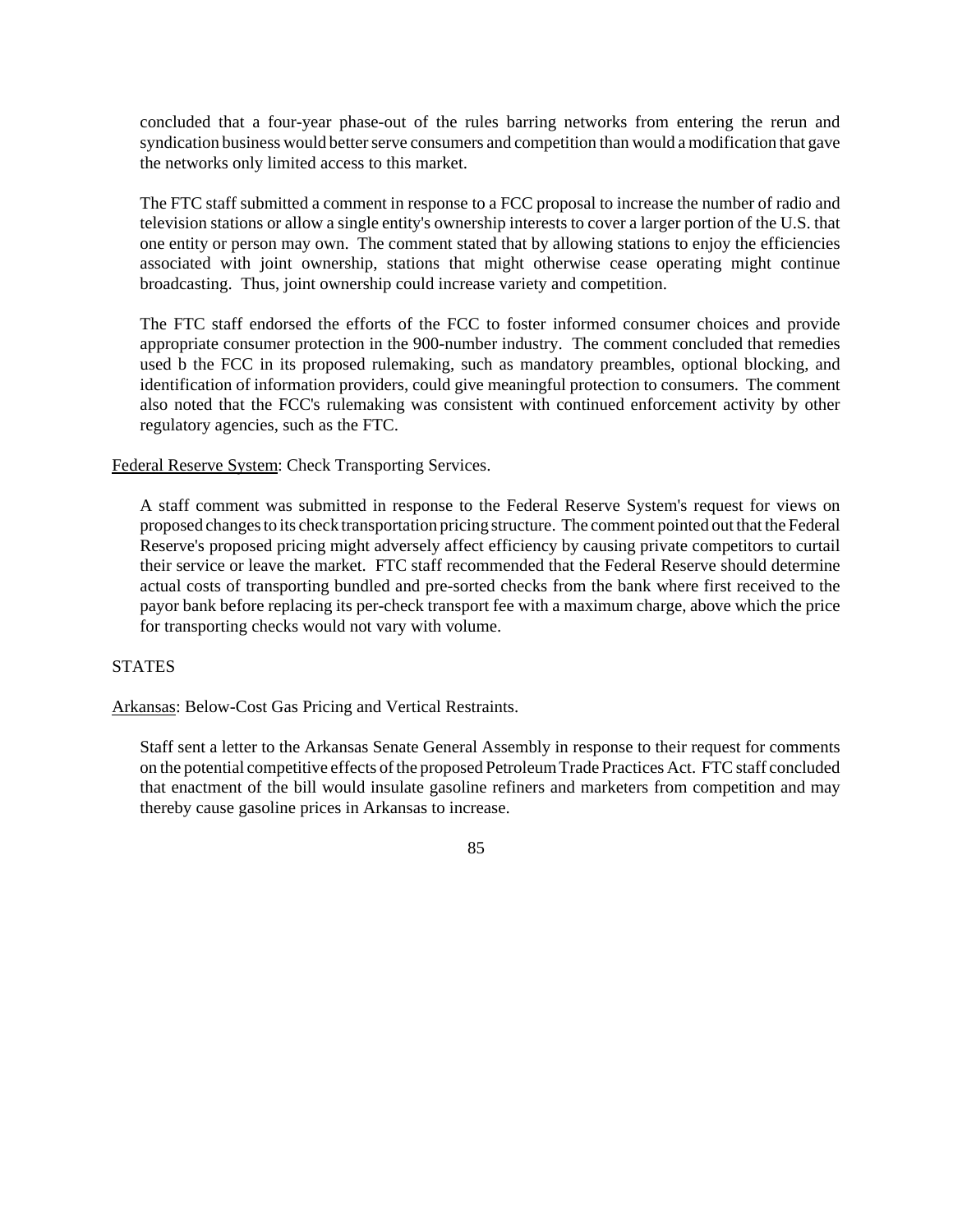concluded that a four-year phase-out of the rules barring networks from entering the rerun and syndication business would better serve consumers and competition than would a modification that gave the networks only limited access to this market.

The FTC staff submitted a comment in response to a FCC proposal to increase the number of radio and television stations or allow a single entity's ownership interests to cover a larger portion of the U.S. that one entity or person may own. The comment stated that by allowing stations to enjoy the efficiencies associated with joint ownership, stations that might otherwise cease operating might continue broadcasting. Thus, joint ownership could increase variety and competition.

The FTC staff endorsed the efforts of the FCC to foster informed consumer choices and provide appropriate consumer protection in the 900-number industry. The comment concluded that remedies used b the FCC in its proposed rulemaking, such as mandatory preambles, optional blocking, and identification of information providers, could give meaningful protection to consumers. The comment also noted that the FCC's rulemaking was consistent with continued enforcement activity by other regulatory agencies, such as the FTC.

Federal Reserve System: Check Transporting Services.

A staff comment was submitted in response to the Federal Reserve System's request for views on proposed changes to its check transportation pricing structure. The comment pointed out that the Federal Reserve's proposed pricing might adversely affect efficiency by causing private competitors to curtail their service or leave the market. FTC staff recommended that the Federal Reserve should determine actual costs of transporting bundled and pre-sorted checks from the bank where first received to the payor bank before replacing its per-check transport fee with a maximum charge, above which the price for transporting checks would not vary with volume.

# **STATES**

Arkansas: Below-Cost Gas Pricing and Vertical Restraints.

Staff sent a letter to the Arkansas Senate General Assembly in response to their request for comments on the potential competitive effects of the proposed Petroleum Trade Practices Act. FTC staff concluded that enactment of the bill would insulate gasoline refiners and marketers from competition and may thereby cause gasoline prices in Arkansas to increase.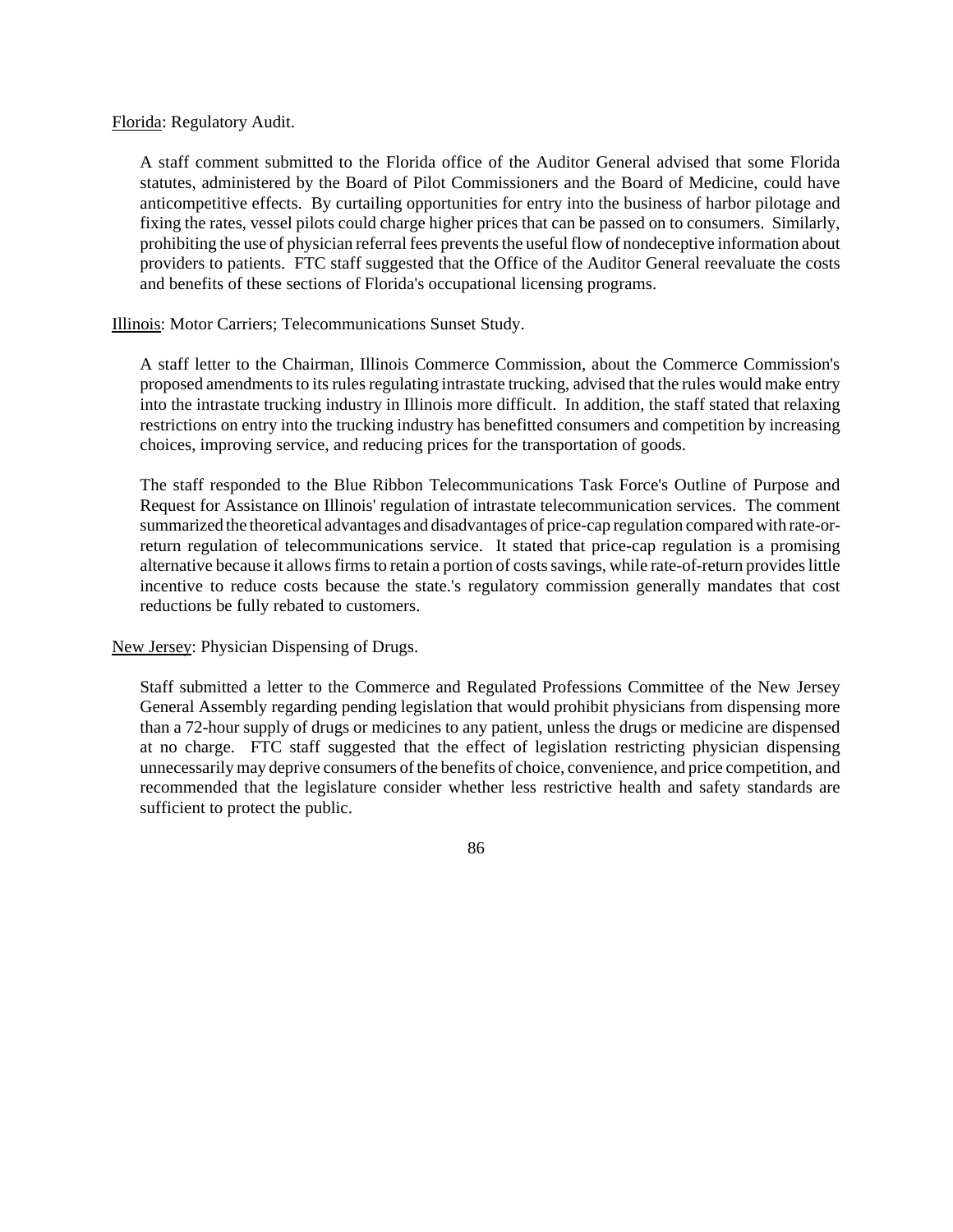Florida: Regulatory Audit.

A staff comment submitted to the Florida office of the Auditor General advised that some Florida statutes, administered by the Board of Pilot Commissioners and the Board of Medicine, could have anticompetitive effects. By curtailing opportunities for entry into the business of harbor pilotage and fixing the rates, vessel pilots could charge higher prices that can be passed on to consumers. Similarly, prohibiting the use of physician referral fees prevents the useful flow of nondeceptive information about providers to patients. FTC staff suggested that the Office of the Auditor General reevaluate the costs and benefits of these sections of Florida's occupational licensing programs.

Illinois: Motor Carriers; Telecommunications Sunset Study.

A staff letter to the Chairman, Illinois Commerce Commission, about the Commerce Commission's proposed amendments to its rules regulating intrastate trucking, advised that the rules would make entry into the intrastate trucking industry in Illinois more difficult. In addition, the staff stated that relaxing restrictions on entry into the trucking industry has benefitted consumers and competition by increasing choices, improving service, and reducing prices for the transportation of goods.

The staff responded to the Blue Ribbon Telecommunications Task Force's Outline of Purpose and Request for Assistance on Illinois' regulation of intrastate telecommunication services. The comment summarized the theoretical advantages and disadvantages of price-cap regulation compared with rate-orreturn regulation of telecommunications service. It stated that price-cap regulation is a promising alternative because it allows firms to retain a portion of costs savings, while rate-of-return provides little incentive to reduce costs because the state.'s regulatory commission generally mandates that cost reductions be fully rebated to customers.

New Jersey: Physician Dispensing of Drugs.

Staff submitted a letter to the Commerce and Regulated Professions Committee of the New Jersey General Assembly regarding pending legislation that would prohibit physicians from dispensing more than a 72-hour supply of drugs or medicines to any patient, unless the drugs or medicine are dispensed at no charge. FTC staff suggested that the effect of legislation restricting physician dispensing unnecessarily may deprive consumers of the benefits of choice, convenience, and price competition, and recommended that the legislature consider whether less restrictive health and safety standards are sufficient to protect the public.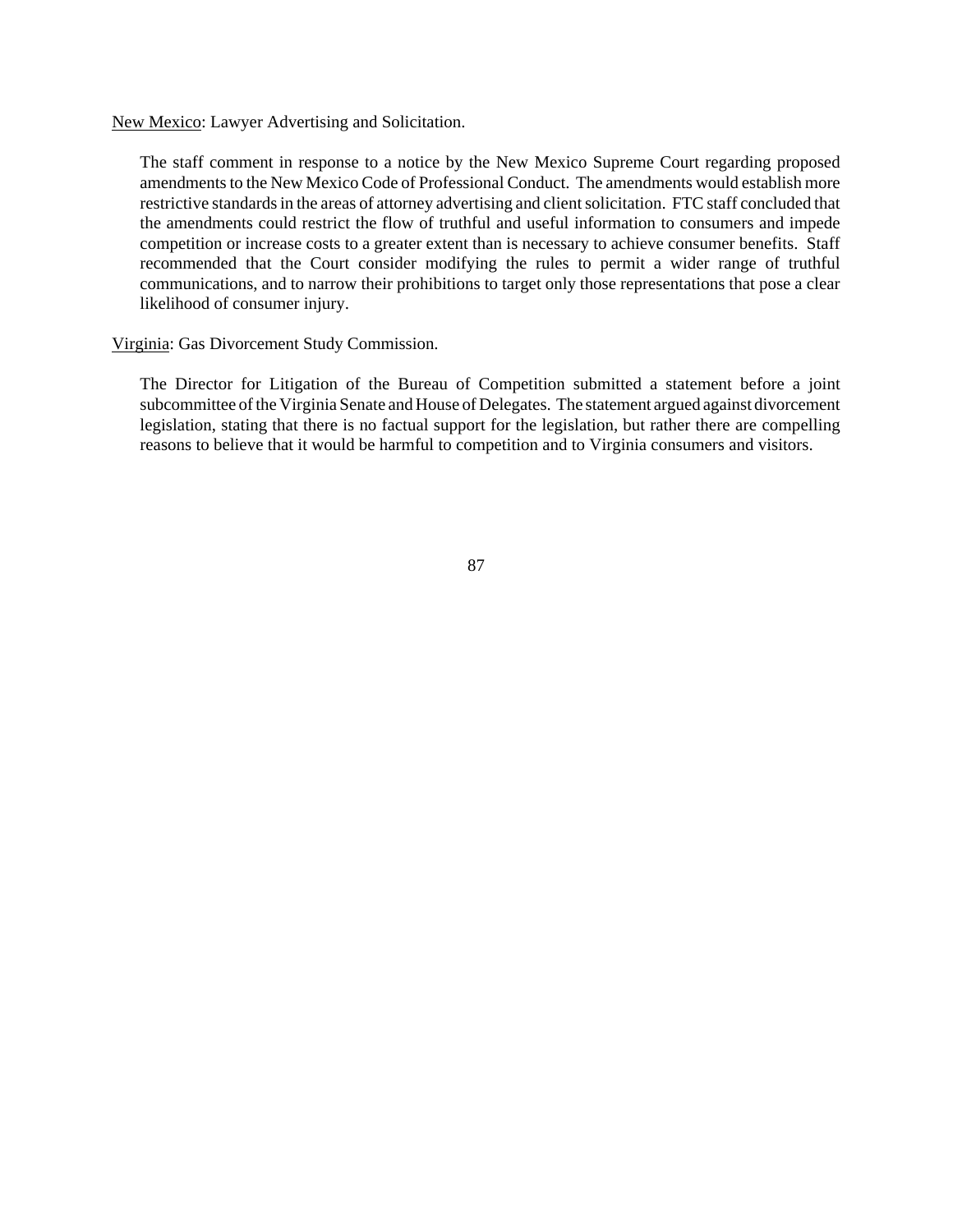New Mexico: Lawyer Advertising and Solicitation.

The staff comment in response to a notice by the New Mexico Supreme Court regarding proposed amendments to the New Mexico Code of Professional Conduct. The amendments would establish more restrictive standards in the areas of attorney advertising and client solicitation. FTC staff concluded that the amendments could restrict the flow of truthful and useful information to consumers and impede competition or increase costs to a greater extent than is necessary to achieve consumer benefits. Staff recommended that the Court consider modifying the rules to permit a wider range of truthful communications, and to narrow their prohibitions to target only those representations that pose a clear likelihood of consumer injury.

Virginia: Gas Divorcement Study Commission.

The Director for Litigation of the Bureau of Competition submitted a statement before a joint subcommittee of the Virginia Senate and House of Delegates. The statement argued against divorcement legislation, stating that there is no factual support for the legislation, but rather there are compelling reasons to believe that it would be harmful to competition and to Virginia consumers and visitors.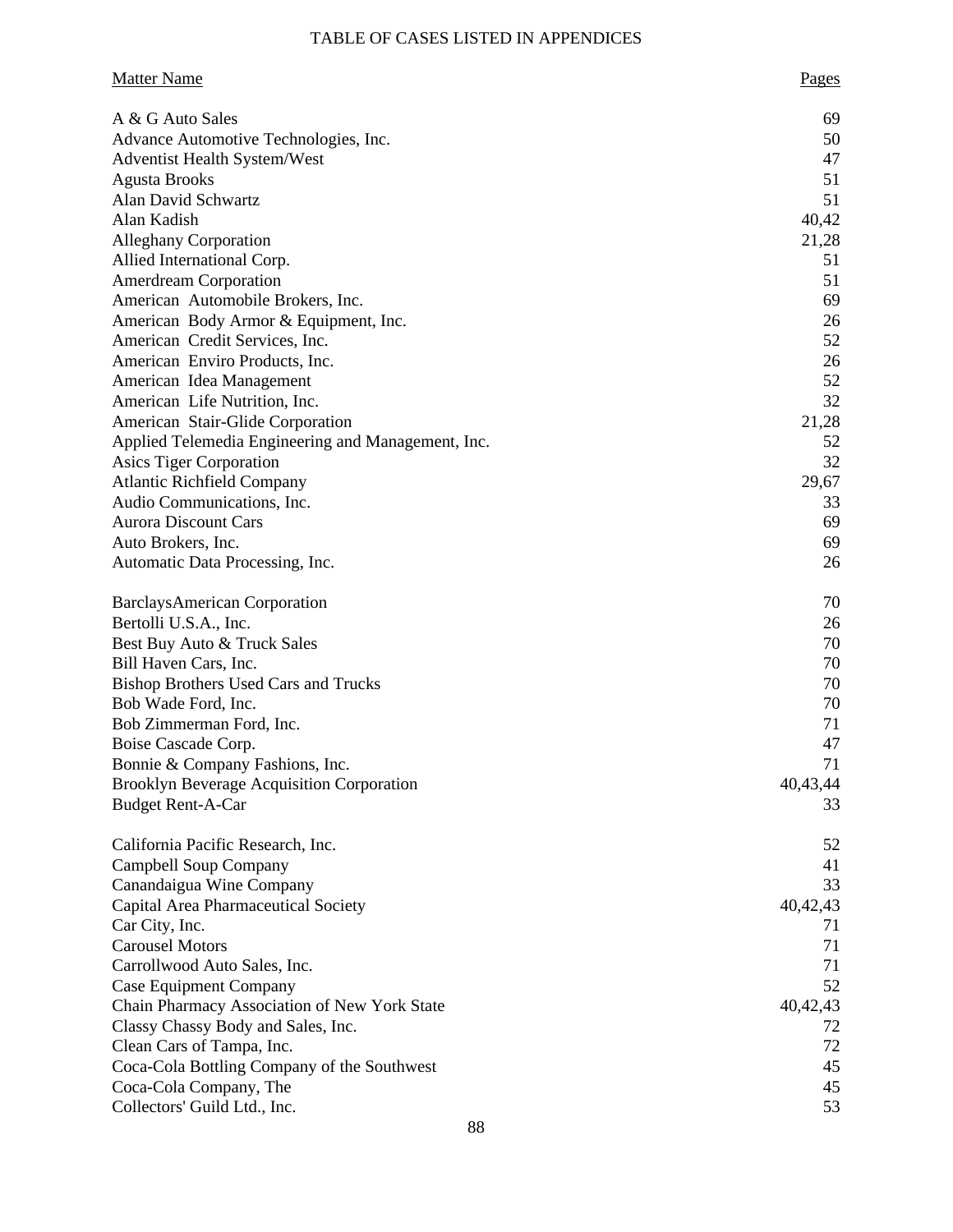# TABLE OF CASES LISTED IN APPENDICES

| <b>Matter Name</b>                                 | Pages    |
|----------------------------------------------------|----------|
| A & G Auto Sales                                   | 69       |
| Advance Automotive Technologies, Inc.              | 50       |
| <b>Adventist Health System/West</b>                | 47       |
| <b>Agusta Brooks</b>                               | 51       |
| Alan David Schwartz                                | 51       |
| Alan Kadish                                        | 40,42    |
| <b>Alleghany Corporation</b>                       | 21,28    |
| Allied International Corp.                         | 51       |
| <b>Amerdream Corporation</b>                       | 51       |
| American Automobile Brokers, Inc.                  | 69       |
| American Body Armor & Equipment, Inc.              | 26       |
| American Credit Services, Inc.                     | 52       |
| American Enviro Products, Inc.                     | 26       |
| American Idea Management                           | 52       |
| American Life Nutrition, Inc.                      | 32       |
| American Stair-Glide Corporation                   | 21,28    |
| Applied Telemedia Engineering and Management, Inc. | 52       |
| Asics Tiger Corporation                            | 32       |
| <b>Atlantic Richfield Company</b>                  | 29,67    |
| Audio Communications, Inc.                         | 33       |
| <b>Aurora Discount Cars</b>                        | 69       |
| Auto Brokers, Inc.                                 | 69       |
| Automatic Data Processing, Inc.                    | 26       |
| <b>BarclaysAmerican Corporation</b>                | 70       |
| Bertolli U.S.A., Inc.                              | 26       |
| Best Buy Auto & Truck Sales                        | 70       |
| Bill Haven Cars, Inc.                              | 70       |
| <b>Bishop Brothers Used Cars and Trucks</b>        | 70       |
| Bob Wade Ford, Inc.                                | 70       |
| Bob Zimmerman Ford, Inc.                           | 71       |
| Boise Cascade Corp.                                | 47       |
| Bonnie & Company Fashions, Inc.                    | 71       |
| <b>Brooklyn Beverage Acquisition Corporation</b>   | 40,43,44 |
| <b>Budget Rent-A-Car</b>                           | 33       |
| California Pacific Research, Inc.                  | 52       |
| Campbell Soup Company                              | 41       |
| Canandaigua Wine Company                           | 33       |
| Capital Area Pharmaceutical Society                | 40,42,43 |
| Car City, Inc.                                     | 71       |
| <b>Carousel Motors</b>                             | 71       |
| Carrollwood Auto Sales, Inc.                       | 71       |
| <b>Case Equipment Company</b>                      | 52       |
| Chain Pharmacy Association of New York State       | 40,42,43 |
| Classy Chassy Body and Sales, Inc.                 | 72       |
| Clean Cars of Tampa, Inc.                          | 72       |
| Coca-Cola Bottling Company of the Southwest        | 45       |
| Coca-Cola Company, The                             | 45       |
| Collectors' Guild Ltd., Inc.                       | 53       |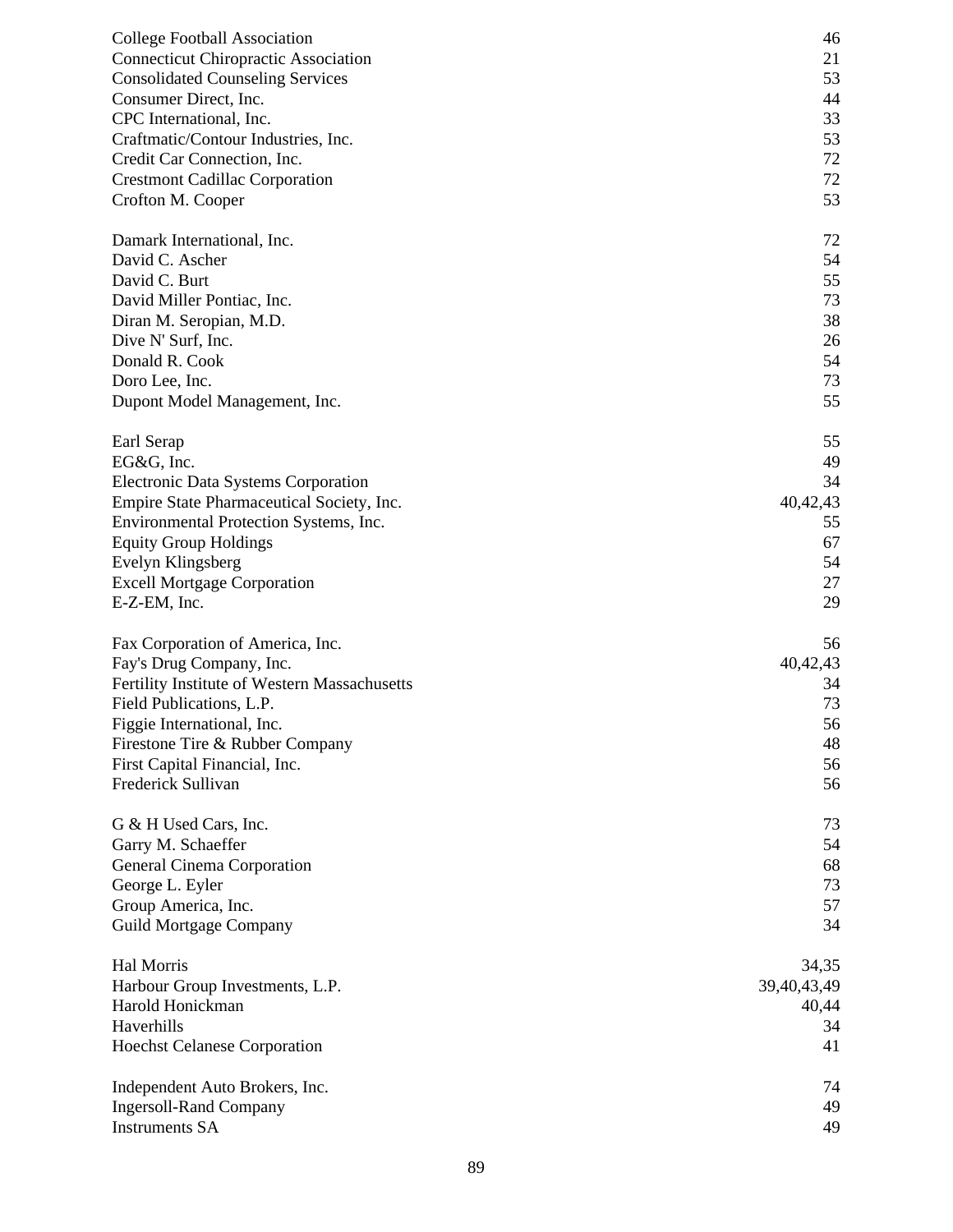| <b>College Football Association</b>          | 46          |
|----------------------------------------------|-------------|
| <b>Connecticut Chiropractic Association</b>  | 21          |
| <b>Consolidated Counseling Services</b>      | 53          |
| Consumer Direct, Inc.                        | 44          |
| CPC International, Inc.                      | 33          |
| Craftmatic/Contour Industries, Inc.          | 53          |
| Credit Car Connection, Inc.                  | 72          |
| <b>Crestmont Cadillac Corporation</b>        | 72          |
| Crofton M. Cooper                            | 53          |
| Damark International, Inc.                   | 72          |
| David C. Ascher                              | 54          |
| David C. Burt                                | 55          |
| David Miller Pontiac, Inc.                   | 73          |
| Diran M. Seropian, M.D.                      | 38          |
| Dive N' Surf, Inc.                           | 26          |
| Donald R. Cook                               |             |
|                                              | 54          |
| Doro Lee, Inc.                               | 73          |
| Dupont Model Management, Inc.                | 55          |
| Earl Serap                                   | 55          |
| EG&G, Inc.                                   | 49          |
| Electronic Data Systems Corporation          | 34          |
| Empire State Pharmaceutical Society, Inc.    | 40,42,43    |
| Environmental Protection Systems, Inc.       | 55          |
| <b>Equity Group Holdings</b>                 | 67          |
| Evelyn Klingsberg                            | 54          |
| <b>Excell Mortgage Corporation</b>           | 27          |
| E-Z-EM, Inc.                                 | 29          |
| Fax Corporation of America, Inc.             | 56          |
| Fay's Drug Company, Inc.                     | 40,42,43    |
| Fertility Institute of Western Massachusetts | 34          |
| Field Publications, L.P.                     | 73          |
| Figgie International, Inc.                   | 56          |
| Firestone Tire & Rubber Company              | 48          |
| First Capital Financial, Inc.                | 56          |
| Frederick Sullivan                           | 56          |
|                                              |             |
| G & H Used Cars, Inc.                        | 73          |
| Garry M. Schaeffer                           | 54          |
| General Cinema Corporation                   | 68          |
| George L. Eyler                              | 73          |
| Group America, Inc.                          | 57          |
| <b>Guild Mortgage Company</b>                | 34          |
| Hal Morris                                   | 34,35       |
| Harbour Group Investments, L.P.              | 39,40,43,49 |
| Harold Honickman                             | 40,44       |
| Haverhills                                   | 34          |
| <b>Hoechst Celanese Corporation</b>          | 41          |
|                                              |             |
| Independent Auto Brokers, Inc.               | 74          |
| <b>Ingersoll-Rand Company</b>                | 49          |
| <b>Instruments SA</b>                        | 49          |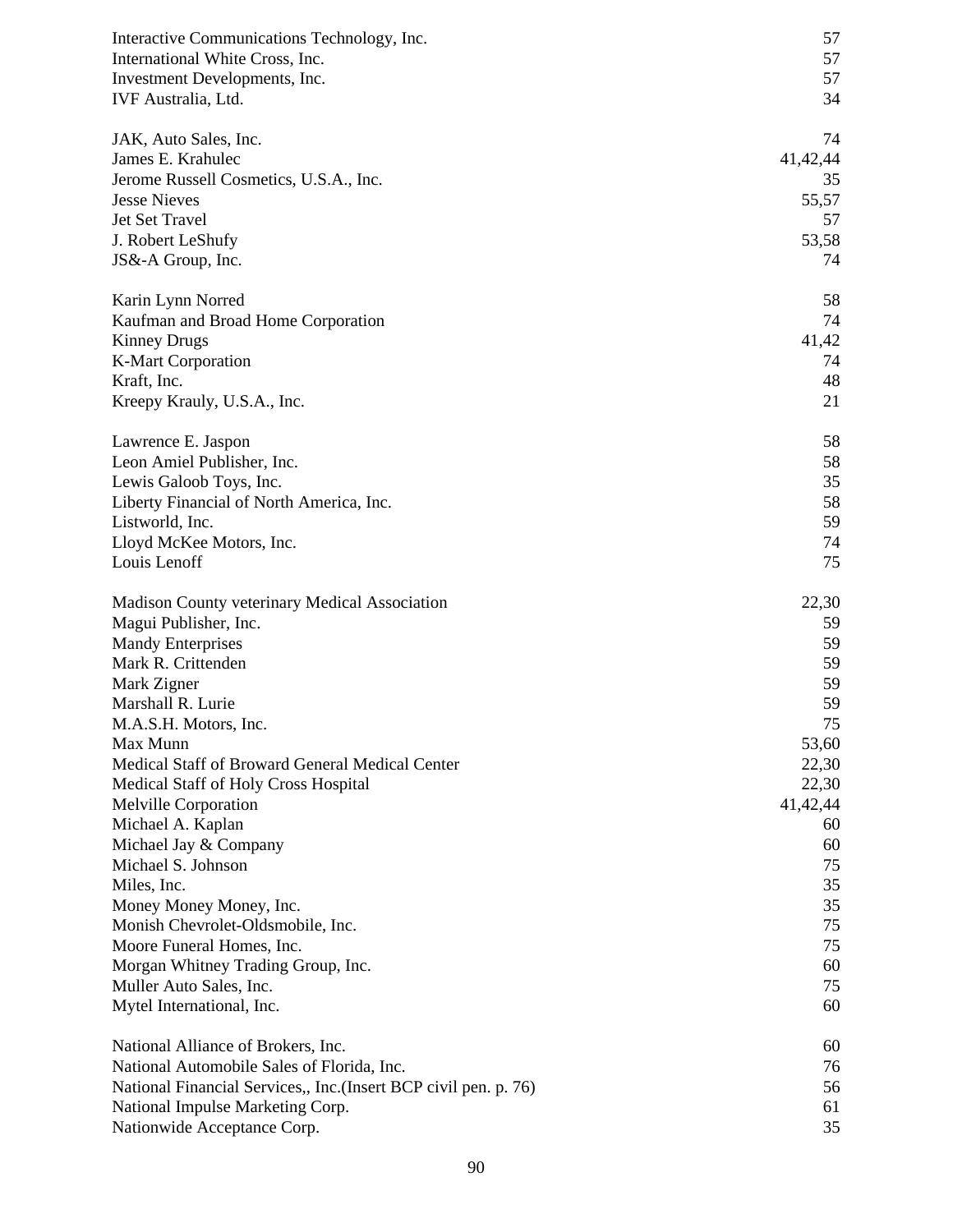| Interactive Communications Technology, Inc.<br>International White Cross, Inc.<br>Investment Developments, Inc.<br>IVF Australia, Ltd. | 57<br>57<br>57<br>34 |
|----------------------------------------------------------------------------------------------------------------------------------------|----------------------|
| JAK, Auto Sales, Inc.                                                                                                                  | 74                   |
| James E. Krahulec                                                                                                                      | 41, 42, 44           |
| Jerome Russell Cosmetics, U.S.A., Inc.                                                                                                 | 35                   |
| <b>Jesse Nieves</b>                                                                                                                    | 55,57                |
| Jet Set Travel                                                                                                                         | 57                   |
| J. Robert LeShufy                                                                                                                      | 53,58                |
| JS&-A Group, Inc.                                                                                                                      | 74                   |
| Karin Lynn Norred                                                                                                                      | 58                   |
| Kaufman and Broad Home Corporation                                                                                                     | 74                   |
| <b>Kinney Drugs</b>                                                                                                                    | 41,42                |
| <b>K-Mart Corporation</b>                                                                                                              | 74                   |
| Kraft, Inc.                                                                                                                            | 48                   |
| Kreepy Krauly, U.S.A., Inc.                                                                                                            | 21                   |
|                                                                                                                                        | 58                   |
| Lawrence E. Jaspon                                                                                                                     | 58                   |
| Leon Amiel Publisher, Inc.<br>Lewis Galoob Toys, Inc.                                                                                  | 35                   |
| Liberty Financial of North America, Inc.                                                                                               | 58                   |
| Listworld, Inc.                                                                                                                        | 59                   |
| Lloyd McKee Motors, Inc.                                                                                                               | 74                   |
| Louis Lenoff                                                                                                                           | 75                   |
|                                                                                                                                        | 22,30                |
| Madison County veterinary Medical Association<br>Magui Publisher, Inc.                                                                 | 59                   |
| <b>Mandy Enterprises</b>                                                                                                               | 59                   |
| Mark R. Crittenden                                                                                                                     | 59                   |
| Mark Zigner                                                                                                                            | 59                   |
| Marshall R. Lurie                                                                                                                      | 59                   |
| M.A.S.H. Motors, Inc.                                                                                                                  | 75                   |
| Max Munn                                                                                                                               | 53,60                |
| Medical Staff of Broward General Medical Center                                                                                        | 22,30                |
| Medical Staff of Holy Cross Hospital                                                                                                   | 22,30                |
| Melville Corporation                                                                                                                   | 41, 42, 44           |
| Michael A. Kaplan                                                                                                                      | 60                   |
| Michael Jay & Company                                                                                                                  | 60                   |
| Michael S. Johnson                                                                                                                     | 75                   |
| Miles, Inc.                                                                                                                            | 35                   |
| Money Money Money, Inc.                                                                                                                | 35                   |
| Monish Chevrolet-Oldsmobile, Inc.                                                                                                      | 75                   |
| Moore Funeral Homes, Inc.                                                                                                              | 75                   |
| Morgan Whitney Trading Group, Inc.                                                                                                     | 60                   |
| Muller Auto Sales, Inc.                                                                                                                | 75                   |
| Mytel International, Inc.                                                                                                              | 60                   |
| National Alliance of Brokers, Inc.                                                                                                     | 60                   |
| National Automobile Sales of Florida, Inc.                                                                                             | 76                   |
| National Financial Services,, Inc. (Insert BCP civil pen. p. 76)                                                                       | 56                   |
| National Impulse Marketing Corp.                                                                                                       | 61                   |
| Nationwide Acceptance Corp.                                                                                                            | 35                   |
|                                                                                                                                        |                      |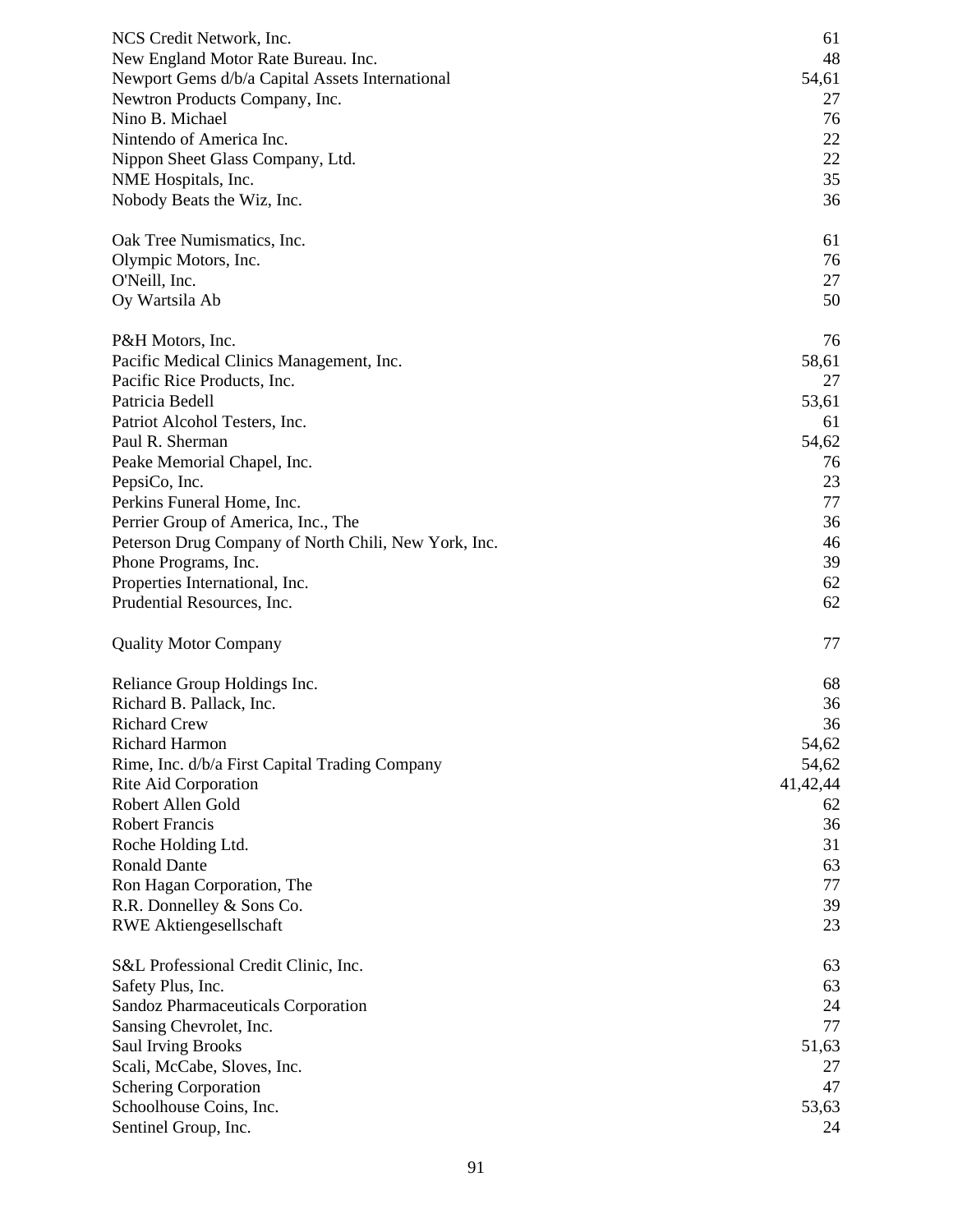| NCS Credit Network, Inc.                             | 61       |
|------------------------------------------------------|----------|
| New England Motor Rate Bureau. Inc.                  | 48       |
| Newport Gems d/b/a Capital Assets International      | 54,61    |
| Newtron Products Company, Inc.                       | 27       |
| Nino B. Michael                                      | 76       |
|                                                      |          |
| Nintendo of America Inc.                             | 22       |
| Nippon Sheet Glass Company, Ltd.                     | 22       |
| NME Hospitals, Inc.                                  | 35       |
| Nobody Beats the Wiz, Inc.                           | 36       |
| Oak Tree Numismatics, Inc.                           | 61       |
| Olympic Motors, Inc.                                 | 76       |
| O'Neill, Inc.                                        | 27       |
| Oy Wartsila Ab                                       | 50       |
| P&H Motors, Inc.                                     | 76       |
| Pacific Medical Clinics Management, Inc.             | 58,61    |
|                                                      |          |
| Pacific Rice Products, Inc.                          | 27       |
| Patricia Bedell                                      | 53,61    |
| Patriot Alcohol Testers, Inc.                        | 61       |
| Paul R. Sherman                                      | 54,62    |
| Peake Memorial Chapel, Inc.                          | 76       |
| PepsiCo, Inc.                                        | 23       |
| Perkins Funeral Home, Inc.                           | 77       |
|                                                      |          |
| Perrier Group of America, Inc., The                  | 36       |
| Peterson Drug Company of North Chili, New York, Inc. | 46       |
| Phone Programs, Inc.                                 | 39       |
| Properties International, Inc.                       | 62       |
| Prudential Resources, Inc.                           | 62       |
| <b>Quality Motor Company</b>                         | 77       |
| Reliance Group Holdings Inc.                         | 68       |
| Richard B. Pallack, Inc.                             | 36       |
| <b>Richard Crew</b>                                  | 36       |
| <b>Richard Harmon</b>                                | 54,62    |
| Rime, Inc. d/b/a First Capital Trading Company       | 54,62    |
|                                                      |          |
| Rite Aid Corporation                                 | 41,42,44 |
| Robert Allen Gold                                    | 62       |
| <b>Robert Francis</b>                                | 36       |
| Roche Holding Ltd.                                   | 31       |
| <b>Ronald Dante</b>                                  | 63       |
| Ron Hagan Corporation, The                           | 77       |
| R.R. Donnelley & Sons Co.                            | 39       |
| <b>RWE Aktiengesellschaft</b>                        | 23       |
|                                                      |          |
| S&L Professional Credit Clinic, Inc.                 | 63<br>63 |
| Safety Plus, Inc.                                    |          |
| Sandoz Pharmaceuticals Corporation                   | 24       |
| Sansing Chevrolet, Inc.                              | 77       |
| <b>Saul Irving Brooks</b>                            | 51,63    |
| Scali, McCabe, Sloves, Inc.                          | 27       |
| <b>Schering Corporation</b>                          | 47       |
| Schoolhouse Coins, Inc.                              | 53,63    |
| Sentinel Group, Inc.                                 | 24       |
|                                                      |          |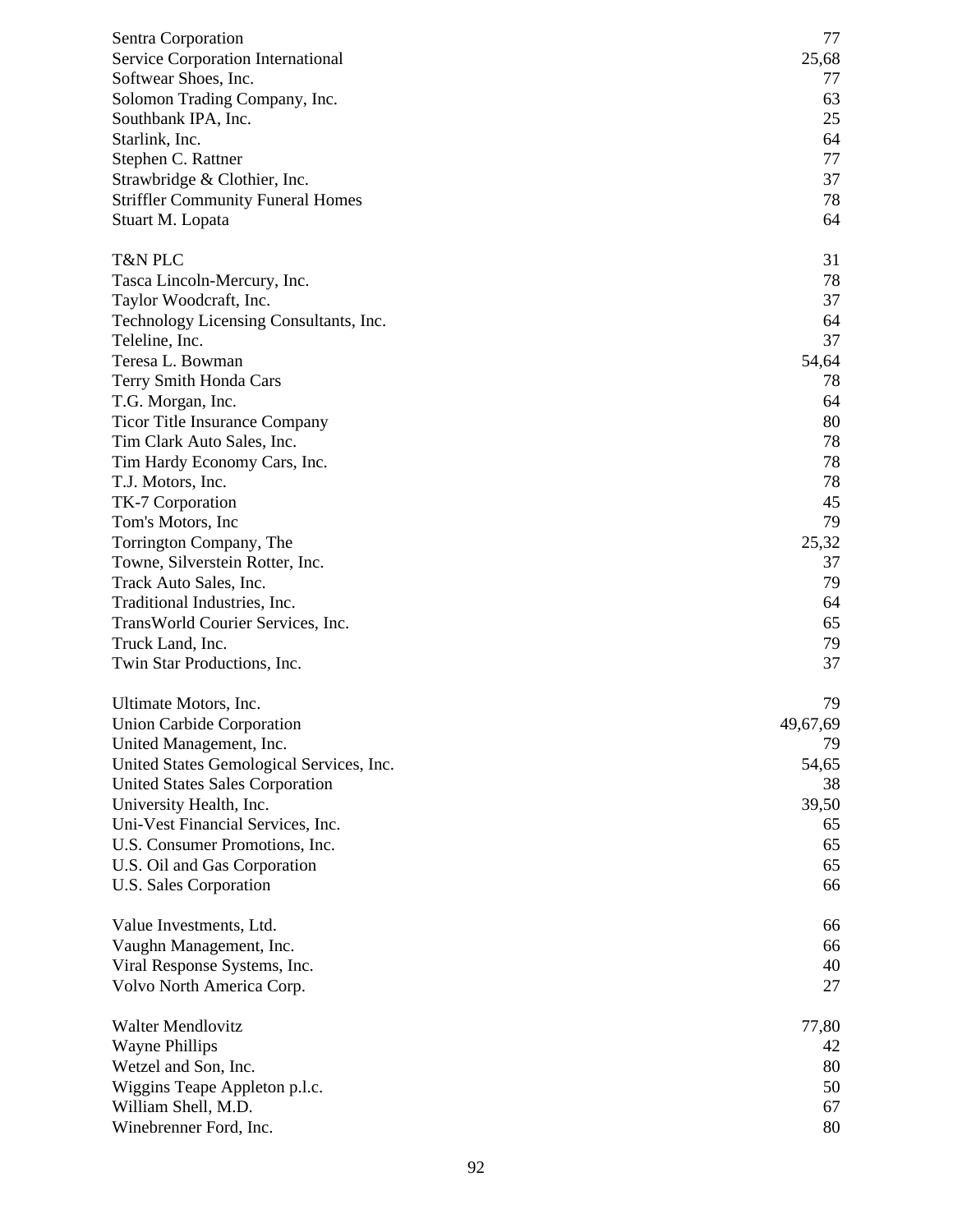| Sentra Corporation                       | 77       |
|------------------------------------------|----------|
| Service Corporation International        | 25,68    |
| Softwear Shoes, Inc.                     | 77       |
| Solomon Trading Company, Inc.            | 63       |
| Southbank IPA, Inc.                      | 25       |
| Starlink, Inc.                           | 64       |
| Stephen C. Rattner                       | 77       |
| Strawbridge & Clothier, Inc.             | 37       |
| <b>Striffler Community Funeral Homes</b> | 78       |
| Stuart M. Lopata                         | 64       |
| T&N PLC                                  | 31       |
| Tasca Lincoln-Mercury, Inc.              | 78       |
| Taylor Woodcraft, Inc.                   | 37       |
| Technology Licensing Consultants, Inc.   | 64       |
| Teleline, Inc.                           | 37       |
| Teresa L. Bowman                         | 54,64    |
| Terry Smith Honda Cars                   | 78       |
| T.G. Morgan, Inc.                        | 64       |
| <b>Ticor Title Insurance Company</b>     | 80       |
| Tim Clark Auto Sales, Inc.               | 78       |
| Tim Hardy Economy Cars, Inc.             | 78       |
| T.J. Motors, Inc.                        | 78       |
| TK-7 Corporation                         | 45       |
| Tom's Motors, Inc                        | 79       |
| Torrington Company, The                  | 25,32    |
| Towne, Silverstein Rotter, Inc.          | 37       |
| Track Auto Sales, Inc.                   | 79       |
| Traditional Industries, Inc.             | 64       |
| TransWorld Courier Services, Inc.        | 65       |
| Truck Land, Inc.                         | 79       |
| Twin Star Productions, Inc.              | 37       |
|                                          |          |
| Ultimate Motors, Inc.                    | 79       |
| Union Carbide Corporation                | 49,67,69 |
| United Management, Inc.                  | 79       |
| United States Gemological Services, Inc. | 54,65    |
| <b>United States Sales Corporation</b>   | 38       |
| University Health, Inc.                  | 39,50    |
| Uni-Vest Financial Services, Inc.        | 65       |
| U.S. Consumer Promotions, Inc.           | 65       |
| U.S. Oil and Gas Corporation             | 65       |
| U.S. Sales Corporation                   | 66       |
| Value Investments, Ltd.                  | 66       |
| Vaughn Management, Inc.                  | 66       |
| Viral Response Systems, Inc.             | 40       |
| Volvo North America Corp.                | 27       |
| <b>Walter Mendlovitz</b>                 | 77,80    |
| <b>Wayne Phillips</b>                    | 42       |
| Wetzel and Son, Inc.                     | 80       |
| Wiggins Teape Appleton p.l.c.            | 50       |
| William Shell, M.D.                      | 67       |
| Winebrenner Ford, Inc.                   | 80       |